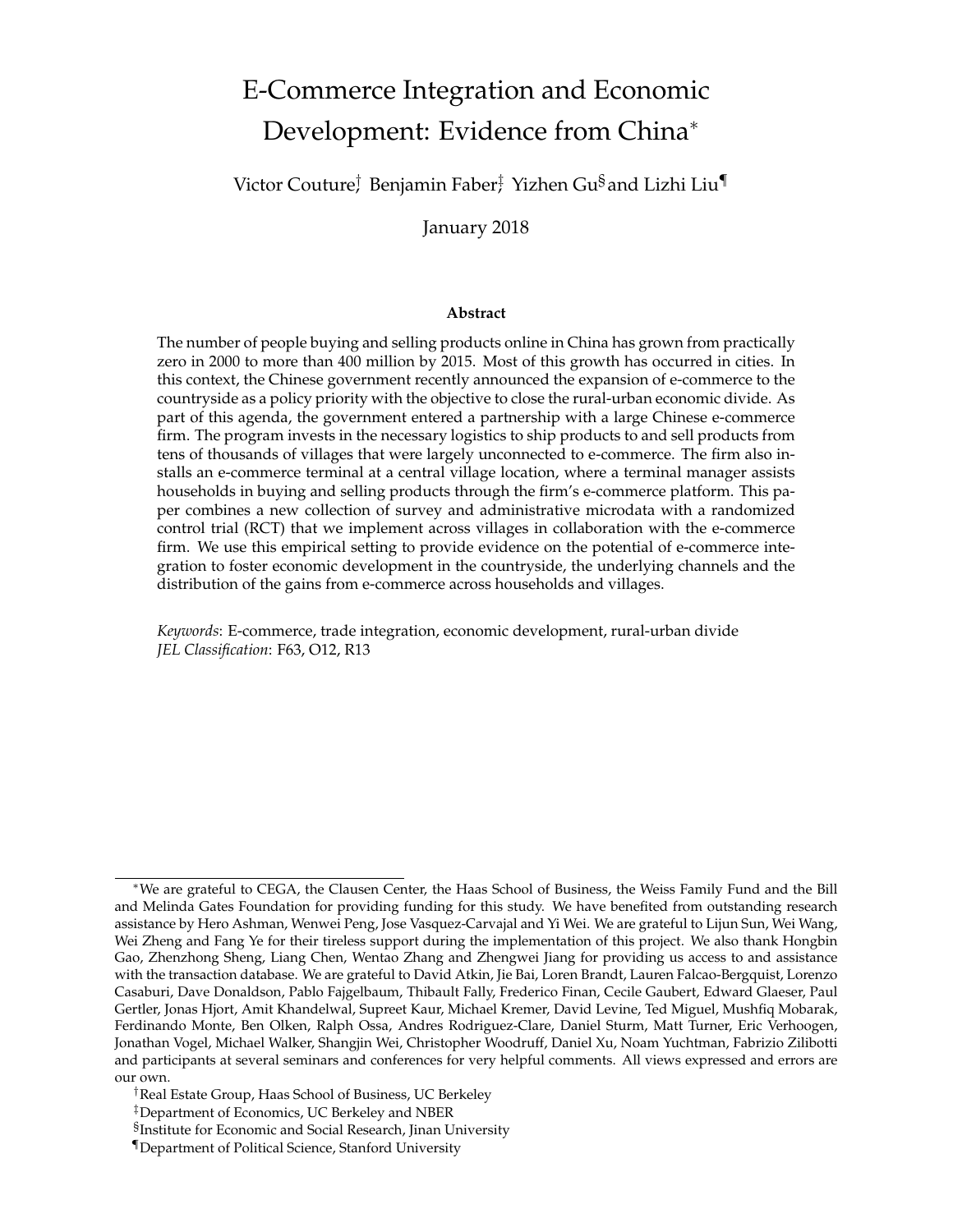# <span id="page-0-0"></span>E-Commerce Integration and Economic Development: Evidence from China<sup>∗</sup>

Victor Couture<sup>†</sup> Benjamin Faber‡ Yizhen Gu<sup>§</sup>and Lizhi Liu¶

January 2018

#### **Abstract**

The number of people buying and selling products online in China has grown from practically zero in 2000 to more than 400 million by 2015. Most of this growth has occurred in cities. In this context, the Chinese government recently announced the expansion of e-commerce to the countryside as a policy priority with the objective to close the rural-urban economic divide. As part of this agenda, the government entered a partnership with a large Chinese e-commerce firm. The program invests in the necessary logistics to ship products to and sell products from tens of thousands of villages that were largely unconnected to e-commerce. The firm also installs an e-commerce terminal at a central village location, where a terminal manager assists households in buying and selling products through the firm's e-commerce platform. This paper combines a new collection of survey and administrative microdata with a randomized control trial (RCT) that we implement across villages in collaboration with the e-commerce firm. We use this empirical setting to provide evidence on the potential of e-commerce integration to foster economic development in the countryside, the underlying channels and the distribution of the gains from e-commerce across households and villages.

*Keywords*: E-commerce, trade integration, economic development, rural-urban divide *JEL Classification*: F63, O12, R13

<sup>∗</sup>We are grateful to CEGA, the Clausen Center, the Haas School of Business, the Weiss Family Fund and the Bill and Melinda Gates Foundation for providing funding for this study. We have benefited from outstanding research assistance by Hero Ashman, Wenwei Peng, Jose Vasquez-Carvajal and Yi Wei. We are grateful to Lijun Sun, Wei Wang, Wei Zheng and Fang Ye for their tireless support during the implementation of this project. We also thank Hongbin Gao, Zhenzhong Sheng, Liang Chen, Wentao Zhang and Zhengwei Jiang for providing us access to and assistance with the transaction database. We are grateful to David Atkin, Jie Bai, Loren Brandt, Lauren Falcao-Bergquist, Lorenzo Casaburi, Dave Donaldson, Pablo Fajgelbaum, Thibault Fally, Frederico Finan, Cecile Gaubert, Edward Glaeser, Paul Gertler, Jonas Hjort, Amit Khandelwal, Supreet Kaur, Michael Kremer, David Levine, Ted Miguel, Mushfiq Mobarak, Ferdinando Monte, Ben Olken, Ralph Ossa, Andres Rodriguez-Clare, Daniel Sturm, Matt Turner, Eric Verhoogen, Jonathan Vogel, Michael Walker, Shangjin Wei, Christopher Woodruff, Daniel Xu, Noam Yuchtman, Fabrizio Zilibotti and participants at several seminars and conferences for very helpful comments. All views expressed and errors are our own.

<sup>†</sup>Real Estate Group, Haas School of Business, UC Berkeley

<sup>‡</sup>Department of Economics, UC Berkeley and NBER

<sup>§</sup> Institute for Economic and Social Research, Jinan University

<sup>¶</sup>Department of Political Science, Stanford University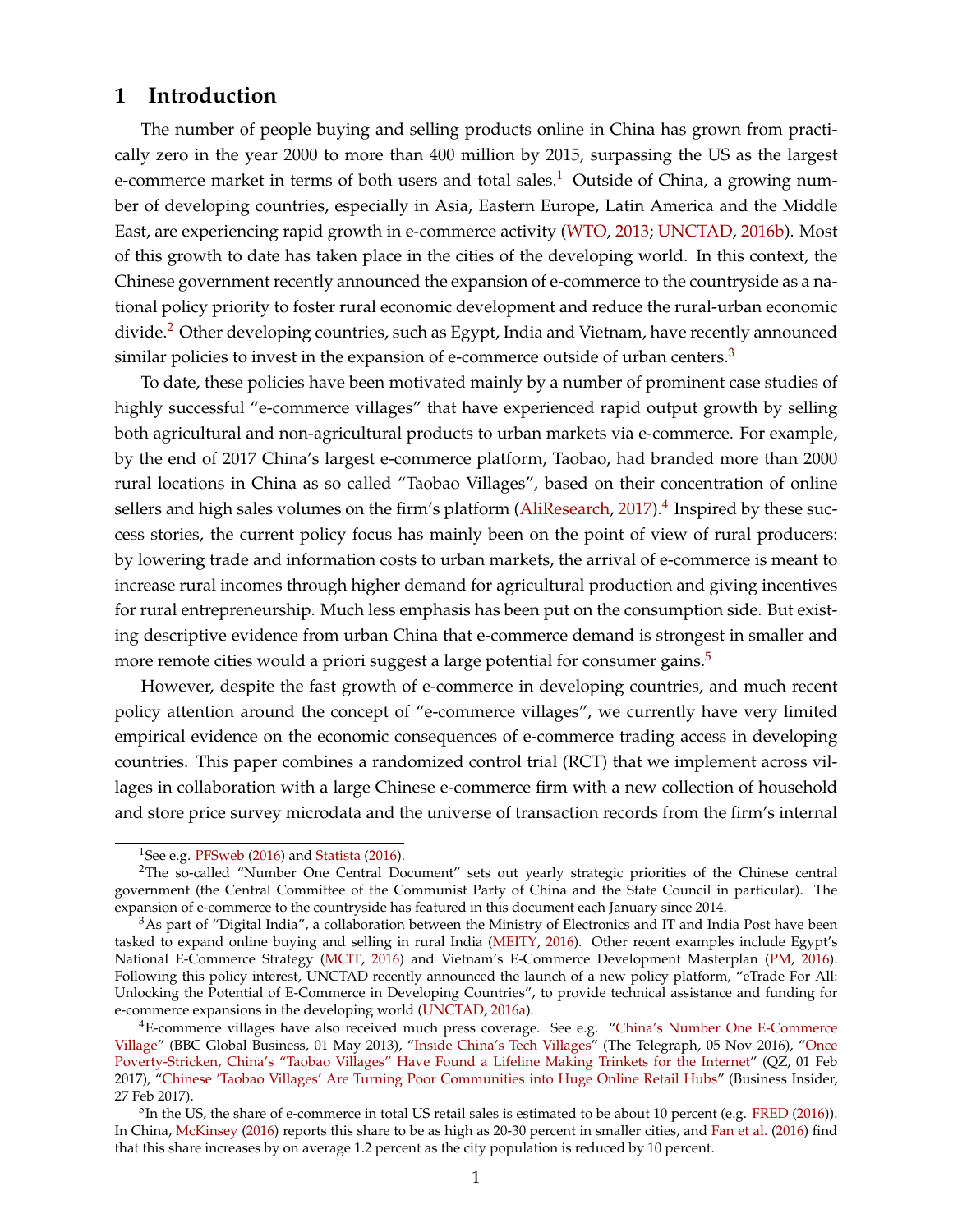# **1 Introduction**

The number of people buying and selling products online in China has grown from practically zero in the year 2000 to more than 400 million by 2015, surpassing the US as the largest e-commerce market in terms of both users and total sales.<sup>[1](#page-0-0)</sup> Outside of China, a growing number of developing countries, especially in Asia, Eastern Europe, Latin America and the Middle East, are experiencing rapid growth in e-commerce activity [\(WTO,](#page-33-0) [2013;](#page-33-0) [UNCTAD,](#page-33-1) [2016b\)](#page-33-1). Most of this growth to date has taken place in the cities of the developing world. In this context, the Chinese government recently announced the expansion of e-commerce to the countryside as a national policy priority to foster rural economic development and reduce the rural-urban economic divide.<sup>[2](#page-0-0)</sup> Other developing countries, such as Egypt, India and Vietnam, have recently announced similar policies to invest in the expansion of e-commerce outside of urban centers.<sup>[3](#page-0-0)</sup>

To date, these policies have been motivated mainly by a number of prominent case studies of highly successful "e-commerce villages" that have experienced rapid output growth by selling both agricultural and non-agricultural products to urban markets via e-commerce. For example, by the end of 2017 China's largest e-commerce platform, Taobao, had branded more than 2000 rural locations in China as so called "Taobao Villages", based on their concentration of online sellers and high sales volumes on the firm's platform [\(AliResearch,](#page-32-0) [2017\)](#page-32-0).<sup>[4](#page-0-0)</sup> Inspired by these success stories, the current policy focus has mainly been on the point of view of rural producers: by lowering trade and information costs to urban markets, the arrival of e-commerce is meant to increase rural incomes through higher demand for agricultural production and giving incentives for rural entrepreneurship. Much less emphasis has been put on the consumption side. But existing descriptive evidence from urban China that e-commerce demand is strongest in smaller and more remote cities would a priori suggest a large potential for consumer gains.<sup>[5](#page-0-0)</sup>

However, despite the fast growth of e-commerce in developing countries, and much recent policy attention around the concept of "e-commerce villages", we currently have very limited empirical evidence on the economic consequences of e-commerce trading access in developing countries. This paper combines a randomized control trial (RCT) that we implement across villages in collaboration with a large Chinese e-commerce firm with a new collection of household and store price survey microdata and the universe of transaction records from the firm's internal

<sup>&</sup>lt;sup>1</sup>See e.g. [PFSweb](#page-33-2) [\(2016\)](#page-33-3) and [Statista](#page-33-3) (2016).

<sup>&</sup>lt;sup>2</sup>The so-called "Number One Central Document" sets out yearly strategic priorities of the Chinese central government (the Central Committee of the Communist Party of China and the State Council in particular). The expansion of e-commerce to the countryside has featured in this document each January since 2014.

 $3$ As part of "Digital India", a collaboration between the Ministry of Electronics and IT and India Post have been tasked to expand online buying and selling in rural India [\(MEITY,](#page-33-4) [2016\)](#page-33-4). Other recent examples include Egypt's National E-Commerce Strategy [\(MCIT,](#page-33-5) [2016\)](#page-33-5) and Vietnam's E-Commerce Development Masterplan [\(PM,](#page-33-6) [2016\)](#page-33-6). Following this policy interest, UNCTAD recently announced the launch of a new policy platform, "eTrade For All: Unlocking the Potential of E-Commerce in Developing Countries", to provide technical assistance and funding for e-commerce expansions in the developing world [\(UNCTAD,](#page-33-7) [2016a\)](#page-33-7).

<sup>&</sup>lt;sup>4</sup>E-commerce villages have also received much press coverage. See e.g. ["China's Number One E-Commerce](http://www.bbc.co.uk/programmes/p033z2yw/p033yssy) [Village"](http://www.bbc.co.uk/programmes/p033z2yw/p033yssy) (BBC Global Business, 01 May 2013), ["Inside China's Tech Villages"](http://www.telegraph.co.uk/news/2016/11/05/inside-chinas-tech-villages-where-farmers-have-replaced-communis/) (The Telegraph, 05 Nov 2016), ["Once](https://qz.com/899922/once-poverty-stricken-chinas-taobao-villages-have-found-a-lifeline-making-trinkets-for-the-internet/) [Poverty-Stricken, China's "Taobao Villages" Have Found a Lifeline Making Trinkets for the Internet"](https://qz.com/899922/once-poverty-stricken-chinas-taobao-villages-have-found-a-lifeline-making-trinkets-for-the-internet/) (QZ, 01 Feb 2017), ["Chinese 'Taobao Villages' Are Turning Poor Communities into Huge Online Retail Hubs"](http://www.businessinsider.com/chinese-taobao-villages-escape-poverty-2017-2) (Business Insider, 27 Feb 2017).

<sup>&</sup>lt;sup>5</sup>In the US, the share of e-commerce in total US retail sales is estimated to be about 10 percent (e.g. [FRED](#page-32-1) [\(2016\)](#page-32-1)). In China, [McKinsey](#page-33-8) [\(2016\)](#page-33-8) reports this share to be as high as 20-30 percent in smaller cities, and [Fan et al.](#page-32-2) [\(2016\)](#page-32-2) find that this share increases by on average 1.2 percent as the city population is reduced by 10 percent.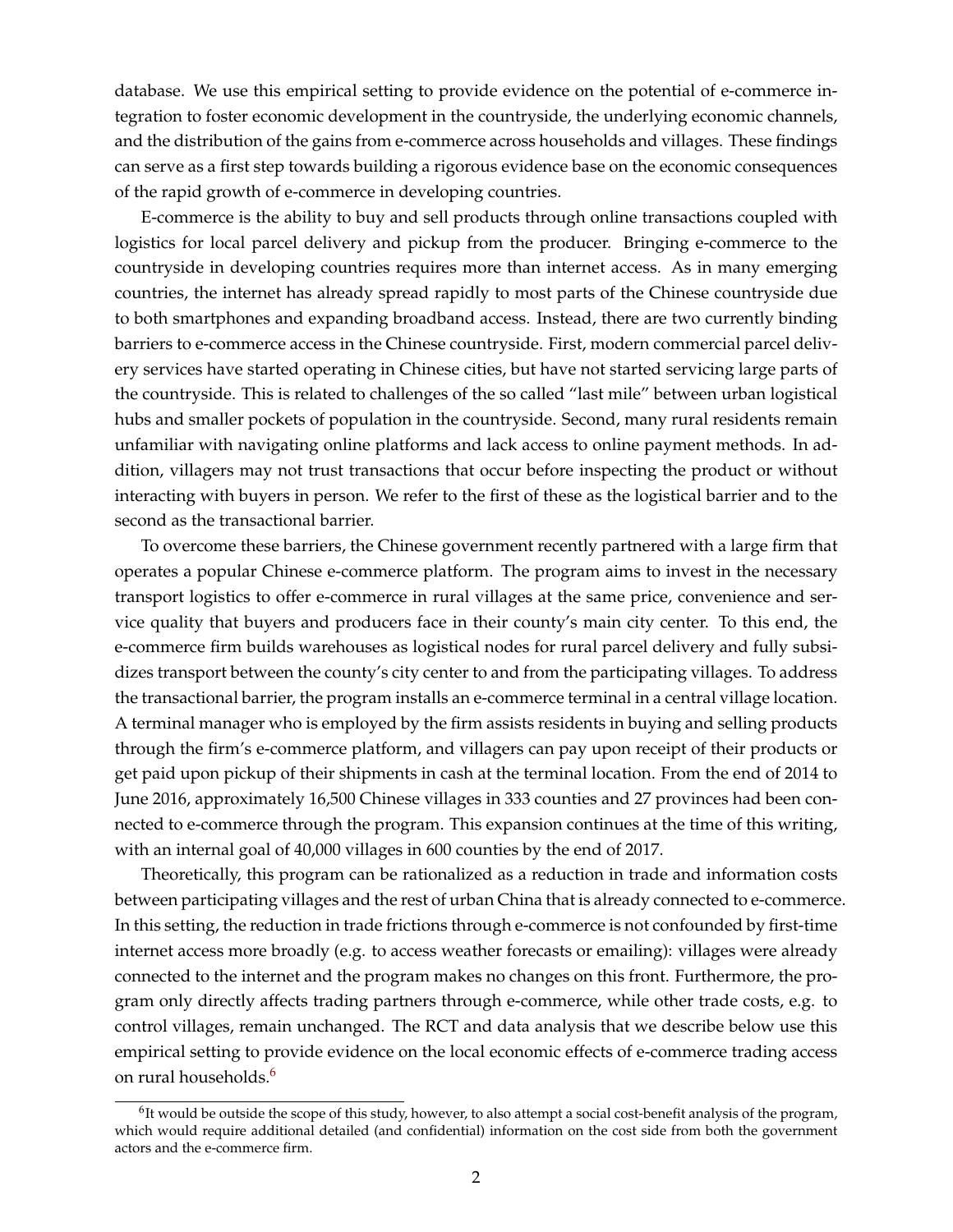database. We use this empirical setting to provide evidence on the potential of e-commerce integration to foster economic development in the countryside, the underlying economic channels, and the distribution of the gains from e-commerce across households and villages. These findings can serve as a first step towards building a rigorous evidence base on the economic consequences of the rapid growth of e-commerce in developing countries.

E-commerce is the ability to buy and sell products through online transactions coupled with logistics for local parcel delivery and pickup from the producer. Bringing e-commerce to the countryside in developing countries requires more than internet access. As in many emerging countries, the internet has already spread rapidly to most parts of the Chinese countryside due to both smartphones and expanding broadband access. Instead, there are two currently binding barriers to e-commerce access in the Chinese countryside. First, modern commercial parcel delivery services have started operating in Chinese cities, but have not started servicing large parts of the countryside. This is related to challenges of the so called "last mile" between urban logistical hubs and smaller pockets of population in the countryside. Second, many rural residents remain unfamiliar with navigating online platforms and lack access to online payment methods. In addition, villagers may not trust transactions that occur before inspecting the product or without interacting with buyers in person. We refer to the first of these as the logistical barrier and to the second as the transactional barrier.

To overcome these barriers, the Chinese government recently partnered with a large firm that operates a popular Chinese e-commerce platform. The program aims to invest in the necessary transport logistics to offer e-commerce in rural villages at the same price, convenience and service quality that buyers and producers face in their county's main city center. To this end, the e-commerce firm builds warehouses as logistical nodes for rural parcel delivery and fully subsidizes transport between the county's city center to and from the participating villages. To address the transactional barrier, the program installs an e-commerce terminal in a central village location. A terminal manager who is employed by the firm assists residents in buying and selling products through the firm's e-commerce platform, and villagers can pay upon receipt of their products or get paid upon pickup of their shipments in cash at the terminal location. From the end of 2014 to June 2016, approximately 16,500 Chinese villages in 333 counties and 27 provinces had been connected to e-commerce through the program. This expansion continues at the time of this writing, with an internal goal of 40,000 villages in 600 counties by the end of 2017.

Theoretically, this program can be rationalized as a reduction in trade and information costs between participating villages and the rest of urban China that is already connected to e-commerce. In this setting, the reduction in trade frictions through e-commerce is not confounded by first-time internet access more broadly (e.g. to access weather forecasts or emailing): villages were already connected to the internet and the program makes no changes on this front. Furthermore, the program only directly affects trading partners through e-commerce, while other trade costs, e.g. to control villages, remain unchanged. The RCT and data analysis that we describe below use this empirical setting to provide evidence on the local economic effects of e-commerce trading access on rural households.<sup>[6](#page-0-0)</sup>

 $^6$ It would be outside the scope of this study, however, to also attempt a social cost-benefit analysis of the program, which would require additional detailed (and confidential) information on the cost side from both the government actors and the e-commerce firm.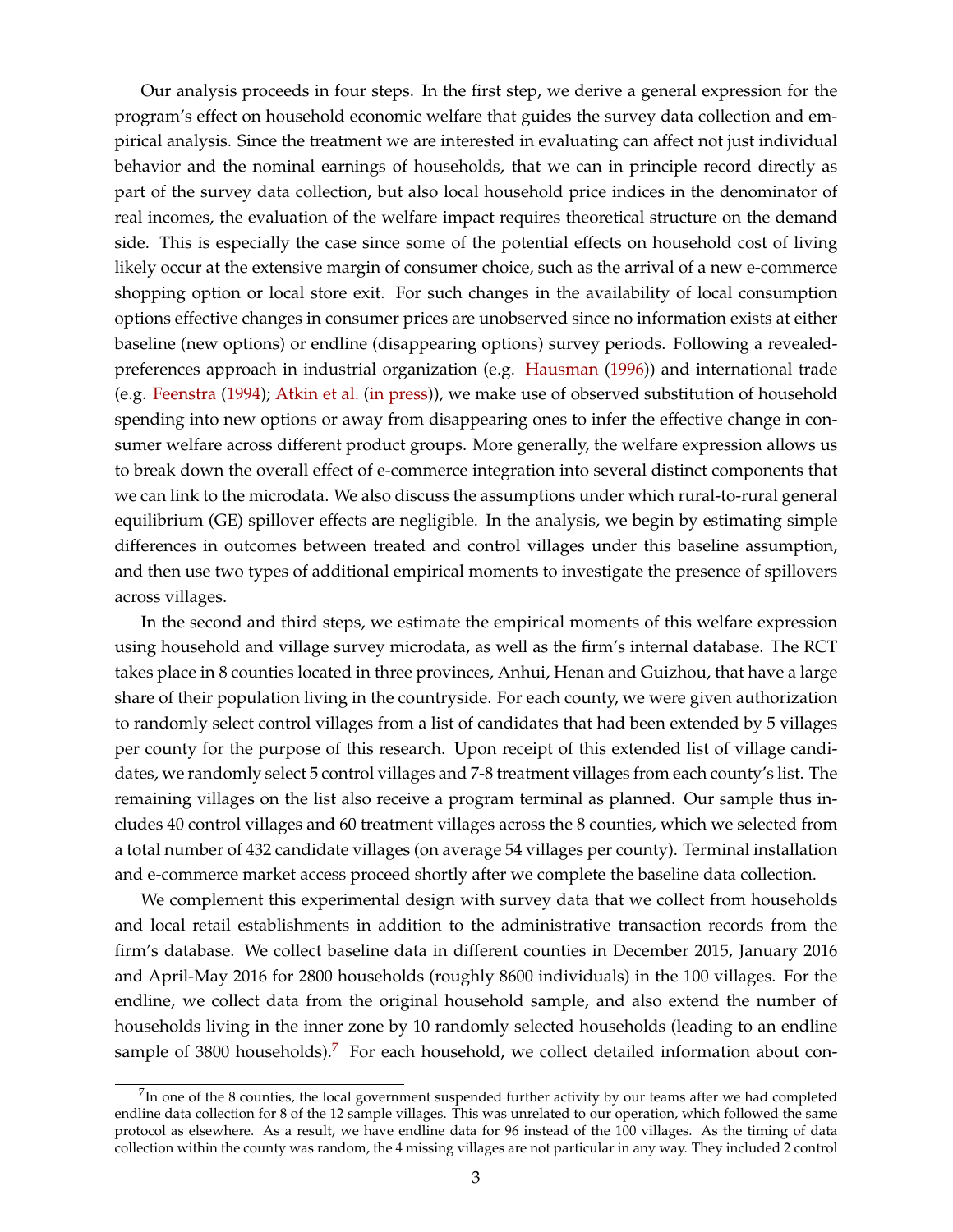Our analysis proceeds in four steps. In the first step, we derive a general expression for the program's effect on household economic welfare that guides the survey data collection and empirical analysis. Since the treatment we are interested in evaluating can affect not just individual behavior and the nominal earnings of households, that we can in principle record directly as part of the survey data collection, but also local household price indices in the denominator of real incomes, the evaluation of the welfare impact requires theoretical structure on the demand side. This is especially the case since some of the potential effects on household cost of living likely occur at the extensive margin of consumer choice, such as the arrival of a new e-commerce shopping option or local store exit. For such changes in the availability of local consumption options effective changes in consumer prices are unobserved since no information exists at either baseline (new options) or endline (disappearing options) survey periods. Following a revealedpreferences approach in industrial organization (e.g. [Hausman](#page-33-9) [\(1996\)](#page-33-9)) and international trade (e.g. [Feenstra](#page-32-3) [\(1994\)](#page-32-3); [Atkin et al.](#page-32-4) [\(in press\)](#page-32-4)), we make use of observed substitution of household spending into new options or away from disappearing ones to infer the effective change in consumer welfare across different product groups. More generally, the welfare expression allows us to break down the overall effect of e-commerce integration into several distinct components that we can link to the microdata. We also discuss the assumptions under which rural-to-rural general equilibrium (GE) spillover effects are negligible. In the analysis, we begin by estimating simple differences in outcomes between treated and control villages under this baseline assumption, and then use two types of additional empirical moments to investigate the presence of spillovers across villages.

In the second and third steps, we estimate the empirical moments of this welfare expression using household and village survey microdata, as well as the firm's internal database. The RCT takes place in 8 counties located in three provinces, Anhui, Henan and Guizhou, that have a large share of their population living in the countryside. For each county, we were given authorization to randomly select control villages from a list of candidates that had been extended by 5 villages per county for the purpose of this research. Upon receipt of this extended list of village candidates, we randomly select 5 control villages and 7-8 treatment villages from each county's list. The remaining villages on the list also receive a program terminal as planned. Our sample thus includes 40 control villages and 60 treatment villages across the 8 counties, which we selected from a total number of 432 candidate villages (on average 54 villages per county). Terminal installation and e-commerce market access proceed shortly after we complete the baseline data collection.

We complement this experimental design with survey data that we collect from households and local retail establishments in addition to the administrative transaction records from the firm's database. We collect baseline data in different counties in December 2015, January 2016 and April-May 2016 for 2800 households (roughly 8600 individuals) in the 100 villages. For the endline, we collect data from the original household sample, and also extend the number of households living in the inner zone by 10 randomly selected households (leading to an endline sample of 3800 households).<sup>[7](#page-0-0)</sup> For each household, we collect detailed information about con-

 $^{7}$ In one of the 8 counties, the local government suspended further activity by our teams after we had completed endline data collection for 8 of the 12 sample villages. This was unrelated to our operation, which followed the same protocol as elsewhere. As a result, we have endline data for 96 instead of the 100 villages. As the timing of data collection within the county was random, the 4 missing villages are not particular in any way. They included 2 control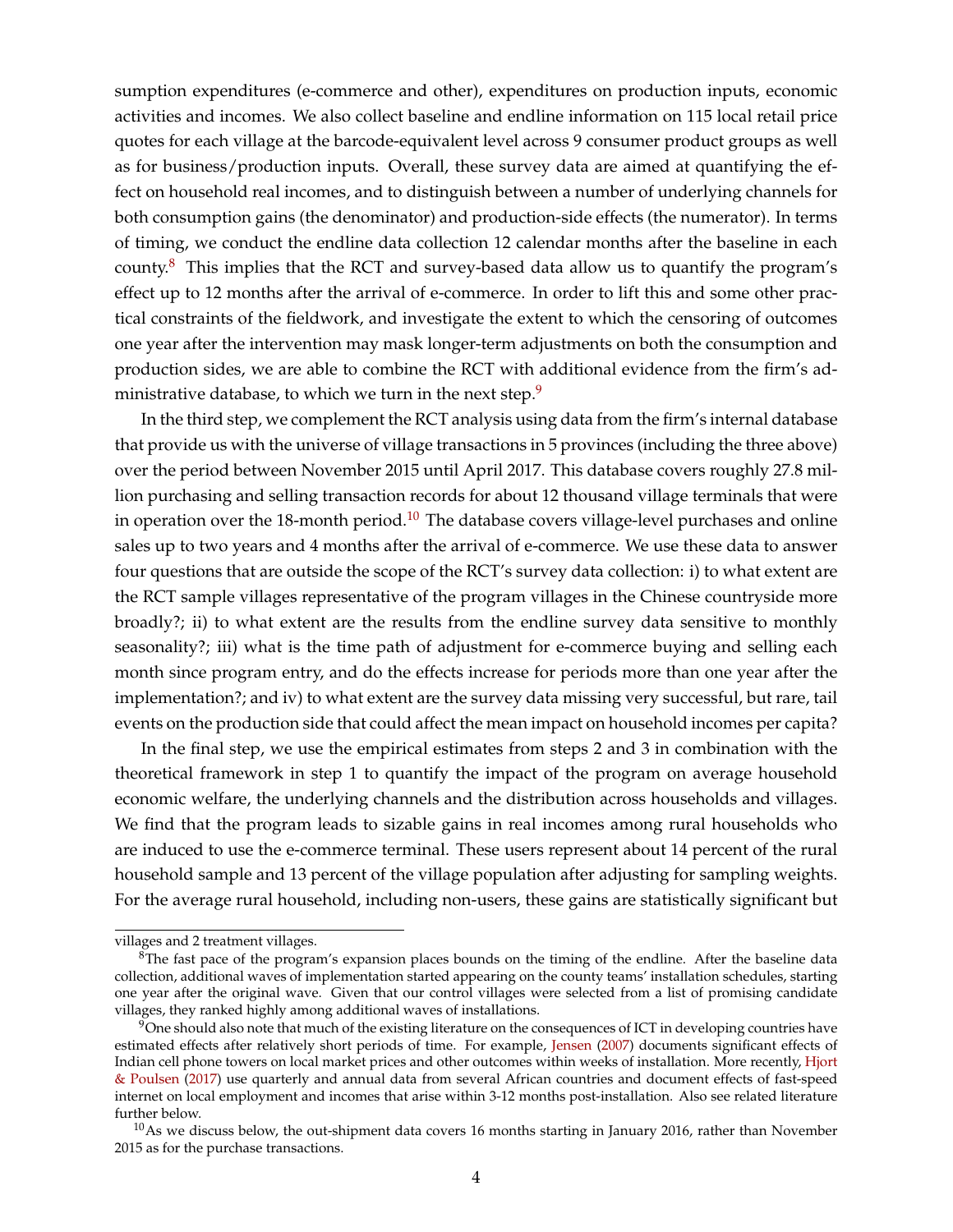sumption expenditures (e-commerce and other), expenditures on production inputs, economic activities and incomes. We also collect baseline and endline information on 115 local retail price quotes for each village at the barcode-equivalent level across 9 consumer product groups as well as for business/production inputs. Overall, these survey data are aimed at quantifying the effect on household real incomes, and to distinguish between a number of underlying channels for both consumption gains (the denominator) and production-side effects (the numerator). In terms of timing, we conduct the endline data collection 12 calendar months after the baseline in each county.<sup>[8](#page-0-0)</sup> This implies that the RCT and survey-based data allow us to quantify the program's effect up to 12 months after the arrival of e-commerce. In order to lift this and some other practical constraints of the fieldwork, and investigate the extent to which the censoring of outcomes one year after the intervention may mask longer-term adjustments on both the consumption and production sides, we are able to combine the RCT with additional evidence from the firm's ad-ministrative database, to which we turn in the next step.<sup>[9](#page-0-0)</sup>

In the third step, we complement the RCT analysis using data from the firm's internal database that provide us with the universe of village transactions in 5 provinces (including the three above) over the period between November 2015 until April 2017. This database covers roughly 27.8 million purchasing and selling transaction records for about 12 thousand village terminals that were in operation over the 18-month period.<sup>[10](#page-0-0)</sup> The database covers village-level purchases and online sales up to two years and 4 months after the arrival of e-commerce. We use these data to answer four questions that are outside the scope of the RCT's survey data collection: i) to what extent are the RCT sample villages representative of the program villages in the Chinese countryside more broadly?; ii) to what extent are the results from the endline survey data sensitive to monthly seasonality?; iii) what is the time path of adjustment for e-commerce buying and selling each month since program entry, and do the effects increase for periods more than one year after the implementation?; and iv) to what extent are the survey data missing very successful, but rare, tail events on the production side that could affect the mean impact on household incomes per capita?

In the final step, we use the empirical estimates from steps 2 and 3 in combination with the theoretical framework in step 1 to quantify the impact of the program on average household economic welfare, the underlying channels and the distribution across households and villages. We find that the program leads to sizable gains in real incomes among rural households who are induced to use the e-commerce terminal. These users represent about 14 percent of the rural household sample and 13 percent of the village population after adjusting for sampling weights. For the average rural household, including non-users, these gains are statistically significant but

villages and 2 treatment villages.

 ${}^{8}$ The fast pace of the program's expansion places bounds on the timing of the endline. After the baseline data collection, additional waves of implementation started appearing on the county teams' installation schedules, starting one year after the original wave. Given that our control villages were selected from a list of promising candidate villages, they ranked highly among additional waves of installations.

 $9$ One should also note that much of the existing literature on the consequences of ICT in developing countries have estimated effects after relatively short periods of time. For example, [Jensen](#page-33-10) [\(2007\)](#page-33-10) documents significant effects of Indian cell phone towers on local market prices and other outcomes within weeks of installation. More recently, [Hjort](#page-33-11) [& Poulsen](#page-33-11) [\(2017\)](#page-33-11) use quarterly and annual data from several African countries and document effects of fast-speed internet on local employment and incomes that arise within 3-12 months post-installation. Also see related literature further below.

 $10$ As we discuss below, the out-shipment data covers 16 months starting in January 2016, rather than November 2015 as for the purchase transactions.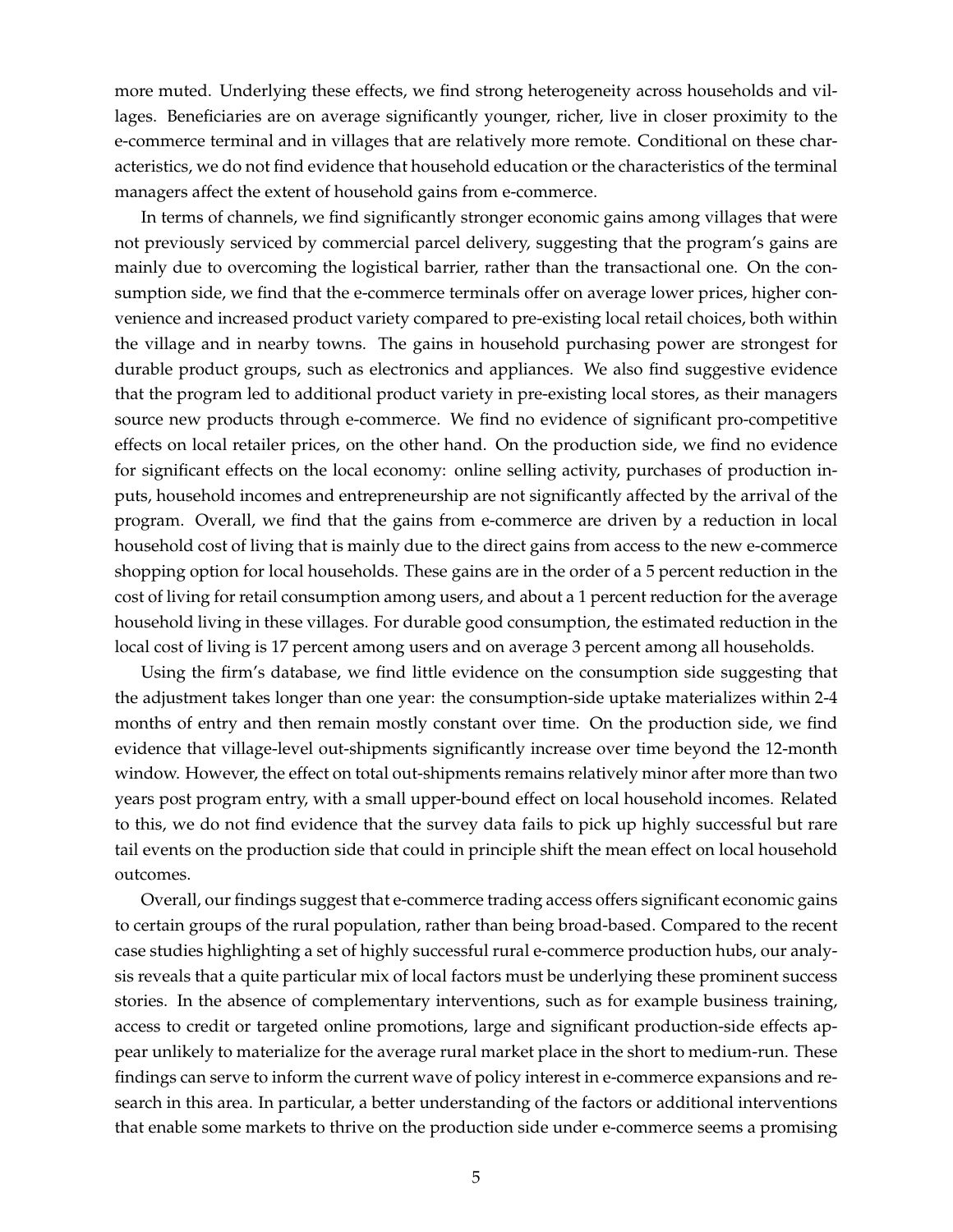more muted. Underlying these effects, we find strong heterogeneity across households and villages. Beneficiaries are on average significantly younger, richer, live in closer proximity to the e-commerce terminal and in villages that are relatively more remote. Conditional on these characteristics, we do not find evidence that household education or the characteristics of the terminal managers affect the extent of household gains from e-commerce.

In terms of channels, we find significantly stronger economic gains among villages that were not previously serviced by commercial parcel delivery, suggesting that the program's gains are mainly due to overcoming the logistical barrier, rather than the transactional one. On the consumption side, we find that the e-commerce terminals offer on average lower prices, higher convenience and increased product variety compared to pre-existing local retail choices, both within the village and in nearby towns. The gains in household purchasing power are strongest for durable product groups, such as electronics and appliances. We also find suggestive evidence that the program led to additional product variety in pre-existing local stores, as their managers source new products through e-commerce. We find no evidence of significant pro-competitive effects on local retailer prices, on the other hand. On the production side, we find no evidence for significant effects on the local economy: online selling activity, purchases of production inputs, household incomes and entrepreneurship are not significantly affected by the arrival of the program. Overall, we find that the gains from e-commerce are driven by a reduction in local household cost of living that is mainly due to the direct gains from access to the new e-commerce shopping option for local households. These gains are in the order of a 5 percent reduction in the cost of living for retail consumption among users, and about a 1 percent reduction for the average household living in these villages. For durable good consumption, the estimated reduction in the local cost of living is 17 percent among users and on average 3 percent among all households.

Using the firm's database, we find little evidence on the consumption side suggesting that the adjustment takes longer than one year: the consumption-side uptake materializes within 2-4 months of entry and then remain mostly constant over time. On the production side, we find evidence that village-level out-shipments significantly increase over time beyond the 12-month window. However, the effect on total out-shipments remains relatively minor after more than two years post program entry, with a small upper-bound effect on local household incomes. Related to this, we do not find evidence that the survey data fails to pick up highly successful but rare tail events on the production side that could in principle shift the mean effect on local household outcomes.

Overall, our findings suggest that e-commerce trading access offers significant economic gains to certain groups of the rural population, rather than being broad-based. Compared to the recent case studies highlighting a set of highly successful rural e-commerce production hubs, our analysis reveals that a quite particular mix of local factors must be underlying these prominent success stories. In the absence of complementary interventions, such as for example business training, access to credit or targeted online promotions, large and significant production-side effects appear unlikely to materialize for the average rural market place in the short to medium-run. These findings can serve to inform the current wave of policy interest in e-commerce expansions and research in this area. In particular, a better understanding of the factors or additional interventions that enable some markets to thrive on the production side under e-commerce seems a promising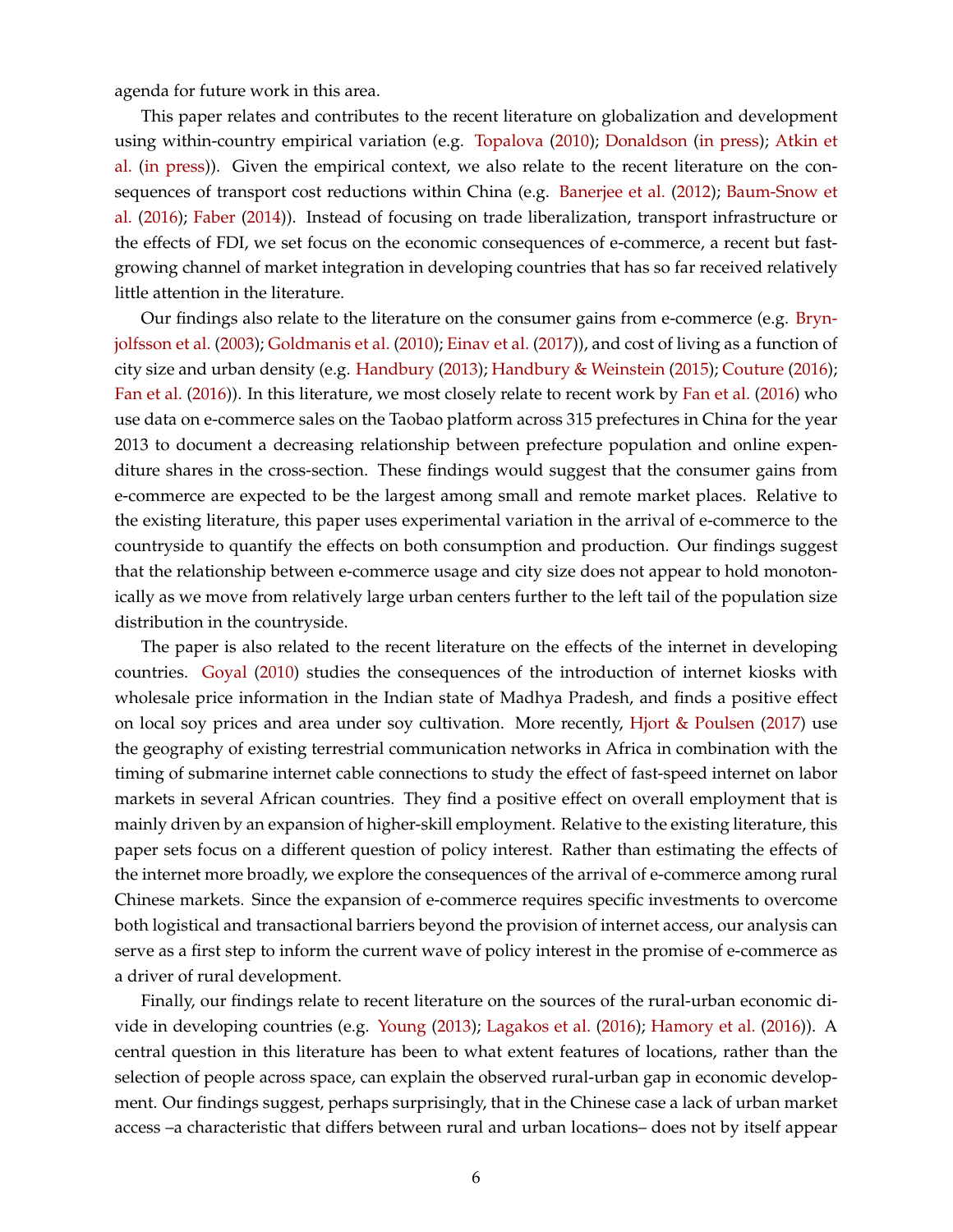agenda for future work in this area.

This paper relates and contributes to the recent literature on globalization and development using within-country empirical variation (e.g. [Topalova](#page-33-12) [\(2010\)](#page-33-12); [Donaldson](#page-32-5) [\(in press\)](#page-32-5); [Atkin et](#page-32-4) [al.](#page-32-4) [\(in press\)](#page-32-4)). Given the empirical context, we also relate to the recent literature on the consequences of transport cost reductions within China (e.g. [Banerjee et al.](#page-32-6) [\(2012\)](#page-32-6); [Baum-Snow et](#page-32-7) [al.](#page-32-7) [\(2016\)](#page-32-7); [Faber](#page-32-8) [\(2014\)](#page-32-8)). Instead of focusing on trade liberalization, transport infrastructure or the effects of FDI, we set focus on the economic consequences of e-commerce, a recent but fastgrowing channel of market integration in developing countries that has so far received relatively little attention in the literature.

Our findings also relate to the literature on the consumer gains from e-commerce (e.g. [Bryn](#page-32-9)[jolfsson et al.](#page-32-9) [\(2003\)](#page-32-9); [Goldmanis et al.](#page-32-10) [\(2010\)](#page-32-10); [Einav et al.](#page-32-11) [\(2017\)](#page-32-11)), and cost of living as a function of city size and urban density (e.g. [Handbury](#page-33-13) [\(2013\)](#page-33-13); [Handbury & Weinstein](#page-33-14) [\(2015\)](#page-33-14); [Couture](#page-32-12) [\(2016\)](#page-32-12); [Fan et al.](#page-32-2) [\(2016\)](#page-32-2)). In this literature, we most closely relate to recent work by [Fan et al.](#page-32-2) [\(2016\)](#page-32-2) who use data on e-commerce sales on the Taobao platform across 315 prefectures in China for the year 2013 to document a decreasing relationship between prefecture population and online expenditure shares in the cross-section. These findings would suggest that the consumer gains from e-commerce are expected to be the largest among small and remote market places. Relative to the existing literature, this paper uses experimental variation in the arrival of e-commerce to the countryside to quantify the effects on both consumption and production. Our findings suggest that the relationship between e-commerce usage and city size does not appear to hold monotonically as we move from relatively large urban centers further to the left tail of the population size distribution in the countryside.

The paper is also related to the recent literature on the effects of the internet in developing countries. [Goyal](#page-32-13) [\(2010\)](#page-32-13) studies the consequences of the introduction of internet kiosks with wholesale price information in the Indian state of Madhya Pradesh, and finds a positive effect on local soy prices and area under soy cultivation. More recently, [Hjort & Poulsen](#page-33-11) [\(2017\)](#page-33-11) use the geography of existing terrestrial communication networks in Africa in combination with the timing of submarine internet cable connections to study the effect of fast-speed internet on labor markets in several African countries. They find a positive effect on overall employment that is mainly driven by an expansion of higher-skill employment. Relative to the existing literature, this paper sets focus on a different question of policy interest. Rather than estimating the effects of the internet more broadly, we explore the consequences of the arrival of e-commerce among rural Chinese markets. Since the expansion of e-commerce requires specific investments to overcome both logistical and transactional barriers beyond the provision of internet access, our analysis can serve as a first step to inform the current wave of policy interest in the promise of e-commerce as a driver of rural development.

Finally, our findings relate to recent literature on the sources of the rural-urban economic divide in developing countries (e.g. [Young](#page-33-15) [\(2013\)](#page-33-15); [Lagakos et al.](#page-33-16) [\(2016\)](#page-33-16); [Hamory et al.](#page-32-14) [\(2016\)](#page-32-14)). A central question in this literature has been to what extent features of locations, rather than the selection of people across space, can explain the observed rural-urban gap in economic development. Our findings suggest, perhaps surprisingly, that in the Chinese case a lack of urban market access –a characteristic that differs between rural and urban locations– does not by itself appear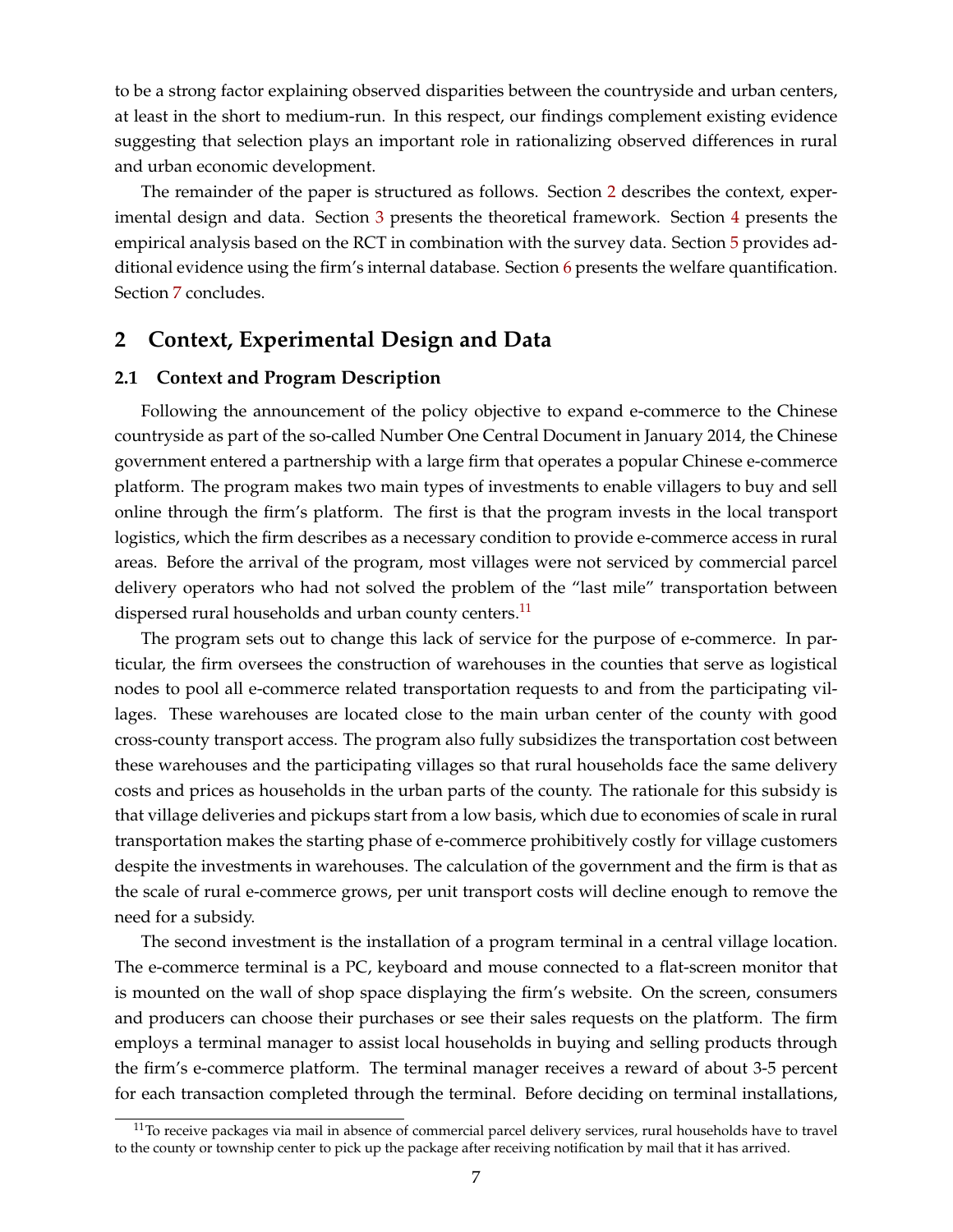<span id="page-7-1"></span>to be a strong factor explaining observed disparities between the countryside and urban centers, at least in the short to medium-run. In this respect, our findings complement existing evidence suggesting that selection plays an important role in rationalizing observed differences in rural and urban economic development.

The remainder of the paper is structured as follows. Section [2](#page-7-0) describes the context, experimental design and data. Section [3](#page-12-0) presents the theoretical framework. Section [4](#page-17-0) presents the empirical analysis based on the RCT in combination with the survey data. Section [5](#page-24-0) provides additional evidence using the firm's internal database. Section [6](#page-27-0) presents the welfare quantification. Section [7](#page-30-0) concludes.

# <span id="page-7-0"></span>**2 Context, Experimental Design and Data**

#### **2.1 Context and Program Description**

Following the announcement of the policy objective to expand e-commerce to the Chinese countryside as part of the so-called Number One Central Document in January 2014, the Chinese government entered a partnership with a large firm that operates a popular Chinese e-commerce platform. The program makes two main types of investments to enable villagers to buy and sell online through the firm's platform. The first is that the program invests in the local transport logistics, which the firm describes as a necessary condition to provide e-commerce access in rural areas. Before the arrival of the program, most villages were not serviced by commercial parcel delivery operators who had not solved the problem of the "last mile" transportation between dispersed rural households and urban county centers.<sup>[11](#page-0-0)</sup>

The program sets out to change this lack of service for the purpose of e-commerce. In particular, the firm oversees the construction of warehouses in the counties that serve as logistical nodes to pool all e-commerce related transportation requests to and from the participating villages. These warehouses are located close to the main urban center of the county with good cross-county transport access. The program also fully subsidizes the transportation cost between these warehouses and the participating villages so that rural households face the same delivery costs and prices as households in the urban parts of the county. The rationale for this subsidy is that village deliveries and pickups start from a low basis, which due to economies of scale in rural transportation makes the starting phase of e-commerce prohibitively costly for village customers despite the investments in warehouses. The calculation of the government and the firm is that as the scale of rural e-commerce grows, per unit transport costs will decline enough to remove the need for a subsidy.

The second investment is the installation of a program terminal in a central village location. The e-commerce terminal is a PC, keyboard and mouse connected to a flat-screen monitor that is mounted on the wall of shop space displaying the firm's website. On the screen, consumers and producers can choose their purchases or see their sales requests on the platform. The firm employs a terminal manager to assist local households in buying and selling products through the firm's e-commerce platform. The terminal manager receives a reward of about 3-5 percent for each transaction completed through the terminal. Before deciding on terminal installations,

 $11$ To receive packages via mail in absence of commercial parcel delivery services, rural households have to travel to the county or township center to pick up the package after receiving notification by mail that it has arrived.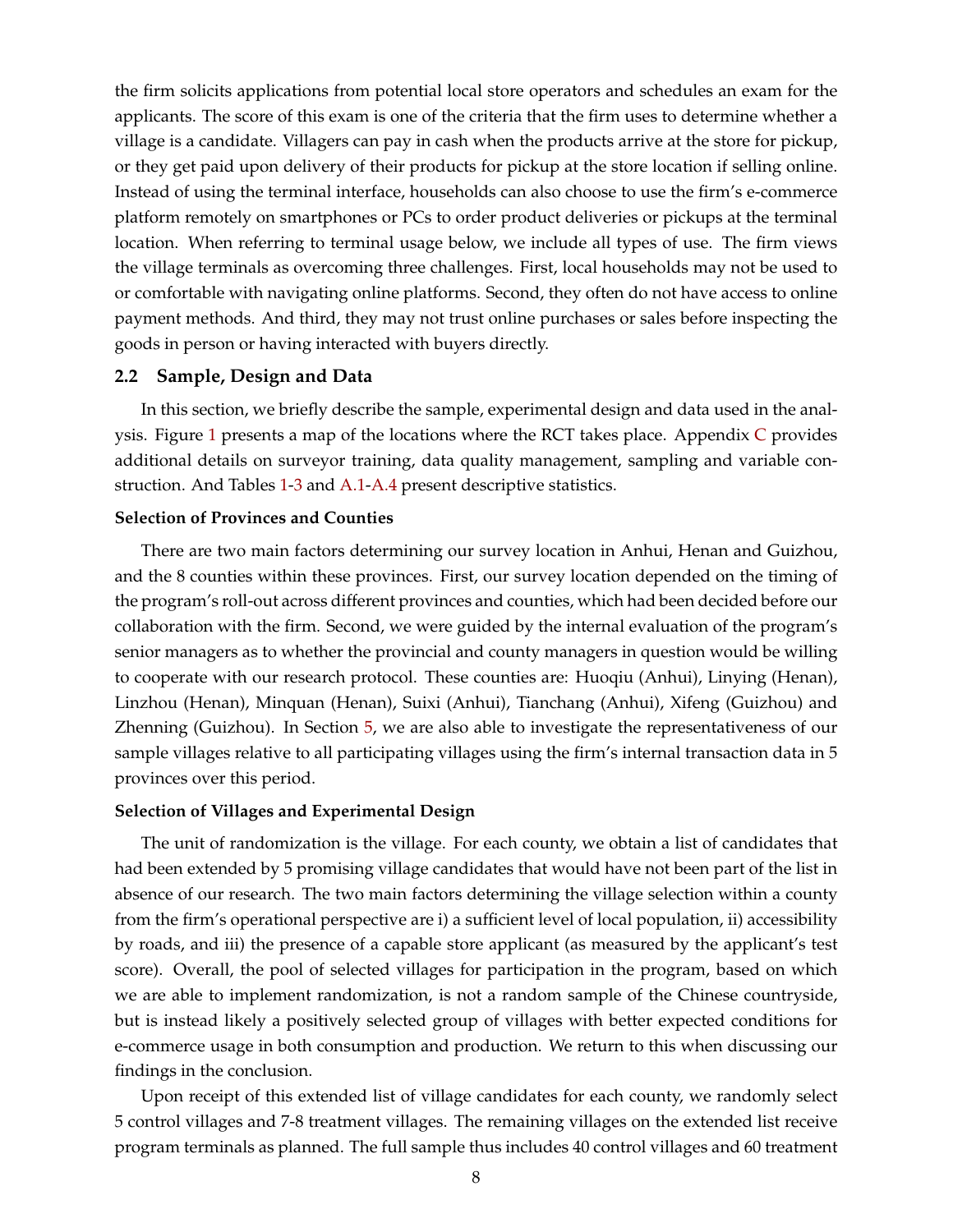the firm solicits applications from potential local store operators and schedules an exam for the applicants. The score of this exam is one of the criteria that the firm uses to determine whether a village is a candidate. Villagers can pay in cash when the products arrive at the store for pickup, or they get paid upon delivery of their products for pickup at the store location if selling online. Instead of using the terminal interface, households can also choose to use the firm's e-commerce platform remotely on smartphones or PCs to order product deliveries or pickups at the terminal location. When referring to terminal usage below, we include all types of use. The firm views the village terminals as overcoming three challenges. First, local households may not be used to or comfortable with navigating online platforms. Second, they often do not have access to online payment methods. And third, they may not trust online purchases or sales before inspecting the goods in person or having interacted with buyers directly.

#### **2.2 Sample, Design and Data**

In this section, we briefly describe the sample, experimental design and data used in the analysis. Figure  $1$  presents a map of the locations where the R[C](#page-59-0)T takes place. Appendix  $C$  provides additional details on surveyor training, data quality management, sampling and variable construction. And Tables [1](#page-38-0)[-3](#page-40-0) and [A.1-](#page-49-0)[A.4](#page-52-0) present descriptive statistics.

#### **Selection of Provinces and Counties**

There are two main factors determining our survey location in Anhui, Henan and Guizhou, and the 8 counties within these provinces. First, our survey location depended on the timing of the program's roll-out across different provinces and counties, which had been decided before our collaboration with the firm. Second, we were guided by the internal evaluation of the program's senior managers as to whether the provincial and county managers in question would be willing to cooperate with our research protocol. These counties are: Huoqiu (Anhui), Linying (Henan), Linzhou (Henan), Minquan (Henan), Suixi (Anhui), Tianchang (Anhui), Xifeng (Guizhou) and Zhenning (Guizhou). In Section [5,](#page-24-0) we are also able to investigate the representativeness of our sample villages relative to all participating villages using the firm's internal transaction data in 5 provinces over this period.

#### **Selection of Villages and Experimental Design**

The unit of randomization is the village. For each county, we obtain a list of candidates that had been extended by 5 promising village candidates that would have not been part of the list in absence of our research. The two main factors determining the village selection within a county from the firm's operational perspective are i) a sufficient level of local population, ii) accessibility by roads, and iii) the presence of a capable store applicant (as measured by the applicant's test score). Overall, the pool of selected villages for participation in the program, based on which we are able to implement randomization, is not a random sample of the Chinese countryside, but is instead likely a positively selected group of villages with better expected conditions for e-commerce usage in both consumption and production. We return to this when discussing our findings in the conclusion.

Upon receipt of this extended list of village candidates for each county, we randomly select 5 control villages and 7-8 treatment villages. The remaining villages on the extended list receive program terminals as planned. The full sample thus includes 40 control villages and 60 treatment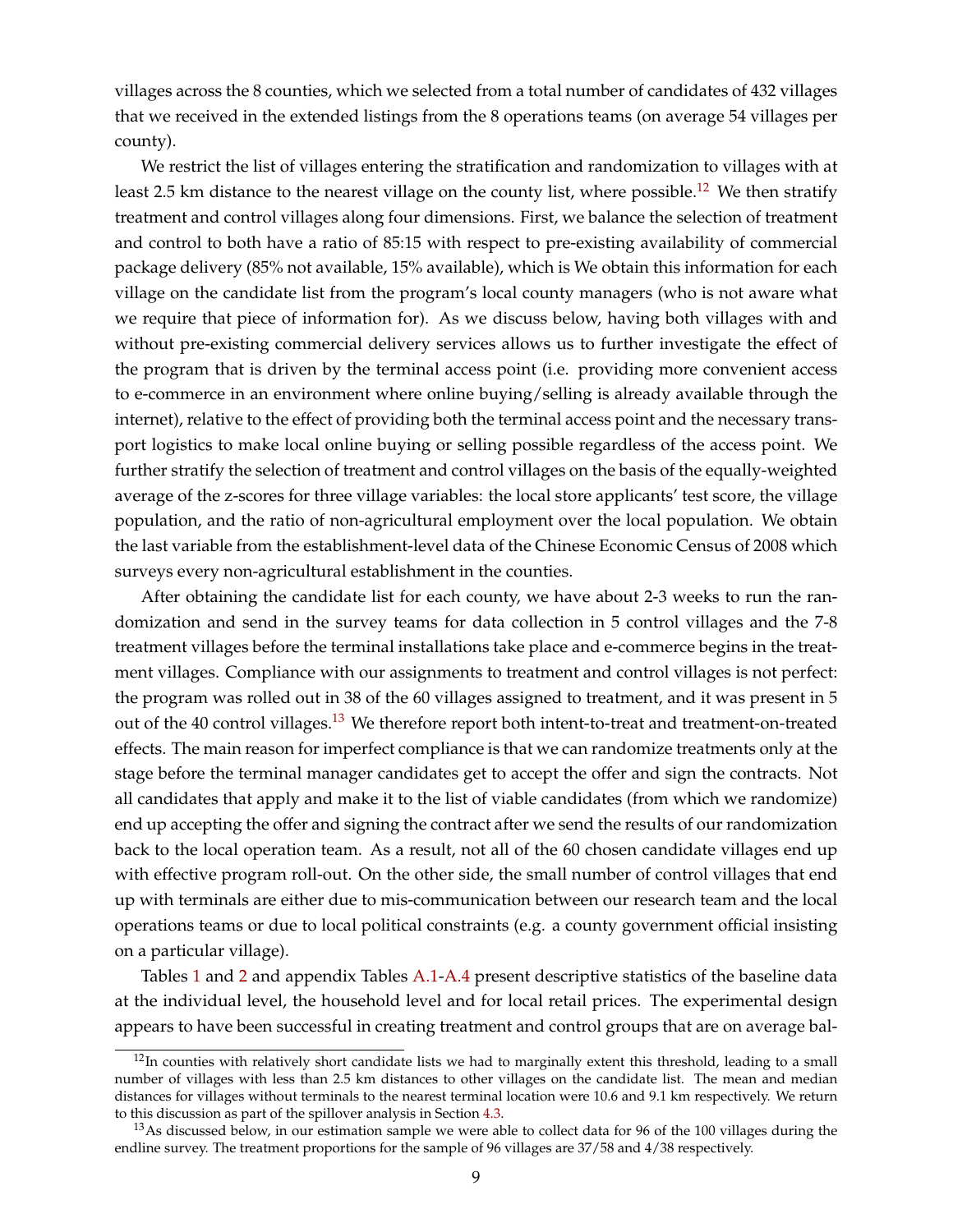villages across the 8 counties, which we selected from a total number of candidates of 432 villages that we received in the extended listings from the 8 operations teams (on average 54 villages per county).

We restrict the list of villages entering the stratification and randomization to villages with at least 2.5 km distance to the nearest village on the county list, where possible.<sup>[12](#page-0-0)</sup> We then stratify treatment and control villages along four dimensions. First, we balance the selection of treatment and control to both have a ratio of 85:15 with respect to pre-existing availability of commercial package delivery (85% not available, 15% available), which is We obtain this information for each village on the candidate list from the program's local county managers (who is not aware what we require that piece of information for). As we discuss below, having both villages with and without pre-existing commercial delivery services allows us to further investigate the effect of the program that is driven by the terminal access point (i.e. providing more convenient access to e-commerce in an environment where online buying/selling is already available through the internet), relative to the effect of providing both the terminal access point and the necessary transport logistics to make local online buying or selling possible regardless of the access point. We further stratify the selection of treatment and control villages on the basis of the equally-weighted average of the z-scores for three village variables: the local store applicants' test score, the village population, and the ratio of non-agricultural employment over the local population. We obtain the last variable from the establishment-level data of the Chinese Economic Census of 2008 which surveys every non-agricultural establishment in the counties.

After obtaining the candidate list for each county, we have about 2-3 weeks to run the randomization and send in the survey teams for data collection in 5 control villages and the 7-8 treatment villages before the terminal installations take place and e-commerce begins in the treatment villages. Compliance with our assignments to treatment and control villages is not perfect: the program was rolled out in 38 of the 60 villages assigned to treatment, and it was present in 5 out of the 40 control villages.<sup>[13](#page-0-0)</sup> We therefore report both intent-to-treat and treatment-on-treated effects. The main reason for imperfect compliance is that we can randomize treatments only at the stage before the terminal manager candidates get to accept the offer and sign the contracts. Not all candidates that apply and make it to the list of viable candidates (from which we randomize) end up accepting the offer and signing the contract after we send the results of our randomization back to the local operation team. As a result, not all of the 60 chosen candidate villages end up with effective program roll-out. On the other side, the small number of control villages that end up with terminals are either due to mis-communication between our research team and the local operations teams or due to local political constraints (e.g. a county government official insisting on a particular village).

Tables [1](#page-38-0) and [2](#page-39-0) and appendix Tables [A.1](#page-49-0)[-A.4](#page-52-0) present descriptive statistics of the baseline data at the individual level, the household level and for local retail prices. The experimental design appears to have been successful in creating treatment and control groups that are on average bal-

 $12$ In counties with relatively short candidate lists we had to marginally extent this threshold, leading to a small number of villages with less than 2.5 km distances to other villages on the candidate list. The mean and median distances for villages without terminals to the nearest terminal location were 10.6 and 9.1 km respectively. We return to this discussion as part of the spillover analysis in Section [4.3.](#page-21-0)

<sup>&</sup>lt;sup>13</sup>As discussed below, in our estimation sample we were able to collect data for 96 of the 100 villages during the endline survey. The treatment proportions for the sample of 96 villages are 37/58 and 4/38 respectively.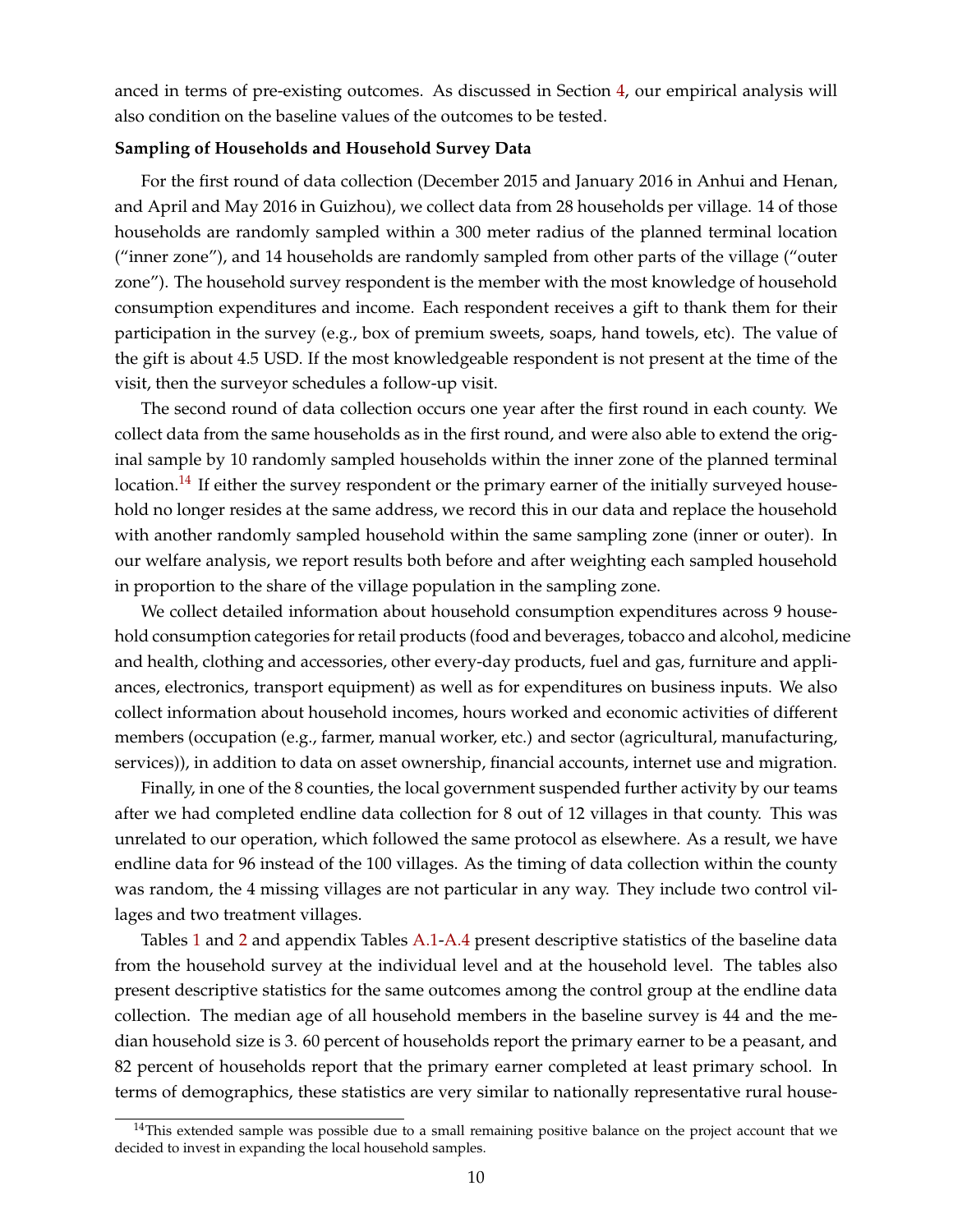anced in terms of pre-existing outcomes. As discussed in Section [4,](#page-17-0) our empirical analysis will also condition on the baseline values of the outcomes to be tested.

#### **Sampling of Households and Household Survey Data**

For the first round of data collection (December 2015 and January 2016 in Anhui and Henan, and April and May 2016 in Guizhou), we collect data from 28 households per village. 14 of those households are randomly sampled within a 300 meter radius of the planned terminal location ("inner zone"), and 14 households are randomly sampled from other parts of the village ("outer zone"). The household survey respondent is the member with the most knowledge of household consumption expenditures and income. Each respondent receives a gift to thank them for their participation in the survey (e.g., box of premium sweets, soaps, hand towels, etc). The value of the gift is about 4.5 USD. If the most knowledgeable respondent is not present at the time of the visit, then the surveyor schedules a follow-up visit.

The second round of data collection occurs one year after the first round in each county. We collect data from the same households as in the first round, and were also able to extend the original sample by 10 randomly sampled households within the inner zone of the planned terminal location.<sup>[14](#page-0-0)</sup> If either the survey respondent or the primary earner of the initially surveyed household no longer resides at the same address, we record this in our data and replace the household with another randomly sampled household within the same sampling zone (inner or outer). In our welfare analysis, we report results both before and after weighting each sampled household in proportion to the share of the village population in the sampling zone.

We collect detailed information about household consumption expenditures across 9 household consumption categories for retail products (food and beverages, tobacco and alcohol, medicine and health, clothing and accessories, other every-day products, fuel and gas, furniture and appliances, electronics, transport equipment) as well as for expenditures on business inputs. We also collect information about household incomes, hours worked and economic activities of different members (occupation (e.g., farmer, manual worker, etc.) and sector (agricultural, manufacturing, services)), in addition to data on asset ownership, financial accounts, internet use and migration.

Finally, in one of the 8 counties, the local government suspended further activity by our teams after we had completed endline data collection for 8 out of 12 villages in that county. This was unrelated to our operation, which followed the same protocol as elsewhere. As a result, we have endline data for 96 instead of the 100 villages. As the timing of data collection within the county was random, the 4 missing villages are not particular in any way. They include two control villages and two treatment villages.

Tables [1](#page-38-0) and [2](#page-39-0) and appendix Tables [A.1](#page-49-0)[-A.4](#page-52-0) present descriptive statistics of the baseline data from the household survey at the individual level and at the household level. The tables also present descriptive statistics for the same outcomes among the control group at the endline data collection. The median age of all household members in the baseline survey is 44 and the median household size is 3. 60 percent of households report the primary earner to be a peasant, and 82 percent of households report that the primary earner completed at least primary school. In terms of demographics, these statistics are very similar to nationally representative rural house-

 $14$ This extended sample was possible due to a small remaining positive balance on the project account that we decided to invest in expanding the local household samples.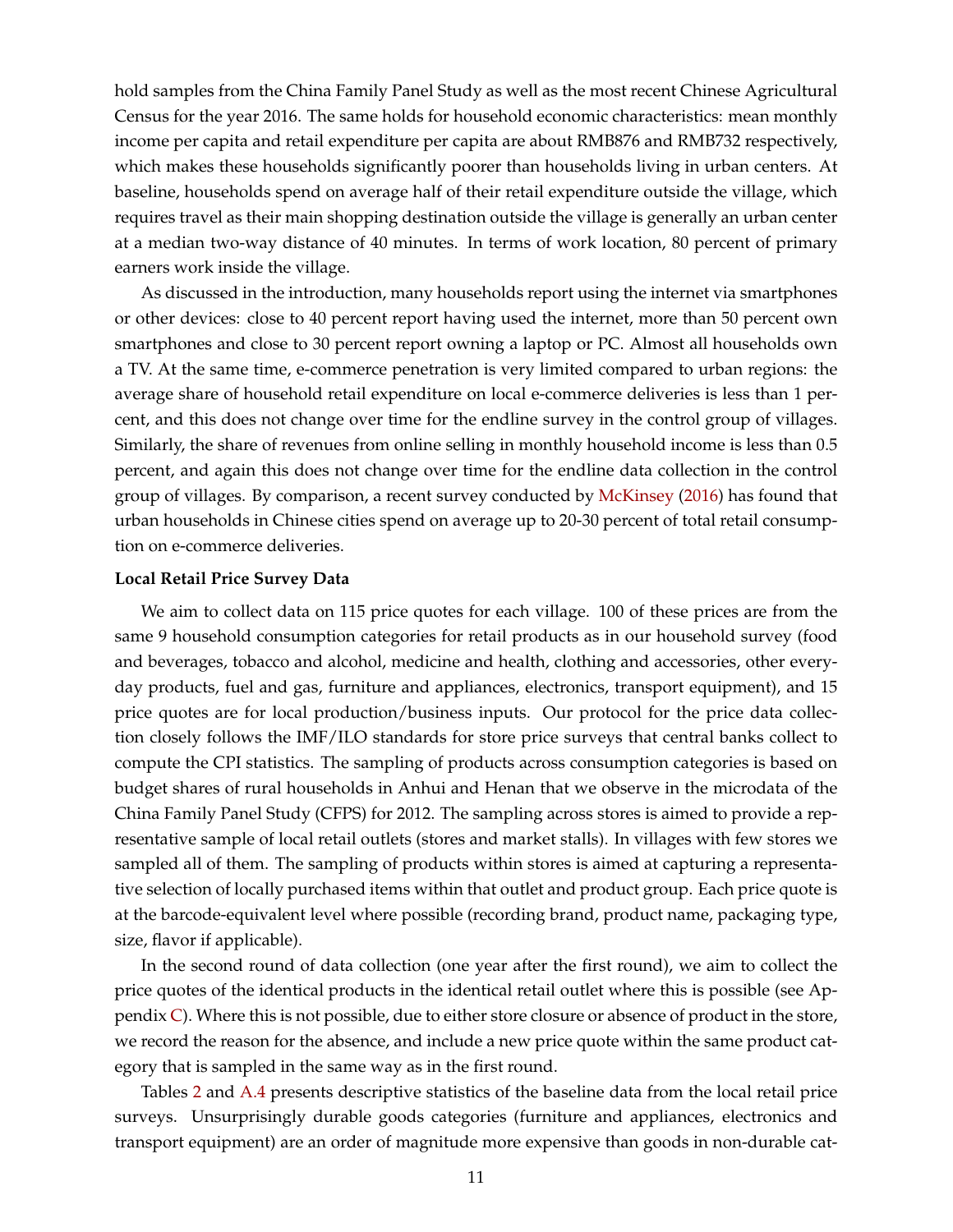hold samples from the China Family Panel Study as well as the most recent Chinese Agricultural Census for the year 2016. The same holds for household economic characteristics: mean monthly income per capita and retail expenditure per capita are about RMB876 and RMB732 respectively, which makes these households significantly poorer than households living in urban centers. At baseline, households spend on average half of their retail expenditure outside the village, which requires travel as their main shopping destination outside the village is generally an urban center at a median two-way distance of 40 minutes. In terms of work location, 80 percent of primary earners work inside the village.

As discussed in the introduction, many households report using the internet via smartphones or other devices: close to 40 percent report having used the internet, more than 50 percent own smartphones and close to 30 percent report owning a laptop or PC. Almost all households own a TV. At the same time, e-commerce penetration is very limited compared to urban regions: the average share of household retail expenditure on local e-commerce deliveries is less than 1 percent, and this does not change over time for the endline survey in the control group of villages. Similarly, the share of revenues from online selling in monthly household income is less than 0.5 percent, and again this does not change over time for the endline data collection in the control group of villages. By comparison, a recent survey conducted by [McKinsey](#page-33-8) [\(2016\)](#page-33-8) has found that urban households in Chinese cities spend on average up to 20-30 percent of total retail consumption on e-commerce deliveries.

#### **Local Retail Price Survey Data**

We aim to collect data on 115 price quotes for each village. 100 of these prices are from the same 9 household consumption categories for retail products as in our household survey (food and beverages, tobacco and alcohol, medicine and health, clothing and accessories, other everyday products, fuel and gas, furniture and appliances, electronics, transport equipment), and 15 price quotes are for local production/business inputs. Our protocol for the price data collection closely follows the IMF/ILO standards for store price surveys that central banks collect to compute the CPI statistics. The sampling of products across consumption categories is based on budget shares of rural households in Anhui and Henan that we observe in the microdata of the China Family Panel Study (CFPS) for 2012. The sampling across stores is aimed to provide a representative sample of local retail outlets (stores and market stalls). In villages with few stores we sampled all of them. The sampling of products within stores is aimed at capturing a representative selection of locally purchased items within that outlet and product group. Each price quote is at the barcode-equivalent level where possible (recording brand, product name, packaging type, size, flavor if applicable).

In the second round of data collection (one year after the first round), we aim to collect the price quotes of the identical products in the identical retail outlet where this is possible (see Appendix  $C$ ). Where this is not possible, due to either store closure or absence of product in the store, we record the reason for the absence, and include a new price quote within the same product category that is sampled in the same way as in the first round.

Tables [2](#page-39-0) and [A.4](#page-52-0) presents descriptive statistics of the baseline data from the local retail price surveys. Unsurprisingly durable goods categories (furniture and appliances, electronics and transport equipment) are an order of magnitude more expensive than goods in non-durable cat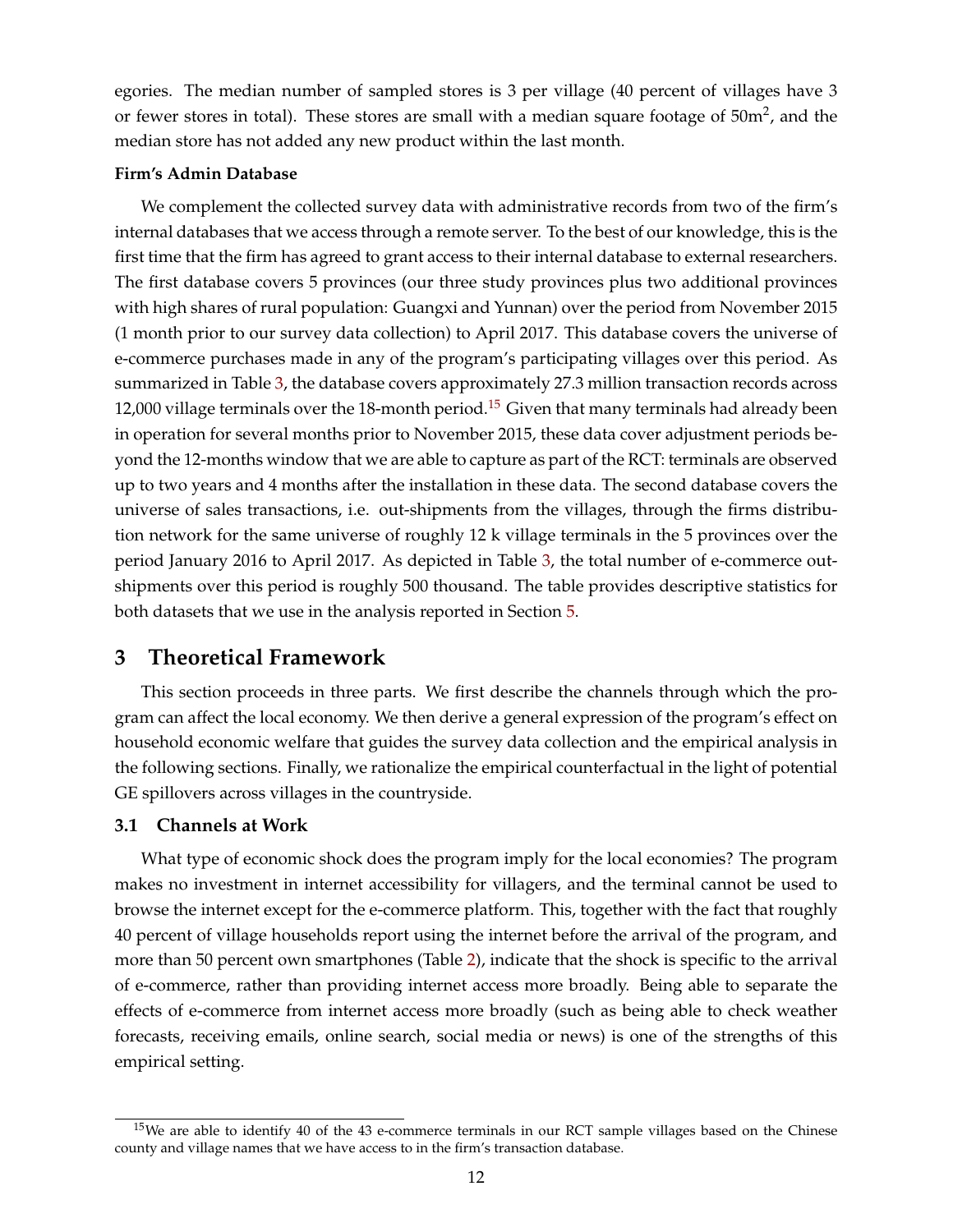egories. The median number of sampled stores is 3 per village (40 percent of villages have 3 or fewer stores in total). These stores are small with a median square footage of  $50m^2$ , and the median store has not added any new product within the last month.

#### **Firm's Admin Database**

We complement the collected survey data with administrative records from two of the firm's internal databases that we access through a remote server. To the best of our knowledge, this is the first time that the firm has agreed to grant access to their internal database to external researchers. The first database covers 5 provinces (our three study provinces plus two additional provinces with high shares of rural population: Guangxi and Yunnan) over the period from November 2015 (1 month prior to our survey data collection) to April 2017. This database covers the universe of e-commerce purchases made in any of the program's participating villages over this period. As summarized in Table [3,](#page-40-0) the database covers approximately 27.3 million transaction records across 12,000 village terminals over the 18-month period.<sup>[15](#page-0-0)</sup> Given that many terminals had already been in operation for several months prior to November 2015, these data cover adjustment periods beyond the 12-months window that we are able to capture as part of the RCT: terminals are observed up to two years and 4 months after the installation in these data. The second database covers the universe of sales transactions, i.e. out-shipments from the villages, through the firms distribution network for the same universe of roughly 12 k village terminals in the 5 provinces over the period January 2016 to April 2017. As depicted in Table [3,](#page-40-0) the total number of e-commerce outshipments over this period is roughly 500 thousand. The table provides descriptive statistics for both datasets that we use in the analysis reported in Section [5.](#page-24-0)

### <span id="page-12-0"></span>**3 Theoretical Framework**

This section proceeds in three parts. We first describe the channels through which the program can affect the local economy. We then derive a general expression of the program's effect on household economic welfare that guides the survey data collection and the empirical analysis in the following sections. Finally, we rationalize the empirical counterfactual in the light of potential GE spillovers across villages in the countryside.

#### **3.1 Channels at Work**

What type of economic shock does the program imply for the local economies? The program makes no investment in internet accessibility for villagers, and the terminal cannot be used to browse the internet except for the e-commerce platform. This, together with the fact that roughly 40 percent of village households report using the internet before the arrival of the program, and more than 50 percent own smartphones (Table [2\)](#page-39-0), indicate that the shock is specific to the arrival of e-commerce, rather than providing internet access more broadly. Being able to separate the effects of e-commerce from internet access more broadly (such as being able to check weather forecasts, receiving emails, online search, social media or news) is one of the strengths of this empirical setting.

<sup>&</sup>lt;sup>15</sup>We are able to identify 40 of the 43 e-commerce terminals in our RCT sample villages based on the Chinese county and village names that we have access to in the firm's transaction database.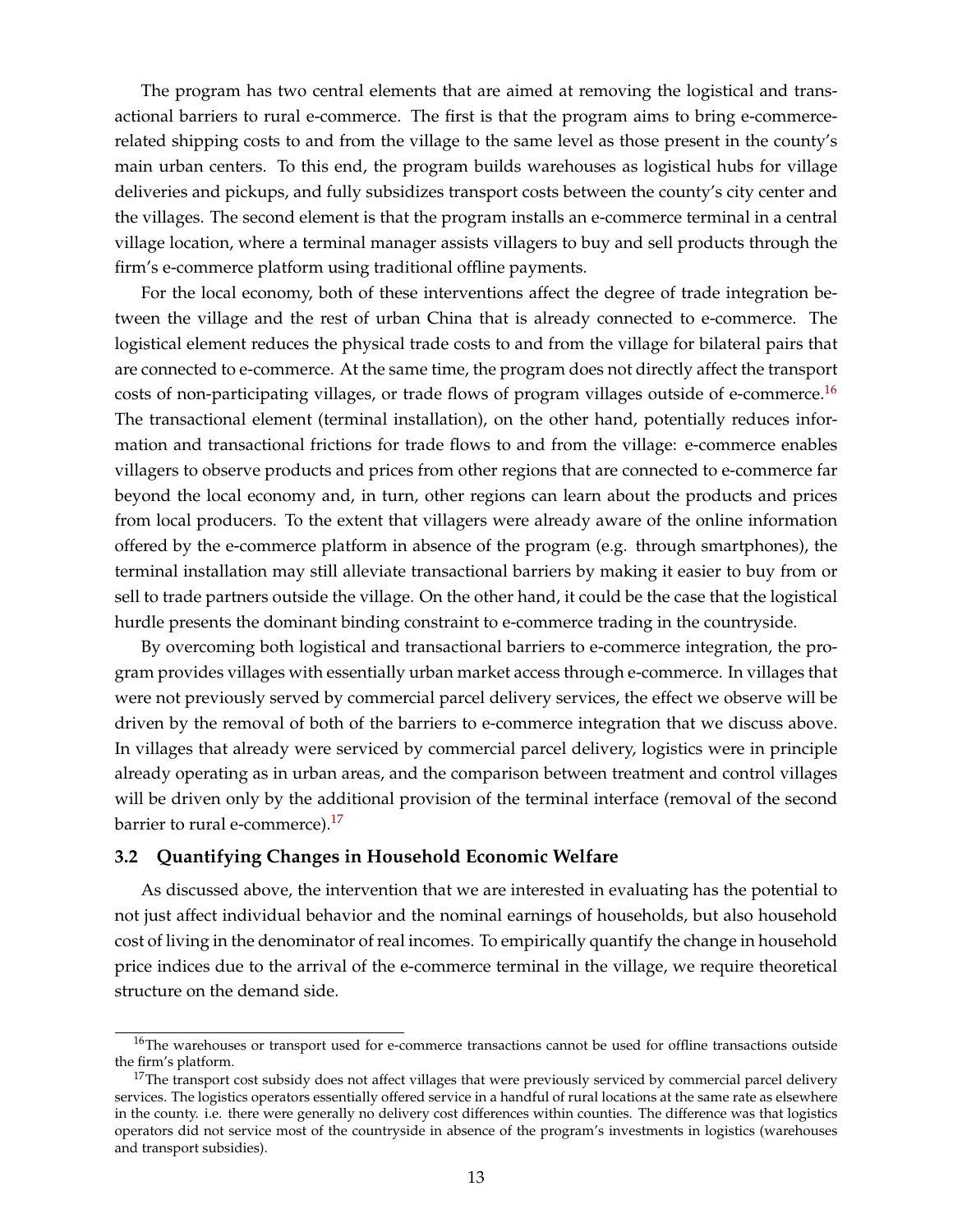The program has two central elements that are aimed at removing the logistical and transactional barriers to rural e-commerce. The first is that the program aims to bring e-commercerelated shipping costs to and from the village to the same level as those present in the county's main urban centers. To this end, the program builds warehouses as logistical hubs for village deliveries and pickups, and fully subsidizes transport costs between the county's city center and the villages. The second element is that the program installs an e-commerce terminal in a central village location, where a terminal manager assists villagers to buy and sell products through the firm's e-commerce platform using traditional offline payments.

For the local economy, both of these interventions affect the degree of trade integration between the village and the rest of urban China that is already connected to e-commerce. The logistical element reduces the physical trade costs to and from the village for bilateral pairs that are connected to e-commerce. At the same time, the program does not directly affect the transport costs of non-participating villages, or trade flows of program villages outside of e-commerce.<sup>[16](#page-0-0)</sup> The transactional element (terminal installation), on the other hand, potentially reduces information and transactional frictions for trade flows to and from the village: e-commerce enables villagers to observe products and prices from other regions that are connected to e-commerce far beyond the local economy and, in turn, other regions can learn about the products and prices from local producers. To the extent that villagers were already aware of the online information offered by the e-commerce platform in absence of the program (e.g. through smartphones), the terminal installation may still alleviate transactional barriers by making it easier to buy from or sell to trade partners outside the village. On the other hand, it could be the case that the logistical hurdle presents the dominant binding constraint to e-commerce trading in the countryside.

By overcoming both logistical and transactional barriers to e-commerce integration, the program provides villages with essentially urban market access through e-commerce. In villages that were not previously served by commercial parcel delivery services, the effect we observe will be driven by the removal of both of the barriers to e-commerce integration that we discuss above. In villages that already were serviced by commercial parcel delivery, logistics were in principle already operating as in urban areas, and the comparison between treatment and control villages will be driven only by the additional provision of the terminal interface (removal of the second barrier to rural e-commerce).<sup>[17](#page-0-0)</sup>

#### **3.2 Quantifying Changes in Household Economic Welfare**

As discussed above, the intervention that we are interested in evaluating has the potential to not just affect individual behavior and the nominal earnings of households, but also household cost of living in the denominator of real incomes. To empirically quantify the change in household price indices due to the arrival of the e-commerce terminal in the village, we require theoretical structure on the demand side.

<sup>&</sup>lt;sup>16</sup>The warehouses or transport used for e-commerce transactions cannot be used for offline transactions outside the firm's platform.

 $17$ The transport cost subsidy does not affect villages that were previously serviced by commercial parcel delivery services. The logistics operators essentially offered service in a handful of rural locations at the same rate as elsewhere in the county. i.e. there were generally no delivery cost differences within counties. The difference was that logistics operators did not service most of the countryside in absence of the program's investments in logistics (warehouses and transport subsidies).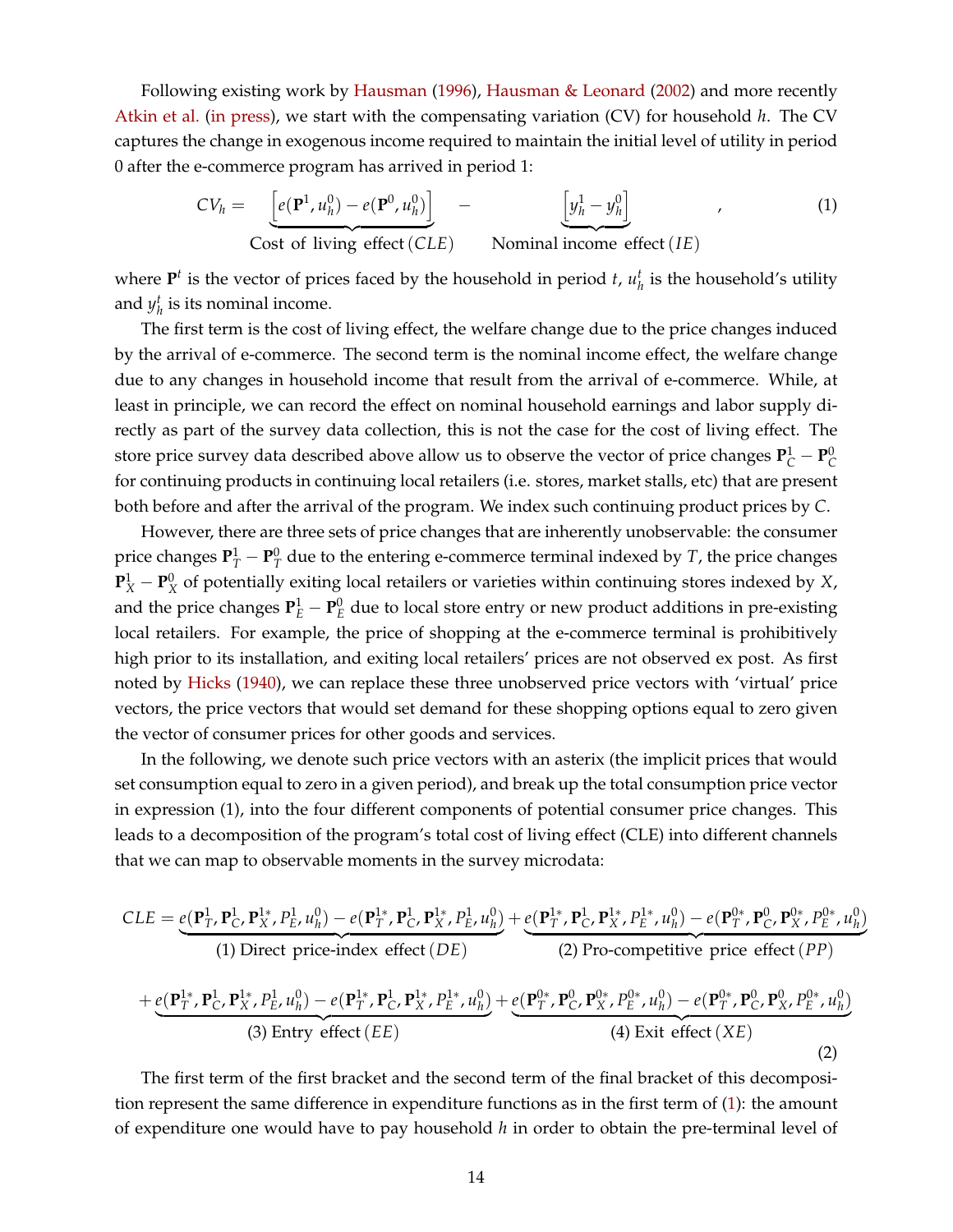Following existing work by [Hausman](#page-33-9) [\(1996\)](#page-33-9), [Hausman & Leonard](#page-33-17) [\(2002\)](#page-33-17) and more recently [Atkin et al.](#page-32-4) [\(in press\)](#page-32-4), we start with the compensating variation (CV) for household *h*. The CV captures the change in exogenous income required to maintain the initial level of utility in period 0 after the e-commerce program has arrived in period 1:

<span id="page-14-0"></span>
$$
CV_h = \underbrace{\left[e(\mathbf{P}^1, u_h^0) - e(\mathbf{P}^0, u_h^0)\right]}_{\text{Cost of living effect}(CLE)} - \underbrace{\left[y_h^1 - y_h^0\right]}_{\text{Nominal income effect}(IE)},
$$
\n(1)

where  $P<sup>t</sup>$  is the vector of prices faced by the household in period *t*,  $u<sub>h</sub><sup>t</sup>$  is the household's utility and  $y_h^t$  is its nominal income.

The first term is the cost of living effect, the welfare change due to the price changes induced by the arrival of e-commerce. The second term is the nominal income effect, the welfare change due to any changes in household income that result from the arrival of e-commerce. While, at least in principle, we can record the effect on nominal household earnings and labor supply directly as part of the survey data collection, this is not the case for the cost of living effect. The store price survey data described above allow us to observe the vector of price changes  $P^1_C - P^0_C$ for continuing products in continuing local retailers (i.e. stores, market stalls, etc) that are present both before and after the arrival of the program. We index such continuing product prices by *C*.

However, there are three sets of price changes that are inherently unobservable: the consumer price changes  $\mathbf{P}_T^1 - \mathbf{P}_T^0$  due to the entering e-commerce terminal indexed by *T*, the price changes  ${\bf P}_X^1 - {\bf P}_X^0$  of potentially exiting local retailers or varieties within continuing stores indexed by *X*, and the price changes  $P_E^1 - P_E^0$  due to local store entry or new product additions in pre-existing local retailers. For example, the price of shopping at the e-commerce terminal is prohibitively high prior to its installation, and exiting local retailers' prices are not observed ex post. As first noted by [Hicks](#page-33-18) [\(1940\)](#page-33-18), we can replace these three unobserved price vectors with 'virtual' price vectors, the price vectors that would set demand for these shopping options equal to zero given the vector of consumer prices for other goods and services.

In the following, we denote such price vectors with an asterix (the implicit prices that would set consumption equal to zero in a given period), and break up the total consumption price vector in expression (1), into the four different components of potential consumer price changes. This leads to a decomposition of the program's total cost of living effect (CLE) into different channels that we can map to observable moments in the survey microdata:

<span id="page-14-1"></span>
$$
CLE = e(\mathbf{P}_{T}^{1}, \mathbf{P}_{C}^{1}, \mathbf{P}_{X}^{1}, P_{E}^{1}, u_{h}^{0}) - e(\mathbf{P}_{T}^{1*}, \mathbf{P}_{C}^{1}, \mathbf{P}_{X}^{1*}, P_{E}^{1}, u_{h}^{0}) + e(\mathbf{P}_{T}^{1*}, \mathbf{P}_{C}^{1*}, \mathbf{P}_{X}^{1*}, P_{E}^{1*}, u_{h}^{0}) - e(\mathbf{P}_{T}^{0*}, \mathbf{P}_{C}^{0*}, \mathbf{P}_{X}^{0*}, P_{E}^{0*}, u_{h}^{0})
$$
\n(1) Direct price-index effect  $(DE)$   
\n(2) Pro-competitive price effect  $(PP)$   
\n
$$
+ e(\mathbf{P}_{T}^{1*}, \mathbf{P}_{C}^{1*}, \mathbf{P}_{X}^{1*}, P_{E}^{1*}, u_{h}^{0}) - e(\mathbf{P}_{T}^{1*}, \mathbf{P}_{C}^{1*}, \mathbf{P}_{X}^{1*}, P_{E}^{1*}, u_{h}^{0}) + e(\mathbf{P}_{T}^{0*}, \mathbf{P}_{C}^{0*}, \mathbf{P}_{X}^{0*}, P_{E}^{0*}, u_{h}^{0}) - e(\mathbf{P}_{T}^{0*}, \mathbf{P}_{C}^{0*}, \mathbf{P}_{X}^{0*}, P_{E}^{0*}, u_{h}^{0})
$$
\n(3) Entry effect  $(EE)$   
\n(4) Exist effect  $(XE)$   
\n(2)

The first term of the first bracket and the second term of the final bracket of this decomposition represent the same difference in expenditure functions as in the first term of [\(1\)](#page-14-0): the amount of expenditure one would have to pay household *h* in order to obtain the pre-terminal level of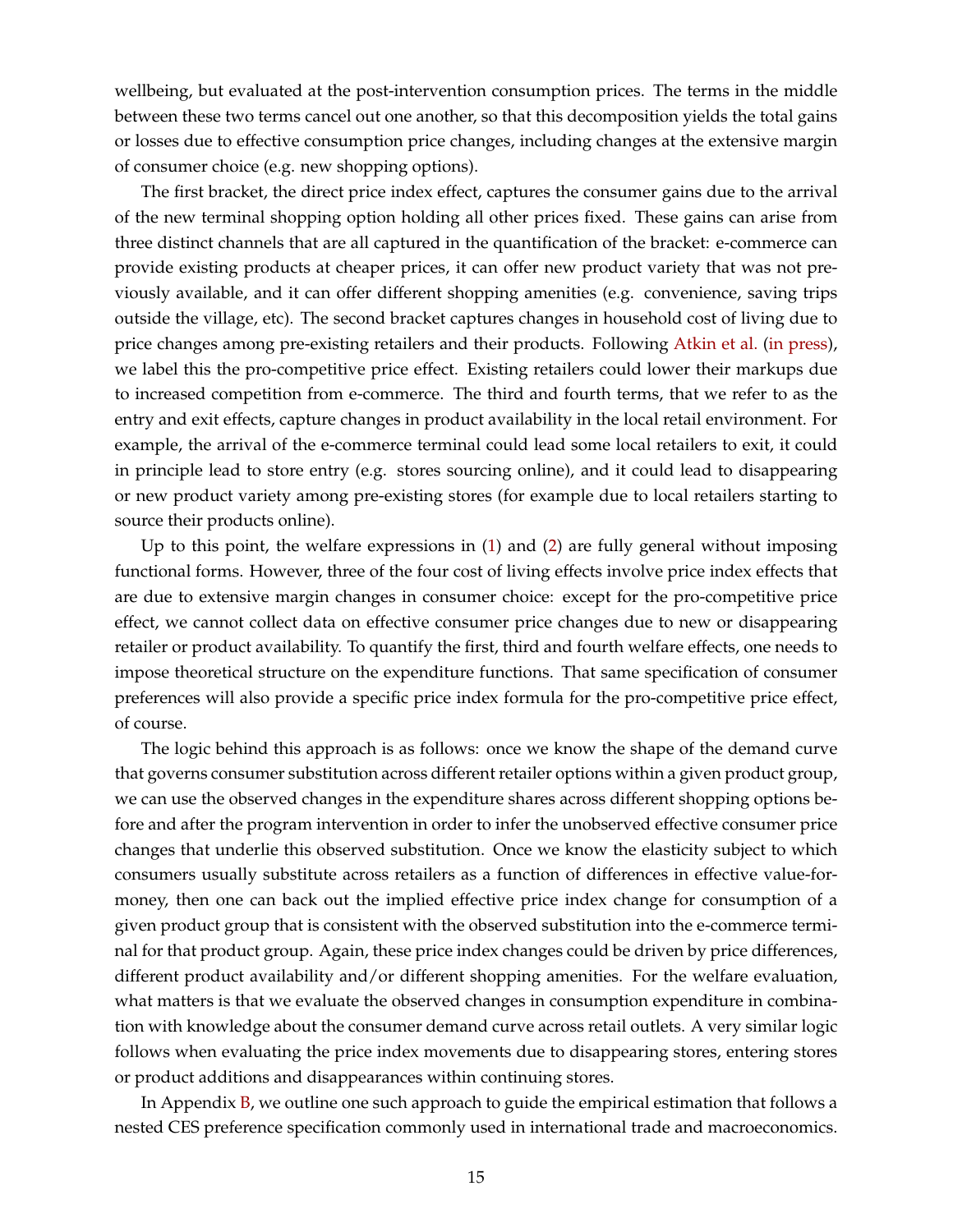wellbeing, but evaluated at the post-intervention consumption prices. The terms in the middle between these two terms cancel out one another, so that this decomposition yields the total gains or losses due to effective consumption price changes, including changes at the extensive margin of consumer choice (e.g. new shopping options).

The first bracket, the direct price index effect, captures the consumer gains due to the arrival of the new terminal shopping option holding all other prices fixed. These gains can arise from three distinct channels that are all captured in the quantification of the bracket: e-commerce can provide existing products at cheaper prices, it can offer new product variety that was not previously available, and it can offer different shopping amenities (e.g. convenience, saving trips outside the village, etc). The second bracket captures changes in household cost of living due to price changes among pre-existing retailers and their products. Following [Atkin et al.](#page-32-4) [\(in press\)](#page-32-4), we label this the pro-competitive price effect. Existing retailers could lower their markups due to increased competition from e-commerce. The third and fourth terms, that we refer to as the entry and exit effects, capture changes in product availability in the local retail environment. For example, the arrival of the e-commerce terminal could lead some local retailers to exit, it could in principle lead to store entry (e.g. stores sourcing online), and it could lead to disappearing or new product variety among pre-existing stores (for example due to local retailers starting to source their products online).

Up to this point, the welfare expressions in [\(1\)](#page-14-0) and [\(2\)](#page-14-1) are fully general without imposing functional forms. However, three of the four cost of living effects involve price index effects that are due to extensive margin changes in consumer choice: except for the pro-competitive price effect, we cannot collect data on effective consumer price changes due to new or disappearing retailer or product availability. To quantify the first, third and fourth welfare effects, one needs to impose theoretical structure on the expenditure functions. That same specification of consumer preferences will also provide a specific price index formula for the pro-competitive price effect, of course.

The logic behind this approach is as follows: once we know the shape of the demand curve that governs consumer substitution across different retailer options within a given product group, we can use the observed changes in the expenditure shares across different shopping options before and after the program intervention in order to infer the unobserved effective consumer price changes that underlie this observed substitution. Once we know the elasticity subject to which consumers usually substitute across retailers as a function of differences in effective value-formoney, then one can back out the implied effective price index change for consumption of a given product group that is consistent with the observed substitution into the e-commerce terminal for that product group. Again, these price index changes could be driven by price differences, different product availability and/or different shopping amenities. For the welfare evaluation, what matters is that we evaluate the observed changes in consumption expenditure in combination with knowledge about the consumer demand curve across retail outlets. A very similar logic follows when evaluating the price index movements due to disappearing stores, entering stores or product additions and disappearances within continuing stores.

In Appendix [B,](#page-58-0) we outline one such approach to guide the empirical estimation that follows a nested CES preference specification commonly used in international trade and macroeconomics.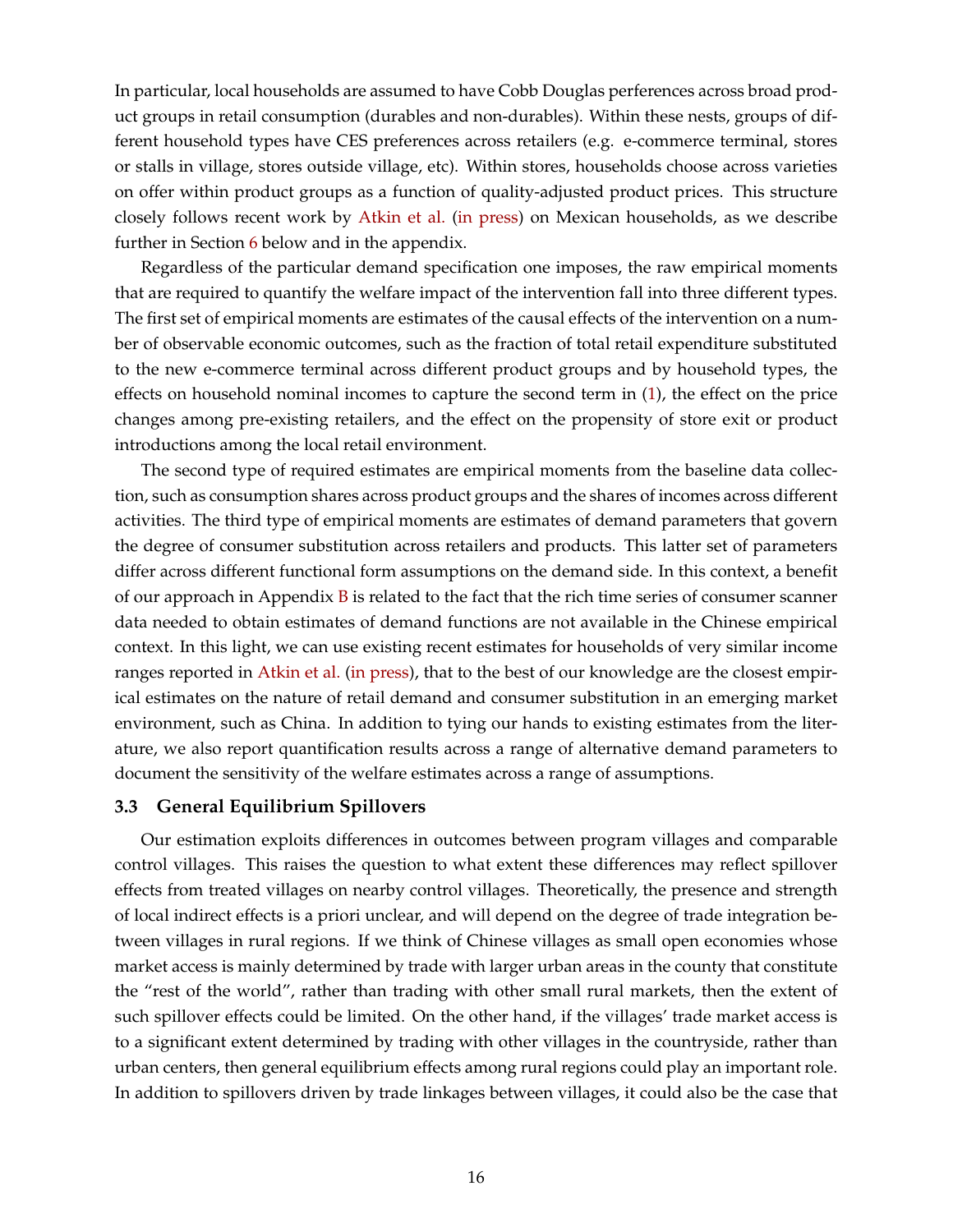In particular, local households are assumed to have Cobb Douglas perferences across broad product groups in retail consumption (durables and non-durables). Within these nests, groups of different household types have CES preferences across retailers (e.g. e-commerce terminal, stores or stalls in village, stores outside village, etc). Within stores, households choose across varieties on offer within product groups as a function of quality-adjusted product prices. This structure closely follows recent work by [Atkin et al.](#page-32-4) [\(in press\)](#page-32-4) on Mexican households, as we describe further in Section [6](#page-27-0) below and in the appendix.

Regardless of the particular demand specification one imposes, the raw empirical moments that are required to quantify the welfare impact of the intervention fall into three different types. The first set of empirical moments are estimates of the causal effects of the intervention on a number of observable economic outcomes, such as the fraction of total retail expenditure substituted to the new e-commerce terminal across different product groups and by household types, the effects on household nominal incomes to capture the second term in [\(1\)](#page-14-0), the effect on the price changes among pre-existing retailers, and the effect on the propensity of store exit or product introductions among the local retail environment.

The second type of required estimates are empirical moments from the baseline data collection, such as consumption shares across product groups and the shares of incomes across different activities. The third type of empirical moments are estimates of demand parameters that govern the degree of consumer substitution across retailers and products. This latter set of parameters differ across different functional form assumptions on the demand side. In this context, a benefit of our approach in Appendix  $\overline{B}$  $\overline{B}$  $\overline{B}$  is related to the fact that the rich time series of consumer scanner data needed to obtain estimates of demand functions are not available in the Chinese empirical context. In this light, we can use existing recent estimates for households of very similar income ranges reported in [Atkin et al.](#page-32-4) [\(in press\)](#page-32-4), that to the best of our knowledge are the closest empirical estimates on the nature of retail demand and consumer substitution in an emerging market environment, such as China. In addition to tying our hands to existing estimates from the literature, we also report quantification results across a range of alternative demand parameters to document the sensitivity of the welfare estimates across a range of assumptions.

#### **3.3 General Equilibrium Spillovers**

Our estimation exploits differences in outcomes between program villages and comparable control villages. This raises the question to what extent these differences may reflect spillover effects from treated villages on nearby control villages. Theoretically, the presence and strength of local indirect effects is a priori unclear, and will depend on the degree of trade integration between villages in rural regions. If we think of Chinese villages as small open economies whose market access is mainly determined by trade with larger urban areas in the county that constitute the "rest of the world", rather than trading with other small rural markets, then the extent of such spillover effects could be limited. On the other hand, if the villages' trade market access is to a significant extent determined by trading with other villages in the countryside, rather than urban centers, then general equilibrium effects among rural regions could play an important role. In addition to spillovers driven by trade linkages between villages, it could also be the case that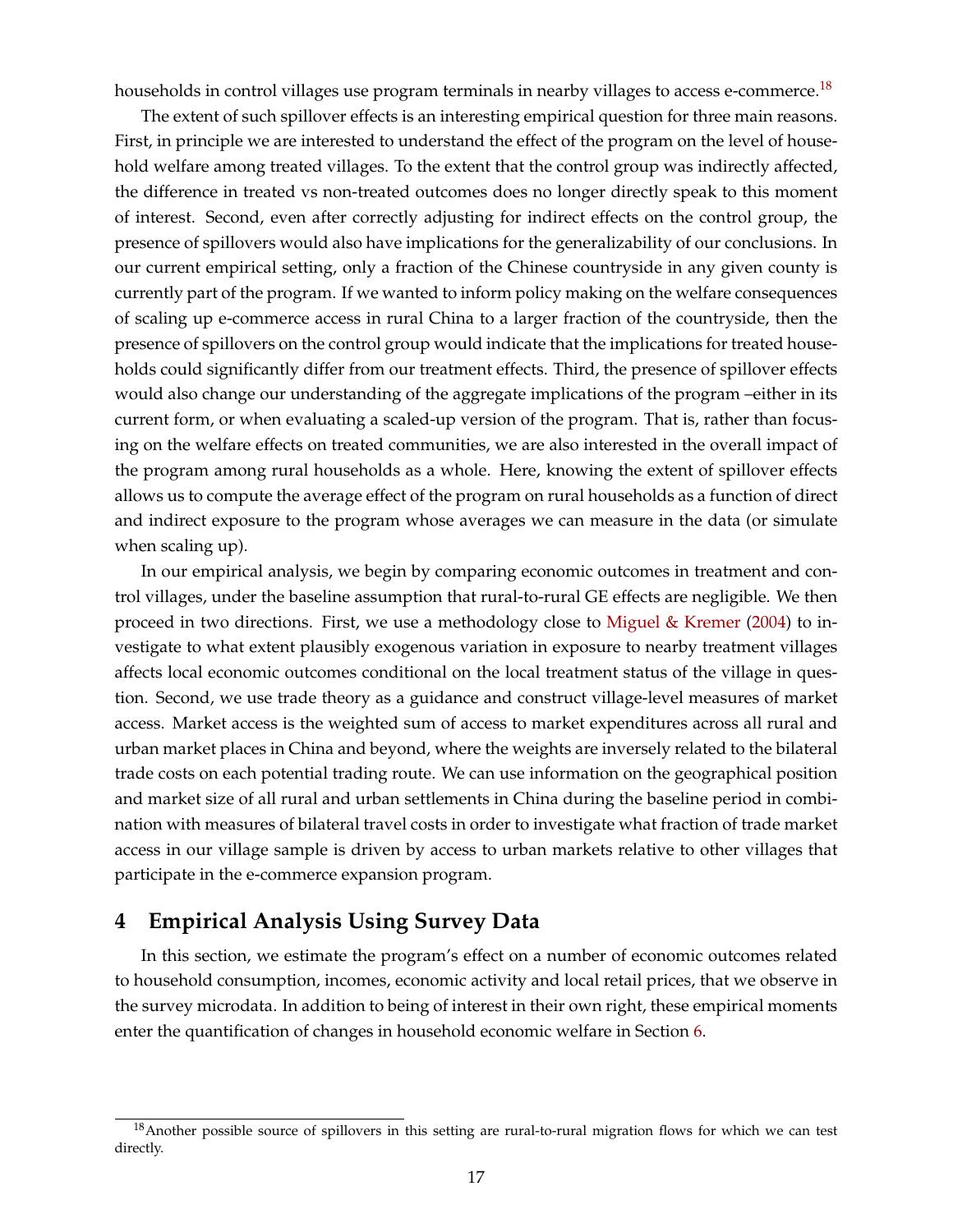households in control villages use program terminals in nearby villages to access e-commerce.<sup>[18](#page-0-0)</sup>

<span id="page-17-1"></span>The extent of such spillover effects is an interesting empirical question for three main reasons. First, in principle we are interested to understand the effect of the program on the level of household welfare among treated villages. To the extent that the control group was indirectly affected, the difference in treated vs non-treated outcomes does no longer directly speak to this moment of interest. Second, even after correctly adjusting for indirect effects on the control group, the presence of spillovers would also have implications for the generalizability of our conclusions. In our current empirical setting, only a fraction of the Chinese countryside in any given county is currently part of the program. If we wanted to inform policy making on the welfare consequences of scaling up e-commerce access in rural China to a larger fraction of the countryside, then the presence of spillovers on the control group would indicate that the implications for treated households could significantly differ from our treatment effects. Third, the presence of spillover effects would also change our understanding of the aggregate implications of the program –either in its current form, or when evaluating a scaled-up version of the program. That is, rather than focusing on the welfare effects on treated communities, we are also interested in the overall impact of the program among rural households as a whole. Here, knowing the extent of spillover effects allows us to compute the average effect of the program on rural households as a function of direct and indirect exposure to the program whose averages we can measure in the data (or simulate when scaling up).

In our empirical analysis, we begin by comparing economic outcomes in treatment and control villages, under the baseline assumption that rural-to-rural GE effects are negligible. We then proceed in two directions. First, we use a methodology close to [Miguel & Kremer](#page-33-19) [\(2004\)](#page-33-19) to investigate to what extent plausibly exogenous variation in exposure to nearby treatment villages affects local economic outcomes conditional on the local treatment status of the village in question. Second, we use trade theory as a guidance and construct village-level measures of market access. Market access is the weighted sum of access to market expenditures across all rural and urban market places in China and beyond, where the weights are inversely related to the bilateral trade costs on each potential trading route. We can use information on the geographical position and market size of all rural and urban settlements in China during the baseline period in combination with measures of bilateral travel costs in order to investigate what fraction of trade market access in our village sample is driven by access to urban markets relative to other villages that participate in the e-commerce expansion program.

# <span id="page-17-0"></span>**4 Empirical Analysis Using Survey Data**

In this section, we estimate the program's effect on a number of economic outcomes related to household consumption, incomes, economic activity and local retail prices, that we observe in the survey microdata. In addition to being of interest in their own right, these empirical moments enter the quantification of changes in household economic welfare in Section [6.](#page-27-0)

<sup>&</sup>lt;sup>18</sup> Another possible source of spillovers in this setting are rural-to-rural migration flows for which we can test directly.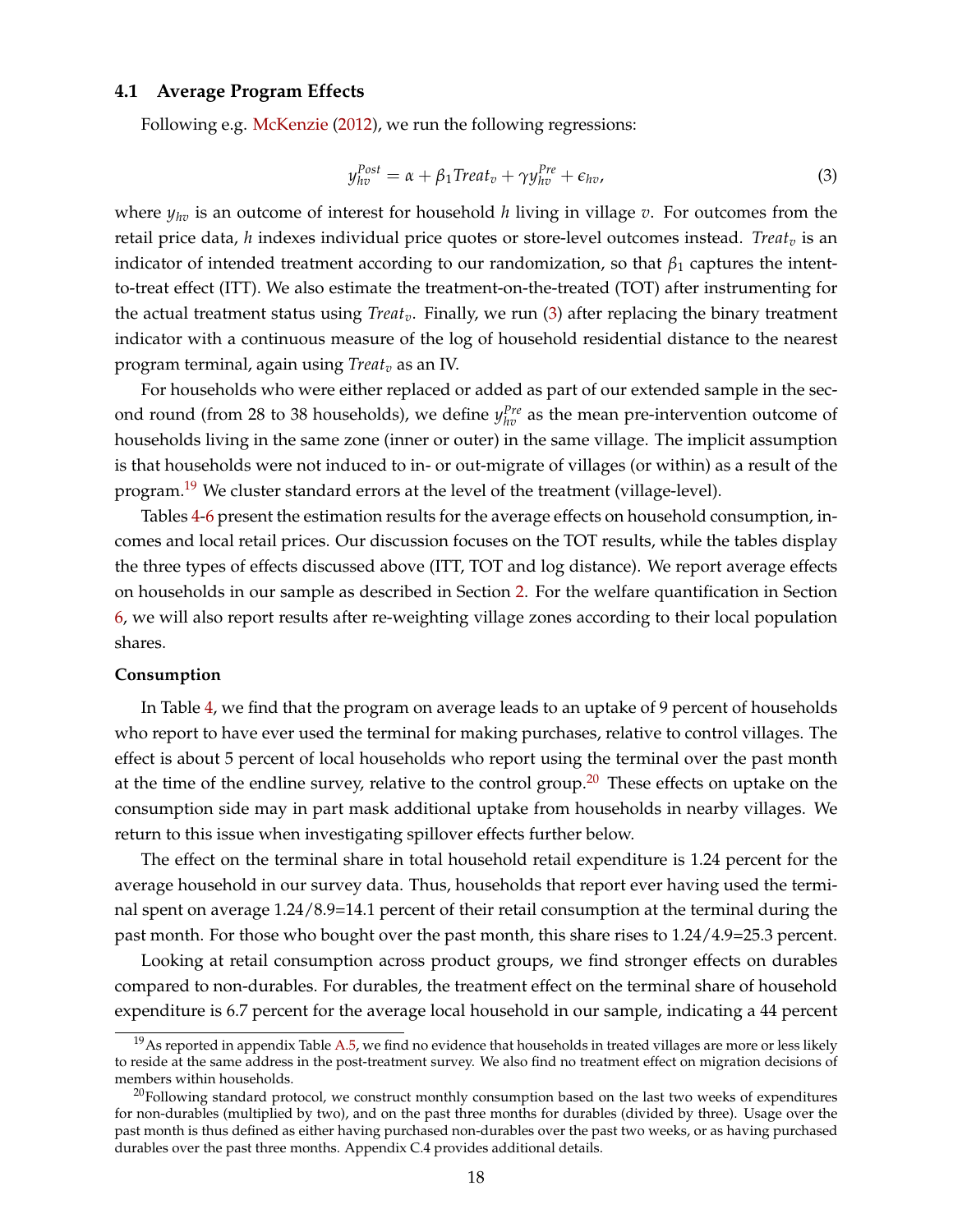#### **4.1 Average Program Effects**

<span id="page-18-0"></span>Following e.g. [McKenzie](#page-33-20) [\(2012\)](#page-33-20), we run the following regressions:

$$
y_{hv}^{Post} = \alpha + \beta_1 Treat_v + \gamma y_{hv}^{Pre} + \epsilon_{hv}, \qquad (3)
$$

where *yhv* is an outcome of interest for household *h* living in village *v*. For outcomes from the retail price data, *h* indexes individual price quotes or store-level outcomes instead. *Treat*<sub>*v*</sub> is an indicator of intended treatment according to our randomization, so that  $\beta_1$  captures the intentto-treat effect (ITT). We also estimate the treatment-on-the-treated (TOT) after instrumenting for the actual treatment status using *Treatv*. Finally, we run [\(3\)](#page-18-0) after replacing the binary treatment indicator with a continuous measure of the log of household residential distance to the nearest program terminal, again using *Treat<sup>v</sup>* as an IV.

For households who were either replaced or added as part of our extended sample in the second round (from 28 to 38 households), we define  $y_{hv}^{Pre}$  as the mean pre-intervention outcome of households living in the same zone (inner or outer) in the same village. The implicit assumption is that households were not induced to in- or out-migrate of villages (or within) as a result of the program.<sup>[19](#page-0-0)</sup> We cluster standard errors at the level of the treatment (village-level).

Tables [4-](#page-41-0)[6](#page-43-0) present the estimation results for the average effects on household consumption, incomes and local retail prices. Our discussion focuses on the TOT results, while the tables display the three types of effects discussed above (ITT, TOT and log distance). We report average effects on households in our sample as described in Section [2.](#page-7-0) For the welfare quantification in Section [6,](#page-27-0) we will also report results after re-weighting village zones according to their local population shares.

#### **Consumption**

In Table [4,](#page-41-0) we find that the program on average leads to an uptake of 9 percent of households who report to have ever used the terminal for making purchases, relative to control villages. The effect is about 5 percent of local households who report using the terminal over the past month at the time of the endline survey, relative to the control group.<sup>[20](#page-0-0)</sup> These effects on uptake on the consumption side may in part mask additional uptake from households in nearby villages. We return to this issue when investigating spillover effects further below.

The effect on the terminal share in total household retail expenditure is 1.24 percent for the average household in our survey data. Thus, households that report ever having used the terminal spent on average 1.24/8.9=14.1 percent of their retail consumption at the terminal during the past month. For those who bought over the past month, this share rises to 1.24/4.9=25.3 percent.

Looking at retail consumption across product groups, we find stronger effects on durables compared to non-durables. For durables, the treatment effect on the terminal share of household expenditure is 6.7 percent for the average local household in our sample, indicating a 44 percent

 $^{19}$ As reported in appendix Table [A.5,](#page-53-0) we find no evidence that households in treated villages are more or less likely to reside at the same address in the post-treatment survey. We also find no treatment effect on migration decisions of members within households.

 $^{20}$ Following standard protocol, we construct monthly consumption based on the last two weeks of expenditures for non-durables (multiplied by two), and on the past three months for durables (divided by three). Usage over the past month is thus defined as either having purchased non-durables over the past two weeks, or as having purchased durables over the past three months. Appendix C.4 provides additional details.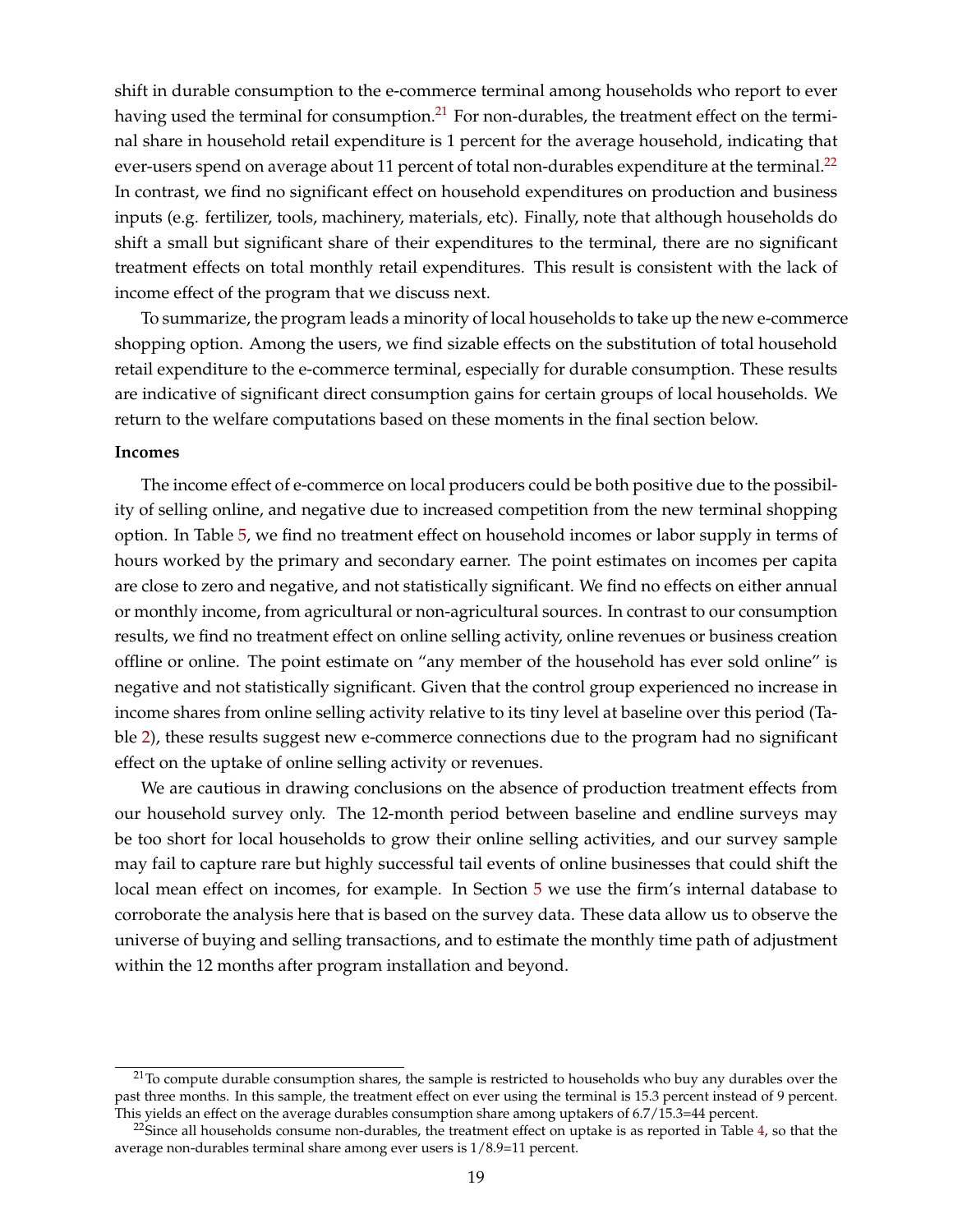shift in durable consumption to the e-commerce terminal among households who report to ever having used the terminal for consumption.<sup>[21](#page-0-0)</sup> For non-durables, the treatment effect on the terminal share in household retail expenditure is 1 percent for the average household, indicating that ever-users spend on average about 11 percent of total non-durables expenditure at the terminal.<sup>[22](#page-0-0)</sup> In contrast, we find no significant effect on household expenditures on production and business inputs (e.g. fertilizer, tools, machinery, materials, etc). Finally, note that although households do shift a small but significant share of their expenditures to the terminal, there are no significant treatment effects on total monthly retail expenditures. This result is consistent with the lack of income effect of the program that we discuss next.

To summarize, the program leads a minority of local households to take up the new e-commerce shopping option. Among the users, we find sizable effects on the substitution of total household retail expenditure to the e-commerce terminal, especially for durable consumption. These results are indicative of significant direct consumption gains for certain groups of local households. We return to the welfare computations based on these moments in the final section below.

#### **Incomes**

The income effect of e-commerce on local producers could be both positive due to the possibility of selling online, and negative due to increased competition from the new terminal shopping option. In Table [5,](#page-42-0) we find no treatment effect on household incomes or labor supply in terms of hours worked by the primary and secondary earner. The point estimates on incomes per capita are close to zero and negative, and not statistically significant. We find no effects on either annual or monthly income, from agricultural or non-agricultural sources. In contrast to our consumption results, we find no treatment effect on online selling activity, online revenues or business creation offline or online. The point estimate on "any member of the household has ever sold online" is negative and not statistically significant. Given that the control group experienced no increase in income shares from online selling activity relative to its tiny level at baseline over this period (Table [2\)](#page-39-0), these results suggest new e-commerce connections due to the program had no significant effect on the uptake of online selling activity or revenues.

We are cautious in drawing conclusions on the absence of production treatment effects from our household survey only. The 12-month period between baseline and endline surveys may be too short for local households to grow their online selling activities, and our survey sample may fail to capture rare but highly successful tail events of online businesses that could shift the local mean effect on incomes, for example. In Section [5](#page-24-0) we use the firm's internal database to corroborate the analysis here that is based on the survey data. These data allow us to observe the universe of buying and selling transactions, and to estimate the monthly time path of adjustment within the 12 months after program installation and beyond.

 $21$ To compute durable consumption shares, the sample is restricted to households who buy any durables over the past three months. In this sample, the treatment effect on ever using the terminal is 15.3 percent instead of 9 percent. This yields an effect on the average durables consumption share among uptakers of 6.7/15.3=44 percent.

<sup>&</sup>lt;sup>22</sup>Since all households consume non-durables, the treatment effect on uptake is as reported in Table [4,](#page-41-0) so that the average non-durables terminal share among ever users is 1/8.9=11 percent.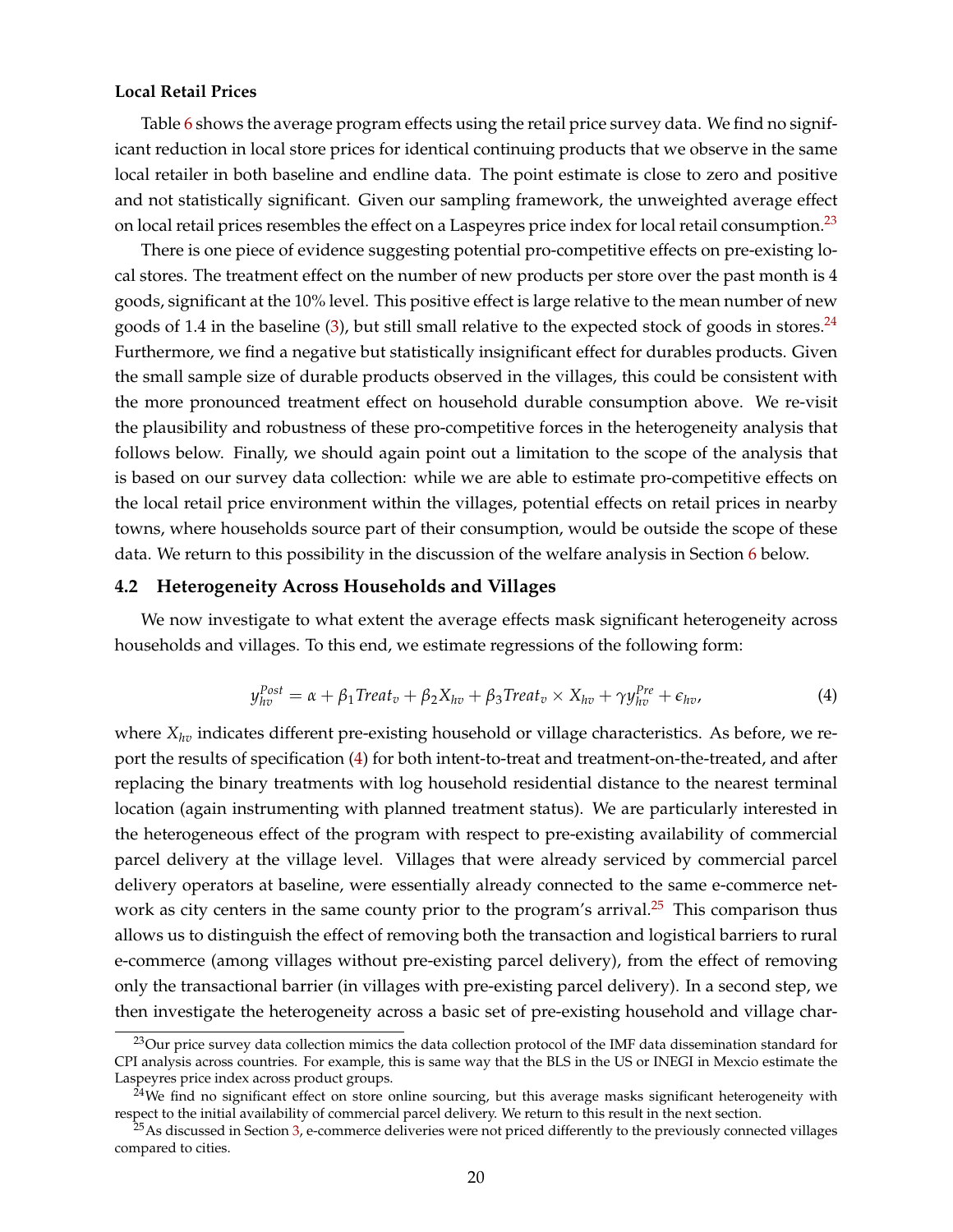#### **Local Retail Prices**

Table [6](#page-43-0) shows the average program effects using the retail price survey data. We find no significant reduction in local store prices for identical continuing products that we observe in the same local retailer in both baseline and endline data. The point estimate is close to zero and positive and not statistically significant. Given our sampling framework, the unweighted average effect on local retail prices resembles the effect on a Laspeyres price index for local retail consumption.<sup>[23](#page-0-0)</sup>

There is one piece of evidence suggesting potential pro-competitive effects on pre-existing local stores. The treatment effect on the number of new products per store over the past month is 4 goods, significant at the 10% level. This positive effect is large relative to the mean number of new goods of 1.4 in the baseline  $(3)$ , but still small relative to the expected stock of goods in stores.<sup>[24](#page-0-0)</sup> Furthermore, we find a negative but statistically insignificant effect for durables products. Given the small sample size of durable products observed in the villages, this could be consistent with the more pronounced treatment effect on household durable consumption above. We re-visit the plausibility and robustness of these pro-competitive forces in the heterogeneity analysis that follows below. Finally, we should again point out a limitation to the scope of the analysis that is based on our survey data collection: while we are able to estimate pro-competitive effects on the local retail price environment within the villages, potential effects on retail prices in nearby towns, where households source part of their consumption, would be outside the scope of these data. We return to this possibility in the discussion of the welfare analysis in Section [6](#page-27-0) below.

#### **4.2 Heterogeneity Across Households and Villages**

<span id="page-20-0"></span>We now investigate to what extent the average effects mask significant heterogeneity across households and villages. To this end, we estimate regressions of the following form:

$$
y_{hv}^{Post} = \alpha + \beta_1 Treat_v + \beta_2 X_{hv} + \beta_3 Treat_v \times X_{hv} + \gamma y_{hv}^{Pre} + \epsilon_{hv},
$$
\n(4)

where *Xhv* indicates different pre-existing household or village characteristics. As before, we report the results of specification [\(4\)](#page-20-0) for both intent-to-treat and treatment-on-the-treated, and after replacing the binary treatments with log household residential distance to the nearest terminal location (again instrumenting with planned treatment status). We are particularly interested in the heterogeneous effect of the program with respect to pre-existing availability of commercial parcel delivery at the village level. Villages that were already serviced by commercial parcel delivery operators at baseline, were essentially already connected to the same e-commerce net-work as city centers in the same county prior to the program's arrival.<sup>[25](#page-0-0)</sup> This comparison thus allows us to distinguish the effect of removing both the transaction and logistical barriers to rural e-commerce (among villages without pre-existing parcel delivery), from the effect of removing only the transactional barrier (in villages with pre-existing parcel delivery). In a second step, we then investigate the heterogeneity across a basic set of pre-existing household and village char-

<sup>&</sup>lt;sup>23</sup>Our price survey data collection mimics the data collection protocol of the IMF data dissemination standard for CPI analysis across countries. For example, this is same way that the BLS in the US or INEGI in Mexcio estimate the Laspeyres price index across product groups.

 $24$ We find no significant effect on store online sourcing, but this average masks significant heterogeneity with respect to the initial availability of commercial parcel delivery. We return to this result in the next section.

 $^{25}$ As discussed in Section [3,](#page-12-0) e-commerce deliveries were not priced differently to the previously connected villages compared to cities.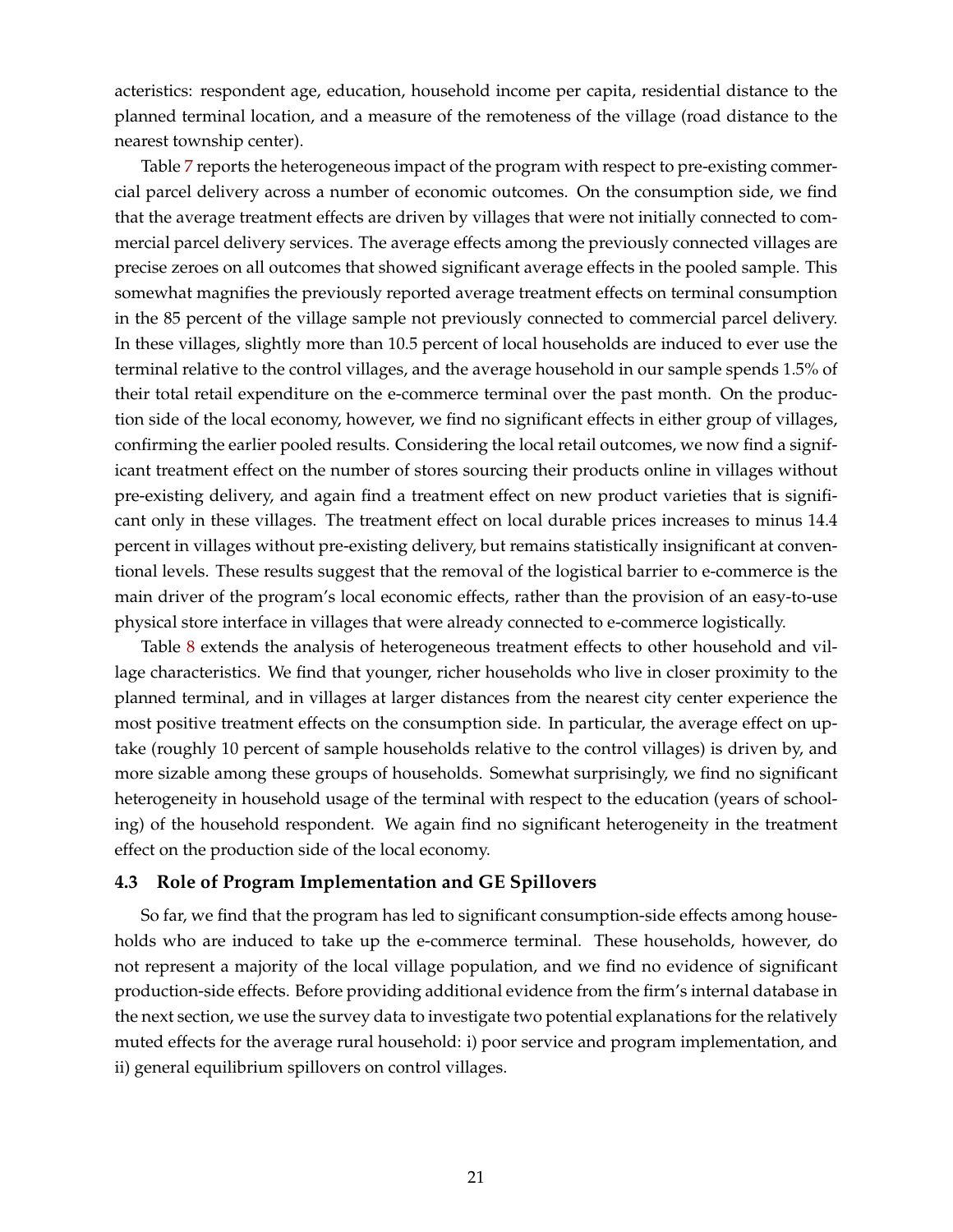acteristics: respondent age, education, household income per capita, residential distance to the planned terminal location, and a measure of the remoteness of the village (road distance to the nearest township center).

Table [7](#page-44-0) reports the heterogeneous impact of the program with respect to pre-existing commercial parcel delivery across a number of economic outcomes. On the consumption side, we find that the average treatment effects are driven by villages that were not initially connected to commercial parcel delivery services. The average effects among the previously connected villages are precise zeroes on all outcomes that showed significant average effects in the pooled sample. This somewhat magnifies the previously reported average treatment effects on terminal consumption in the 85 percent of the village sample not previously connected to commercial parcel delivery. In these villages, slightly more than 10.5 percent of local households are induced to ever use the terminal relative to the control villages, and the average household in our sample spends 1.5% of their total retail expenditure on the e-commerce terminal over the past month. On the production side of the local economy, however, we find no significant effects in either group of villages, confirming the earlier pooled results. Considering the local retail outcomes, we now find a significant treatment effect on the number of stores sourcing their products online in villages without pre-existing delivery, and again find a treatment effect on new product varieties that is significant only in these villages. The treatment effect on local durable prices increases to minus 14.4 percent in villages without pre-existing delivery, but remains statistically insignificant at conventional levels. These results suggest that the removal of the logistical barrier to e-commerce is the main driver of the program's local economic effects, rather than the provision of an easy-to-use physical store interface in villages that were already connected to e-commerce logistically.

Table [8](#page-45-0) extends the analysis of heterogeneous treatment effects to other household and village characteristics. We find that younger, richer households who live in closer proximity to the planned terminal, and in villages at larger distances from the nearest city center experience the most positive treatment effects on the consumption side. In particular, the average effect on uptake (roughly 10 percent of sample households relative to the control villages) is driven by, and more sizable among these groups of households. Somewhat surprisingly, we find no significant heterogeneity in household usage of the terminal with respect to the education (years of schooling) of the household respondent. We again find no significant heterogeneity in the treatment effect on the production side of the local economy.

#### <span id="page-21-0"></span>**4.3 Role of Program Implementation and GE Spillovers**

So far, we find that the program has led to significant consumption-side effects among households who are induced to take up the e-commerce terminal. These households, however, do not represent a majority of the local village population, and we find no evidence of significant production-side effects. Before providing additional evidence from the firm's internal database in the next section, we use the survey data to investigate two potential explanations for the relatively muted effects for the average rural household: i) poor service and program implementation, and ii) general equilibrium spillovers on control villages.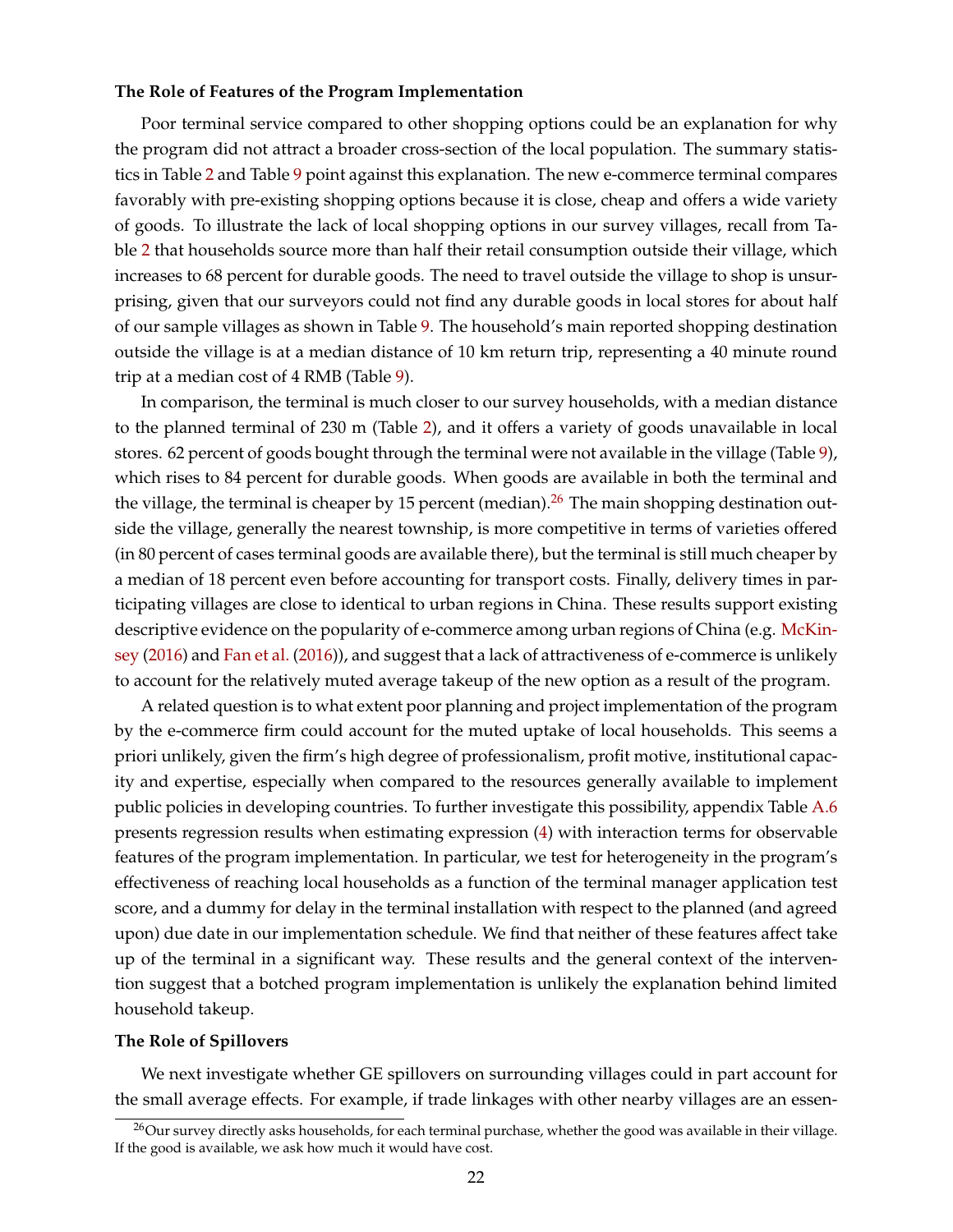#### **The Role of Features of the Program Implementation**

Poor terminal service compared to other shopping options could be an explanation for why the program did not attract a broader cross-section of the local population. The summary statistics in Table [2](#page-39-0) and Table [9](#page-46-0) point against this explanation. The new e-commerce terminal compares favorably with pre-existing shopping options because it is close, cheap and offers a wide variety of goods. To illustrate the lack of local shopping options in our survey villages, recall from Table [2](#page-39-0) that households source more than half their retail consumption outside their village, which increases to 68 percent for durable goods. The need to travel outside the village to shop is unsurprising, given that our surveyors could not find any durable goods in local stores for about half of our sample villages as shown in Table [9.](#page-46-0) The household's main reported shopping destination outside the village is at a median distance of 10 km return trip, representing a 40 minute round trip at a median cost of 4 RMB (Table [9\)](#page-46-0).

In comparison, the terminal is much closer to our survey households, with a median distance to the planned terminal of 230 m (Table [2\)](#page-39-0), and it offers a variety of goods unavailable in local stores. 62 percent of goods bought through the terminal were not available in the village (Table [9\)](#page-46-0), which rises to 84 percent for durable goods. When goods are available in both the terminal and the village, the terminal is cheaper by 15 percent (median).<sup>[26](#page-0-0)</sup> The main shopping destination outside the village, generally the nearest township, is more competitive in terms of varieties offered (in 80 percent of cases terminal goods are available there), but the terminal is still much cheaper by a median of 18 percent even before accounting for transport costs. Finally, delivery times in participating villages are close to identical to urban regions in China. These results support existing descriptive evidence on the popularity of e-commerce among urban regions of China (e.g. [McKin](#page-33-8)[sey](#page-33-8) [\(2016\)](#page-33-8) and [Fan et al.](#page-32-2) [\(2016\)](#page-32-2)), and suggest that a lack of attractiveness of e-commerce is unlikely to account for the relatively muted average takeup of the new option as a result of the program.

A related question is to what extent poor planning and project implementation of the program by the e-commerce firm could account for the muted uptake of local households. This seems a priori unlikely, given the firm's high degree of professionalism, profit motive, institutional capacity and expertise, especially when compared to the resources generally available to implement public policies in developing countries. To further investigate this possibility, appendix Table [A.6](#page-54-0) presents regression results when estimating expression [\(4\)](#page-20-0) with interaction terms for observable features of the program implementation. In particular, we test for heterogeneity in the program's effectiveness of reaching local households as a function of the terminal manager application test score, and a dummy for delay in the terminal installation with respect to the planned (and agreed upon) due date in our implementation schedule. We find that neither of these features affect take up of the terminal in a significant way. These results and the general context of the intervention suggest that a botched program implementation is unlikely the explanation behind limited household takeup.

#### **The Role of Spillovers**

We next investigate whether GE spillovers on surrounding villages could in part account for the small average effects. For example, if trade linkages with other nearby villages are an essen-

 $^{26}$ Our survey directly asks households, for each terminal purchase, whether the good was available in their village. If the good is available, we ask how much it would have cost.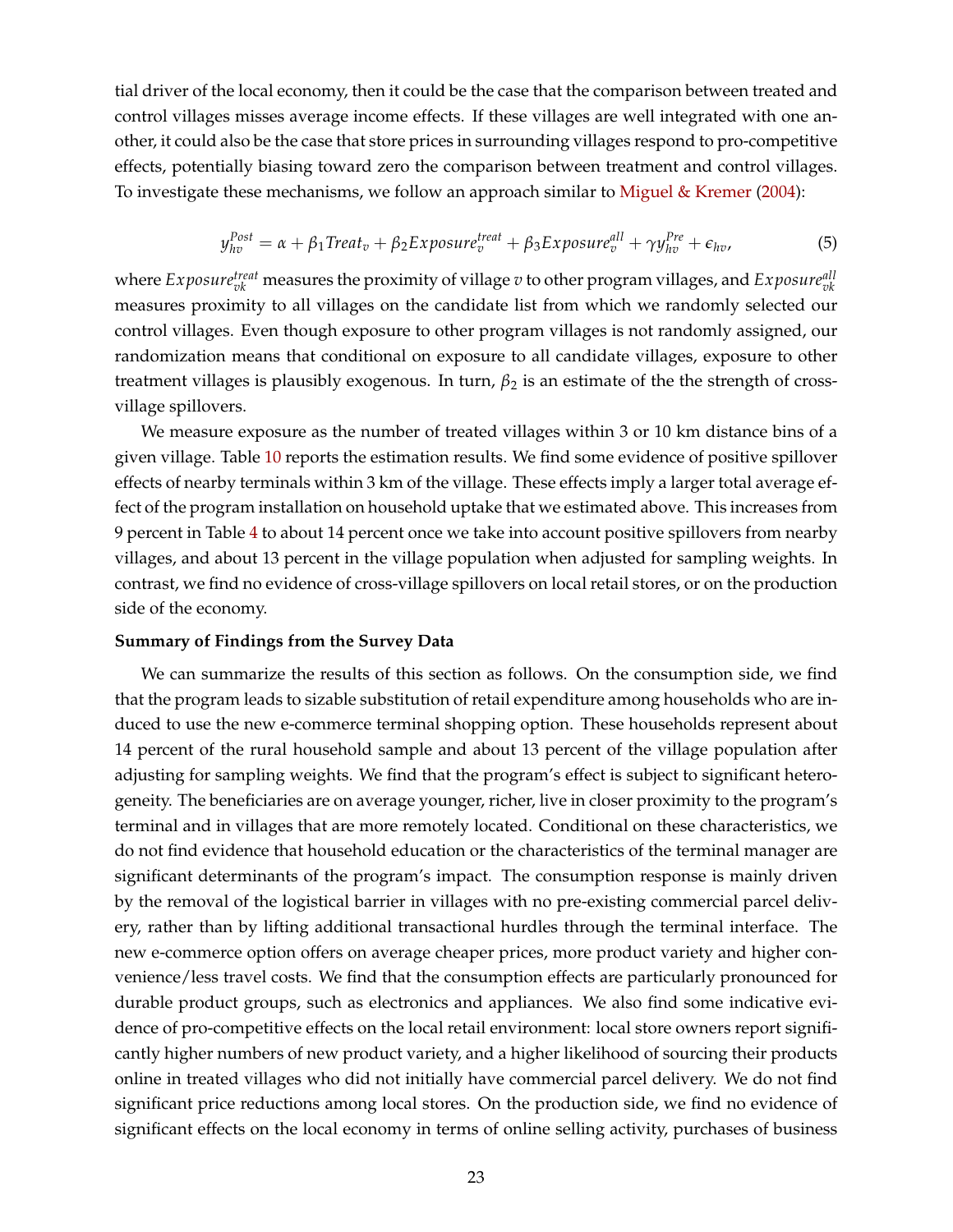tial driver of the local economy, then it could be the case that the comparison between treated and control villages misses average income effects. If these villages are well integrated with one another, it could also be the case that store prices in surrounding villages respond to pro-competitive effects, potentially biasing toward zero the comparison between treatment and control villages. To investigate these mechanisms, we follow an approach similar to [Miguel & Kremer](#page-33-19) [\(2004\)](#page-33-19):

$$
y_{hv}^{Post} = \alpha + \beta_1 Treat_v + \beta_2 Exposure_v^{treat} + \beta_3 Exposure_v^{all} + \gamma y_{hv}^{Pre} + \epsilon_{hv},
$$
\n(5)

where  $Exposure^{treat}_{vk}$  measures the proximity of village  $v$  to other program villages, and  $Exposure^{all}_{vk}$ measures proximity to all villages on the candidate list from which we randomly selected our control villages. Even though exposure to other program villages is not randomly assigned, our randomization means that conditional on exposure to all candidate villages, exposure to other treatment villages is plausibly exogenous. In turn,  $\beta_2$  is an estimate of the the strength of crossvillage spillovers.

We measure exposure as the number of treated villages within 3 or 10 km distance bins of a given village. Table [10](#page-47-0) reports the estimation results. We find some evidence of positive spillover effects of nearby terminals within 3 km of the village. These effects imply a larger total average effect of the program installation on household uptake that we estimated above. This increases from 9 percent in Table [4](#page-41-0) to about 14 percent once we take into account positive spillovers from nearby villages, and about 13 percent in the village population when adjusted for sampling weights. In contrast, we find no evidence of cross-village spillovers on local retail stores, or on the production side of the economy.

#### **Summary of Findings from the Survey Data**

We can summarize the results of this section as follows. On the consumption side, we find that the program leads to sizable substitution of retail expenditure among households who are induced to use the new e-commerce terminal shopping option. These households represent about 14 percent of the rural household sample and about 13 percent of the village population after adjusting for sampling weights. We find that the program's effect is subject to significant heterogeneity. The beneficiaries are on average younger, richer, live in closer proximity to the program's terminal and in villages that are more remotely located. Conditional on these characteristics, we do not find evidence that household education or the characteristics of the terminal manager are significant determinants of the program's impact. The consumption response is mainly driven by the removal of the logistical barrier in villages with no pre-existing commercial parcel delivery, rather than by lifting additional transactional hurdles through the terminal interface. The new e-commerce option offers on average cheaper prices, more product variety and higher convenience/less travel costs. We find that the consumption effects are particularly pronounced for durable product groups, such as electronics and appliances. We also find some indicative evidence of pro-competitive effects on the local retail environment: local store owners report significantly higher numbers of new product variety, and a higher likelihood of sourcing their products online in treated villages who did not initially have commercial parcel delivery. We do not find significant price reductions among local stores. On the production side, we find no evidence of significant effects on the local economy in terms of online selling activity, purchases of business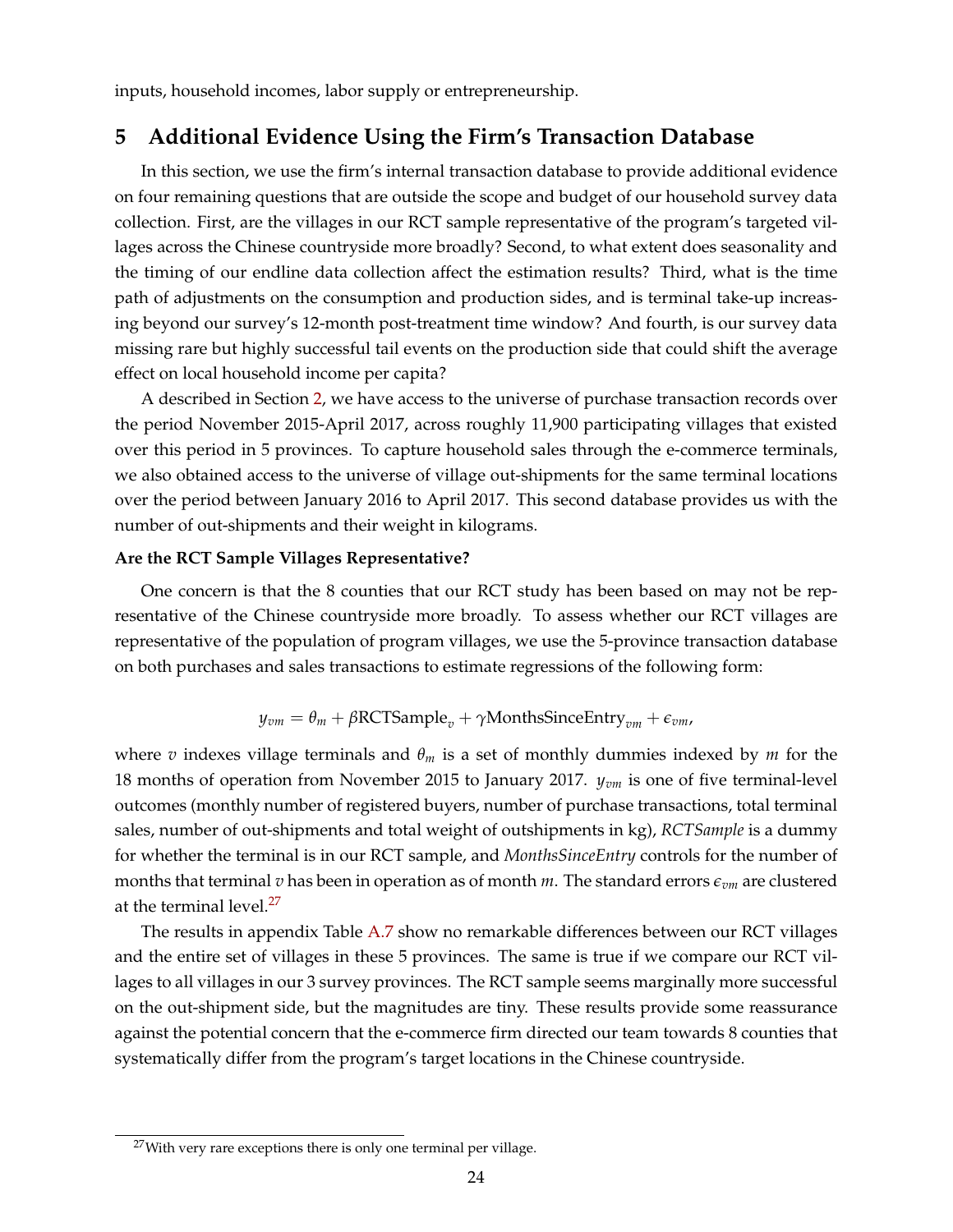<span id="page-24-0"></span>inputs, household incomes, labor supply or entrepreneurship.

## <span id="page-24-1"></span>**5 Additional Evidence Using the Firm's Transaction Database**

In this section, we use the firm's internal transaction database to provide additional evidence on four remaining questions that are outside the scope and budget of our household survey data collection. First, are the villages in our RCT sample representative of the program's targeted villages across the Chinese countryside more broadly? Second, to what extent does seasonality and the timing of our endline data collection affect the estimation results? Third, what is the time path of adjustments on the consumption and production sides, and is terminal take-up increasing beyond our survey's 12-month post-treatment time window? And fourth, is our survey data missing rare but highly successful tail events on the production side that could shift the average effect on local household income per capita?

A described in Section [2,](#page-7-0) we have access to the universe of purchase transaction records over the period November 2015-April 2017, across roughly 11,900 participating villages that existed over this period in 5 provinces. To capture household sales through the e-commerce terminals, we also obtained access to the universe of village out-shipments for the same terminal locations over the period between January 2016 to April 2017. This second database provides us with the number of out-shipments and their weight in kilograms.

#### **Are the RCT Sample Villages Representative?**

One concern is that the 8 counties that our RCT study has been based on may not be representative of the Chinese countryside more broadly. To assess whether our RCT villages are representative of the population of program villages, we use the 5-province transaction database on both purchases and sales transactions to estimate regressions of the following form:

$$
y_{vm} = \theta_m + \beta \text{RCTSample}_v + \gamma \text{MonthsSinceEntry}_{vm} + \epsilon_{vm},
$$

where *v* indexes village terminals and *θ<sup>m</sup>* is a set of monthly dummies indexed by *m* for the 18 months of operation from November 2015 to January 2017. *yvm* is one of five terminal-level outcomes (monthly number of registered buyers, number of purchase transactions, total terminal sales, number of out-shipments and total weight of outshipments in kg), *RCTSample* is a dummy for whether the terminal is in our RCT sample, and *MonthsSinceEntry* controls for the number of months that terminal *v* has been in operation as of month *m*. The standard errors  $\epsilon_{vm}$  are clustered at the terminal level.<sup>[27](#page-0-0)</sup>

The results in appendix Table [A.7](#page-55-0) show no remarkable differences between our RCT villages and the entire set of villages in these 5 provinces. The same is true if we compare our RCT villages to all villages in our 3 survey provinces. The RCT sample seems marginally more successful on the out-shipment side, but the magnitudes are tiny. These results provide some reassurance against the potential concern that the e-commerce firm directed our team towards 8 counties that systematically differ from the program's target locations in the Chinese countryside.

 $27$ With very rare exceptions there is only one terminal per village.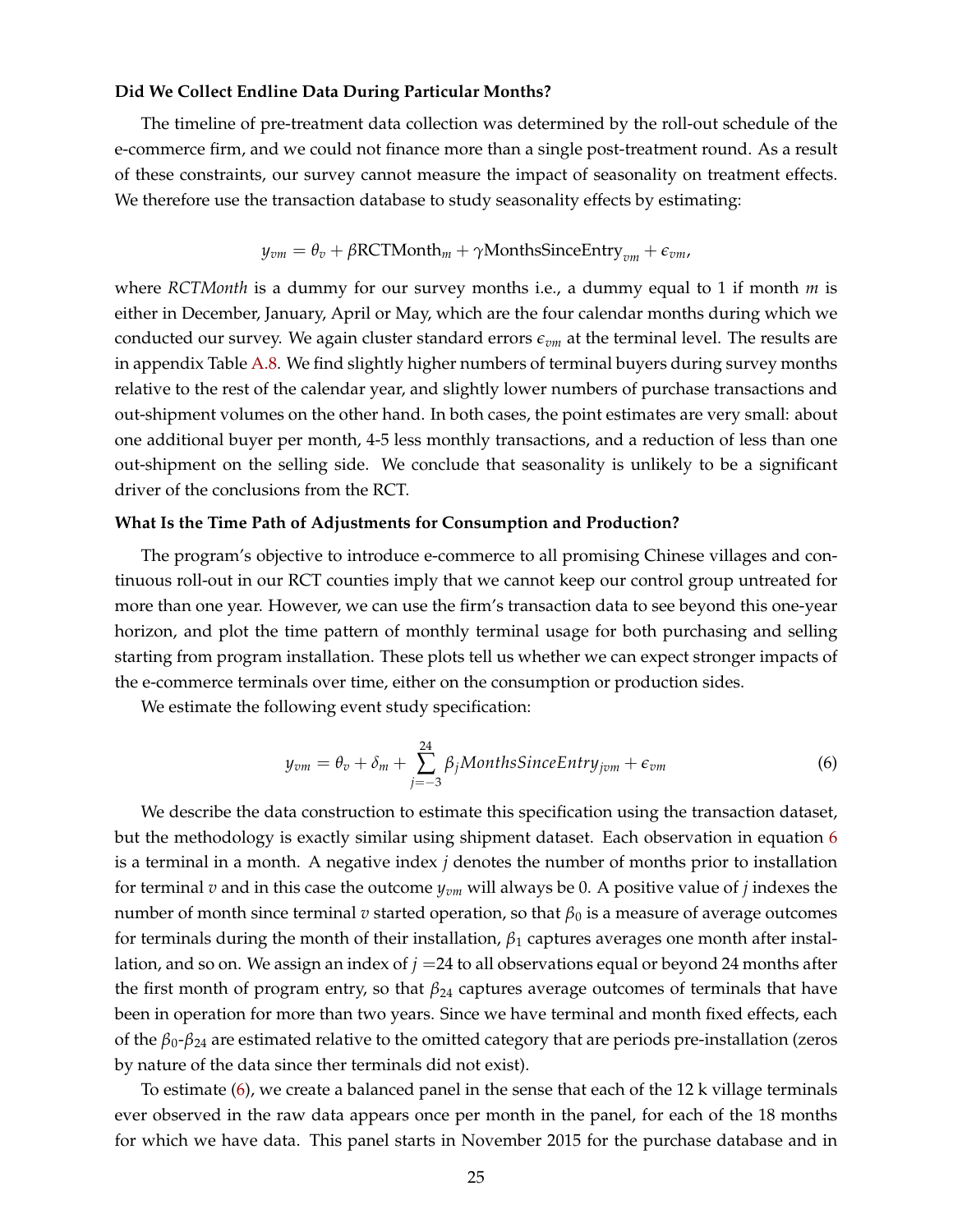#### **Did We Collect Endline Data During Particular Months?**

The timeline of pre-treatment data collection was determined by the roll-out schedule of the e-commerce firm, and we could not finance more than a single post-treatment round. As a result of these constraints, our survey cannot measure the impact of seasonality on treatment effects. We therefore use the transaction database to study seasonality effects by estimating:

$$
y_{vm} = \theta_v + \beta \text{RCTMonth}_m + \gamma \text{Month} \text{sSinceEntry}_{vm} + \epsilon_{vm},
$$

where *RCTMonth* is a dummy for our survey months i.e., a dummy equal to 1 if month *m* is either in December, January, April or May, which are the four calendar months during which we conducted our survey. We again cluster standard errors *evm* at the terminal level. The results are in appendix Table [A.8.](#page-56-0) We find slightly higher numbers of terminal buyers during survey months relative to the rest of the calendar year, and slightly lower numbers of purchase transactions and out-shipment volumes on the other hand. In both cases, the point estimates are very small: about one additional buyer per month, 4-5 less monthly transactions, and a reduction of less than one out-shipment on the selling side. We conclude that seasonality is unlikely to be a significant driver of the conclusions from the RCT.

#### **What Is the Time Path of Adjustments for Consumption and Production?**

The program's objective to introduce e-commerce to all promising Chinese villages and continuous roll-out in our RCT counties imply that we cannot keep our control group untreated for more than one year. However, we can use the firm's transaction data to see beyond this one-year horizon, and plot the time pattern of monthly terminal usage for both purchasing and selling starting from program installation. These plots tell us whether we can expect stronger impacts of the e-commerce terminals over time, either on the consumption or production sides.

<span id="page-25-0"></span>We estimate the following event study specification:

$$
y_{vm} = \theta_v + \delta_m + \sum_{j=-3}^{24} \beta_j \text{Month} \text{s} Since \text{Entry}_{jvm} + \epsilon_{vm}
$$
 (6)

We describe the data construction to estimate this specification using the transaction dataset, but the methodology is exactly similar using shipment dataset. Each observation in equation [6](#page-25-0) is a terminal in a month. A negative index *j* denotes the number of months prior to installation for terminal *v* and in this case the outcome *yvm* will always be 0. A positive value of *j* indexes the number of month since terminal *v* started operation, so that  $β_0$  is a measure of average outcomes for terminals during the month of their installation, *β*<sup>1</sup> captures averages one month after installation, and so on. We assign an index of *j* =24 to all observations equal or beyond 24 months after the first month of program entry, so that *β*<sup>24</sup> captures average outcomes of terminals that have been in operation for more than two years. Since we have terminal and month fixed effects, each of the *β*0-*β*<sup>24</sup> are estimated relative to the omitted category that are periods pre-installation (zeros by nature of the data since ther terminals did not exist).

To estimate [\(6\)](#page-25-0), we create a balanced panel in the sense that each of the 12 k village terminals ever observed in the raw data appears once per month in the panel, for each of the 18 months for which we have data. This panel starts in November 2015 for the purchase database and in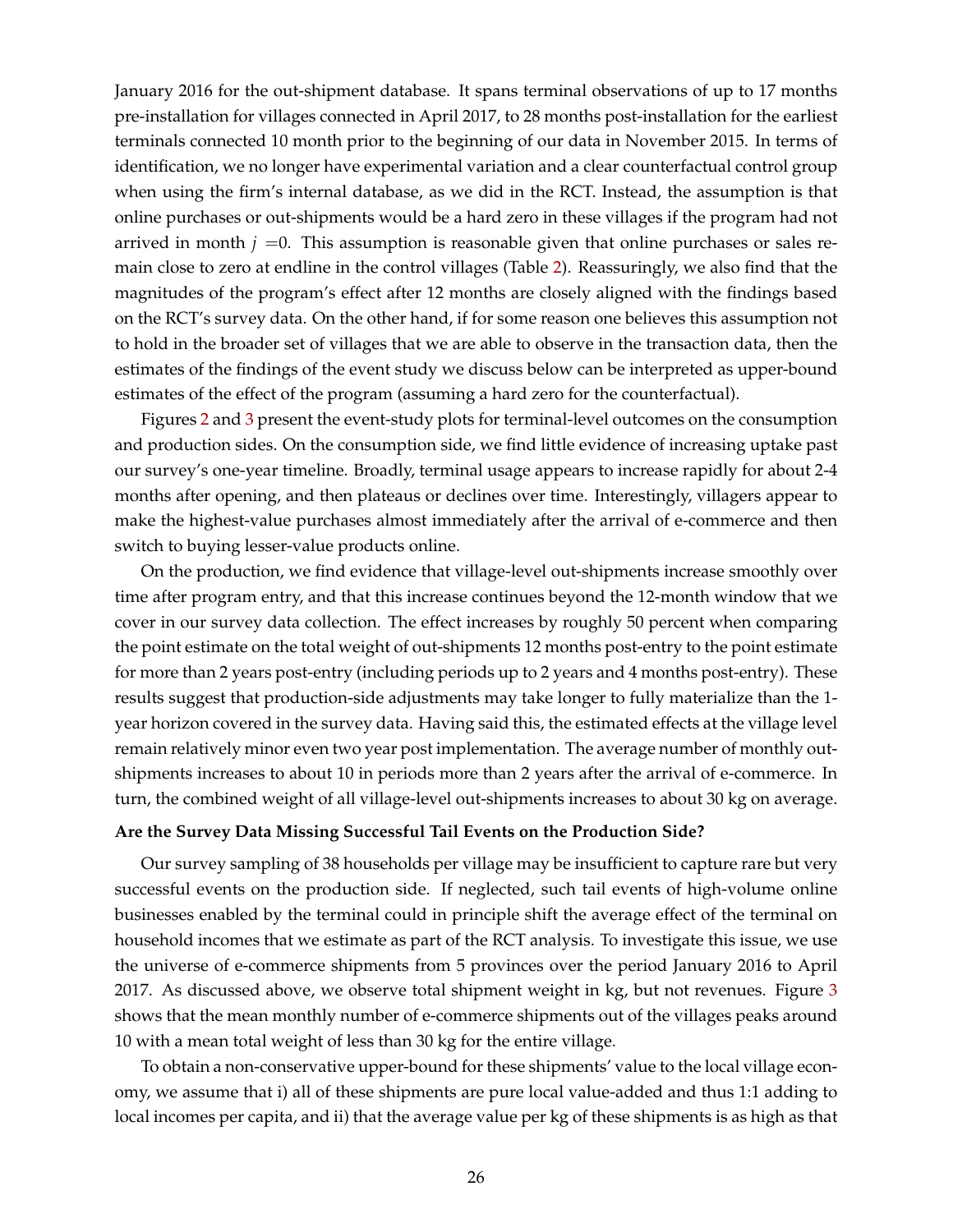January 2016 for the out-shipment database. It spans terminal observations of up to 17 months pre-installation for villages connected in April 2017, to 28 months post-installation for the earliest terminals connected 10 month prior to the beginning of our data in November 2015. In terms of identification, we no longer have experimental variation and a clear counterfactual control group when using the firm's internal database, as we did in the RCT. Instead, the assumption is that online purchases or out-shipments would be a hard zero in these villages if the program had not arrived in month  $j = 0$ . This assumption is reasonable given that online purchases or sales remain close to zero at endline in the control villages (Table [2\)](#page-39-0). Reassuringly, we also find that the magnitudes of the program's effect after 12 months are closely aligned with the findings based on the RCT's survey data. On the other hand, if for some reason one believes this assumption not to hold in the broader set of villages that we are able to observe in the transaction data, then the estimates of the findings of the event study we discuss below can be interpreted as upper-bound estimates of the effect of the program (assuming a hard zero for the counterfactual).

Figures [2](#page-35-0) and [3](#page-36-0) present the event-study plots for terminal-level outcomes on the consumption and production sides. On the consumption side, we find little evidence of increasing uptake past our survey's one-year timeline. Broadly, terminal usage appears to increase rapidly for about 2-4 months after opening, and then plateaus or declines over time. Interestingly, villagers appear to make the highest-value purchases almost immediately after the arrival of e-commerce and then switch to buying lesser-value products online.

On the production, we find evidence that village-level out-shipments increase smoothly over time after program entry, and that this increase continues beyond the 12-month window that we cover in our survey data collection. The effect increases by roughly 50 percent when comparing the point estimate on the total weight of out-shipments 12 months post-entry to the point estimate for more than 2 years post-entry (including periods up to 2 years and 4 months post-entry). These results suggest that production-side adjustments may take longer to fully materialize than the 1 year horizon covered in the survey data. Having said this, the estimated effects at the village level remain relatively minor even two year post implementation. The average number of monthly outshipments increases to about 10 in periods more than 2 years after the arrival of e-commerce. In turn, the combined weight of all village-level out-shipments increases to about 30 kg on average.

#### **Are the Survey Data Missing Successful Tail Events on the Production Side?**

Our survey sampling of 38 households per village may be insufficient to capture rare but very successful events on the production side. If neglected, such tail events of high-volume online businesses enabled by the terminal could in principle shift the average effect of the terminal on household incomes that we estimate as part of the RCT analysis. To investigate this issue, we use the universe of e-commerce shipments from 5 provinces over the period January 2016 to April 2017. As discussed above, we observe total shipment weight in kg, but not revenues. Figure [3](#page-36-0) shows that the mean monthly number of e-commerce shipments out of the villages peaks around 10 with a mean total weight of less than 30 kg for the entire village.

To obtain a non-conservative upper-bound for these shipments' value to the local village economy, we assume that i) all of these shipments are pure local value-added and thus 1:1 adding to local incomes per capita, and ii) that the average value per kg of these shipments is as high as that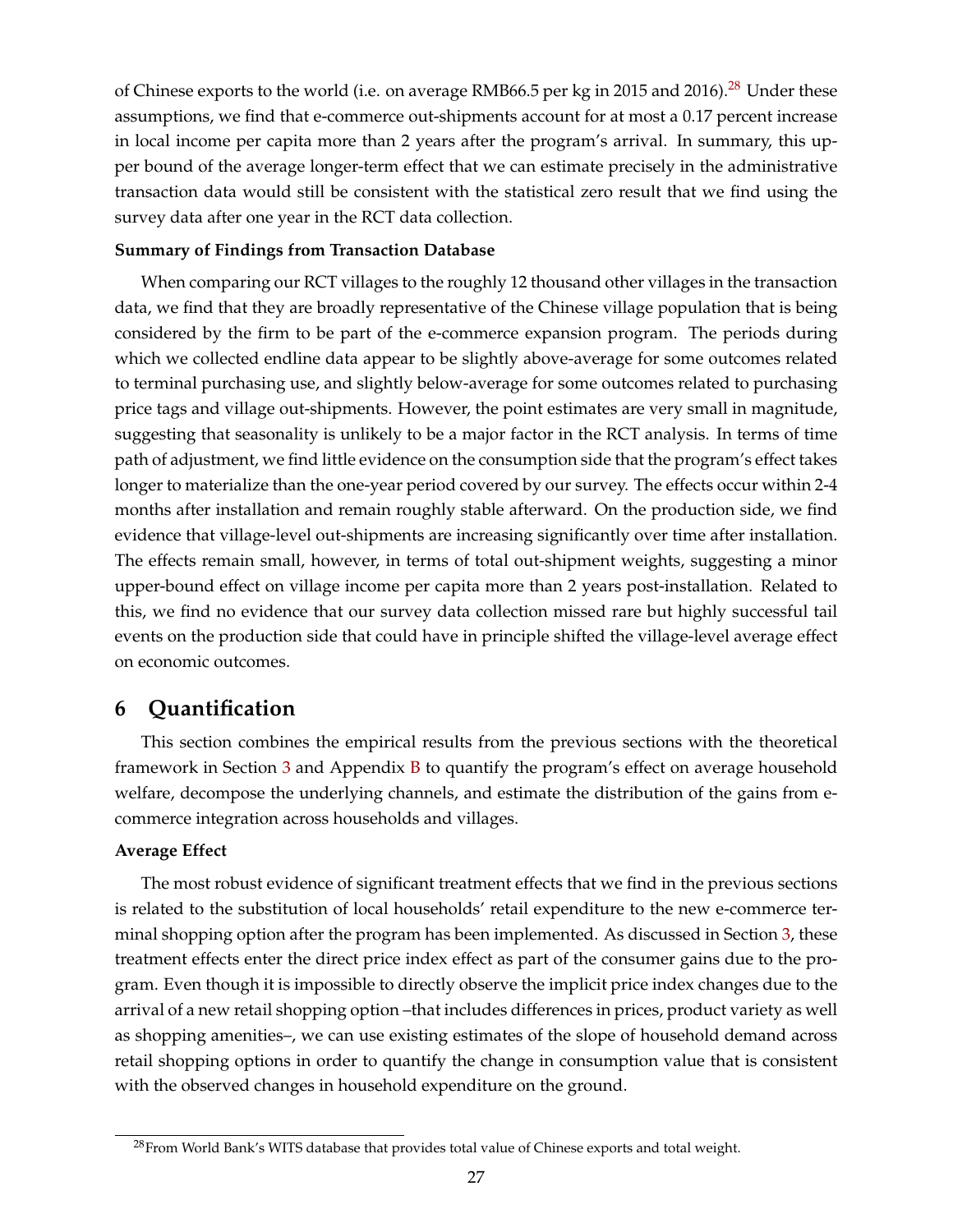<span id="page-27-1"></span>of Chinese exports to the world (i.e. on average RMB66.5 per kg in 2015 and 2016).<sup>[28](#page-0-0)</sup> Under these assumptions, we find that e-commerce out-shipments account for at most a 0.17 percent increase in local income per capita more than 2 years after the program's arrival. In summary, this upper bound of the average longer-term effect that we can estimate precisely in the administrative transaction data would still be consistent with the statistical zero result that we find using the survey data after one year in the RCT data collection.

#### **Summary of Findings from Transaction Database**

When comparing our RCT villages to the roughly 12 thousand other villages in the transaction data, we find that they are broadly representative of the Chinese village population that is being considered by the firm to be part of the e-commerce expansion program. The periods during which we collected endline data appear to be slightly above-average for some outcomes related to terminal purchasing use, and slightly below-average for some outcomes related to purchasing price tags and village out-shipments. However, the point estimates are very small in magnitude, suggesting that seasonality is unlikely to be a major factor in the RCT analysis. In terms of time path of adjustment, we find little evidence on the consumption side that the program's effect takes longer to materialize than the one-year period covered by our survey. The effects occur within 2-4 months after installation and remain roughly stable afterward. On the production side, we find evidence that village-level out-shipments are increasing significantly over time after installation. The effects remain small, however, in terms of total out-shipment weights, suggesting a minor upper-bound effect on village income per capita more than 2 years post-installation. Related to this, we find no evidence that our survey data collection missed rare but highly successful tail events on the production side that could have in principle shifted the village-level average effect on economic outcomes.

### <span id="page-27-0"></span>**6 Quantification**

This section combines the empirical results from the previous sections with the theoretical framework in Section [3](#page-12-0) and Appendix [B](#page-58-0) to quantify the program's effect on average household welfare, decompose the underlying channels, and estimate the distribution of the gains from ecommerce integration across households and villages.

#### **Average Effect**

The most robust evidence of significant treatment effects that we find in the previous sections is related to the substitution of local households' retail expenditure to the new e-commerce terminal shopping option after the program has been implemented. As discussed in Section [3,](#page-12-0) these treatment effects enter the direct price index effect as part of the consumer gains due to the program. Even though it is impossible to directly observe the implicit price index changes due to the arrival of a new retail shopping option –that includes differences in prices, product variety as well as shopping amenities–, we can use existing estimates of the slope of household demand across retail shopping options in order to quantify the change in consumption value that is consistent with the observed changes in household expenditure on the ground.

<sup>&</sup>lt;sup>28</sup> From World Bank's WITS database that provides total value of Chinese exports and total weight.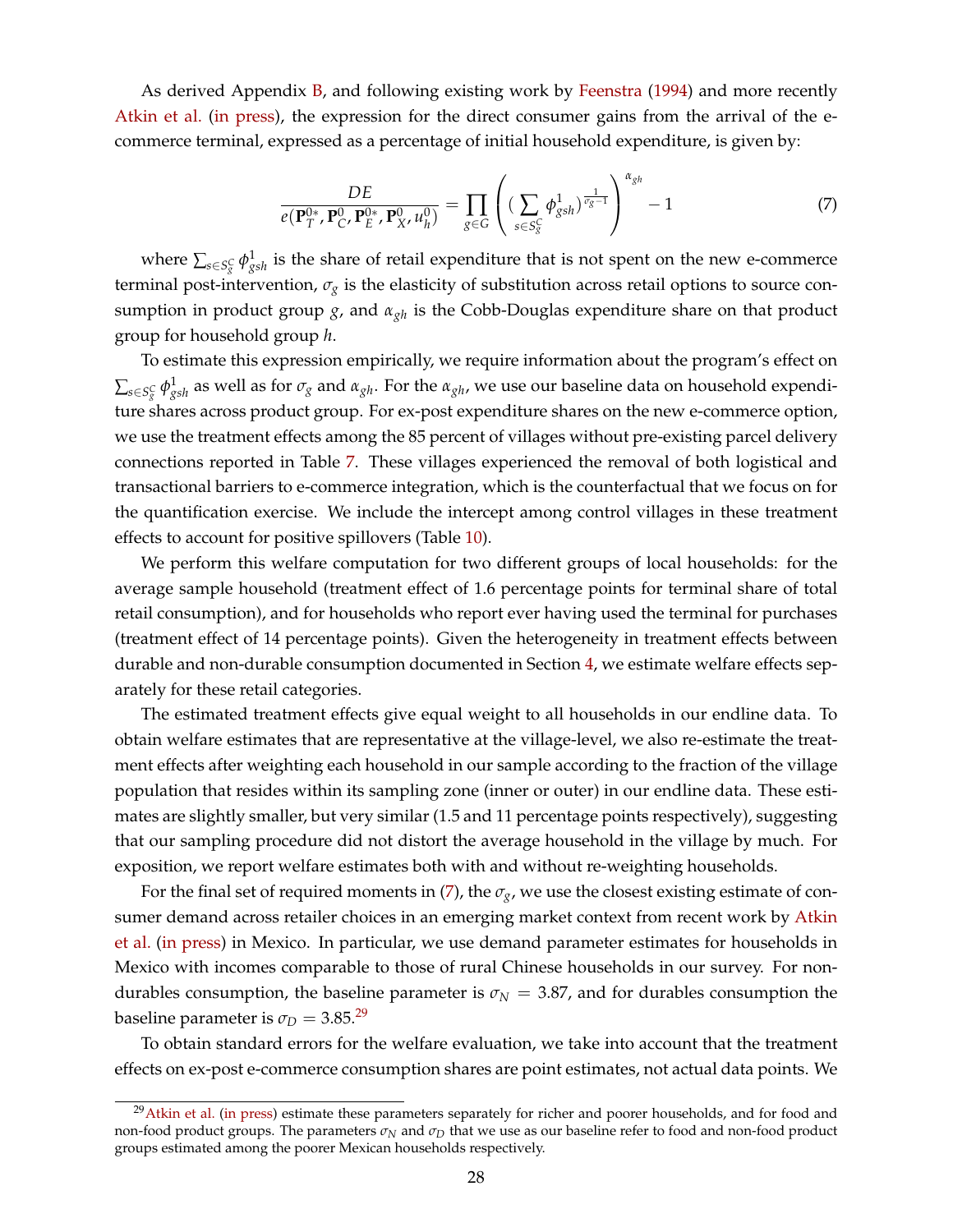<span id="page-28-0"></span>As derived Appendix [B,](#page-58-0) and following existing work by [Feenstra](#page-32-3) [\(1994\)](#page-32-3) and more recently [Atkin et al.](#page-32-4) [\(in press\)](#page-32-4), the expression for the direct consumer gains from the arrival of the ecommerce terminal, expressed as a percentage of initial household expenditure, is given by:

$$
\frac{DE}{e(\mathbf{P}_T^{0*}, \mathbf{P}_C^0, \mathbf{P}_E^{0*}, \mathbf{P}_X^0, u_h^0)} = \prod_{g \in G} \left( \left( \sum_{s \in S_g^C} \phi_{gsh}^1 \right)^{\frac{1}{\sigma_g - 1}} \right)^{\alpha_{gh}} - 1 \tag{7}
$$

where  $\sum_{s\in S^C_g}\phi^1_{gsh}$  is the share of retail expenditure that is not spent on the new e-commerce terminal post-intervention, *σ<sup>g</sup>* is the elasticity of substitution across retail options to source consumption in product group *g*, and *αgh* is the Cobb-Douglas expenditure share on that product group for household group *h*.

To estimate this expression empirically, we require information about the program's effect on  $\sum_{s\in S^C_g}\phi^1_{gsh}$  as well as for  $\sigma_g$  and  $\alpha_{gh}.$  For the  $\alpha_{gh}$ , we use our baseline data on household expenditure shares across product group. For ex-post expenditure shares on the new e-commerce option, we use the treatment effects among the 85 percent of villages without pre-existing parcel delivery connections reported in Table [7.](#page-44-0) These villages experienced the removal of both logistical and transactional barriers to e-commerce integration, which is the counterfactual that we focus on for the quantification exercise. We include the intercept among control villages in these treatment effects to account for positive spillovers (Table [10\)](#page-47-0).

We perform this welfare computation for two different groups of local households: for the average sample household (treatment effect of 1.6 percentage points for terminal share of total retail consumption), and for households who report ever having used the terminal for purchases (treatment effect of 14 percentage points). Given the heterogeneity in treatment effects between durable and non-durable consumption documented in Section [4,](#page-17-0) we estimate welfare effects separately for these retail categories.

The estimated treatment effects give equal weight to all households in our endline data. To obtain welfare estimates that are representative at the village-level, we also re-estimate the treatment effects after weighting each household in our sample according to the fraction of the village population that resides within its sampling zone (inner or outer) in our endline data. These estimates are slightly smaller, but very similar (1.5 and 11 percentage points respectively), suggesting that our sampling procedure did not distort the average household in the village by much. For exposition, we report welfare estimates both with and without re-weighting households.

For the final set of required moments in [\(7\)](#page-28-0), the  $\sigma_{\rm g}$ , we use the closest existing estimate of consumer demand across retailer choices in an emerging market context from recent work by [Atkin](#page-32-4) [et al.](#page-32-4) [\(in press\)](#page-32-4) in Mexico. In particular, we use demand parameter estimates for households in Mexico with incomes comparable to those of rural Chinese households in our survey. For nondurables consumption, the baseline parameter is  $\sigma_N = 3.87$ , and for durables consumption the baseline parameter is  $\sigma_D = 3.85.^{29}$  $\sigma_D = 3.85.^{29}$  $\sigma_D = 3.85.^{29}$ 

To obtain standard errors for the welfare evaluation, we take into account that the treatment effects on ex-post e-commerce consumption shares are point estimates, not actual data points. We

<sup>&</sup>lt;sup>29</sup>[Atkin et al.](#page-32-4) [\(in press\)](#page-32-4) estimate these parameters separately for richer and poorer households, and for food and non-food product groups. The parameters *σ<sup>N</sup>* and *σ<sup>D</sup>* that we use as our baseline refer to food and non-food product groups estimated among the poorer Mexican households respectively.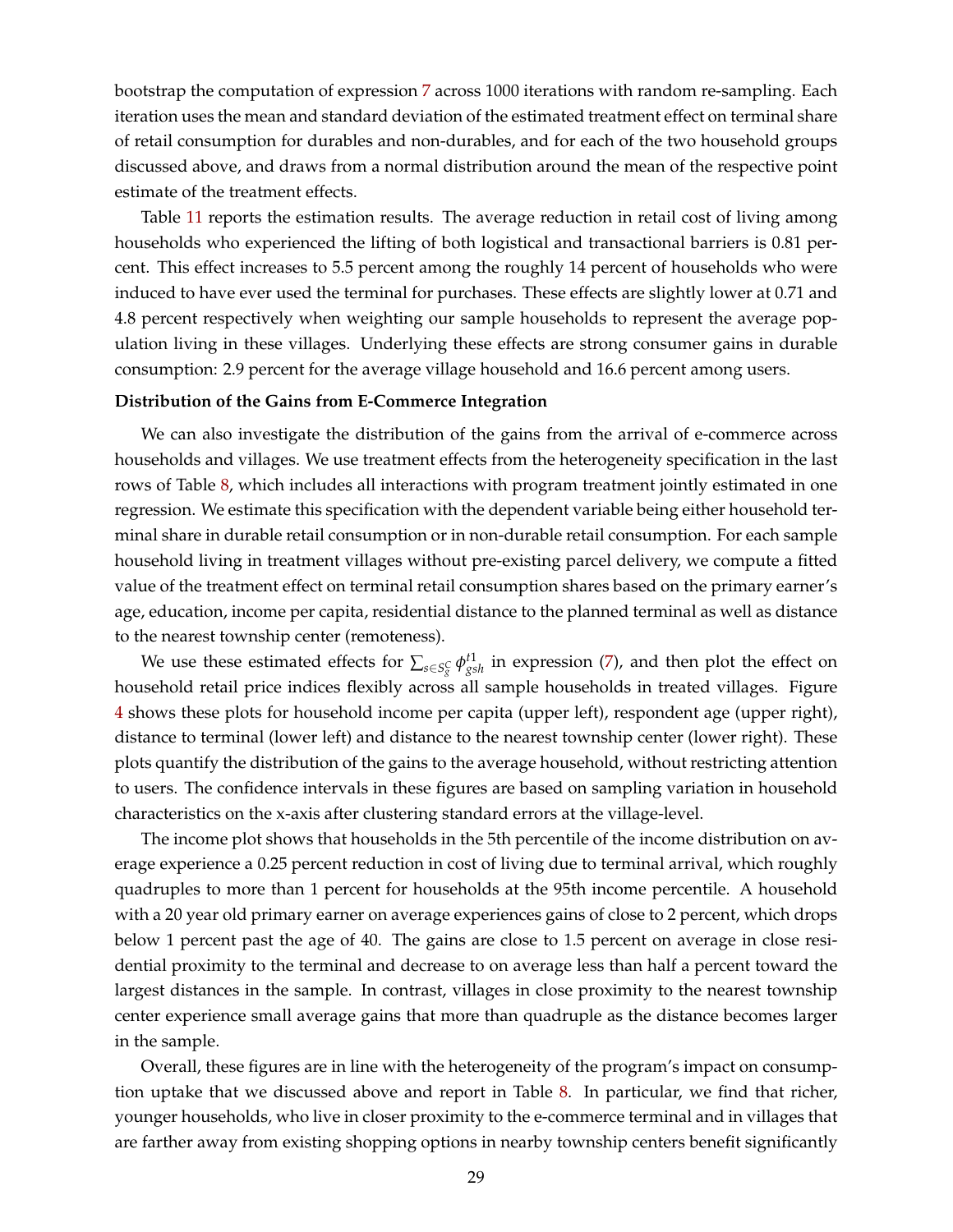bootstrap the computation of expression [7](#page-28-0) across 1000 iterations with random re-sampling. Each iteration uses the mean and standard deviation of the estimated treatment effect on terminal share of retail consumption for durables and non-durables, and for each of the two household groups discussed above, and draws from a normal distribution around the mean of the respective point estimate of the treatment effects.

Table [11](#page-48-0) reports the estimation results. The average reduction in retail cost of living among households who experienced the lifting of both logistical and transactional barriers is 0.81 percent. This effect increases to 5.5 percent among the roughly 14 percent of households who were induced to have ever used the terminal for purchases. These effects are slightly lower at 0.71 and 4.8 percent respectively when weighting our sample households to represent the average population living in these villages. Underlying these effects are strong consumer gains in durable consumption: 2.9 percent for the average village household and 16.6 percent among users.

#### **Distribution of the Gains from E-Commerce Integration**

We can also investigate the distribution of the gains from the arrival of e-commerce across households and villages. We use treatment effects from the heterogeneity specification in the last rows of Table [8,](#page-45-0) which includes all interactions with program treatment jointly estimated in one regression. We estimate this specification with the dependent variable being either household terminal share in durable retail consumption or in non-durable retail consumption. For each sample household living in treatment villages without pre-existing parcel delivery, we compute a fitted value of the treatment effect on terminal retail consumption shares based on the primary earner's age, education, income per capita, residential distance to the planned terminal as well as distance to the nearest township center (remoteness).

We use these estimated effects for  $\sum_{s \in S_g^C} \phi_{gsh}^{t1}$  in expression [\(7\)](#page-28-0), and then plot the effect on household retail price indices flexibly across all sample households in treated villages. Figure [4](#page-37-0) shows these plots for household income per capita (upper left), respondent age (upper right), distance to terminal (lower left) and distance to the nearest township center (lower right). These plots quantify the distribution of the gains to the average household, without restricting attention to users. The confidence intervals in these figures are based on sampling variation in household characteristics on the x-axis after clustering standard errors at the village-level.

The income plot shows that households in the 5th percentile of the income distribution on average experience a 0.25 percent reduction in cost of living due to terminal arrival, which roughly quadruples to more than 1 percent for households at the 95th income percentile. A household with a 20 year old primary earner on average experiences gains of close to 2 percent, which drops below 1 percent past the age of 40. The gains are close to 1.5 percent on average in close residential proximity to the terminal and decrease to on average less than half a percent toward the largest distances in the sample. In contrast, villages in close proximity to the nearest township center experience small average gains that more than quadruple as the distance becomes larger in the sample.

Overall, these figures are in line with the heterogeneity of the program's impact on consumption uptake that we discussed above and report in Table [8.](#page-45-0) In particular, we find that richer, younger households, who live in closer proximity to the e-commerce terminal and in villages that are farther away from existing shopping options in nearby township centers benefit significantly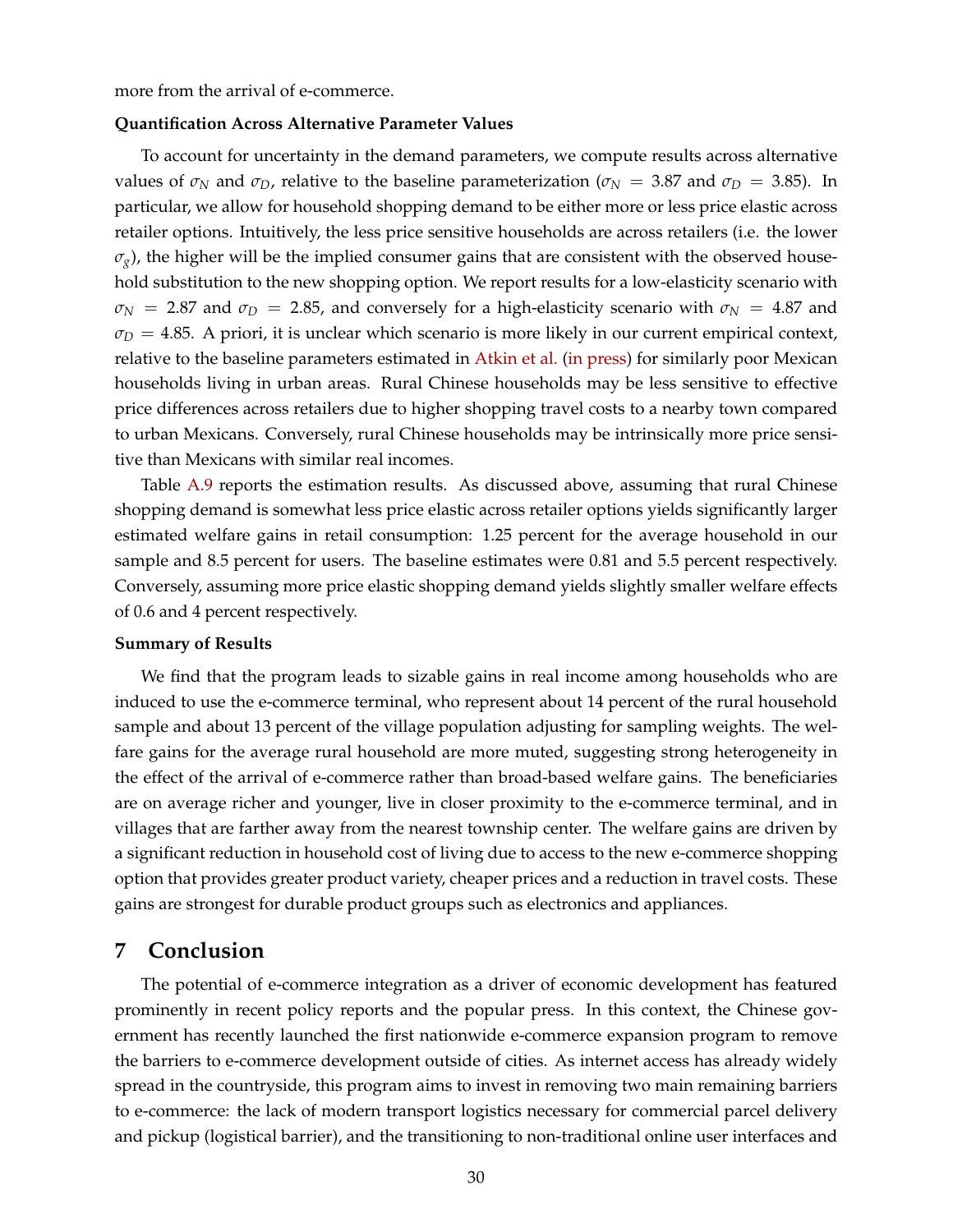more from the arrival of e-commerce.

#### **Quantification Across Alternative Parameter Values**

To account for uncertainty in the demand parameters, we compute results across alternative values of  $\sigma_N$  and  $\sigma_D$ , relative to the baseline parameterization ( $\sigma_N$  = 3.87 and  $\sigma_D$  = 3.85). In particular, we allow for household shopping demand to be either more or less price elastic across retailer options. Intuitively, the less price sensitive households are across retailers (i.e. the lower  $(\sigma_{\rm g})$ , the higher will be the implied consumer gains that are consistent with the observed household substitution to the new shopping option. We report results for a low-elasticity scenario with  $\sigma_N$  = 2.87 and  $\sigma_D$  = 2.85, and conversely for a high-elasticity scenario with  $\sigma_N$  = 4.87 and  $\sigma_D = 4.85$ . A priori, it is unclear which scenario is more likely in our current empirical context, relative to the baseline parameters estimated in [Atkin et al.](#page-32-4) [\(in press\)](#page-32-4) for similarly poor Mexican households living in urban areas. Rural Chinese households may be less sensitive to effective price differences across retailers due to higher shopping travel costs to a nearby town compared to urban Mexicans. Conversely, rural Chinese households may be intrinsically more price sensitive than Mexicans with similar real incomes.

Table [A.9](#page-57-0) reports the estimation results. As discussed above, assuming that rural Chinese shopping demand is somewhat less price elastic across retailer options yields significantly larger estimated welfare gains in retail consumption: 1.25 percent for the average household in our sample and 8.5 percent for users. The baseline estimates were 0.81 and 5.5 percent respectively. Conversely, assuming more price elastic shopping demand yields slightly smaller welfare effects of 0.6 and 4 percent respectively.

#### **Summary of Results**

We find that the program leads to sizable gains in real income among households who are induced to use the e-commerce terminal, who represent about 14 percent of the rural household sample and about 13 percent of the village population adjusting for sampling weights. The welfare gains for the average rural household are more muted, suggesting strong heterogeneity in the effect of the arrival of e-commerce rather than broad-based welfare gains. The beneficiaries are on average richer and younger, live in closer proximity to the e-commerce terminal, and in villages that are farther away from the nearest township center. The welfare gains are driven by a significant reduction in household cost of living due to access to the new e-commerce shopping option that provides greater product variety, cheaper prices and a reduction in travel costs. These gains are strongest for durable product groups such as electronics and appliances.

### <span id="page-30-0"></span>**7 Conclusion**

The potential of e-commerce integration as a driver of economic development has featured prominently in recent policy reports and the popular press. In this context, the Chinese government has recently launched the first nationwide e-commerce expansion program to remove the barriers to e-commerce development outside of cities. As internet access has already widely spread in the countryside, this program aims to invest in removing two main remaining barriers to e-commerce: the lack of modern transport logistics necessary for commercial parcel delivery and pickup (logistical barrier), and the transitioning to non-traditional online user interfaces and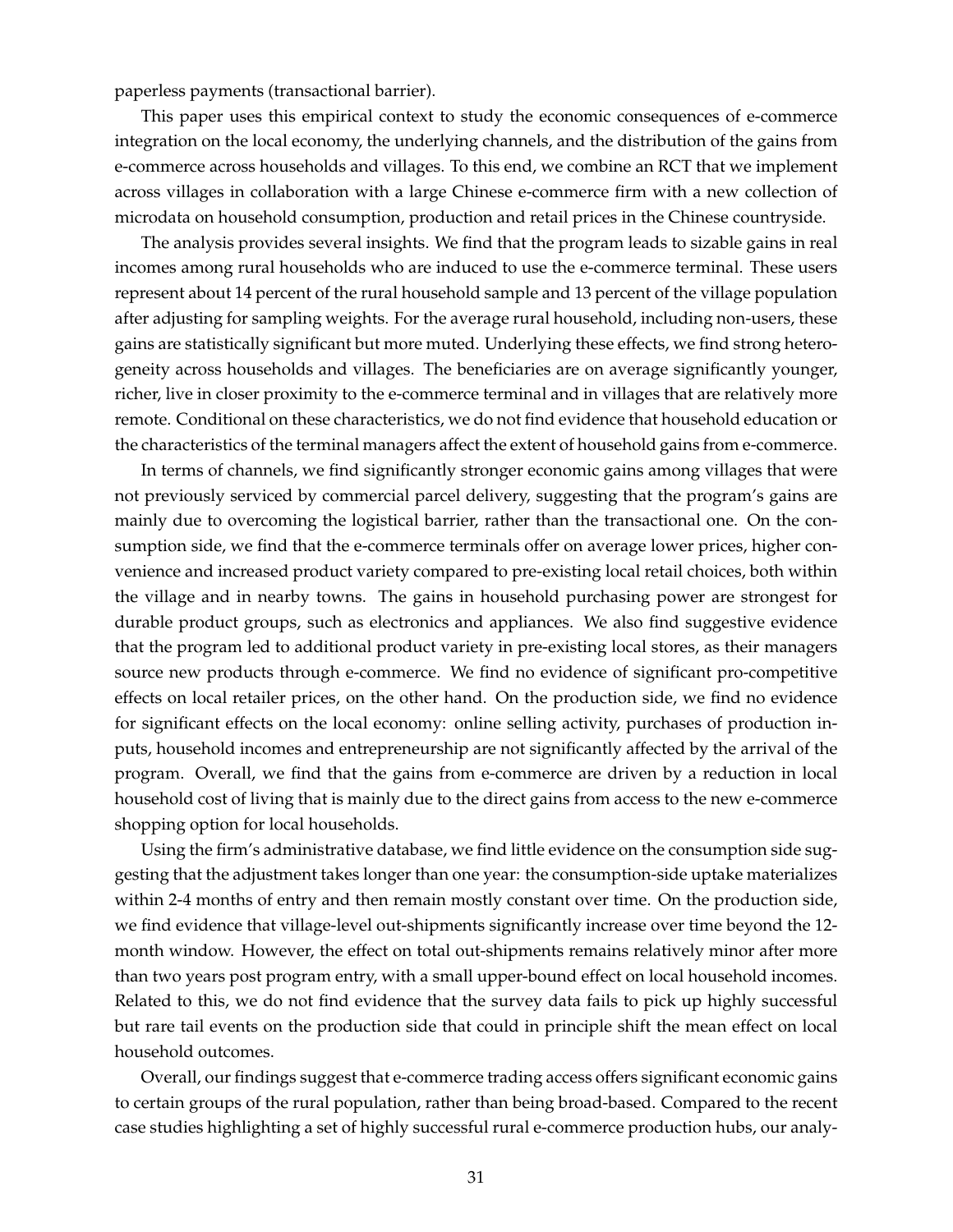paperless payments (transactional barrier).

This paper uses this empirical context to study the economic consequences of e-commerce integration on the local economy, the underlying channels, and the distribution of the gains from e-commerce across households and villages. To this end, we combine an RCT that we implement across villages in collaboration with a large Chinese e-commerce firm with a new collection of microdata on household consumption, production and retail prices in the Chinese countryside.

The analysis provides several insights. We find that the program leads to sizable gains in real incomes among rural households who are induced to use the e-commerce terminal. These users represent about 14 percent of the rural household sample and 13 percent of the village population after adjusting for sampling weights. For the average rural household, including non-users, these gains are statistically significant but more muted. Underlying these effects, we find strong heterogeneity across households and villages. The beneficiaries are on average significantly younger, richer, live in closer proximity to the e-commerce terminal and in villages that are relatively more remote. Conditional on these characteristics, we do not find evidence that household education or the characteristics of the terminal managers affect the extent of household gains from e-commerce.

In terms of channels, we find significantly stronger economic gains among villages that were not previously serviced by commercial parcel delivery, suggesting that the program's gains are mainly due to overcoming the logistical barrier, rather than the transactional one. On the consumption side, we find that the e-commerce terminals offer on average lower prices, higher convenience and increased product variety compared to pre-existing local retail choices, both within the village and in nearby towns. The gains in household purchasing power are strongest for durable product groups, such as electronics and appliances. We also find suggestive evidence that the program led to additional product variety in pre-existing local stores, as their managers source new products through e-commerce. We find no evidence of significant pro-competitive effects on local retailer prices, on the other hand. On the production side, we find no evidence for significant effects on the local economy: online selling activity, purchases of production inputs, household incomes and entrepreneurship are not significantly affected by the arrival of the program. Overall, we find that the gains from e-commerce are driven by a reduction in local household cost of living that is mainly due to the direct gains from access to the new e-commerce shopping option for local households.

Using the firm's administrative database, we find little evidence on the consumption side suggesting that the adjustment takes longer than one year: the consumption-side uptake materializes within 2-4 months of entry and then remain mostly constant over time. On the production side, we find evidence that village-level out-shipments significantly increase over time beyond the 12 month window. However, the effect on total out-shipments remains relatively minor after more than two years post program entry, with a small upper-bound effect on local household incomes. Related to this, we do not find evidence that the survey data fails to pick up highly successful but rare tail events on the production side that could in principle shift the mean effect on local household outcomes.

Overall, our findings suggest that e-commerce trading access offers significant economic gains to certain groups of the rural population, rather than being broad-based. Compared to the recent case studies highlighting a set of highly successful rural e-commerce production hubs, our analy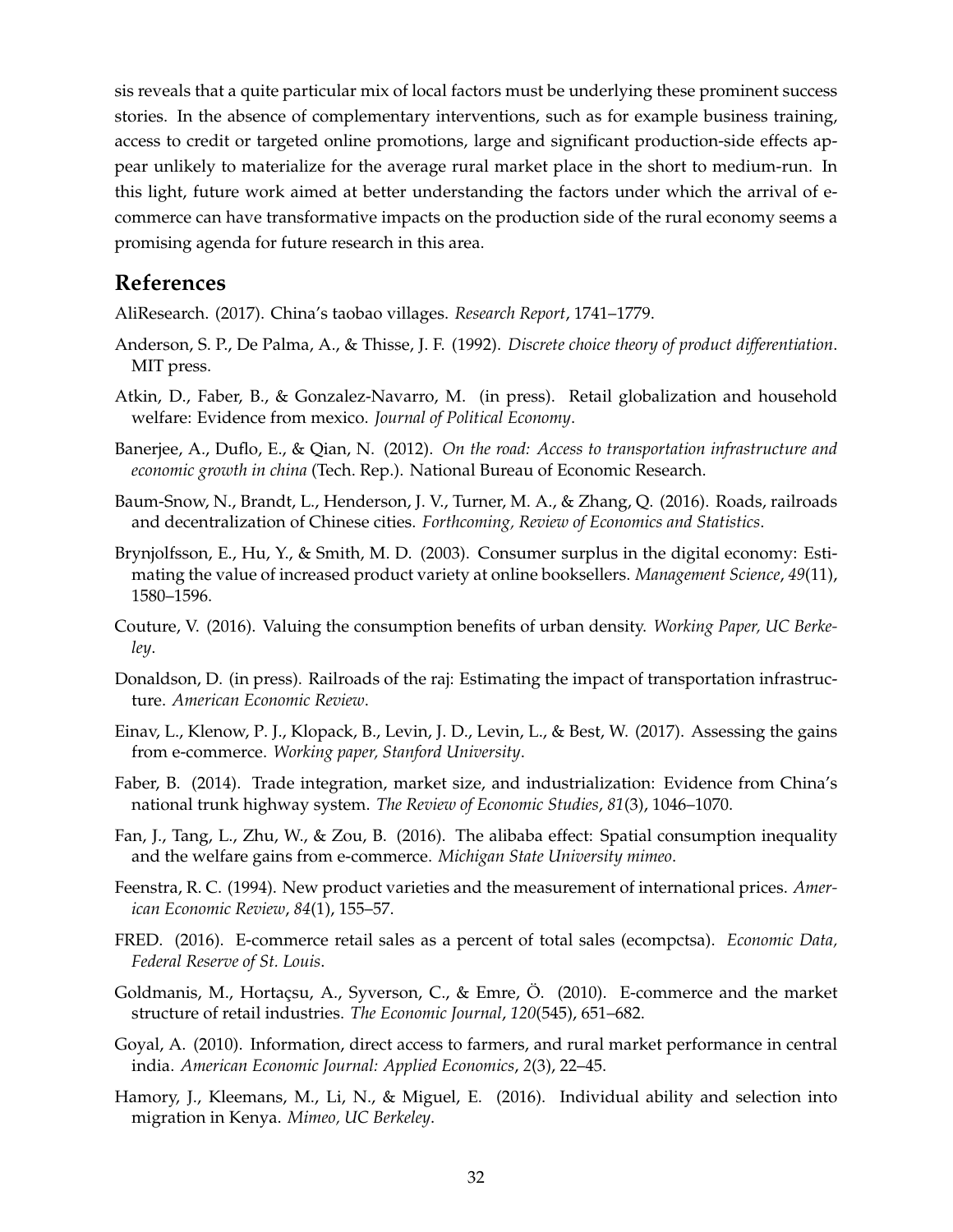sis reveals that a quite particular mix of local factors must be underlying these prominent success stories. In the absence of complementary interventions, such as for example business training, access to credit or targeted online promotions, large and significant production-side effects appear unlikely to materialize for the average rural market place in the short to medium-run. In this light, future work aimed at better understanding the factors under which the arrival of ecommerce can have transformative impacts on the production side of the rural economy seems a promising agenda for future research in this area.

# **References**

<span id="page-32-0"></span>AliResearch. (2017). China's taobao villages. *Research Report*, 1741–1779.

- <span id="page-32-15"></span>Anderson, S. P., De Palma, A., & Thisse, J. F. (1992). *Discrete choice theory of product differentiation*. MIT press.
- <span id="page-32-4"></span>Atkin, D., Faber, B., & Gonzalez-Navarro, M. (in press). Retail globalization and household welfare: Evidence from mexico. *Journal of Political Economy*.
- <span id="page-32-6"></span>Banerjee, A., Duflo, E., & Qian, N. (2012). *On the road: Access to transportation infrastructure and economic growth in china* (Tech. Rep.). National Bureau of Economic Research.
- <span id="page-32-7"></span>Baum-Snow, N., Brandt, L., Henderson, J. V., Turner, M. A., & Zhang, Q. (2016). Roads, railroads and decentralization of Chinese cities. *Forthcoming, Review of Economics and Statistics*.
- <span id="page-32-9"></span>Brynjolfsson, E., Hu, Y., & Smith, M. D. (2003). Consumer surplus in the digital economy: Estimating the value of increased product variety at online booksellers. *Management Science*, *49*(11), 1580–1596.
- <span id="page-32-12"></span>Couture, V. (2016). Valuing the consumption benefits of urban density. *Working Paper, UC Berkeley*.
- <span id="page-32-5"></span>Donaldson, D. (in press). Railroads of the raj: Estimating the impact of transportation infrastructure. *American Economic Review*.
- <span id="page-32-11"></span>Einav, L., Klenow, P. J., Klopack, B., Levin, J. D., Levin, L., & Best, W. (2017). Assessing the gains from e-commerce. *Working paper, Stanford University*.
- <span id="page-32-8"></span>Faber, B. (2014). Trade integration, market size, and industrialization: Evidence from China's national trunk highway system. *The Review of Economic Studies*, *81*(3), 1046–1070.
- <span id="page-32-2"></span>Fan, J., Tang, L., Zhu, W., & Zou, B. (2016). The alibaba effect: Spatial consumption inequality and the welfare gains from e-commerce. *Michigan State University mimeo*.
- <span id="page-32-3"></span>Feenstra, R. C. (1994). New product varieties and the measurement of international prices. *American Economic Review*, *84*(1), 155–57.
- <span id="page-32-1"></span>FRED. (2016). E-commerce retail sales as a percent of total sales (ecompctsa). *Economic Data, Federal Reserve of St. Louis*.
- <span id="page-32-10"></span>Goldmanis, M., Hortaçsu, A., Syverson, C., & Emre, Ö. (2010). E-commerce and the market structure of retail industries. *The Economic Journal*, *120*(545), 651–682.
- <span id="page-32-13"></span>Goyal, A. (2010). Information, direct access to farmers, and rural market performance in central india. *American Economic Journal: Applied Economics*, *2*(3), 22–45.
- <span id="page-32-14"></span>Hamory, J., Kleemans, M., Li, N., & Miguel, E. (2016). Individual ability and selection into migration in Kenya. *Mimeo, UC Berkeley*.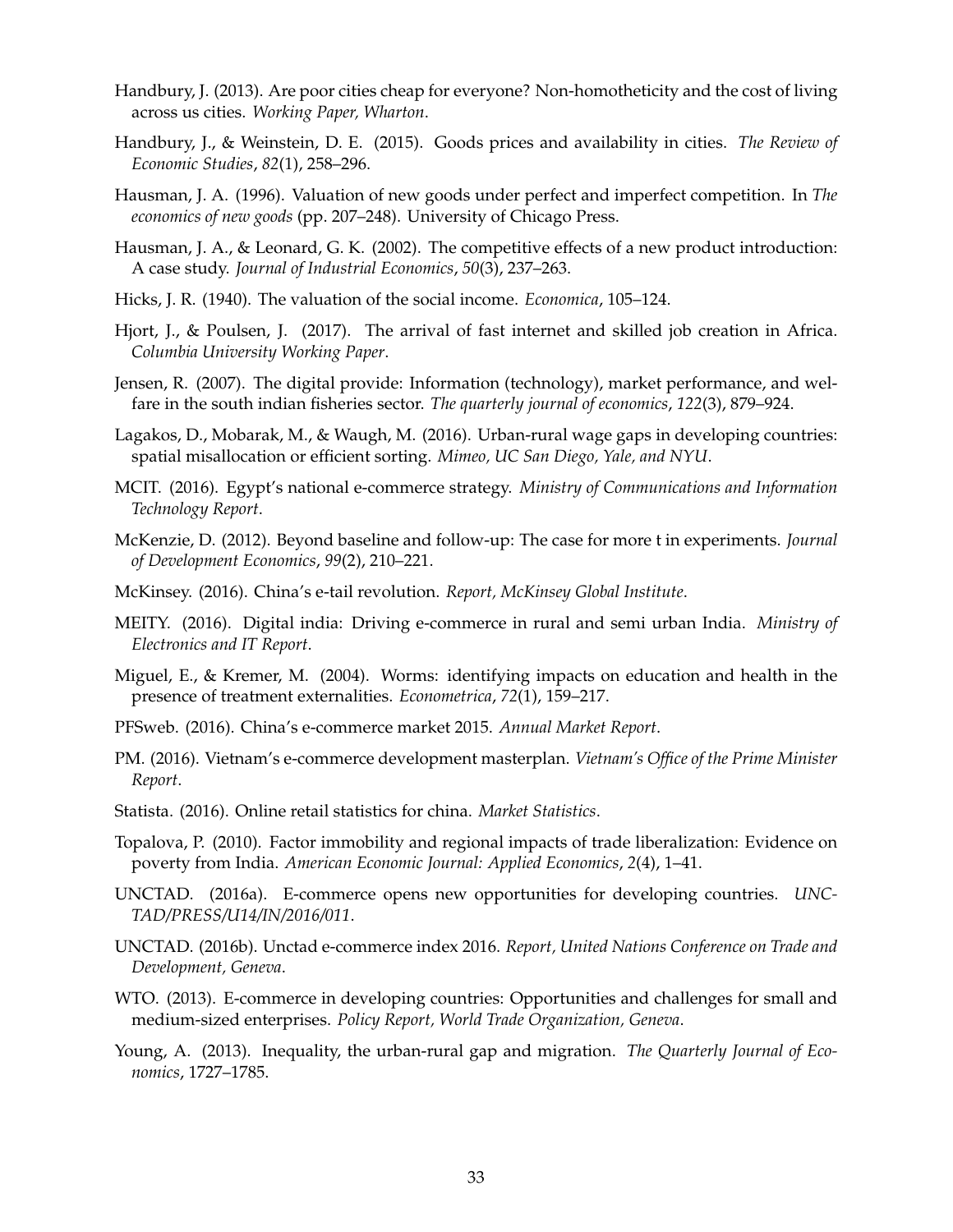- <span id="page-33-13"></span>Handbury, J. (2013). Are poor cities cheap for everyone? Non-homotheticity and the cost of living across us cities. *Working Paper, Wharton*.
- <span id="page-33-14"></span>Handbury, J., & Weinstein, D. E. (2015). Goods prices and availability in cities. *The Review of Economic Studies*, *82*(1), 258–296.
- <span id="page-33-9"></span>Hausman, J. A. (1996). Valuation of new goods under perfect and imperfect competition. In *The economics of new goods* (pp. 207–248). University of Chicago Press.
- <span id="page-33-17"></span>Hausman, J. A., & Leonard, G. K. (2002). The competitive effects of a new product introduction: A case study. *Journal of Industrial Economics*, *50*(3), 237–263.
- <span id="page-33-18"></span>Hicks, J. R. (1940). The valuation of the social income. *Economica*, 105–124.
- <span id="page-33-11"></span>Hjort, J., & Poulsen, J. (2017). The arrival of fast internet and skilled job creation in Africa. *Columbia University Working Paper*.
- <span id="page-33-10"></span>Jensen, R. (2007). The digital provide: Information (technology), market performance, and welfare in the south indian fisheries sector. *The quarterly journal of economics*, *122*(3), 879–924.
- <span id="page-33-16"></span>Lagakos, D., Mobarak, M., & Waugh, M. (2016). Urban-rural wage gaps in developing countries: spatial misallocation or efficient sorting. *Mimeo, UC San Diego, Yale, and NYU*.
- <span id="page-33-5"></span>MCIT. (2016). Egypt's national e-commerce strategy. *Ministry of Communications and Information Technology Report*.
- <span id="page-33-20"></span>McKenzie, D. (2012). Beyond baseline and follow-up: The case for more t in experiments. *Journal of Development Economics*, *99*(2), 210–221.
- <span id="page-33-8"></span>McKinsey. (2016). China's e-tail revolution. *Report, McKinsey Global Institute*.
- <span id="page-33-4"></span>MEITY. (2016). Digital india: Driving e-commerce in rural and semi urban India. *Ministry of Electronics and IT Report*.
- <span id="page-33-19"></span>Miguel, E., & Kremer, M. (2004). Worms: identifying impacts on education and health in the presence of treatment externalities. *Econometrica*, *72*(1), 159–217.
- <span id="page-33-2"></span>PFSweb. (2016). China's e-commerce market 2015. *Annual Market Report*.
- <span id="page-33-6"></span>PM. (2016). Vietnam's e-commerce development masterplan. *Vietnam's Office of the Prime Minister Report*.
- <span id="page-33-3"></span>Statista. (2016). Online retail statistics for china. *Market Statistics*.
- <span id="page-33-12"></span>Topalova, P. (2010). Factor immobility and regional impacts of trade liberalization: Evidence on poverty from India. *American Economic Journal: Applied Economics*, *2*(4), 1–41.
- <span id="page-33-7"></span>UNCTAD. (2016a). E-commerce opens new opportunities for developing countries. *UNC-TAD/PRESS/U14/IN/2016/011*.
- <span id="page-33-1"></span>UNCTAD. (2016b). Unctad e-commerce index 2016. *Report, United Nations Conference on Trade and Development, Geneva*.
- <span id="page-33-0"></span>WTO. (2013). E-commerce in developing countries: Opportunities and challenges for small and medium-sized enterprises. *Policy Report, World Trade Organization, Geneva*.
- <span id="page-33-15"></span>Young, A. (2013). Inequality, the urban-rural gap and migration. *The Quarterly Journal of Economics*, 1727–1785.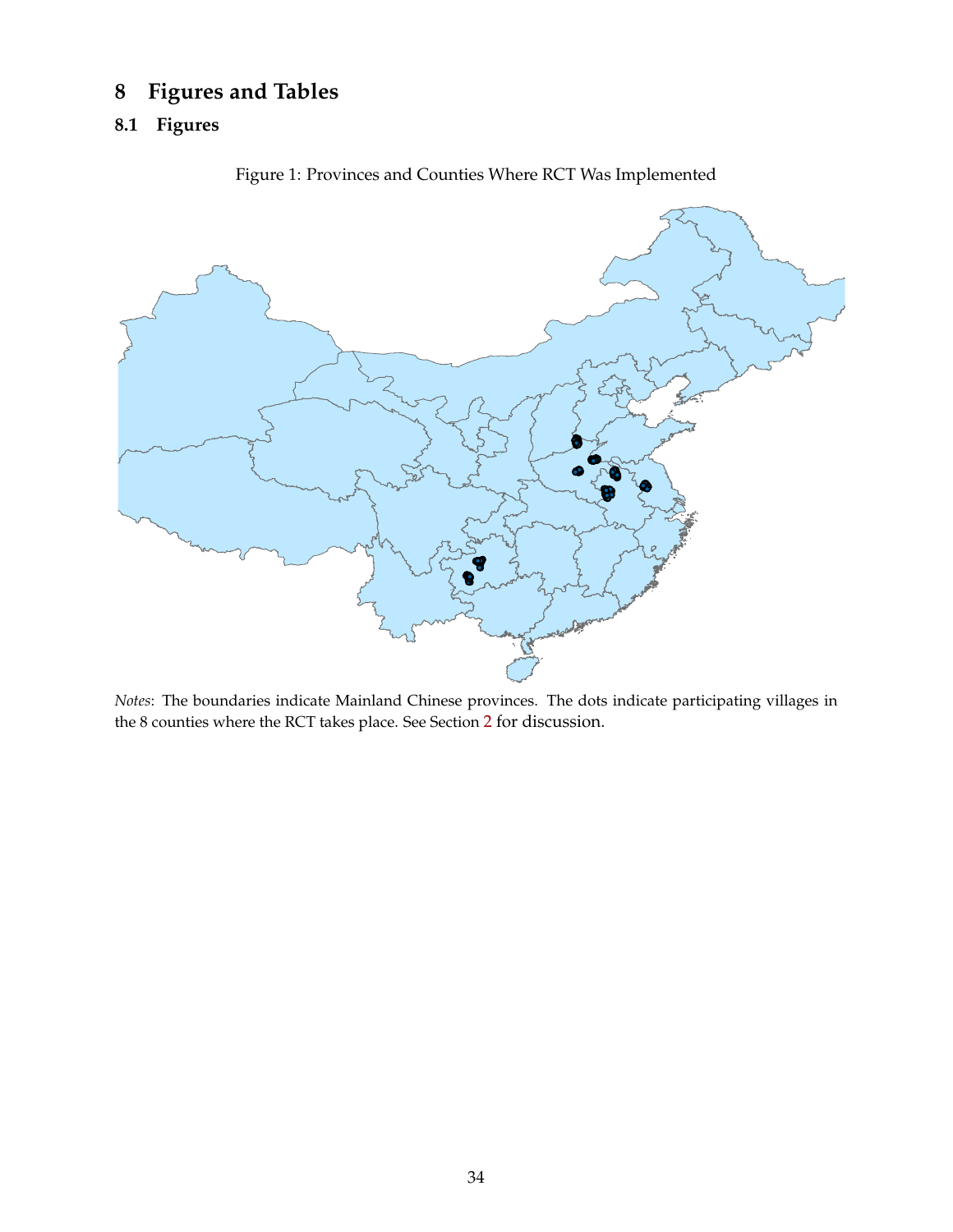# **8 Figures and Tables**

# <span id="page-34-0"></span>**8.1 Figures**



Figure 1: Provinces and Counties Where RCT Was Implemented

*Notes*: The boundaries indicate Mainland Chinese provinces. The dots indicate participating villages in the 8 counties where the RCT takes place. See Section [2](#page-7-0) for discussion.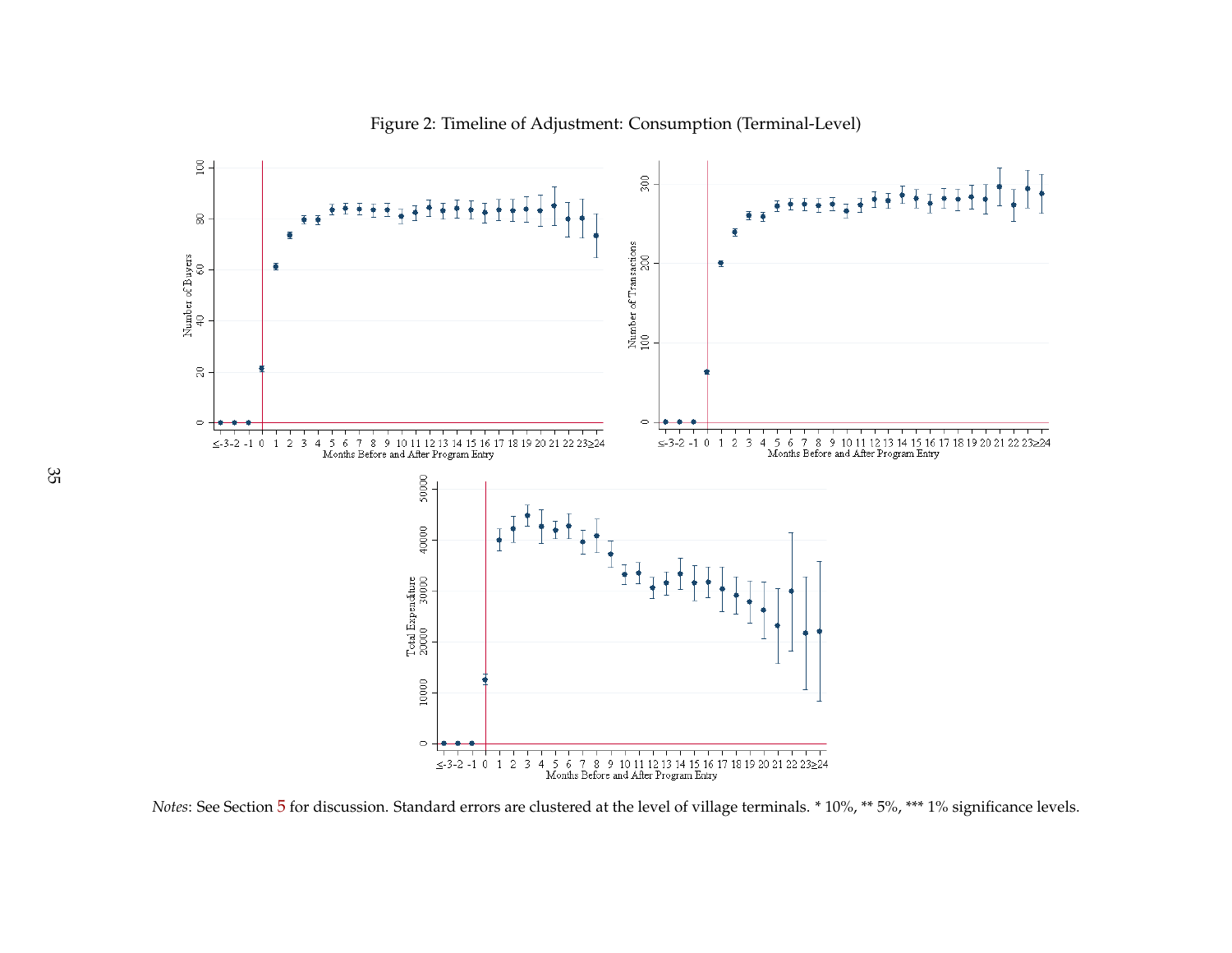

Figure 2: Timeline of Adjustment: Consumption (Terminal-Level)

<span id="page-35-0"></span>*Notes*: See Section [5](#page-24-1) for discussion. Standard errors are clustered at the level of village terminals. \* 10%, \*\* 5%, \*\*\* 1% significance levels.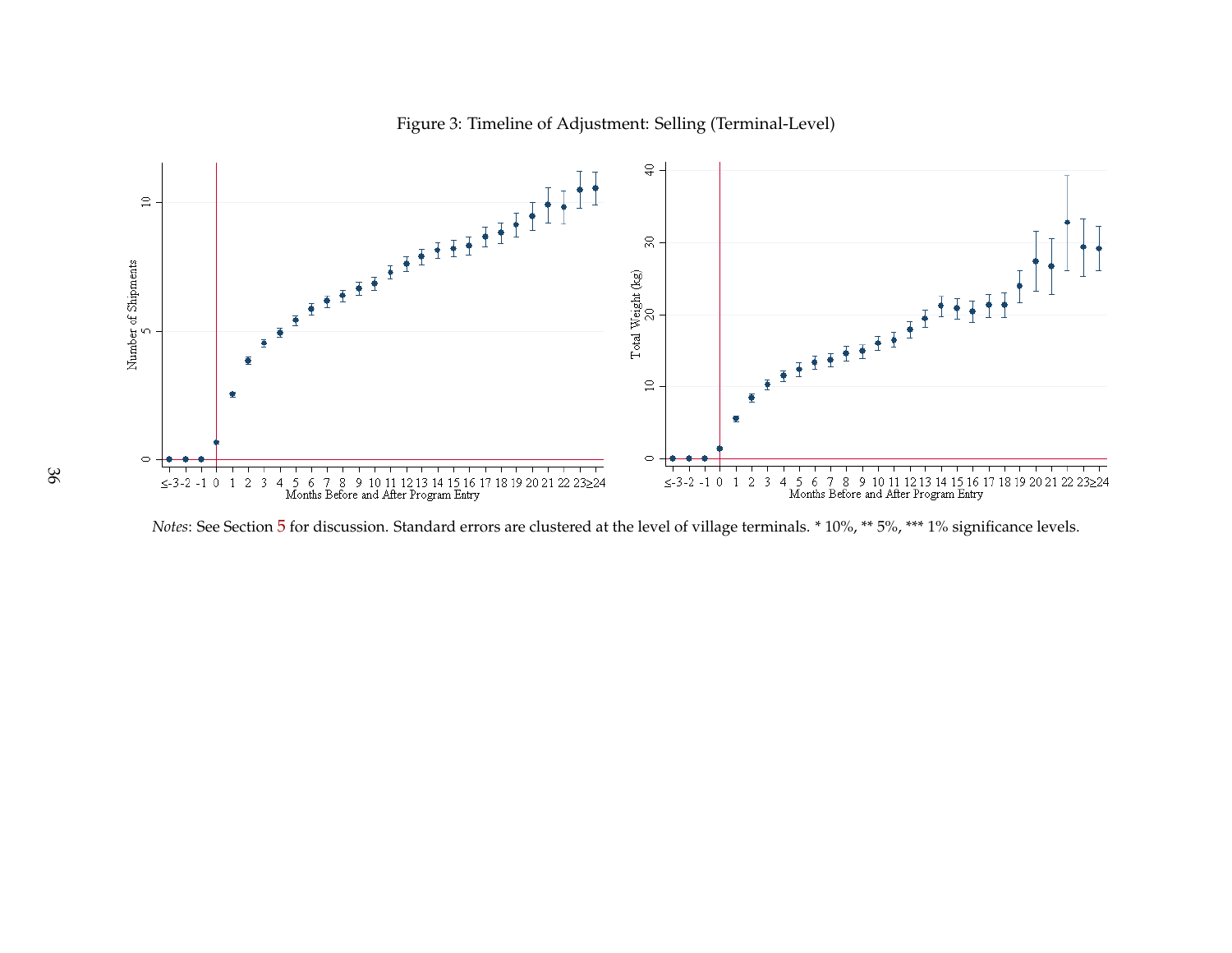

### <span id="page-36-0"></span>Figure 3: Timeline of Adjustment: Selling (Terminal-Level)

*Notes*: See Section [5](#page-24-1) for discussion. Standard errors are clustered at the level of village terminals. \* 10%, \*\* 5%, \*\*\* 1% significance levels.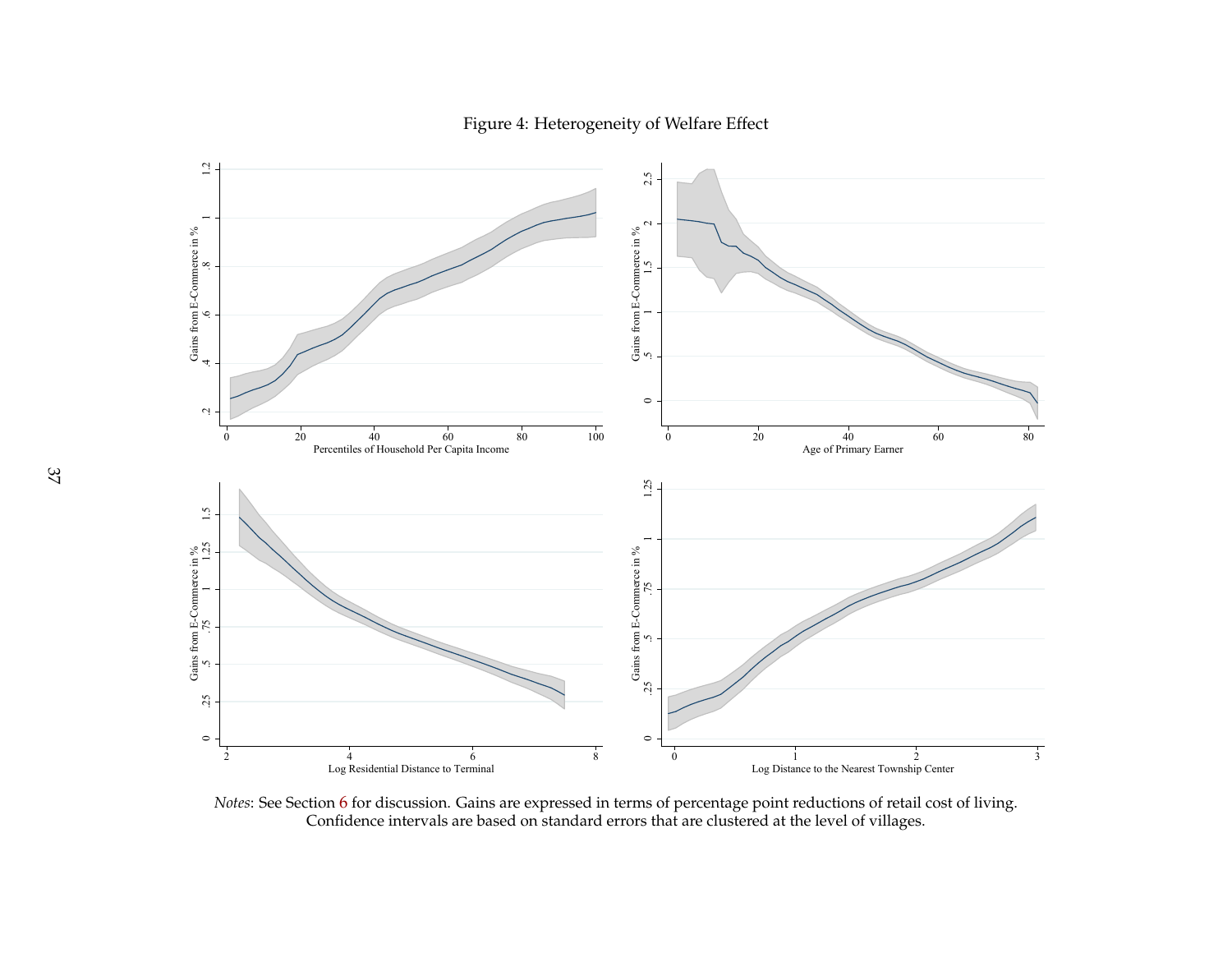<span id="page-37-0"></span>Figure 4: Heterogeneity of Welfare Effect



*Notes*: See Section [6](#page-27-1) for discussion. Gains are expresse<sup>d</sup> in terms of percentage point reductions of retail cost of living. Confidence intervals are based on standard errors that are clustered at the level of villages.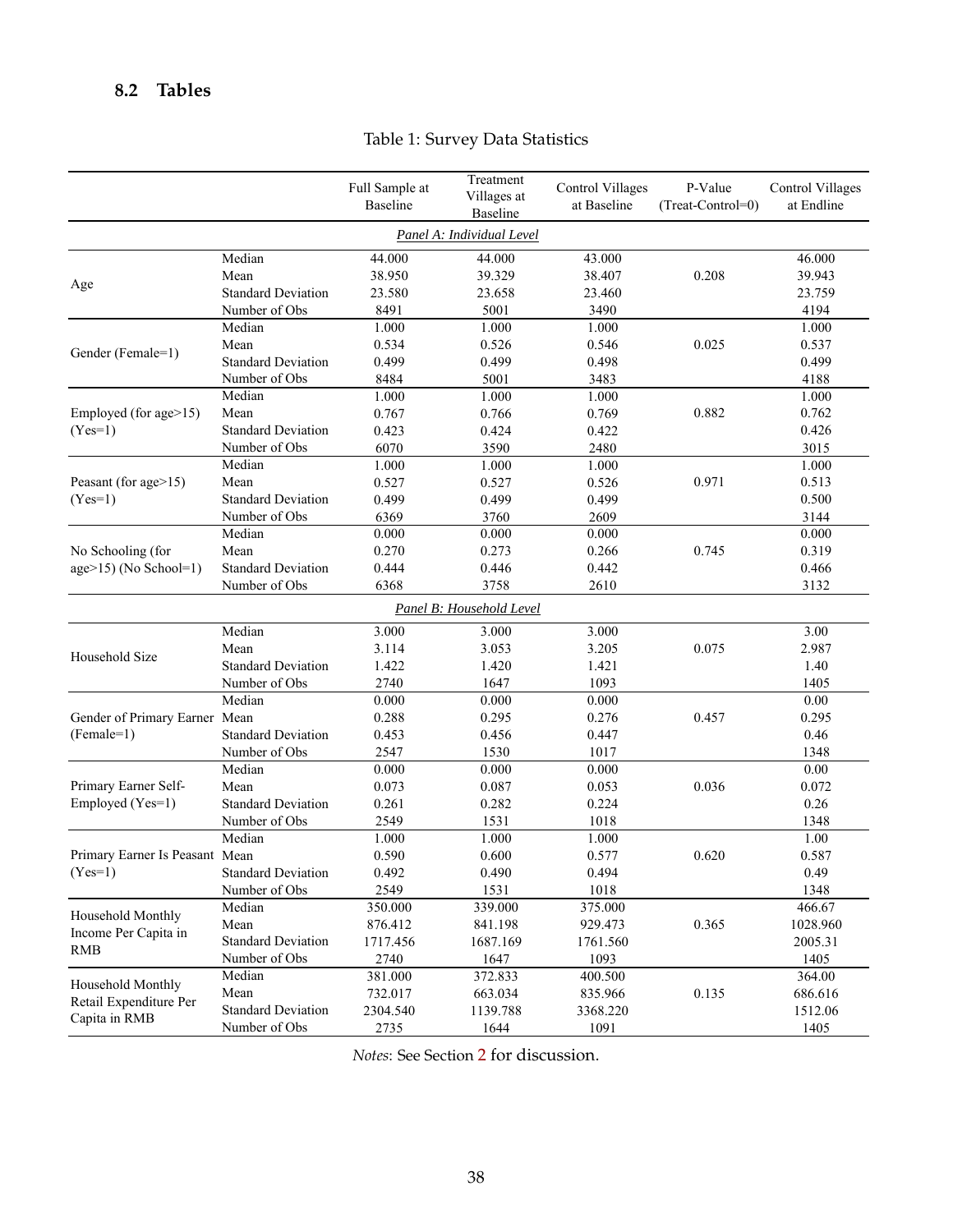# <span id="page-38-0"></span>**8.2 Tables**

|                                    |                           | Full Sample at<br>Baseline | Treatment<br>Villages at<br>Baseline | <b>Control Villages</b><br>at Baseline | P-Value<br>(Treat-Control=0) | <b>Control Villages</b><br>at Endline |  |  |  |  |  |
|------------------------------------|---------------------------|----------------------------|--------------------------------------|----------------------------------------|------------------------------|---------------------------------------|--|--|--|--|--|
| Panel A: Individual Level          |                           |                            |                                      |                                        |                              |                                       |  |  |  |  |  |
|                                    | Median                    | 44.000                     | 44.000                               | 43.000                                 |                              | 46.000                                |  |  |  |  |  |
|                                    | Mean                      | 38.950                     | 39.329                               | 38.407                                 | 0.208                        | 39.943                                |  |  |  |  |  |
| Age                                | <b>Standard Deviation</b> | 23.580                     | 23.658                               | 23.460                                 |                              | 23.759                                |  |  |  |  |  |
|                                    | Number of Obs             | 8491                       | 5001                                 | 3490                                   |                              | 4194                                  |  |  |  |  |  |
|                                    | Median                    | 1.000                      | 1.000                                | 1.000                                  |                              | 1.000                                 |  |  |  |  |  |
|                                    | Mean                      | 0.534                      | 0.526                                | 0.546                                  | 0.025                        | 0.537                                 |  |  |  |  |  |
| Gender (Female=1)                  | <b>Standard Deviation</b> | 0.499                      | 0.499                                | 0.498                                  |                              | 0.499                                 |  |  |  |  |  |
|                                    | Number of Obs             | 8484                       | 5001                                 | 3483                                   |                              | 4188                                  |  |  |  |  |  |
|                                    | Median                    | 1.000                      | 1.000                                | 1.000                                  |                              | 1.000                                 |  |  |  |  |  |
| Employed (for age>15)              | Mean                      | 0.767                      | 0.766                                | 0.769                                  | 0.882                        | 0.762                                 |  |  |  |  |  |
| $(Yes=1)$                          | <b>Standard Deviation</b> | 0.423                      | 0.424                                | 0.422                                  |                              | 0.426                                 |  |  |  |  |  |
|                                    | Number of Obs             | 6070                       | 3590                                 | 2480                                   |                              | 3015                                  |  |  |  |  |  |
|                                    | Median                    | 1.000                      | 1.000                                | 1.000                                  |                              | 1.000                                 |  |  |  |  |  |
| Peasant (for age>15)               | Mean                      | 0.527                      | 0.527                                | 0.526                                  | 0.971                        | 0.513                                 |  |  |  |  |  |
| $(Yes=1)$                          | <b>Standard Deviation</b> | 0.499                      | 0.499                                | 0.499                                  |                              | 0.500                                 |  |  |  |  |  |
|                                    | Number of Obs             | 6369                       | 3760                                 | 2609                                   |                              | 3144                                  |  |  |  |  |  |
|                                    | Median                    | 0.000                      | 0.000                                | 0.000                                  |                              | 0.000                                 |  |  |  |  |  |
| No Schooling (for                  | Mean                      | 0.270                      | 0.273                                | 0.266                                  | 0.745                        | 0.319                                 |  |  |  |  |  |
| $age>15$ (No School=1)             | <b>Standard Deviation</b> | 0.444                      | 0.446                                | 0.442                                  |                              | 0.466                                 |  |  |  |  |  |
|                                    | Number of Obs             | 6368                       | 3758                                 | 2610                                   |                              | 3132                                  |  |  |  |  |  |
|                                    |                           |                            | Panel B: Household Level             |                                        |                              |                                       |  |  |  |  |  |
|                                    | Median                    | 3.000                      | 3.000                                | 3.000                                  |                              | 3.00                                  |  |  |  |  |  |
|                                    | Mean                      | 3.114                      | 3.053                                | 3.205                                  | 0.075                        | 2.987                                 |  |  |  |  |  |
| Household Size                     | <b>Standard Deviation</b> | 1.422                      | 1.420                                | 1.421                                  |                              | 1.40                                  |  |  |  |  |  |
|                                    | Number of Obs             | 2740                       | 1647                                 | 1093                                   |                              | 1405                                  |  |  |  |  |  |
|                                    | Median                    | 0.000                      | 0.000                                | 0.000                                  |                              | 0.00                                  |  |  |  |  |  |
| Gender of Primary Earner Mean      |                           | 0.288                      | 0.295                                | 0.276                                  | 0.457                        | 0.295                                 |  |  |  |  |  |
| $(Female=1)$                       | <b>Standard Deviation</b> | 0.453                      | 0.456                                | 0.447                                  |                              | 0.46                                  |  |  |  |  |  |
|                                    | Number of Obs             | 2547                       | 1530                                 | 1017                                   |                              | 1348                                  |  |  |  |  |  |
|                                    | Median                    | 0.000                      | 0.000                                | 0.000                                  |                              | 0.00                                  |  |  |  |  |  |
| Primary Earner Self-               | Mean                      | 0.073                      | 0.087                                | 0.053                                  | 0.036                        | 0.072                                 |  |  |  |  |  |
| Employed (Yes=1)                   | <b>Standard Deviation</b> | 0.261                      | 0.282                                | 0.224                                  |                              | 0.26                                  |  |  |  |  |  |
|                                    | Number of Obs             | 2549                       | 1531                                 | 1018                                   |                              | 1348                                  |  |  |  |  |  |
|                                    | Median                    | 1.000                      | 1.000                                | 1.000                                  |                              | 1.00                                  |  |  |  |  |  |
| Primary Earner Is Peasant Mean     |                           | 0.590                      | 0.600                                | 0.577                                  | 0.620                        | 0.587                                 |  |  |  |  |  |
| $(Yes=1)$                          | <b>Standard Deviation</b> | 0.492                      | 0.490                                | 0.494                                  |                              | 0.49                                  |  |  |  |  |  |
|                                    | Number of Obs             | 2549                       | 1531                                 | 1018                                   |                              | 1348                                  |  |  |  |  |  |
| Household Monthly                  | Median                    | 350.000                    | 339.000                              | 375.000                                |                              | 466.67                                |  |  |  |  |  |
|                                    | Mean                      | 876.412                    | 841.198                              | 929.473                                | 0.365                        | 1028.960                              |  |  |  |  |  |
| Income Per Capita in<br><b>RMB</b> | <b>Standard Deviation</b> | 1717.456                   | 1687.169                             | 1761.560                               |                              | 2005.31                               |  |  |  |  |  |
|                                    | Number of Obs             | 2740                       | 1647                                 | 1093                                   |                              | 1405                                  |  |  |  |  |  |
| Household Monthly                  | Median                    | 381.000                    | 372.833                              | 400.500                                |                              | 364.00                                |  |  |  |  |  |
| Retail Expenditure Per             | Mean                      | 732.017                    | 663.034                              | 835.966                                | 0.135                        | 686.616                               |  |  |  |  |  |
| Capita in RMB                      | <b>Standard Deviation</b> | 2304.540                   | 1139.788                             | 3368.220                               |                              | 1512.06                               |  |  |  |  |  |
|                                    | Number of Obs             | 2735                       | 1644                                 | 1091                                   |                              | 1405                                  |  |  |  |  |  |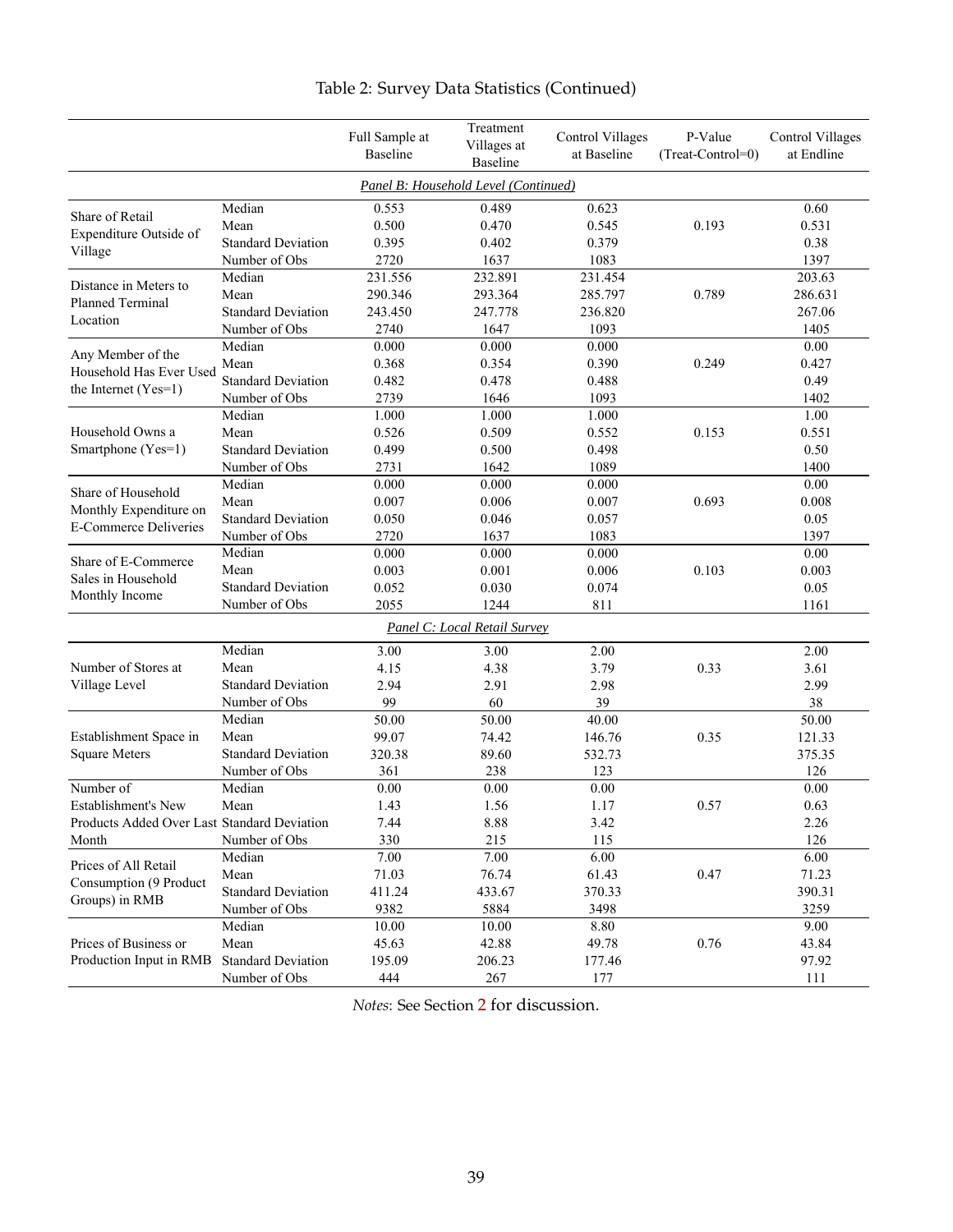<span id="page-39-0"></span>

|                                             |                           | Full Sample at<br><b>Baseline</b> | Treatment<br>Villages at<br><b>Baseline</b> | <b>Control Villages</b><br>at Baseline | P-Value<br>(Treat-Control=0) | <b>Control Villages</b><br>at Endline |
|---------------------------------------------|---------------------------|-----------------------------------|---------------------------------------------|----------------------------------------|------------------------------|---------------------------------------|
|                                             |                           |                                   | Panel B: Household Level (Continued)        |                                        |                              |                                       |
| Share of Retail                             | Median                    | 0.553                             | 0.489                                       | 0.623                                  |                              | 0.60                                  |
|                                             | Mean                      | 0.500                             | 0.470                                       | 0.545                                  | 0.193                        | 0.531                                 |
| Expenditure Outside of                      | <b>Standard Deviation</b> | 0.395                             | 0.402                                       | 0.379                                  |                              | 0.38                                  |
| Village                                     | Number of Obs             | 2720                              | 1637                                        | 1083                                   |                              | 1397                                  |
| Distance in Meters to                       | Median                    | 231.556                           | 232.891                                     | 231.454                                |                              | 203.63                                |
| <b>Planned Terminal</b>                     | Mean                      | 290.346                           | 293.364                                     | 285.797                                | 0.789                        | 286.631                               |
|                                             | <b>Standard Deviation</b> | 243.450                           | 247.778                                     | 236.820                                |                              | 267.06                                |
| Location                                    | Number of Obs             | 2740                              | 1647                                        | 1093                                   |                              | 1405                                  |
|                                             | Median                    | 0.000                             | 0.000                                       | 0.000                                  |                              | 0.00                                  |
| Any Member of the                           | Mean                      | 0.368                             | 0.354                                       | 0.390                                  | 0.249                        | 0.427                                 |
| Household Has Ever Used                     | <b>Standard Deviation</b> | 0.482                             | 0.478                                       | 0.488                                  |                              | 0.49                                  |
| the Internet $(Yes=1)$                      | Number of Obs             | 2739                              | 1646                                        | 1093                                   |                              | 1402                                  |
|                                             | Median                    | 1.000                             | 1.000                                       | 1.000                                  |                              | 1.00                                  |
| Household Owns a                            | Mean                      | 0.526                             | 0.509                                       | 0.552                                  | 0.153                        | 0.551                                 |
| Smartphone (Yes=1)                          | <b>Standard Deviation</b> | 0.499                             | 0.500                                       | 0.498                                  |                              | 0.50                                  |
|                                             | Number of Obs             | 2731                              | 1642                                        | 1089                                   |                              | 1400                                  |
|                                             | Median                    | 0.000                             | 0.000                                       | 0.000                                  |                              | 0.00                                  |
| Share of Household                          | Mean                      | 0.007                             | 0.006                                       | 0.007                                  | 0.693                        | 0.008                                 |
| Monthly Expenditure on                      | <b>Standard Deviation</b> | 0.050                             | 0.046                                       | 0.057                                  |                              | 0.05                                  |
| <b>E-Commerce Deliveries</b>                | Number of Obs             | 2720                              | 1637                                        | 1083                                   |                              | 1397                                  |
| Share of E-Commerce<br>Sales in Household   | Median                    | 0.000                             | 0.000                                       | 0.000                                  |                              | 0.00                                  |
|                                             | Mean                      | 0.003                             | 0.001                                       | 0.006                                  | 0.103                        | 0.003                                 |
|                                             | <b>Standard Deviation</b> | 0.052                             | 0.030                                       | 0.074                                  |                              | 0.05                                  |
| Monthly Income                              | Number of Obs             | 2055                              | 1244                                        | 811                                    |                              | 1161                                  |
|                                             |                           |                                   | Panel C: Local Retail Survey                |                                        |                              |                                       |
|                                             | Median                    | 3.00                              | 3.00                                        | 2.00                                   |                              | 2.00                                  |
| Number of Stores at                         | Mean                      | 4.15                              | 4.38                                        | 3.79                                   | 0.33                         | 3.61                                  |
| Village Level                               | <b>Standard Deviation</b> | 2.94                              | 2.91                                        | 2.98                                   |                              | 2.99                                  |
|                                             | Number of Obs             | 99                                | 60                                          | 39                                     |                              | 38                                    |
|                                             | Median                    | 50.00                             | 50.00                                       | 40.00                                  |                              | 50.00                                 |
| Establishment Space in                      | Mean                      | 99.07                             | 74.42                                       | 146.76                                 | 0.35                         | 121.33                                |
| <b>Square Meters</b>                        | <b>Standard Deviation</b> | 320.38                            | 89.60                                       | 532.73                                 |                              | 375.35                                |
|                                             | Number of Obs             | 361                               | 238                                         | 123                                    |                              | 126                                   |
| Number of                                   | Median                    | 0.00                              | 0.00                                        | 0.00                                   |                              | 0.00                                  |
| Establishment's New                         | Mean                      | 1.43                              | 1.56                                        | 1.17                                   | 0.57                         | 0.63                                  |
| Products Added Over Last Standard Deviation |                           | 7.44                              | 8.88                                        | 3.42                                   |                              | 2.26                                  |
| Month                                       | Number of Obs             | 330                               | 215                                         | 115                                    |                              | 126                                   |
|                                             | Median                    | 7.00                              | 7.00                                        | 6.00                                   |                              | 6.00                                  |
| Prices of All Retail                        | Mean                      | 71.03                             | 76.74                                       | 61.43                                  | 0.47                         | 71.23                                 |
| Consumption (9 Product                      | <b>Standard Deviation</b> | 411.24                            | 433.67                                      | 370.33                                 |                              | 390.31                                |
| Groups) in RMB                              | Number of Obs             | 9382                              | 5884                                        | 3498                                   |                              | 3259                                  |
|                                             | Median                    | 10.00                             | 10.00                                       | 8.80                                   |                              | 9.00                                  |
| Prices of Business or                       | Mean                      | 45.63                             | 42.88                                       | 49.78                                  | 0.76                         | 43.84                                 |
| Production Input in RMB                     | <b>Standard Deviation</b> | 195.09                            | 206.23                                      | 177.46                                 |                              | 97.92                                 |
|                                             | Number of Obs             | 444                               | 267                                         | 177                                    |                              | $111\,$                               |

# Table 2: Survey Data Statistics (Continued)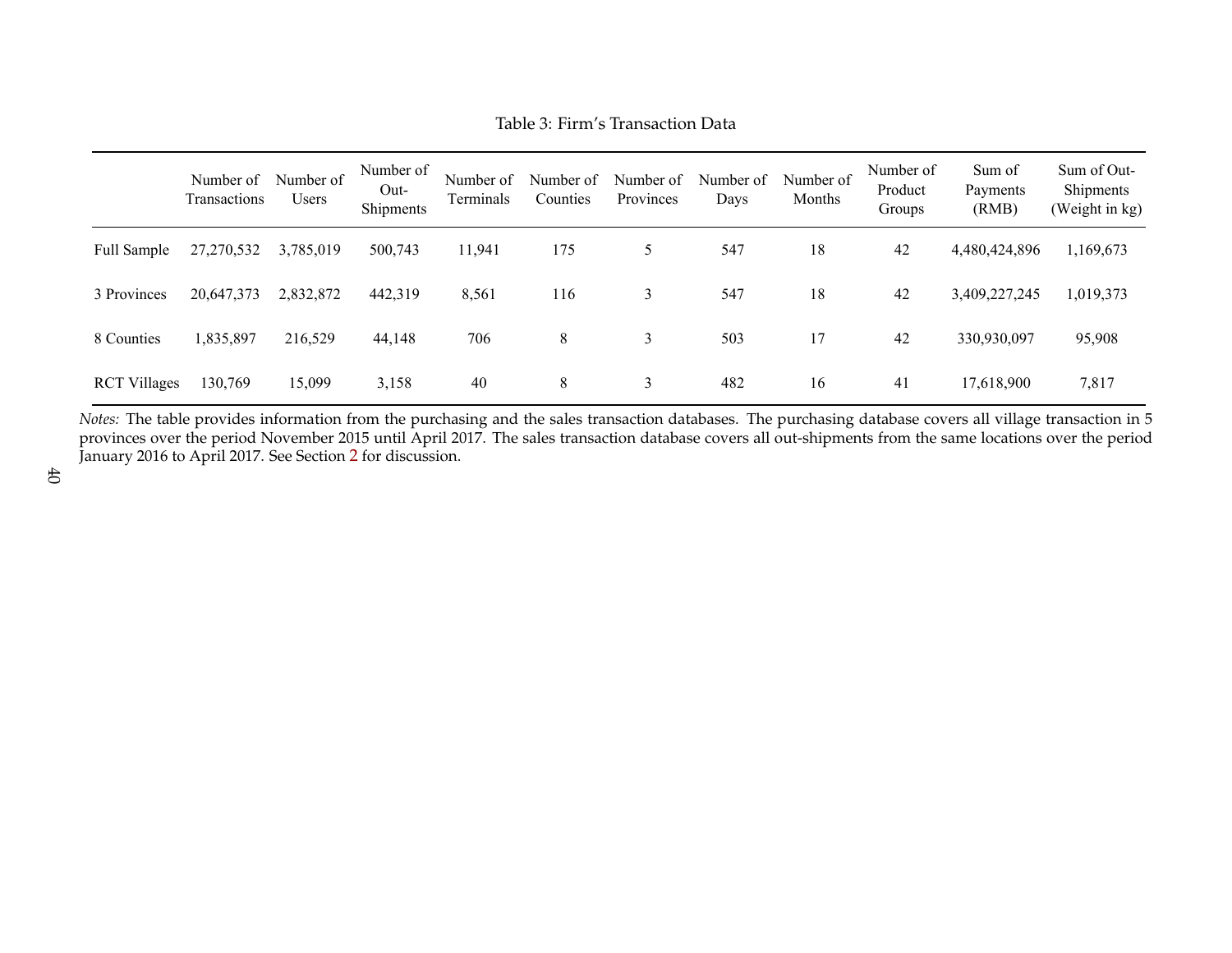|                     | Number of<br>Transactions | Number of<br><b>Users</b> | Number of<br>$Out-$<br>Shipments | Number of<br>Terminals | Number of<br>Counties | Number of<br>Provinces | Number of<br>Days | Number of<br>Months | Number of<br>Product<br>Groups | Sum of<br>Payments<br>(RMB) | Sum of Out-<br>Shipments<br>(Weight in kg) |
|---------------------|---------------------------|---------------------------|----------------------------------|------------------------|-----------------------|------------------------|-------------------|---------------------|--------------------------------|-----------------------------|--------------------------------------------|
| Full Sample         | 27,270,532                | 3,785,019                 | 500,743                          | 11,941                 | 175                   | 5                      | 547               | 18                  | 42                             | 4,480,424,896               | 1,169,673                                  |
| 3 Provinces         | 20,647,373                | 2,832,872                 | 442,319                          | 8,561                  | 116                   | 3                      | 547               | 18                  | 42                             | 3,409,227,245               | 1,019,373                                  |
| 8 Counties          | 1,835,897                 | 216,529                   | 44,148                           | 706                    | 8                     | 3                      | 503               | 17                  | 42                             | 330,930,097                 | 95,908                                     |
| <b>RCT Villages</b> | 130,769                   | 15,099                    | 3,158                            | 40                     | 8                     | 3                      | 482               | 16                  | 41                             | 17,618,900                  | 7,817                                      |

<span id="page-40-0"></span>*Notes:* The table provides information from the purchasing and the sales transaction databases. The purchasing database covers all village transaction in 5 provinces over the period November 2015 until April 2017. The sales transaction database covers all out-shipments from the same locations over the periodJanuary 2016 to April 2017. See Section [2](#page-7-1) for discussion.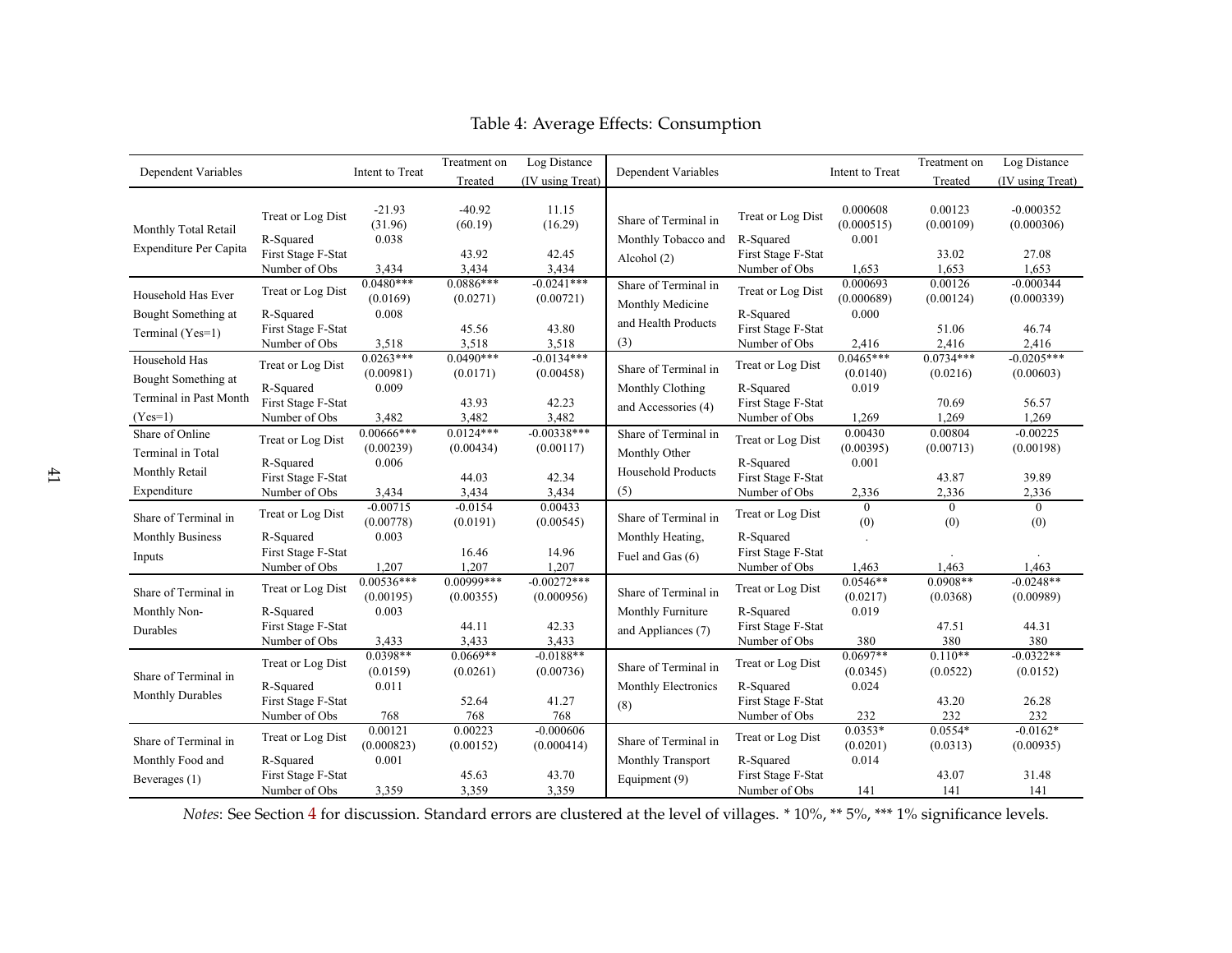|                                           |                                                  |                                    | Treatment on              | Log Distance                          |                                             |                                                                   |                                  | Treatment on            | Log Distance              |
|-------------------------------------------|--------------------------------------------------|------------------------------------|---------------------------|---------------------------------------|---------------------------------------------|-------------------------------------------------------------------|----------------------------------|-------------------------|---------------------------|
| Dependent Variables                       |                                                  | Intent to Treat                    | Treated                   | (IV using Treat)                      | Dependent Variables                         |                                                                   | Intent to Treat                  | Treated                 | (IV using Treat)          |
| Monthly Total Retail                      | Treat or Log Dist<br>R-Squared                   | $-21.93$<br>(31.96)<br>0.038       | $-40.92$<br>(60.19)       | 11.15<br>(16.29)                      | Share of Terminal in<br>Monthly Tobacco and | 0.000608<br>Treat or Log Dist<br>(0.000515)<br>R-Squared<br>0.001 |                                  | 0.00123<br>(0.00109)    | $-0.000352$<br>(0.000306) |
| Expenditure Per Capita                    | First Stage F-Stat<br>Number of Obs              | 3,434                              | 43.92<br>3,434            | 42.45<br>3,434                        | Alcohol (2)                                 | First Stage F-Stat<br>Number of Obs                               | 1,653                            | 33.02<br>1,653          | 27.08<br>1,653            |
| Household Has Ever<br>Bought Something at | Treat or Log Dist<br>R-Squared                   | $0.0480***$<br>(0.0169)<br>0.008   | $0.0886***$<br>(0.0271)   | $-0.0241***$<br>(0.00721)             | Share of Terminal in<br>Monthly Medicine    | Treat or Log Dist<br>R-Squared                                    | 0.000693<br>(0.000689)<br>0.000  | 0.00126<br>(0.00124)    | $-0.000344$<br>(0.000339) |
| Terminal (Yes=1)                          | First Stage F-Stat<br>Number of Obs              | 3,518                              | 45.56<br>3,518            | 43.80<br>3,518                        | and Health Products<br>(3)                  | First Stage F-Stat<br>Number of Obs                               | 2,416                            | 51.06<br>2,416          | 46.74<br>2,416            |
| Household Has<br>Bought Something at      | Treat or Log Dist<br>R-Squared                   | $0.0263***$<br>(0.00981)<br>0.009  | $0.0490***$<br>(0.0171)   | $-0.0134***$<br>(0.00458)             | Share of Terminal in<br>Monthly Clothing    | Treat or Log Dist<br>R-Squared                                    | $0.0465***$<br>(0.0140)<br>0.019 | $0.0734***$<br>(0.0216) | $-0.0205***$<br>(0.00603) |
| Terminal in Past Month<br>$(Yes=1)$       | First Stage F-Stat<br>Number of Obs              | 3,482                              | 43.93<br>3,482            | 42.23<br>and Accessories (4)<br>3,482 | First Stage F-Stat<br>Number of Obs         | 1,269                                                             | 70.69<br>1,269                   | 56.57<br>1,269          |                           |
| Share of Online<br>Terminal in Total      | Treat or Log Dist<br>R-Squared                   | $0.00666***$<br>(0.00239)<br>0.006 | $0.0124***$<br>(0.00434)  | $-0.00338***$<br>(0.00117)            | Share of Terminal in<br>Monthly Other       | Treat or Log Dist<br>R-Squared                                    | 0.00430<br>(0.00395)<br>0.001    | 0.00804<br>(0.00713)    | $-0.00225$<br>(0.00198)   |
| Monthly Retail<br>Expenditure             | First Stage F-Stat<br>Number of Obs              | 3,434                              | 44.03<br>3,434            | 42.34<br>3,434                        | Household Products<br>(5)                   | First Stage F-Stat<br>Number of Obs                               | 2,336                            | 43.87<br>2,336          | 39.89<br>2,336            |
| Share of Terminal in                      | Treat or Log Dist                                | $-0.00715$<br>(0.00778)            | $-0.0154$<br>(0.0191)     | 0.00433<br>(0.00545)                  | Share of Terminal in                        | Treat or Log Dist                                                 | $\theta$<br>(0)                  | $\overline{0}$<br>(0)   | $\theta$<br>(0)           |
| <b>Monthly Business</b><br>Inputs         | R-Squared<br>First Stage F-Stat<br>Number of Obs | 0.003<br>1,207                     | 16.46<br>1,207            | 14.96<br>1,207                        | Monthly Heating,<br>Fuel and Gas (6)        | R-Squared<br>First Stage F-Stat<br>Number of Obs                  | 1,463                            | 1,463                   | 1,463                     |
| Share of Terminal in                      | Treat or Log Dist                                | $0.00536***$<br>(0.00195)          | $0.00999***$<br>(0.00355) | $-0.00272***$<br>(0.000956)           | Share of Terminal in                        | Treat or Log Dist                                                 | $0.0546**$<br>(0.0217)           | $0.0908**$<br>(0.0368)  | $-0.0248**$<br>(0.00989)  |
| Monthly Non-<br>Durables                  | R-Squared<br>First Stage F-Stat<br>Number of Obs | 0.003<br>3,433                     | 44.11<br>3,433            | 42.33<br>3,433                        | Monthly Furniture<br>and Appliances (7)     | R-Squared<br>First Stage F-Stat<br>Number of Obs                  | 0.019<br>380                     | 47.51<br>380            | 44.31<br>380              |
| Share of Terminal in                      | Treat or Log Dist<br>R-Squared                   | $0.0398**$<br>(0.0159)<br>0.011    | $0.0669**$<br>(0.0261)    | $-0.0188**$<br>(0.00736)              | Share of Terminal in<br>Monthly Electronics | Treat or Log Dist<br>R-Squared                                    | $0.0697**$<br>(0.0345)<br>0.024  | $0.110**$<br>(0.0522)   | $-0.0322**$<br>(0.0152)   |
| <b>Monthly Durables</b>                   | First Stage F-Stat<br>Number of Obs              | 768                                | 52.64<br>768              | 41.27<br>768                          | (8)                                         | First Stage F-Stat<br>Number of Obs                               | 232                              | 43.20<br>232            | 26.28<br>232              |
| Share of Terminal in                      | Treat or Log Dist                                | 0.00121<br>(0.000823)              | 0.00223<br>(0.00152)      | $-0.000606$<br>(0.000414)             | Share of Terminal in                        | Treat or Log Dist                                                 | $0.0353*$<br>(0.0201)            | $0.0554*$<br>(0.0313)   | $-0.0162*$<br>(0.00935)   |
| Monthly Food and<br>Beverages (1)         | R-Squared<br>First Stage F-Stat<br>Number of Obs | 0.001<br>3,359                     | 45.63<br>3,359            | 43.70<br>3,359                        | Monthly Transport<br>Equipment (9)          | R-Squared<br>First Stage F-Stat<br>Number of Obs                  | 0.014<br>141                     | 43.07<br>141            | 31.48<br>141              |

# <span id="page-41-0"></span>Table 4: Average Effects: Consumption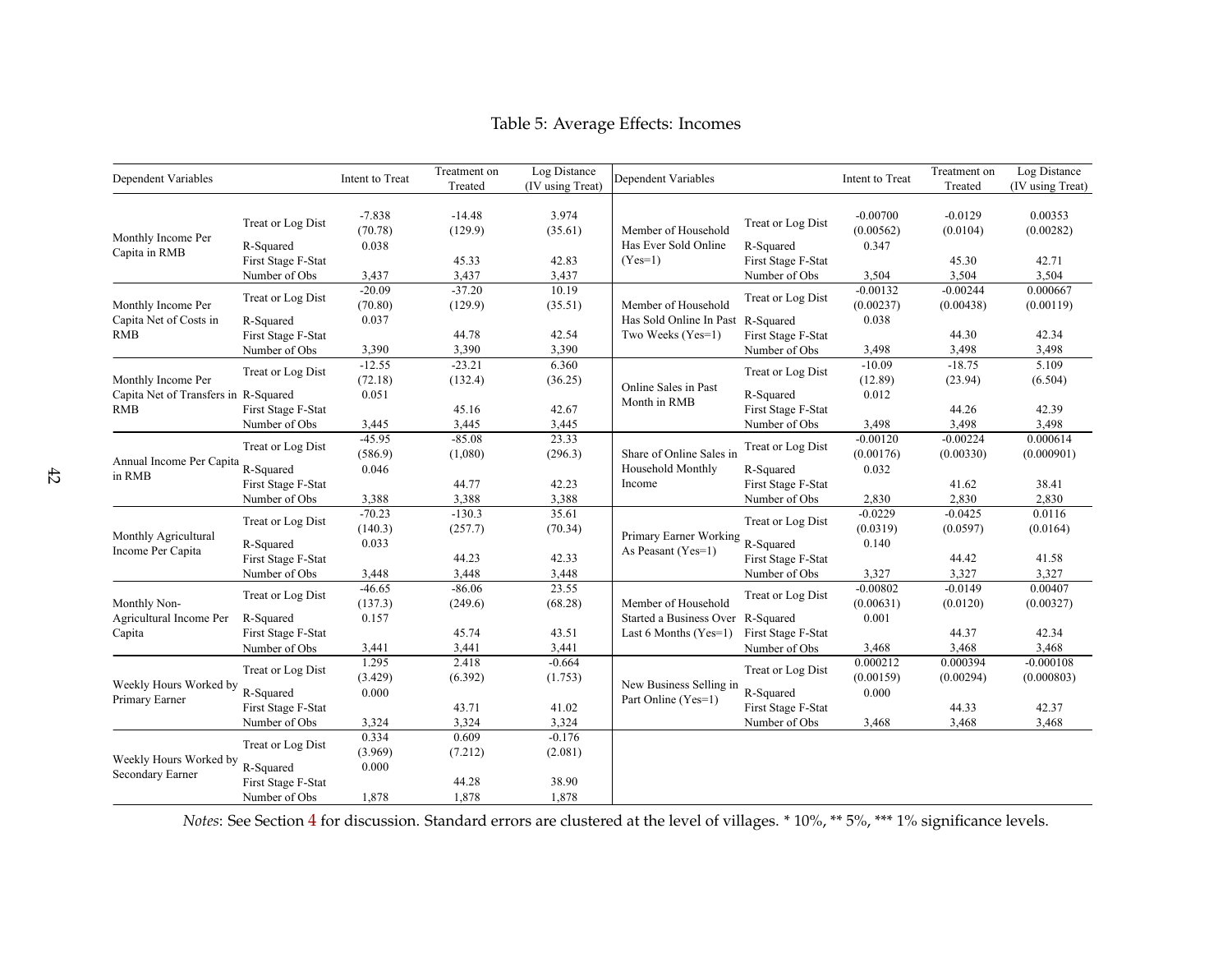| Dependent Variables                                |                                                  | Intent to Treat              | Treatment on<br>Treated      | Log Distance<br>(IV using Treat) | Dependent Variables                                          |                                                  | Intent to Treat                  | Treatment on<br>Treated          | Log Distance<br>(IV using Treat) |
|----------------------------------------------------|--------------------------------------------------|------------------------------|------------------------------|----------------------------------|--------------------------------------------------------------|--------------------------------------------------|----------------------------------|----------------------------------|----------------------------------|
| Monthly Income Per                                 | Treat or Log Dist<br>R-Squared                   | $-7.838$<br>(70.78)<br>0.038 | $-14.48$<br>(129.9)          | 3.974<br>(35.61)                 | Member of Household<br>Has Ever Sold Online                  | Treat or Log Dist<br>R-Squared                   | $-0.00700$<br>(0.00562)<br>0.347 | $-0.0129$<br>(0.0104)            | 0.00353<br>(0.00282)             |
| Capita in RMB                                      | First Stage F-Stat<br>Number of Obs              | 3,437                        | 45.33<br>3,437               | 42.83<br>3,437                   | $(Yes=1)$                                                    | First Stage F-Stat<br>Number of Obs              | 3,504                            | 45.30<br>3,504                   | 42.71<br>3,504                   |
| Monthly Income Per                                 | Treat or Log Dist                                | $-20.09$<br>(70.80)          | $-37.20$<br>(129.9)          | 10.19<br>(35.51)                 | Member of Household                                          | Treat or Log Dist                                | $-0.00132$<br>(0.00237)          | $-0.00244$<br>(0.00438)          | 0.000667<br>(0.00119)            |
| Capita Net of Costs in<br><b>RMB</b>               | R-Squared<br>First Stage F-Stat                  | 0.037                        | 44.78                        | 42.54                            | Has Sold Online In Past<br>Two Weeks (Yes=1)                 | R-Squared<br>First Stage F-Stat                  | 0.038                            | 44.30                            | 42.34                            |
| Monthly Income Per                                 | Number of Obs<br>Treat or Log Dist               | 3,390<br>$-12.55$<br>(72.18) | 3,390<br>$-23.21$<br>(132.4) | 3,390<br>6.360<br>(36.25)        | Online Sales in Past                                         | Number of Obs<br>Treat or Log Dist               | 3,498<br>$-10.09$<br>(12.89)     | 3,498<br>$-18.75$<br>(23.94)     | 3,498<br>5.109<br>(6.504)        |
| Capita Net of Transfers in R-Squared<br><b>RMB</b> | First Stage F-Stat                               | 0.051                        | 45.16                        | 42.67                            | Month in RMB                                                 | R-Squared<br>First Stage F-Stat                  | 0.012                            | 44.26                            | 42.39                            |
|                                                    | Number of Obs<br>Treat or Log Dist               | 3,445<br>$-45.95$<br>(586.9) | 3,445<br>$-85.08$<br>(1,080) | 3,445<br>23.33<br>(296.3)        | Share of Online Sales in                                     | Number of Obs<br>Treat or Log Dist               | 3,498<br>$-0.00120$<br>(0.00176) | 3,498<br>$-0.00224$<br>(0.00330) | 3,498<br>0.000614<br>(0.000901)  |
| Annual Income Per Capita<br>in RMB                 | R-Squared<br>First Stage F-Stat                  | 0.046                        | 44.77                        | 42.23                            | Household Monthly<br>Income                                  | R-Squared<br>First Stage F-Stat                  | 0.032                            | 41.62                            | 38.41                            |
|                                                    | Number of Obs                                    | 3,388<br>$-70.23$            | 3,388<br>$-130.3$            | 3,388<br>35.61                   |                                                              | Number of Obs                                    | 2,830<br>$-0.0229$               | 2,830<br>$-0.0425$               | 2,830<br>0.0116                  |
| Monthly Agricultural<br>Income Per Capita          | Treat or Log Dist<br>R-Squared                   | (140.3)<br>0.033             | (257.7)                      | (70.34)                          | Primary Earner Working<br>As Peasant (Yes=1)                 | Treat or Log Dist<br>R-Squared                   | (0.0319)<br>0.140                | (0.0597)                         | (0.0164)                         |
|                                                    | First Stage F-Stat<br>Number of Obs              | 3,448                        | 44.23<br>3,448               | 42.33<br>3,448                   |                                                              | First Stage F-Stat<br>Number of Obs              | 3,327                            | 44.42<br>3,327                   | 41.58<br>3,327                   |
| Monthly Non-                                       | Treat or Log Dist                                | $-46.65$<br>(137.3)          | $-86.06$<br>(249.6)          | 23.55<br>(68.28)                 | Member of Household                                          | Treat or Log Dist                                | $-0.00802$<br>(0.00631)          | $-0.0149$<br>(0.0120)            | 0.00407<br>(0.00327)             |
| Agricultural Income Per<br>Capita                  | R-Squared<br>First Stage F-Stat<br>Number of Obs | 0.157<br>3,441               | 45.74<br>3,441               | 43.51<br>3,441                   | Started a Business Over R-Squared<br>Last 6 Months $(Yes=1)$ | First Stage F-Stat<br>Number of Obs              | 0.001<br>3,468                   | 44.37<br>3,468                   | 42.34<br>3,468                   |
| Weekly Hours Worked by                             | Treat or Log Dist                                | 1.295<br>(3.429)             | 2.418<br>(6.392)             | $-0.664$<br>(1.753)              | New Business Selling in                                      | Treat or Log Dist                                | 0.000212<br>(0.00159)            | 0.000394<br>(0.00294)            | $-0.000108$<br>(0.000803)        |
| Primary Earner                                     | R-Squared<br>First Stage F-Stat<br>Number of Obs | 0.000<br>3,324               | 43.71<br>3,324               | 41.02<br>3,324                   | Part Online (Yes=1)                                          | R-Squared<br>First Stage F-Stat<br>Number of Obs | 0.000<br>3,468                   | 44.33<br>3,468                   | 42.37<br>3,468                   |
| Weekly Hours Worked by                             | Treat or Log Dist                                | 0.334<br>(3.969)             | 0.609<br>(7.212)             | $-0.176$<br>(2.081)              |                                                              |                                                  |                                  |                                  |                                  |
| Secondary Earner                                   | R-Squared<br>First Stage F-Stat<br>Number of Obs | 0.000<br>1,878               | 44.28<br>1,878               | 38.90<br>1,878                   |                                                              |                                                  |                                  |                                  |                                  |

# <span id="page-42-0"></span>Table 5: Average Effects: Incomes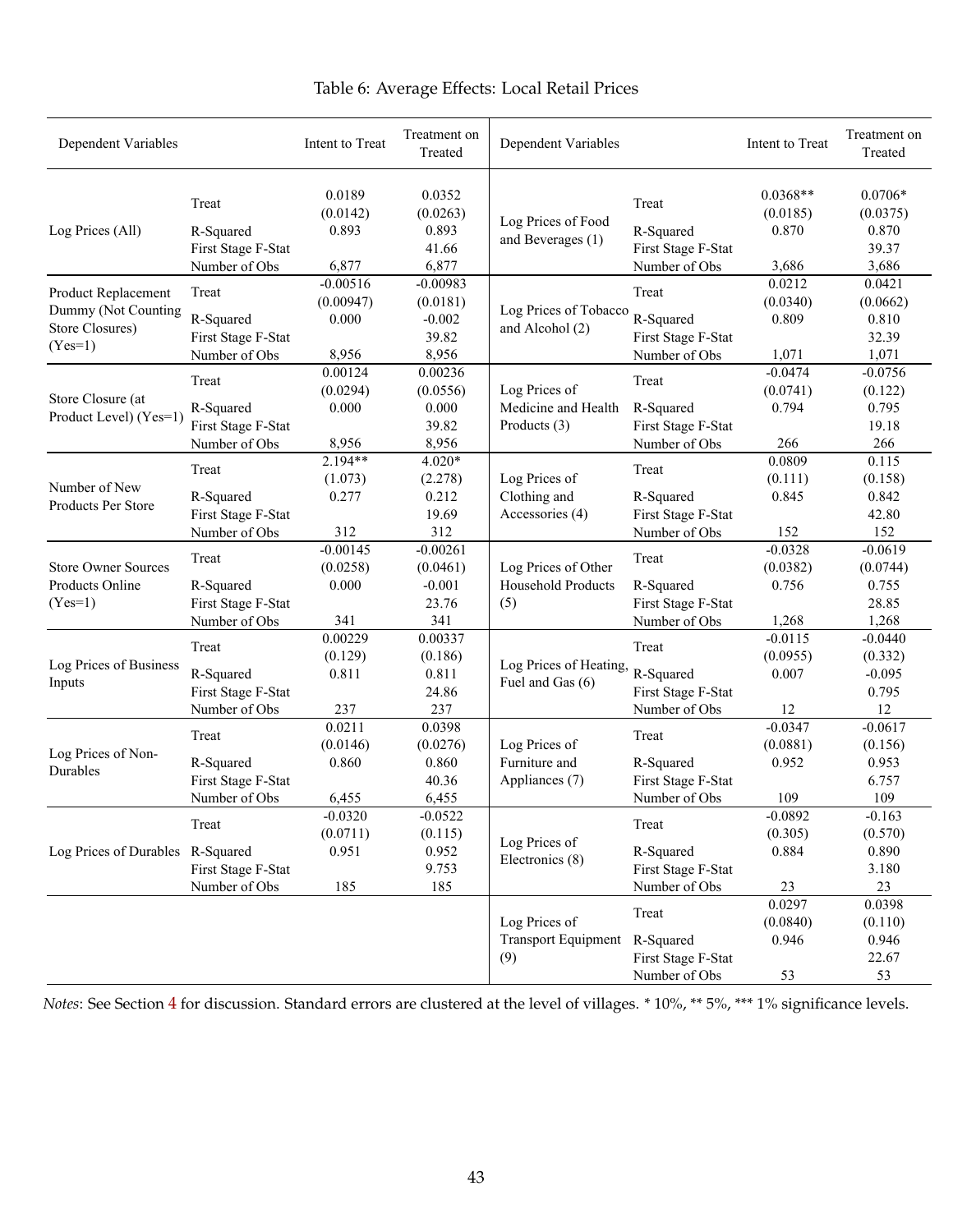<span id="page-43-0"></span>

| Dependent Variables              |                    | Intent to Treat    | Treatment on<br>Treated | Dependent Variables                     |                    | Intent to Treat        | Treatment on<br>Treated |
|----------------------------------|--------------------|--------------------|-------------------------|-----------------------------------------|--------------------|------------------------|-------------------------|
|                                  | Treat              | 0.0189<br>(0.0142) | 0.0352<br>(0.0263)      |                                         | Treat              | $0.0368**$<br>(0.0185) | $0.0706*$<br>(0.0375)   |
| Log Prices (All)                 | R-Squared          | 0.893              | 0.893                   | Log Prices of Food<br>and Beverages (1) | R-Squared          | 0.870                  | 0.870                   |
|                                  | First Stage F-Stat |                    | 41.66                   |                                         | First Stage F-Stat |                        | 39.37                   |
|                                  | Number of Obs      | 6,877              | 6,877                   |                                         | Number of Obs      | 3,686                  | 3,686                   |
| Product Replacement              | Treat              | $-0.00516$         | $-0.00983$              |                                         | Treat              | 0.0212                 | 0.0421                  |
| Dummy (Not Counting              |                    | (0.00947)          | (0.0181)                | Log Prices of Tobacco                   |                    | (0.0340)               | (0.0662)                |
| Store Closures)                  | R-Squared          | 0.000              | $-0.002$                | and Alcohol (2)                         | R-Squared          | 0.809                  | 0.810                   |
| $(Yes=1)$                        | First Stage F-Stat |                    | 39.82                   |                                         | First Stage F-Stat |                        | 32.39                   |
|                                  | Number of Obs      | 8,956              | 8,956                   |                                         | Number of Obs      | 1,071                  | 1,071                   |
|                                  | Treat              | 0.00124            | 0.00236                 |                                         | Treat              | $-0.0474$              | $-0.0756$               |
| Store Closure (at                |                    | (0.0294)           | (0.0556)                | Log Prices of                           |                    | (0.0741)               | (0.122)                 |
| Product Level) (Yes=1)           | R-Squared          | 0.000              | 0.000                   | Medicine and Health                     | R-Squared          | 0.794                  | 0.795                   |
|                                  | First Stage F-Stat |                    | 39.82                   | Products (3)                            | First Stage F-Stat |                        | 19.18                   |
|                                  | Number of Obs      | 8,956              | 8,956                   |                                         | Number of Obs      | 266                    | 266                     |
|                                  | Treat              | $2.194**$          | $4.020*$                |                                         | Treat              | 0.0809                 | 0.115                   |
| Number of New                    |                    | (1.073)            | (2.278)                 | Log Prices of                           |                    | (0.111)                | (0.158)                 |
| Products Per Store               | R-Squared          | 0.277              | 0.212                   | Clothing and                            | R-Squared          | 0.845                  | 0.842                   |
|                                  | First Stage F-Stat |                    | 19.69                   | Accessories (4)                         | First Stage F-Stat |                        | 42.80                   |
|                                  | Number of Obs      | 312                | 312                     |                                         | Number of Obs      | 152                    | 152                     |
| <b>Store Owner Sources</b>       | Treat              | $-0.00145$         | $-0.00261$              |                                         | Treat              | $-0.0328$              | $-0.0619$               |
|                                  |                    | (0.0258)           | (0.0461)                | Log Prices of Other                     |                    | (0.0382)               | (0.0744)                |
| Products Online                  | R-Squared          | 0.000              | $-0.001$                | <b>Household Products</b>               | R-Squared          | 0.756                  | 0.755                   |
| $(Yes=1)$                        | First Stage F-Stat |                    | 23.76                   | (5)                                     | First Stage F-Stat |                        | 28.85                   |
|                                  | Number of Obs      | 341                | 341                     |                                         | Number of Obs      | 1,268                  | 1,268                   |
|                                  | Treat              | 0.00229            | 0.00337                 |                                         | Treat              | $-0.0115$              | $-0.0440$               |
| Log Prices of Business           |                    | (0.129)            | (0.186)                 | Log Prices of Heating,                  |                    | (0.0955)               | (0.332)                 |
| Inputs                           | R-Squared          | 0.811              | 0.811                   | Fuel and Gas (6)                        | R-Squared          | 0.007                  | $-0.095$                |
|                                  | First Stage F-Stat |                    | 24.86                   |                                         | First Stage F-Stat |                        | 0.795<br>12             |
|                                  | Number of Obs      | 237<br>0.0211      | 237<br>0.0398           |                                         | Number of Obs      | 12<br>$-0.0347$        | $-0.0617$               |
|                                  | Treat              | (0.0146)           | (0.0276)                | Log Prices of                           | Treat              | (0.0881)               | (0.156)                 |
| Log Prices of Non-               | R-Squared          | 0.860              | 0.860                   | Furniture and                           | R-Squared          | 0.952                  | 0.953                   |
| Durables                         | First Stage F-Stat |                    | 40.36                   | Appliances (7)                          | First Stage F-Stat |                        | 6.757                   |
|                                  | Number of Obs      | 6,455              | 6,455                   |                                         | Number of Obs      | 109                    | 109                     |
|                                  |                    | $-0.0320$          | $-0.0522$               |                                         |                    | $-0.0892$              | $-0.163$                |
|                                  | Treat              | (0.0711)           | (0.115)                 |                                         | Treat              | (0.305)                | (0.570)                 |
| Log Prices of Durables R-Squared |                    | 0.951              | 0.952                   | Log Prices of                           | R-Squared          | 0.884                  | 0.890                   |
|                                  | First Stage F-Stat |                    | 9.753                   | Electronics (8)                         | First Stage F-Stat |                        | 3.180                   |
|                                  | Number of Obs      | 185                | 185                     |                                         | Number of Obs      | 23                     | 23                      |
|                                  |                    |                    |                         |                                         |                    | 0.0297                 | 0.0398                  |
|                                  |                    |                    |                         | Log Prices of                           | Treat              | (0.0840)               | (0.110)                 |
|                                  |                    |                    |                         | <b>Transport Equipment</b>              | R-Squared          | 0.946                  | 0.946                   |
|                                  |                    |                    |                         | (9)                                     | First Stage F-Stat |                        | 22.67                   |
|                                  |                    |                    |                         |                                         | Number of Obs      | 53                     | 53                      |

# Table 6: Average Effects: Local Retail Prices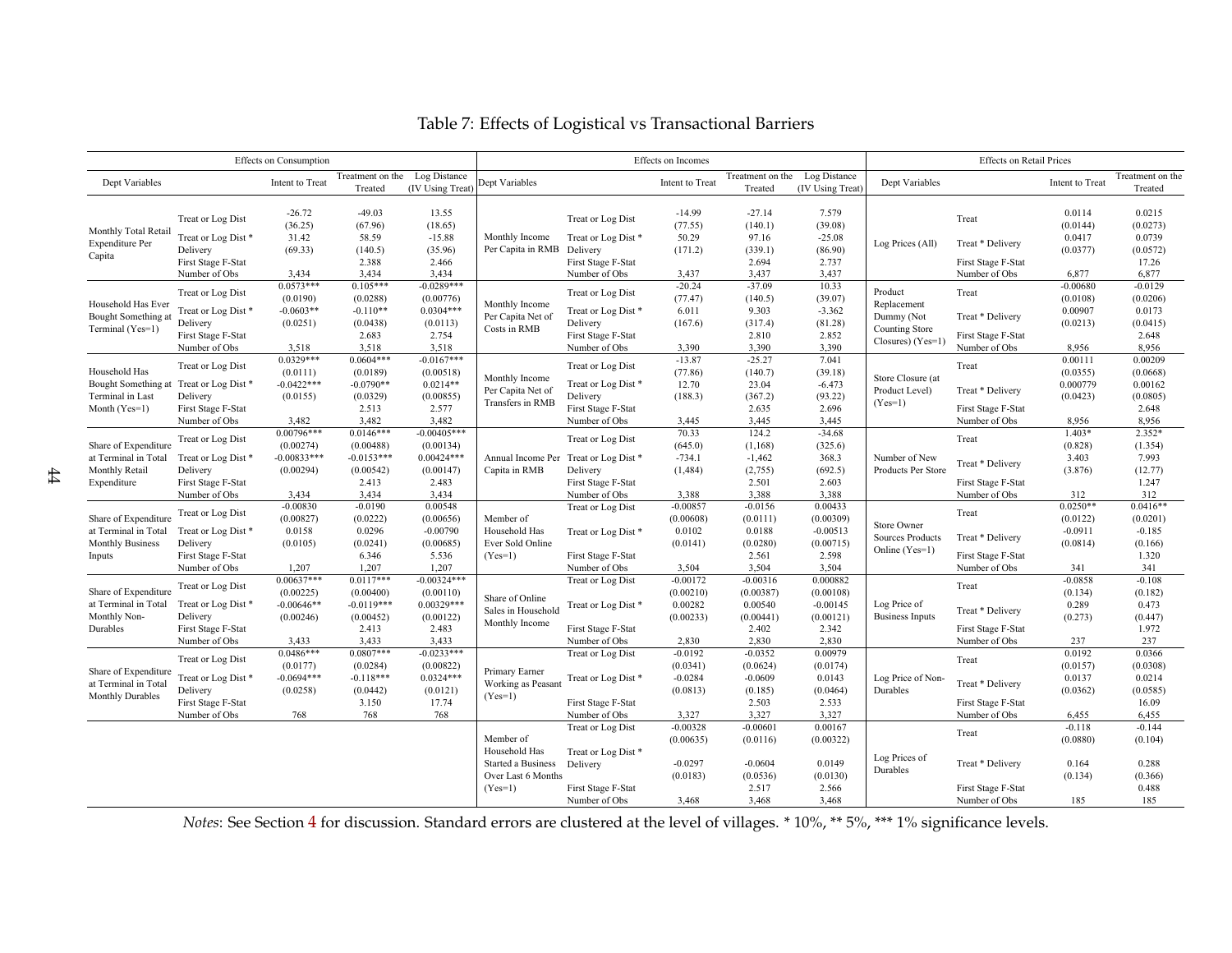<span id="page-44-0"></span>

| Effects on Consumption                                                            |                                                                                            |                                                                 |                                                                    |                                                                        | Effects on Incomes                                                                  |                                                                                            |                                                          |                                                           |                                                           | <b>Effects</b> on Retail Prices                                             |                                                                  |                                                        |                                                               |
|-----------------------------------------------------------------------------------|--------------------------------------------------------------------------------------------|-----------------------------------------------------------------|--------------------------------------------------------------------|------------------------------------------------------------------------|-------------------------------------------------------------------------------------|--------------------------------------------------------------------------------------------|----------------------------------------------------------|-----------------------------------------------------------|-----------------------------------------------------------|-----------------------------------------------------------------------------|------------------------------------------------------------------|--------------------------------------------------------|---------------------------------------------------------------|
| Dept Variables                                                                    |                                                                                            | Intent to Treat                                                 | Treatment on the<br>Treated                                        | Log Distance<br>(IV Using Treat)                                       | Dept Variables                                                                      |                                                                                            | Intent to Treat                                          | Treatment on the<br>Treated                               | Log Distance<br>(IV Using Treat)                          | Dept Variables                                                              |                                                                  | Intent to Treat                                        | Treatment on the<br>Treated                                   |
| Monthly Total Retail<br><b>Expenditure Per</b><br>Capita                          | Treat or Log Dist<br>Treat or Log Dist*<br>Delivery<br>First Stage F-Stat                  | $-26.72$<br>(36.25)<br>31.42<br>(69.33)                         | $-49.03$<br>(67.96)<br>58.59<br>(140.5)<br>2.388                   | 13.55<br>(18.65)<br>$-15.88$<br>(35.96)<br>2.466                       | Monthly Income<br>Per Capita in RMB                                                 | Treat or Log Dist<br>Treat or Log Dist*<br>Delivery<br>First Stage F-Stat                  | $-14.99$<br>(77.55)<br>50.29<br>(171.2)                  | $-27.14$<br>(140.1)<br>97.16<br>(339.1)<br>2.694          | 7.579<br>(39.08)<br>$-25.08$<br>(86.90)<br>2.737          | Log Prices (All)                                                            | Treat<br>Treat * Delivery<br>First Stage F-Stat                  | 0.0114<br>(0.0144)<br>0.0417<br>(0.0377)               | 0.0215<br>(0.0273)<br>0.0739<br>(0.0572)<br>17.26             |
|                                                                                   | Number of Obs                                                                              | 3,434                                                           | 3,434                                                              | 3,434                                                                  |                                                                                     | Number of Obs                                                                              | 3,437                                                    | 3,437                                                     | 3,437                                                     |                                                                             | Number of Obs                                                    | 6,877                                                  | 6,877                                                         |
| Household Has Ever<br>Bought Something at<br>Terminal (Yes=1)                     | Treat or Log Dist<br>Treat or Log Dist*<br>Delivery<br>First Stage F-Stat<br>Number of Obs | $0.0573***$<br>(0.0190)<br>$-0.0603**$<br>(0.0251)<br>3,518     | $0.105***$<br>(0.0288)<br>$-0.110**$<br>(0.0438)<br>2.683<br>3,518 | $-0.0289***$<br>(0.00776)<br>$0.0304***$<br>(0.0113)<br>2.754<br>3,518 | Monthly Income<br>Per Capita Net of<br>Costs in RMB                                 | Treat or Log Dist<br>Treat or Log Dist*<br>Delivery<br>First Stage F-Stat<br>Number of Obs | $-20.24$<br>(77.47)<br>6.011<br>(167.6)<br>3,390         | $-37.09$<br>(140.5)<br>9.303<br>(317.4)<br>2.810<br>3,390 | 10.33<br>(39.07)<br>$-3.362$<br>(81.28)<br>2.852<br>3,390 | Product<br>Replacement<br>Dummy (Not<br>Counting Store<br>Closures) (Yes=1) | Treat<br>Treat * Delivery<br>First Stage F-Stat<br>Number of Obs | $-0.00680$<br>(0.0108)<br>0.00907<br>(0.0213)<br>8,956 | $-0.0129$<br>(0.0206)<br>0.0173<br>(0.0415)<br>2.648<br>8,956 |
| Household Has<br>Bought Something at<br>Terminal in Last                          | Treat or Log Dist<br>Treat or Log Dist *<br>Delivery                                       | $0.0329***$<br>(0.0111)<br>$-0.0422***$<br>(0.0155)             | $0.0604***$<br>(0.0189)<br>$-0.0790**$<br>(0.0329)                 | $-0.0167***$<br>(0.00518)<br>$0.0214**$<br>(0.00855)                   | Monthly Income<br>Per Capita Net of                                                 | Treat or Log Dist<br>Treat or Log Dist*<br>Delivery                                        | $-13.87$<br>(77.86)<br>12.70<br>(188.3)                  | $-25.27$<br>(140.7)<br>23.04<br>(367.2)                   | 7.041<br>(39.18)<br>$-6.473$<br>(93.22)                   | Store Closure (at<br>Product Level)<br>$(Yes=1)$                            | Treat<br>Treat * Delivery                                        | 0.00111<br>(0.0355)<br>0.000779<br>(0.0423)            | 0.00209<br>(0.0668)<br>0.00162<br>(0.0805)                    |
| Month (Yes=1)                                                                     | First Stage F-Stat<br>Number of Obs                                                        | 3,482<br>$0.00796***$                                           | 2.513<br>3,482<br>$0.0146***$                                      | 2.577<br>3,482<br>$-0.00405***$                                        | Transfers in RMB                                                                    | First Stage F-Stat<br>Number of Obs                                                        | 3,445<br>70.33                                           | 2.635<br>3,445<br>124.2                                   | 2.696<br>3,445<br>$-34.68$                                |                                                                             | First Stage F-Stat<br>Number of Obs                              | 8,956<br>$1.403*$                                      | 2.648<br>8,956<br>$2.352*$                                    |
| Share of Expenditure<br>at Terminal in Total<br>Monthly Retail<br>Expenditure     | Treat or Log Dist<br>Treat or Log Dist*<br>Delivery                                        | (0.00274)<br>$-0.00833***$<br>(0.00294)                         | (0.00488)<br>$-0.0153***$<br>(0.00542)                             | (0.00134)<br>$0.00424***$<br>(0.00147)                                 | Annual Income Per<br>Capita in RMB                                                  | Treat or Log Dist<br>Treat or Log Dist*<br>Delivery                                        | (645.0)<br>$-734.1$<br>(1, 484)                          | (1, 168)<br>$-1,462$<br>(2,755)                           | (325.6)<br>368.3<br>(692.5)                               | Number of New<br>Products Per Store                                         | Treat<br>Treat * Delivery                                        | (0.828)<br>3.403<br>(3.876)                            | (1.354)<br>7.993<br>(12.77)                                   |
|                                                                                   | First Stage F-Stat<br>Number of Obs                                                        | 3,434                                                           | 2.413<br>3,434                                                     | 2.483<br>3,434                                                         |                                                                                     | First Stage F-Stat<br>Number of Obs                                                        | 3,388                                                    | 2.501<br>3,388                                            | 2.603<br>3,388                                            |                                                                             | First Stage F-Stat<br>Number of Obs                              | 312                                                    | 1.247<br>312                                                  |
| Share of Expenditure<br>at Terminal in Total<br><b>Monthly Business</b><br>Inputs | Treat or Log Dist<br>Treat or Log Dist*<br>Delivery<br>First Stage F-Stat                  | $-0.00830$<br>(0.00827)<br>0.0158<br>(0.0105)                   | $-0.0190$<br>(0.0222)<br>0.0296<br>(0.0241)<br>6.346               | 0.00548<br>(0.00656)<br>$-0.00790$<br>(0.00685)<br>5.536               | Member of<br>Household Has<br>Ever Sold Online<br>$(Yes=1)$                         | Treat or Log Dist<br>Treat or Log Dist*<br>First Stage F-Stat                              | $-0.00857$<br>(0.00608)<br>0.0102<br>(0.0141)            | $-0.0156$<br>(0.0111)<br>0.0188<br>(0.0280)<br>2.561      | 0.00433<br>(0.00309)<br>$-0.00513$<br>(0.00715)<br>2.598  | <b>Store Owner</b><br><b>Sources Products</b><br>Online (Yes=1)             | Treat<br>Treat * Delivery<br>First Stage F-Stat                  | $0.0250**$<br>(0.0122)<br>$-0.0911$<br>(0.0814)        | $0.0416**$<br>(0.0201)<br>$-0.185$<br>(0.166)<br>1.320        |
| Share of Expenditure<br>at Terminal in Total<br>Monthly Non-                      | Number of Obs<br>Treat or Log Dist<br>Treat or Log Dist*<br>Delivery                       | 1,207<br>$0.00637***$<br>(0.00225)<br>$-0.00646**$<br>(0.00246) | 1,207<br>$0.0117***$<br>(0.00400)<br>$-0.0119***$<br>(0.00452)     | 1.207<br>$-0.00324***$<br>(0.00110)<br>$0.00329***$<br>(0.00122)       | Share of Online<br>Sales in Household<br>Monthly Income                             | Number of Obs<br>Treat or Log Dist<br>Treat or Log Dist*                                   | 3,504<br>$-0.00172$<br>(0.00210)<br>0.00282<br>(0.00233) | 3,504<br>$-0.00316$<br>(0.00387)<br>0.00540<br>(0.00441)  | 3,504<br>0.000882<br>(0.00108)<br>$-0.00145$<br>(0.00121) | Log Price of<br><b>Business Inputs</b>                                      | Number of Obs<br>Treat<br>Treat * Delivery                       | 341<br>$-0.0858$<br>(0.134)<br>0.289<br>(0.273)        | 341<br>$-0.108$<br>(0.182)<br>0.473<br>(0.447)                |
| Durables                                                                          | First Stage F-Stat<br>Number of Obs                                                        | 3,433<br>$0.0486***$                                            | 2.413<br>3,433<br>$0.0807***$                                      | 2.483<br>3,433<br>$-0.0233***$                                         |                                                                                     | First Stage F-Stat<br>Number of Obs<br>Treat or Log Dist                                   | 2,830<br>$-0.0192$                                       | 2.402<br>2,830<br>$-0.0352$                               | 2.342<br>2,830<br>0.00979                                 |                                                                             | First Stage F-Stat<br>Number of Obs                              | 237<br>0.0192                                          | 1.972<br>237<br>0.0366                                        |
| Share of Expenditure<br>at Terminal in Total<br><b>Monthly Durables</b>           | Treat or Log Dist<br>Treat or Log Dist*<br>Delivery<br>First Stage F-Stat                  | (0.0177)<br>$-0.0694***$<br>(0.0258)                            | (0.0284)<br>$-0.118***$<br>(0.0442)<br>3.150                       | (0.00822)<br>$0.0324***$<br>(0.0121)<br>17.74                          | Primary Earner<br>Working as Peasant<br>$(Yes=1)$                                   | Treat or Log Dist*<br>First Stage F-Stat                                                   | (0.0341)<br>$-0.0284$<br>(0.0813)                        | (0.0624)<br>$-0.0609$<br>(0.185)<br>2.503                 | (0.0174)<br>0.0143<br>(0.0464)<br>2.533                   | Log Price of Non-<br>Durables                                               | Treat<br>Treat * Delivery<br>First Stage F-Stat                  | (0.0157)<br>0.0137<br>(0.0362)                         | (0.0308)<br>0.0214<br>(0.0585)<br>16.09                       |
|                                                                                   | Number of Obs                                                                              | 768                                                             | 768                                                                | 768                                                                    |                                                                                     | Number of Obs<br><b>Treat or Log Dist</b>                                                  | 3,327<br>$-0.00328$                                      | 3,327<br>$-0.00601$                                       | 3,327<br>0.00167                                          |                                                                             | Number of Obs<br>Treat                                           | 6,455<br>$-0.118$                                      | 6,455<br>$-0.144$                                             |
|                                                                                   |                                                                                            |                                                                 |                                                                    |                                                                        | Member of<br>Household Has<br>Started a Business<br>Over Last 6 Months<br>$(Yes=1)$ | Treat or Log Dist*<br>Delivery<br>First Stage F-Stat                                       | (0.00635)<br>$-0.0297$<br>(0.0183)                       | (0.0116)<br>$-0.0604$<br>(0.0536)<br>2.517                | (0.00322)<br>0.0149<br>(0.0130)<br>2.566                  | Log Prices of<br>Durables                                                   | Treat * Delivery<br>First Stage F-Stat                           | (0.0880)<br>0.164<br>(0.134)                           | (0.104)<br>0.288<br>(0.366)<br>0.488                          |
|                                                                                   |                                                                                            |                                                                 |                                                                    |                                                                        |                                                                                     | Number of Obs                                                                              | 3,468                                                    | 3,468                                                     | 3,468                                                     |                                                                             | Number of Obs                                                    | 185                                                    | 185                                                           |

# Table 7: Effects of Logistical vs Transactional Barriers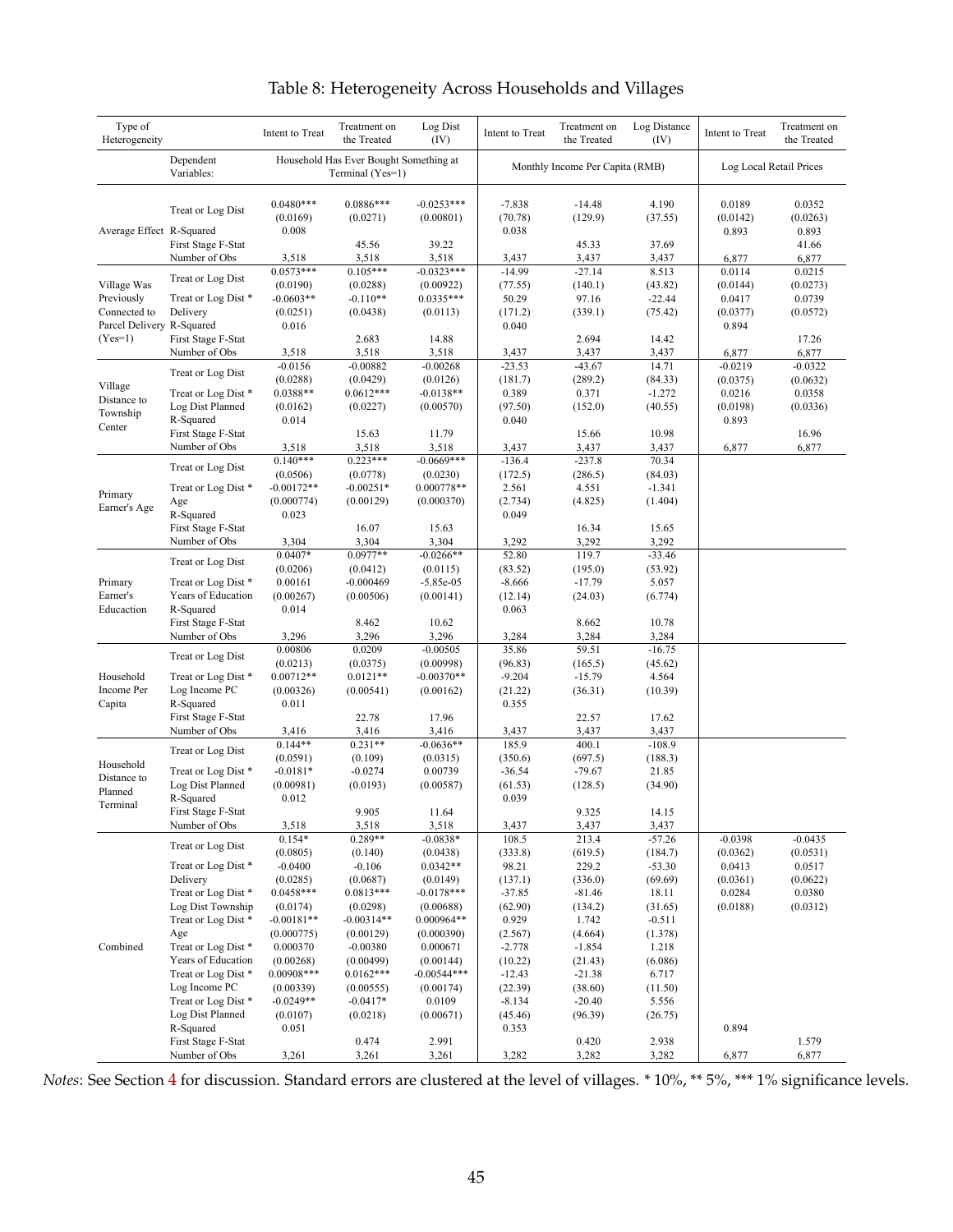<span id="page-45-0"></span>

| Type of<br>Heterogeneity               |                                          | Intent to Treat                  | Treatment on<br>the Treated                                | Log Dist<br>(IV)           | Intent to Treat              | Treatment on<br>the Treated     | Log Distance<br>(IV) | Intent to Treat             | Treatment on<br>the Treated |
|----------------------------------------|------------------------------------------|----------------------------------|------------------------------------------------------------|----------------------------|------------------------------|---------------------------------|----------------------|-----------------------------|-----------------------------|
|                                        | Dependent<br>Variables:                  |                                  | Household Has Ever Bought Something at<br>Terminal (Yes=1) |                            |                              | Monthly Income Per Capita (RMB) |                      | Log Local Retail Prices     |                             |
| Average Effect R-Squared               | Treat or Log Dist                        | $0.0480***$<br>(0.0169)<br>0.008 | $0.0886***$<br>(0.0271)                                    | $-0.0253***$<br>(0.00801)  | $-7.838$<br>(70.78)<br>0.038 | $-14.48$<br>(129.9)             | 4.190<br>(37.55)     | 0.0189<br>(0.0142)<br>0.893 | 0.0352<br>(0.0263)<br>0.893 |
|                                        | First Stage F-Stat<br>Number of Obs      | 3,518                            | 45.56<br>3,518                                             | 39.22<br>3,518             | 3,437                        | 45.33<br>3,437                  | 37.69<br>3,437       | 6,877                       | 41.66<br>6,877              |
|                                        | Treat or Log Dist                        | $0.0573***$                      | $0.105***$                                                 | $-0.0323***$               | $-14.99$                     | $-27.14$                        | 8.513                | 0.0114                      | 0.0215                      |
| Village Was                            |                                          | (0.0190)                         | (0.0288)                                                   | (0.00922)                  | (77.55)                      | (140.1)                         | (43.82)              | (0.0144)                    | (0.0273)                    |
| Previously                             | Treat or Log Dist*                       | $-0.0603**$                      | $-0.110**$                                                 | $0.0335***$                | 50.29                        | 97.16                           | $-22.44$             | 0.0417                      | 0.0739                      |
| Connected to                           | Delivery                                 | (0.0251)                         | (0.0438)                                                   | (0.0113)                   | (171.2)                      | (339.1)                         | (75.42)              | (0.0377)                    | (0.0572)                    |
| Parcel Delivery R-Squared<br>$(Yes=1)$ | First Stage F-Stat                       | 0.016                            | 2.683                                                      | 14.88                      | 0.040                        | 2.694                           | 14.42                | 0.894                       | 17.26                       |
|                                        | Number of Obs                            | 3,518                            | 3,518                                                      | 3,518                      | 3,437                        | 3,437                           | 3,437                | 6,877                       | 6,877                       |
|                                        |                                          | $-0.0156$                        | $-0.00882$                                                 | $-0.00268$                 | $-23.53$                     | $-43.67$                        | 14.71                | $-0.0219$                   | $-0.0322$                   |
|                                        | Treat or Log Dist                        | (0.0288)                         | (0.0429)                                                   | (0.0126)                   | (181.7)                      | (289.2)                         | (84.33)              | (0.0375)                    | (0.0632)                    |
| Village                                | Treat or Log Dist*                       | 0.0388**                         | $0.0612***$                                                | $-0.0138**$                | 0.389                        | 0.371                           | $-1.272$             | 0.0216                      | 0.0358                      |
| Distance to<br>Township                | Log Dist Planned                         | (0.0162)                         | (0.0227)                                                   | (0.00570)                  | (97.50)                      | (152.0)                         | (40.55)              | (0.0198)                    | (0.0336)                    |
| Center                                 | R-Squared                                | 0.014                            |                                                            |                            | 0.040                        |                                 |                      | 0.893                       |                             |
|                                        | First Stage F-Stat                       |                                  | 15.63                                                      | 11.79                      |                              | 15.66                           | 10.98                |                             | 16.96                       |
|                                        | Number of Obs                            | 3,518                            | 3,518                                                      | 3,518                      | 3,437                        | 3,437                           | 3,437                | 6,877                       | 6,877                       |
|                                        | Treat or Log Dist                        | $0.140***$<br>(0.0506)           | $0.223***$                                                 | $-0.0669***$               | $-136.4$                     | $-237.8$                        | 70.34                |                             |                             |
|                                        | Treat or Log Dist *                      | $-0.00172**$                     | (0.0778)<br>$-0.00251*$                                    | (0.0230)<br>0.000778**     | (172.5)<br>2.561             | (286.5)<br>4.551                | (84.03)<br>$-1.341$  |                             |                             |
| Primary                                | Age                                      | (0.000774)                       | (0.00129)                                                  | (0.000370)                 | (2.734)                      | (4.825)                         | (1.404)              |                             |                             |
| Earner's Age                           | R-Squared                                | 0.023                            |                                                            |                            | 0.049                        |                                 |                      |                             |                             |
|                                        | First Stage F-Stat                       |                                  | 16.07                                                      | 15.63                      |                              | 16.34                           | 15.65                |                             |                             |
|                                        | Number of Obs                            | 3,304                            | 3,304                                                      | 3,304                      | 3,292                        | 3,292                           | 3,292                |                             |                             |
|                                        |                                          | $0.0407*$                        | $0.0977**$                                                 | $-0.0266**$                | 52.80                        | 119.7                           | $-33.46$             |                             |                             |
|                                        | Treat or Log Dist                        | (0.0206)                         | (0.0412)                                                   | (0.0115)                   | (83.52)                      | (195.0)                         | (53.92)              |                             |                             |
| Primary                                | Treat or Log Dist*                       | 0.00161                          | $-0.000469$                                                | $-5.85e-05$                | $-8.666$                     | $-17.79$                        | 5.057                |                             |                             |
| Earner's                               | Years of Education                       | (0.00267)                        | (0.00506)                                                  | (0.00141)                  | (12.14)                      | (24.03)                         | (6.774)              |                             |                             |
| Educaction                             | R-Squared                                | 0.014                            |                                                            |                            | 0.063                        |                                 |                      |                             |                             |
|                                        | First Stage F-Stat<br>Number of Obs      | 3,296                            | 8.462<br>3,296                                             | 10.62<br>3,296             | 3,284                        | 8.662<br>3,284                  | 10.78<br>3,284       |                             |                             |
|                                        |                                          | 0.00806                          | 0.0209                                                     | $-0.00505$                 | 35.86                        | 59.51                           | $-16.75$             |                             |                             |
|                                        | Treat or Log Dist                        | (0.0213)                         | (0.0375)                                                   | (0.00998)                  | (96.83)                      | (165.5)                         | (45.62)              |                             |                             |
| Household                              | Treat or Log Dist*                       | $0.00712**$                      | $0.0121**$                                                 | $-0.00370**$               | $-9.204$                     | $-15.79$                        | 4.564                |                             |                             |
| Income Per                             | Log Income PC                            | (0.00326)                        | (0.00541)                                                  | (0.00162)                  | (21.22)                      | (36.31)                         | (10.39)              |                             |                             |
| Capita                                 | R-Squared                                | 0.011                            |                                                            |                            | 0.355                        |                                 |                      |                             |                             |
|                                        | First Stage F-Stat                       |                                  | 22.78                                                      | 17.96                      |                              | 22.57                           | 17.62                |                             |                             |
|                                        | Number of Obs                            | 3,416                            | 3,416                                                      | 3,416                      | 3,437                        | 3,437                           | 3,437                |                             |                             |
|                                        | Treat or Log Dist                        | $0.144**$                        | $0.231**$                                                  | $-0.0636**$                | 185.9                        | 400.1                           | $-108.9$             |                             |                             |
| Household                              |                                          | (0.0591)                         | (0.109)                                                    | (0.0315)                   | (350.6)                      | (697.5)                         | (188.3)              |                             |                             |
| Distance to                            | Treat or Log Dist*<br>Log Dist Planned   | $-0.0181*$<br>(0.00981)          | $-0.0274$<br>(0.0193)                                      | 0.00739<br>(0.00587)       | $-36.54$<br>(61.53)          | $-79.67$<br>(128.5)             | 21.85<br>(34.90)     |                             |                             |
| Planned                                | R-Squared                                | 0.012                            |                                                            |                            | 0.039                        |                                 |                      |                             |                             |
| Terminal                               | First Stage F-Stat                       |                                  | 9.905                                                      | 11.64                      |                              | 9.325                           | 14.15                |                             |                             |
|                                        | Number of Obs                            | 3,518                            | 3,518                                                      | 3,518                      | 3,437                        | 3,437                           | 3,437                |                             |                             |
|                                        | Treat or Log Dist                        | $0.154*$                         | 0.289**                                                    | $-0.0838*$                 | 108.5                        | 213.4                           | $-57.26$             | $-0.0398$                   | $-0.0435$                   |
|                                        |                                          | (0.0805)                         | (0.140)                                                    | (0.0438)                   | (333.8)                      | (619.5)                         | (184.7)              | (0.0362)                    | (0.0531)                    |
|                                        | Treat or Log Dist *                      | $-0.0400$                        | $-0.106$                                                   | $0.0342**$                 | 98.21                        | 229.2                           | $-53.30$             | 0.0413                      | 0.0517                      |
|                                        | Delivery                                 | (0.0285)                         | (0.0687)                                                   | (0.0149)                   | (137.1)                      | (336.0)                         | (69.69)              | (0.0361)                    | (0.0622)                    |
|                                        | Treat or Log Dist*                       | $0.0458***$                      | $0.0813***$                                                | $-0.0178***$               | $-37.85$                     | $-81.46$                        | 18.11                | 0.0284                      | 0.0380                      |
|                                        | Log Dist Township<br>Treat or Log Dist * | (0.0174)                         | (0.0298)<br>$-0.00314**$                                   | (0.00688)                  | (62.90)                      | (134.2)                         | (31.65)              | (0.0188)                    | (0.0312)                    |
|                                        | Age                                      | $-0.00181**$<br>(0.000775)       | (0.00129)                                                  | $0.000964**$<br>(0.000390) | 0.929<br>(2.567)             | 1.742<br>(4.664)                | $-0.511$<br>(1.378)  |                             |                             |
| Combined                               | Treat or Log Dist*                       | 0.000370                         | $-0.00380$                                                 | 0.000671                   | $-2.778$                     | $-1.854$                        | 1.218                |                             |                             |
|                                        | Years of Education                       | (0.00268)                        | (0.00499)                                                  | (0.00144)                  | (10.22)                      | (21.43)                         | (6.086)              |                             |                             |
|                                        | Treat or Log Dist*                       | $0.00908***$                     | $0.0162***$                                                | $-0.00544***$              | $-12.43$                     | $-21.38$                        | 6.717                |                             |                             |
|                                        | Log Income PC                            | (0.00339)                        | (0.00555)                                                  | (0.00174)                  | (22.39)                      | (38.60)                         | (11.50)              |                             |                             |
|                                        | Treat or Log Dist*                       | $-0.0249**$                      | $-0.0417*$                                                 | 0.0109                     | $-8.134$                     | $-20.40$                        | 5.556                |                             |                             |
|                                        | Log Dist Planned                         | (0.0107)                         | (0.0218)                                                   | (0.00671)                  | (45.46)                      | (96.39)                         | (26.75)              |                             |                             |
|                                        | R-Squared                                | 0.051                            |                                                            |                            | 0.353                        |                                 |                      | 0.894                       |                             |
|                                        | First Stage F-Stat                       |                                  | 0.474                                                      | 2.991                      |                              | 0.420                           | 2.938                |                             | 1.579                       |
|                                        | Number of Obs                            | 3,261                            | 3,261                                                      | 3,261                      | 3,282                        | 3,282                           | 3,282                | 6,877                       | 6,877                       |

# Table 8: Heterogeneity Across Households and Villages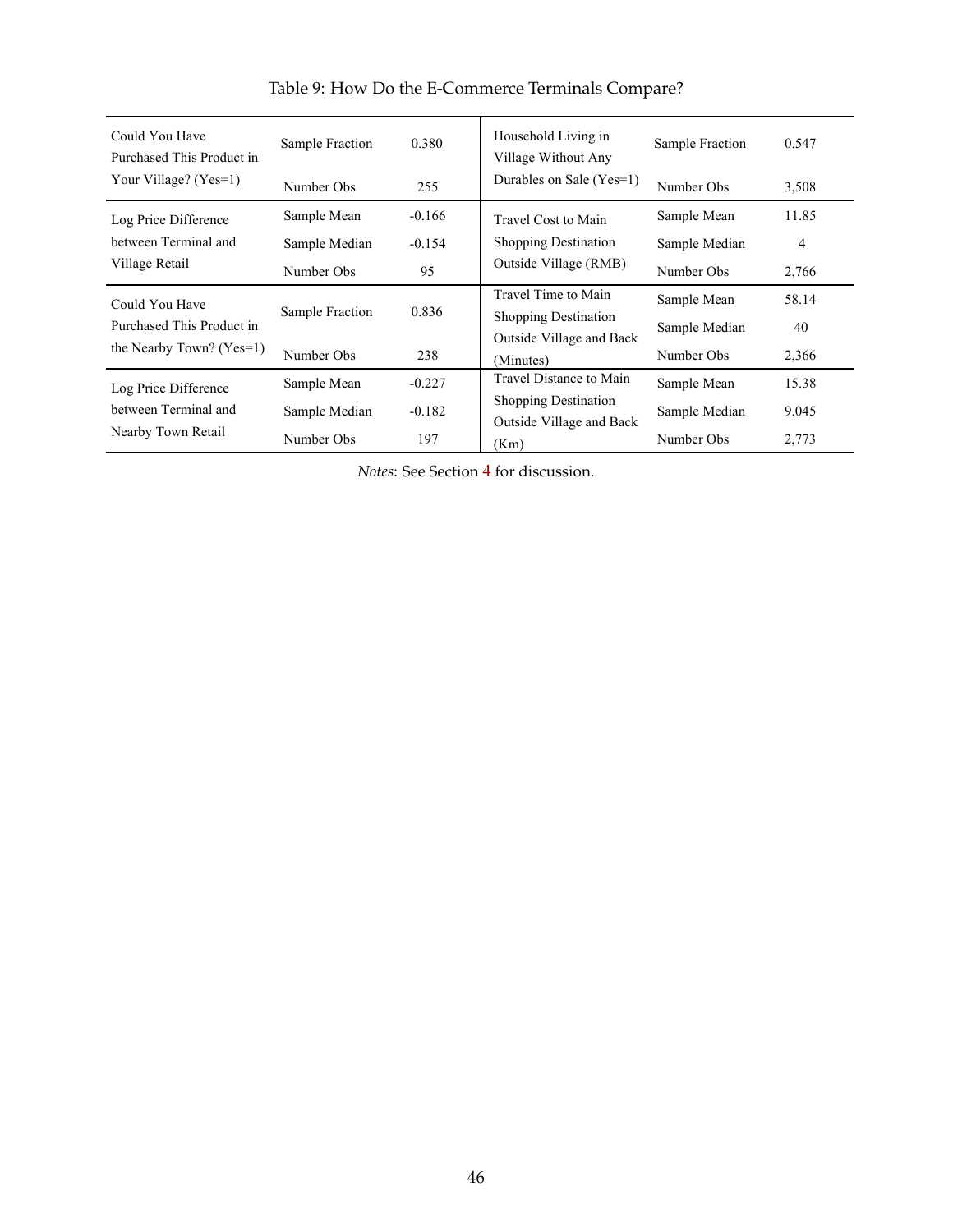<span id="page-46-0"></span>

| Could You Have<br>Purchased This Product in<br>Your Village? (Yes=1) | Sample Fraction           | 0.380    | Household Living in<br>Village Without Any | Sample Fraction | 0.547          |
|----------------------------------------------------------------------|---------------------------|----------|--------------------------------------------|-----------------|----------------|
|                                                                      | Number Obs                | 255      | Durables on Sale (Yes=1)                   | Number Obs      | 3,508          |
| Log Price Difference                                                 | Sample Mean               | $-0.166$ | Travel Cost to Main                        | Sample Mean     | 11.85          |
| between Terminal and<br>Village Retail                               | Sample Median             | $-0.154$ | <b>Shopping Destination</b>                | Sample Median   | $\overline{4}$ |
|                                                                      | Number Obs                | 95       | Outside Village (RMB)                      | Number Obs      | 2,766          |
| Could You Have                                                       |                           |          | Travel Time to Main                        | Sample Mean     | 58.14          |
| Purchased This Product in                                            | Sample Fraction           | 0.836    | <b>Shopping Destination</b>                | Sample Median   | 40             |
| the Nearby Town? $(Yes=1)$                                           | Number Obs                | 238      | Outside Village and Back<br>(Minutes)      | Number Obs      | 2,366          |
| Log Price Difference                                                 | Sample Mean               | $-0.227$ | Travel Distance to Main                    | Sample Mean     | 15.38          |
| between Terminal and<br>Nearby Town Retail                           | $-0.182$<br>Sample Median |          | <b>Shopping Destination</b>                | Sample Median   | 9.045          |
|                                                                      | Number Obs                | 197      | Outside Village and Back<br>(Km)           | Number Obs      | 2,773          |

Table 9: How Do the E-Commerce Terminals Compare?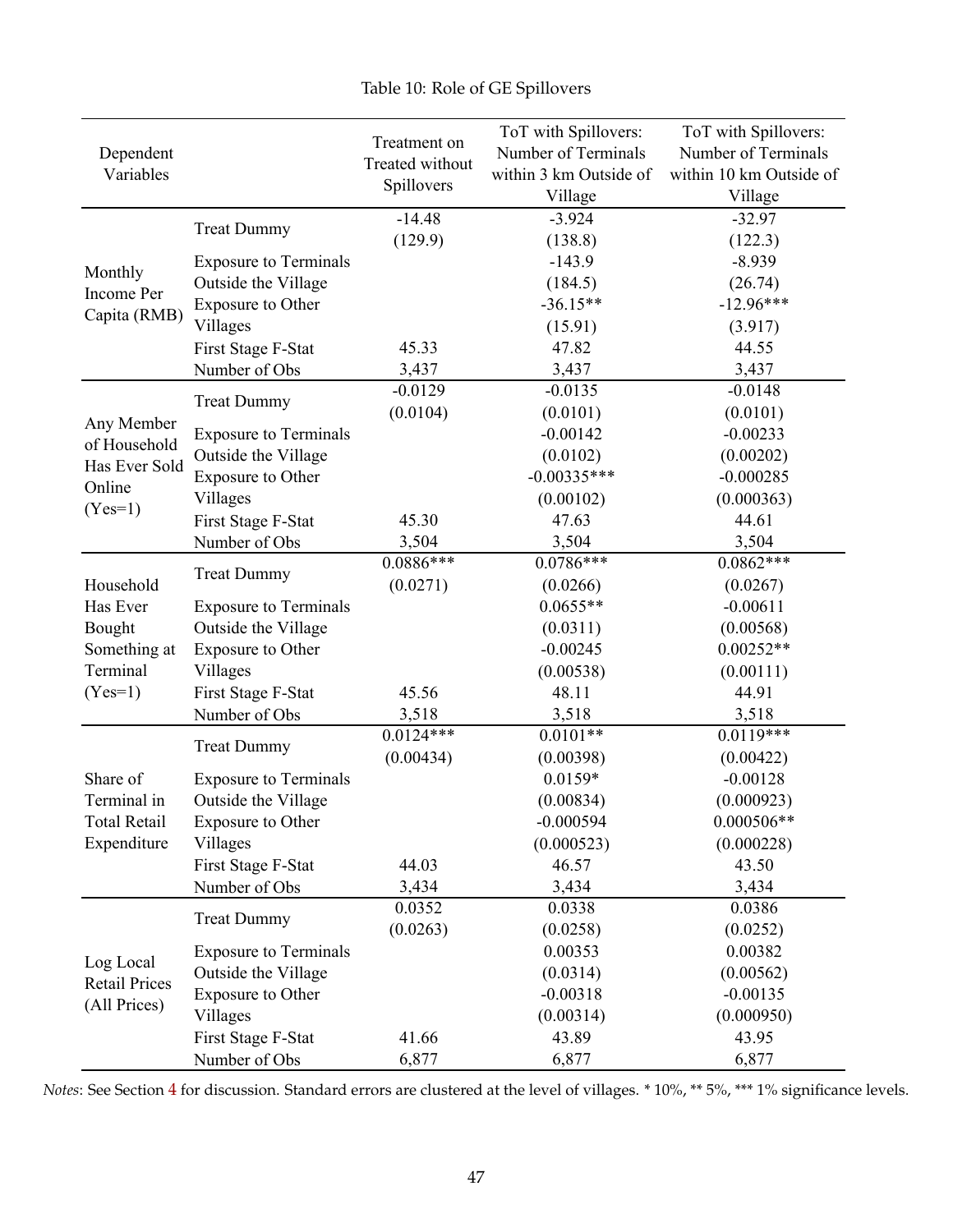<span id="page-47-0"></span>

|                            |                              |                 | ToT with Spillovers:   | ToT with Spillovers:    |
|----------------------------|------------------------------|-----------------|------------------------|-------------------------|
| Dependent                  |                              | Treatment on    | Number of Terminals    | Number of Terminals     |
| Variables                  |                              | Treated without | within 3 km Outside of | within 10 km Outside of |
|                            |                              | Spillovers      | Village                | Village                 |
|                            |                              | $-14.48$        | $-3.924$               | $-32.97$                |
|                            | <b>Treat Dummy</b>           | (129.9)         | (138.8)                | (122.3)                 |
|                            | <b>Exposure to Terminals</b> |                 | $-143.9$               | $-8.939$                |
| Monthly<br>Income Per      | Outside the Village          |                 | (184.5)                | (26.74)                 |
| Capita (RMB)               | <b>Exposure to Other</b>     |                 | $-36.15**$             | $-12.96***$             |
|                            | Villages                     |                 | (15.91)                | (3.917)                 |
|                            | First Stage F-Stat           | 45.33           | 47.82                  | 44.55                   |
|                            | Number of Obs                | 3,437           | 3,437                  | 3,437                   |
|                            | <b>Treat Dummy</b>           | $-0.0129$       | $-0.0135$              | $-0.0148$               |
|                            |                              | (0.0104)        | (0.0101)               | (0.0101)                |
| Any Member<br>of Household | <b>Exposure to Terminals</b> |                 | $-0.00142$             | $-0.00233$              |
| Has Ever Sold              | Outside the Village          |                 | (0.0102)               | (0.00202)               |
| Online                     | <b>Exposure to Other</b>     |                 | $-0.00335***$          | $-0.000285$             |
| $(Yes=1)$                  | Villages                     |                 | (0.00102)              | (0.000363)              |
|                            | First Stage F-Stat           | 45.30           | 47.63                  | 44.61                   |
|                            | Number of Obs                | 3,504           | 3,504                  | 3,504                   |
|                            | <b>Treat Dummy</b>           | $0.0886***$     | $0.0786***$            | $0.0862***$             |
| Household                  |                              | (0.0271)        | (0.0266)               | (0.0267)                |
| Has Ever                   | <b>Exposure to Terminals</b> |                 | $0.0655**$             | $-0.00611$              |
| Bought                     | Outside the Village          |                 | (0.0311)               | (0.00568)               |
| Something at               | Exposure to Other            |                 | $-0.00245$             | $0.00252**$             |
| Terminal                   | Villages                     |                 | (0.00538)              | (0.00111)               |
| $(Yes=1)$                  | First Stage F-Stat           | 45.56           | 48.11                  | 44.91                   |
|                            | Number of Obs                | 3,518           | 3,518                  | 3,518                   |
|                            | <b>Treat Dummy</b>           | $0.0124***$     | $0.0101**$             | $0.0119***$             |
|                            |                              | (0.00434)       | (0.00398)              | (0.00422)               |
| Share of                   | <b>Exposure to Terminals</b> |                 | $0.0159*$              | $-0.00128$              |
| Terminal in                | Outside the Village          |                 | (0.00834)              | (0.000923)              |
| <b>Total Retail</b>        | <b>Exposure to Other</b>     |                 | $-0.000594$            | $0.000506**$            |
| Expenditure                | Villages                     |                 | (0.000523)             | (0.000228)              |
|                            | First Stage F-Stat           | 44.03           | 46.57                  | 43.50                   |
|                            | Number of Obs                | 3,434           | 3,434                  | 3,434                   |
|                            | <b>Treat Dummy</b>           | 0.0352          | 0.0338                 | 0.0386                  |
|                            |                              | (0.0263)        | (0.0258)               | (0.0252)                |
| Log Local                  | <b>Exposure to Terminals</b> |                 | 0.00353                | 0.00382                 |
| <b>Retail Prices</b>       | Outside the Village          |                 | (0.0314)               | (0.00562)               |
| (All Prices)               | Exposure to Other            |                 | $-0.00318$             | $-0.00135$              |
|                            | Villages                     |                 | (0.00314)              | (0.000950)              |
|                            | First Stage F-Stat           | 41.66           | 43.89                  | 43.95                   |
|                            | Number of Obs                | 6,877           | 6,877                  | 6,877                   |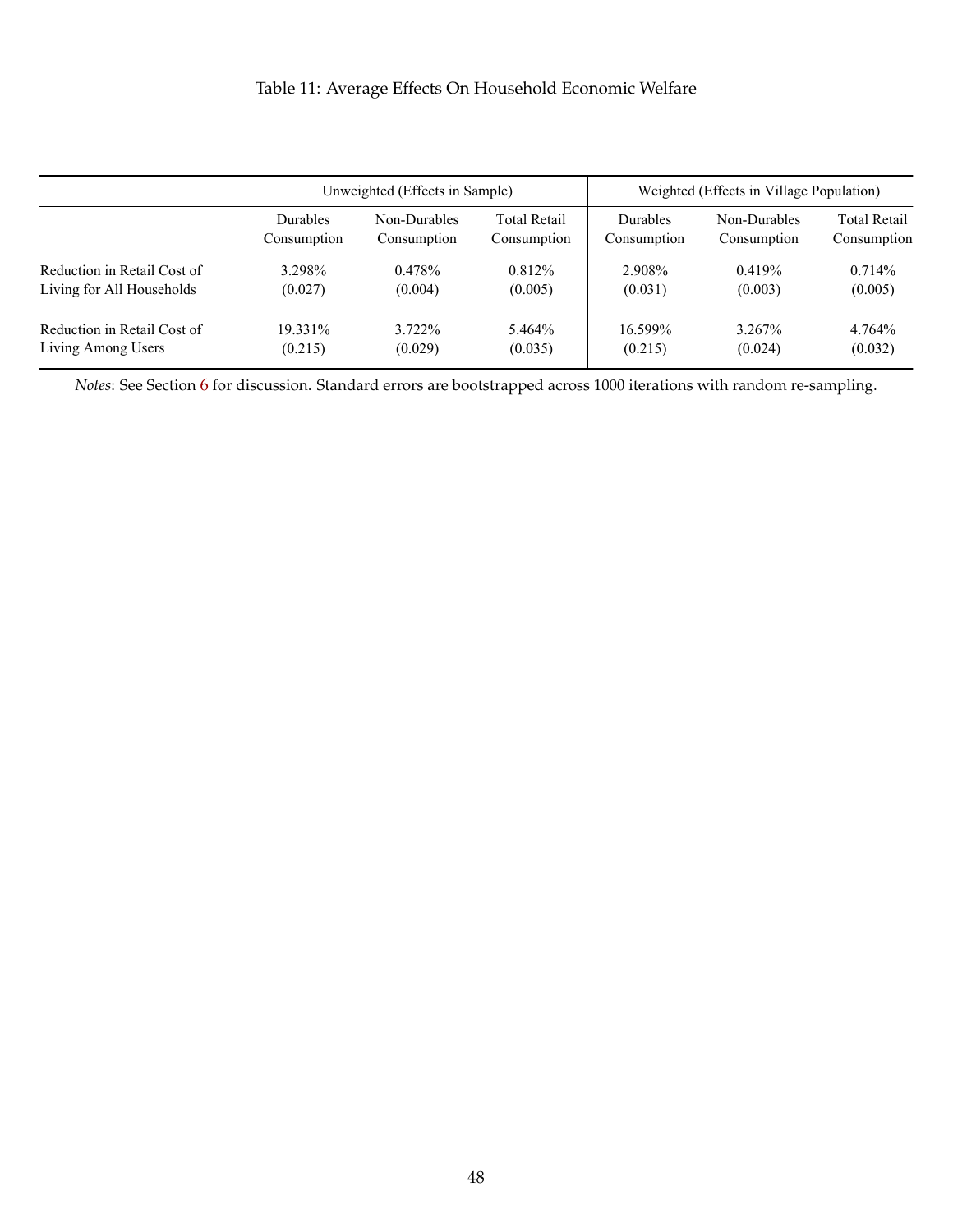# Table 11: Average Effects On Household Economic Welfare

<span id="page-48-0"></span>

|                             |                 | Unweighted (Effects in Sample) |                     |                 | Weighted (Effects in Village Population) |                     |
|-----------------------------|-----------------|--------------------------------|---------------------|-----------------|------------------------------------------|---------------------|
|                             | <b>Durables</b> | Non-Durables                   | <b>Total Retail</b> | <b>Durables</b> | Non-Durables                             | <b>Total Retail</b> |
|                             | Consumption     | Consumption                    | Consumption         | Consumption     | Consumption                              | Consumption         |
| Reduction in Retail Cost of | 3.298%          | $0.478\%$                      | 0.812%              | 2.908%          | 0.419%                                   | 0.714%              |
| Living for All Households   | (0.027)         | (0.004)                        | (0.005)             | (0.031)         | (0.003)                                  | (0.005)             |
| Reduction in Retail Cost of | 19.331%         | 3.722%                         | 5.464%              | 16.599%         | 3.267%                                   | 4.764%              |
| Living Among Users          | (0.215)         | (0.029)                        | (0.035)             | (0.215)         | (0.024)                                  | (0.032)             |

*Notes*: See Section [6](#page-27-0) for discussion. Standard errors are bootstrapped across 1000 iterations with random re-sampling.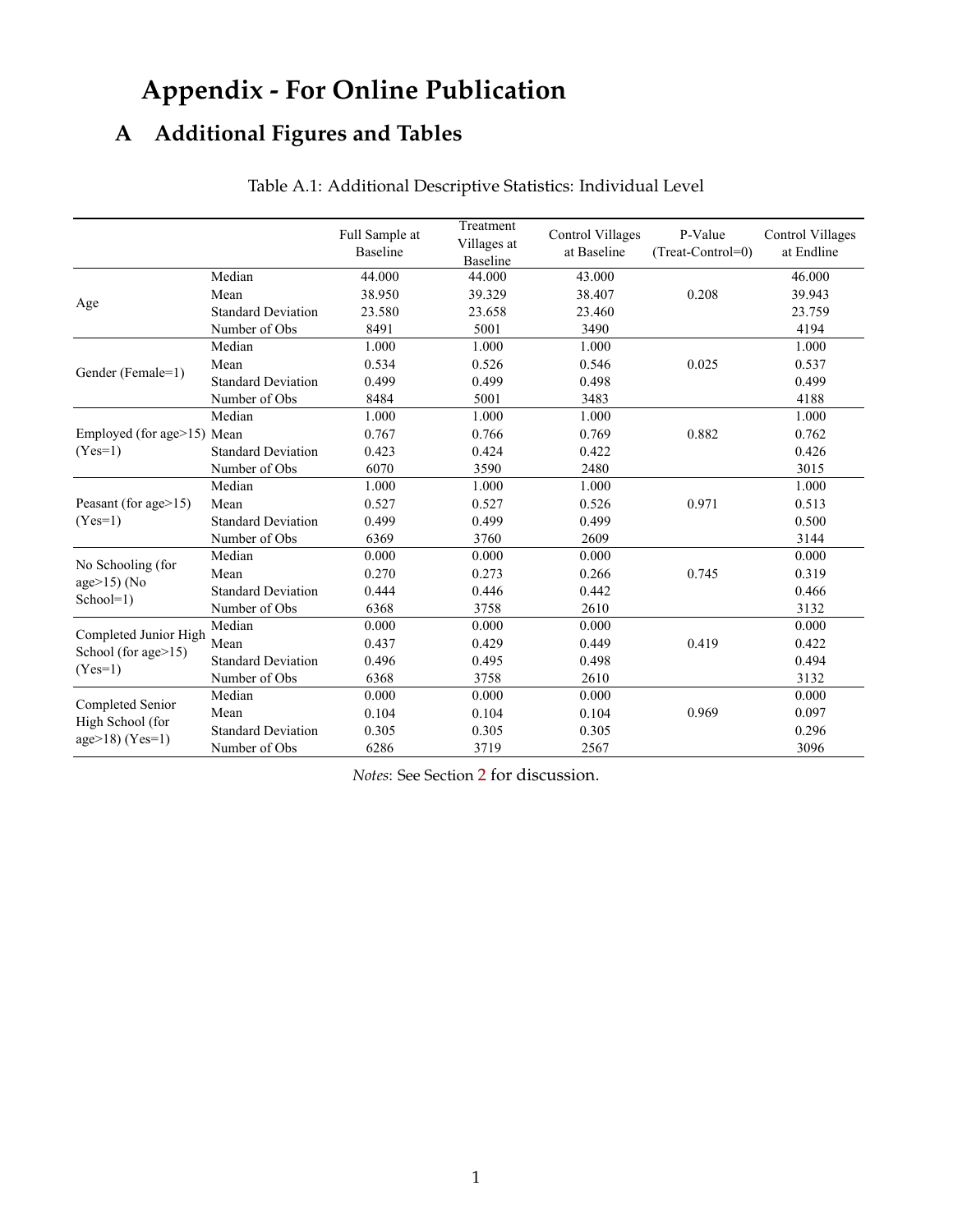# **Appendix - For Online Publication**

# <span id="page-49-0"></span>**A Additional Figures and Tables**

|                                |                           | Full Sample at<br><b>Baseline</b> | Treatment<br>Villages at<br><b>Baseline</b> | <b>Control Villages</b><br>at Baseline | P-Value<br>(Treat-Control=0) | Control Villages<br>at Endline |
|--------------------------------|---------------------------|-----------------------------------|---------------------------------------------|----------------------------------------|------------------------------|--------------------------------|
|                                | Median                    | 44.000                            | 44.000                                      | 43.000                                 |                              | 46.000                         |
|                                | Mean                      | 38.950                            | 39.329                                      | 38.407                                 | 0.208                        | 39.943                         |
| Age                            | <b>Standard Deviation</b> | 23.580                            | 23.658                                      | 23.460                                 |                              | 23.759                         |
|                                | Number of Obs             | 8491                              | 5001                                        | 3490                                   |                              | 4194                           |
|                                | Median                    | 1.000                             | 1.000                                       | 1.000                                  |                              | 1.000                          |
| Gender (Female=1)              | Mean                      | 0.534                             | 0.526                                       | 0.546                                  | 0.025                        | 0.537                          |
|                                | <b>Standard Deviation</b> | 0.499                             | 0.499                                       | 0.498                                  |                              | 0.499                          |
|                                | Number of Obs             | 8484                              | 5001                                        | 3483                                   |                              | 4188                           |
|                                | Median                    | 1.000                             | 1.000                                       | 1.000                                  |                              | 1.000                          |
| Employed (for age>15) Mean     |                           | 0.767                             | 0.766                                       | 0.769                                  | 0.882                        | 0.762                          |
| $(Yes=1)$                      | <b>Standard Deviation</b> | 0.423                             | 0.424                                       | 0.422                                  |                              | 0.426                          |
|                                | Number of Obs             | 6070                              | 3590                                        | 2480                                   |                              | 3015                           |
|                                | Median                    | 1.000                             | 1.000                                       | 1.000                                  |                              | 1.000                          |
| Peasant (for age $>15$ )       | Mean                      | 0.527                             | 0.527                                       | 0.526                                  | 0.971                        | 0.513                          |
| $(Yes=1)$                      | <b>Standard Deviation</b> | 0.499                             | 0.499                                       | 0.499                                  |                              | 0.500                          |
|                                | Number of Obs             | 6369                              | 3760                                        | 2609                                   |                              | 3144                           |
| No Schooling (for              | Median                    | 0.000                             | 0.000                                       | 0.000                                  |                              | 0.000                          |
|                                | Mean                      | 0.270                             | 0.273                                       | 0.266                                  | 0.745                        | 0.319                          |
| age $>15$ ) (No<br>$School=1)$ | <b>Standard Deviation</b> | 0.444                             | 0.446                                       | 0.442                                  |                              | 0.466                          |
|                                | Number of Obs             | 6368                              | 3758                                        | 2610                                   |                              | 3132                           |
| Completed Junior High          | Median                    | 0.000                             | 0.000                                       | 0.000                                  |                              | 0.000                          |
| School (for age>15)            | Mean                      | 0.437                             | 0.429                                       | 0.449                                  | 0.419                        | 0.422                          |
| $(Yes=1)$                      | <b>Standard Deviation</b> | 0.496                             | 0.495                                       | 0.498                                  |                              | 0.494                          |
|                                | Number of Obs             | 6368                              | 3758                                        | 2610                                   |                              | 3132                           |
|                                | Median                    | 0.000                             | 0.000                                       | 0.000                                  |                              | 0.000                          |
| Completed Senior               | Mean                      | 0.104                             | 0.104                                       | 0.104                                  | 0.969                        | 0.097                          |
| High School (for               | <b>Standard Deviation</b> | 0.305                             | 0.305                                       | 0.305                                  |                              | 0.296                          |
| $age>18) (Yes=1)$              | Number of Obs             | 6286                              | 3719                                        | 2567                                   |                              | 3096                           |

# Table A.1: Additional Descriptive Statistics: Individual Level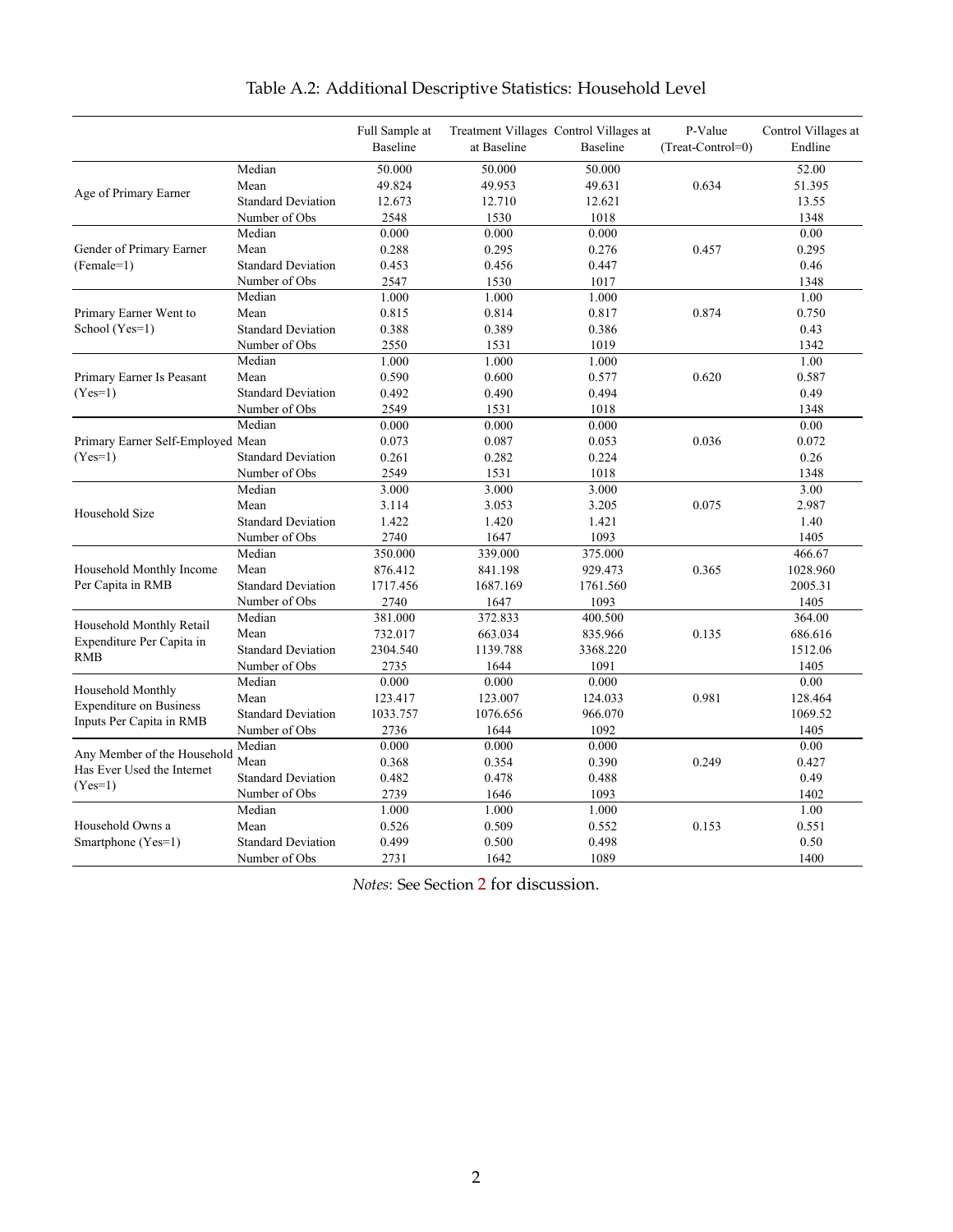|                                   |                           | Full Sample at<br>Baseline | at Baseline | Treatment Villages Control Villages at<br><b>Baseline</b> | P-Value<br>$(Treat-Control=0)$ | Control Villages at<br>Endline |
|-----------------------------------|---------------------------|----------------------------|-------------|-----------------------------------------------------------|--------------------------------|--------------------------------|
|                                   | Median                    | 50.000                     | 50.000      | 50.000                                                    |                                | 52.00                          |
|                                   | Mean                      | 49.824                     | 49.953      | 49.631                                                    | 0.634                          | 51.395                         |
| Age of Primary Earner             | <b>Standard Deviation</b> | 12.673                     | 12.710      | 12.621                                                    |                                | 13.55                          |
|                                   | Number of Obs             | 2548                       | 1530        | 1018                                                      |                                | 1348                           |
|                                   | Median                    | 0.000                      | 0.000       | 0.000                                                     |                                | 0.00                           |
| Gender of Primary Earner          | Mean                      | 0.288                      | 0.295       | 0.276                                                     | 0.457                          | 0.295                          |
| $(Female=1)$                      | <b>Standard Deviation</b> | 0.453                      | 0.456       | 0.447                                                     |                                | 0.46                           |
|                                   | Number of Obs             | 2547                       | 1530        | 1017                                                      |                                | 1348                           |
|                                   | Median                    | 1.000                      | 1.000       | 1.000                                                     |                                | 1.00                           |
| Primary Earner Went to            | Mean                      | 0.815                      | 0.814       | 0.817                                                     | 0.874                          | 0.750                          |
| School (Yes=1)                    | <b>Standard Deviation</b> | 0.388                      | 0.389       | 0.386                                                     |                                | 0.43                           |
|                                   | Number of Obs             | 2550                       | 1531        | 1019                                                      |                                | 1342                           |
|                                   | Median                    | 1.000                      | 1.000       | 1.000                                                     |                                | 1.00                           |
| Primary Earner Is Peasant         | Mean                      | 0.590                      | 0.600       | 0.577                                                     | 0.620                          | 0.587                          |
| $(Yes=1)$                         | <b>Standard Deviation</b> | 0.492                      | 0.490       | 0.494                                                     |                                | 0.49                           |
|                                   | Number of Obs             | 2549                       | 1531        | 1018                                                      |                                | 1348                           |
|                                   | Median                    | 0.000                      | 0.000       | 0.000                                                     |                                | 0.00                           |
| Primary Earner Self-Employed Mean |                           | 0.073                      | 0.087       | 0.053                                                     | 0.036                          | 0.072                          |
| $(Yes=1)$                         | <b>Standard Deviation</b> | 0.261                      | 0.282       | 0.224                                                     |                                | 0.26                           |
|                                   | Number of Obs             | 2549                       | 1531        | 1018                                                      |                                | 1348                           |
| Household Size                    | Median                    | 3.000                      | 3.000       | 3.000                                                     |                                | 3.00                           |
|                                   | Mean                      | 3.114                      | 3.053       | 3.205                                                     | 0.075                          | 2.987                          |
|                                   | <b>Standard Deviation</b> | 1.422                      | 1.420       | 1.421                                                     |                                | 1.40                           |
|                                   | Number of Obs             | 2740                       | 1647        | 1093                                                      |                                | 1405                           |
|                                   | Median                    | 350.000                    | 339.000     | 375.000                                                   |                                | 466.67                         |
| Household Monthly Income          | Mean                      | 876.412                    | 841.198     | 929.473                                                   | 0.365                          | 1028.960                       |
| Per Capita in RMB                 | <b>Standard Deviation</b> | 1717.456                   | 1687.169    | 1761.560                                                  |                                | 2005.31                        |
|                                   | Number of Obs             | 2740                       | 1647        | 1093                                                      |                                | 1405                           |
| Household Monthly Retail          | Median                    | 381.000                    | 372.833     | 400.500                                                   |                                | 364.00                         |
| Expenditure Per Capita in         | Mean                      | 732.017                    | 663.034     | 835.966                                                   | 0.135                          | 686.616                        |
| <b>RMB</b>                        | <b>Standard Deviation</b> | 2304.540                   | 1139.788    | 3368.220                                                  |                                | 1512.06                        |
|                                   | Number of Obs             | 2735                       | 1644        | 1091                                                      |                                | 1405                           |
| Household Monthly                 | Median                    | 0.000                      | 0.000       | 0.000                                                     |                                | 0.00                           |
| <b>Expenditure on Business</b>    | Mean                      | 123.417                    | 123.007     | 124.033                                                   | 0.981                          | 128.464                        |
| Inputs Per Capita in RMB          | <b>Standard Deviation</b> | 1033.757                   | 1076.656    | 966.070                                                   |                                | 1069.52                        |
|                                   | Number of Obs             | 2736                       | 1644        | 1092                                                      |                                | 1405                           |
| Any Member of the Household       | Median                    | 0.000                      | 0.000       | 0.000                                                     |                                | 0.00                           |
| Has Ever Used the Internet        | Mean                      | 0.368                      | 0.354       | 0.390                                                     | 0.249                          | 0.427                          |
| $(Yes=1)$                         | <b>Standard Deviation</b> | 0.482                      | 0.478       | 0.488                                                     |                                | 0.49                           |
|                                   | Number of Obs             | 2739                       | 1646        | 1093                                                      |                                | 1402                           |
|                                   | Median                    | 1.000                      | 1.000       | 1.000                                                     |                                | 1.00                           |
| Household Owns a                  | Mean                      | 0.526                      | 0.509       | 0.552                                                     | 0.153                          | 0.551                          |
| Smartphone (Yes=1)                | <b>Standard Deviation</b> | 0.499                      | 0.500       | 0.498                                                     |                                | 0.50                           |
|                                   | Number of Obs             | 2731                       | 1642        | 1089                                                      |                                | 1400                           |

# Table A.2: Additional Descriptive Statistics: Household Level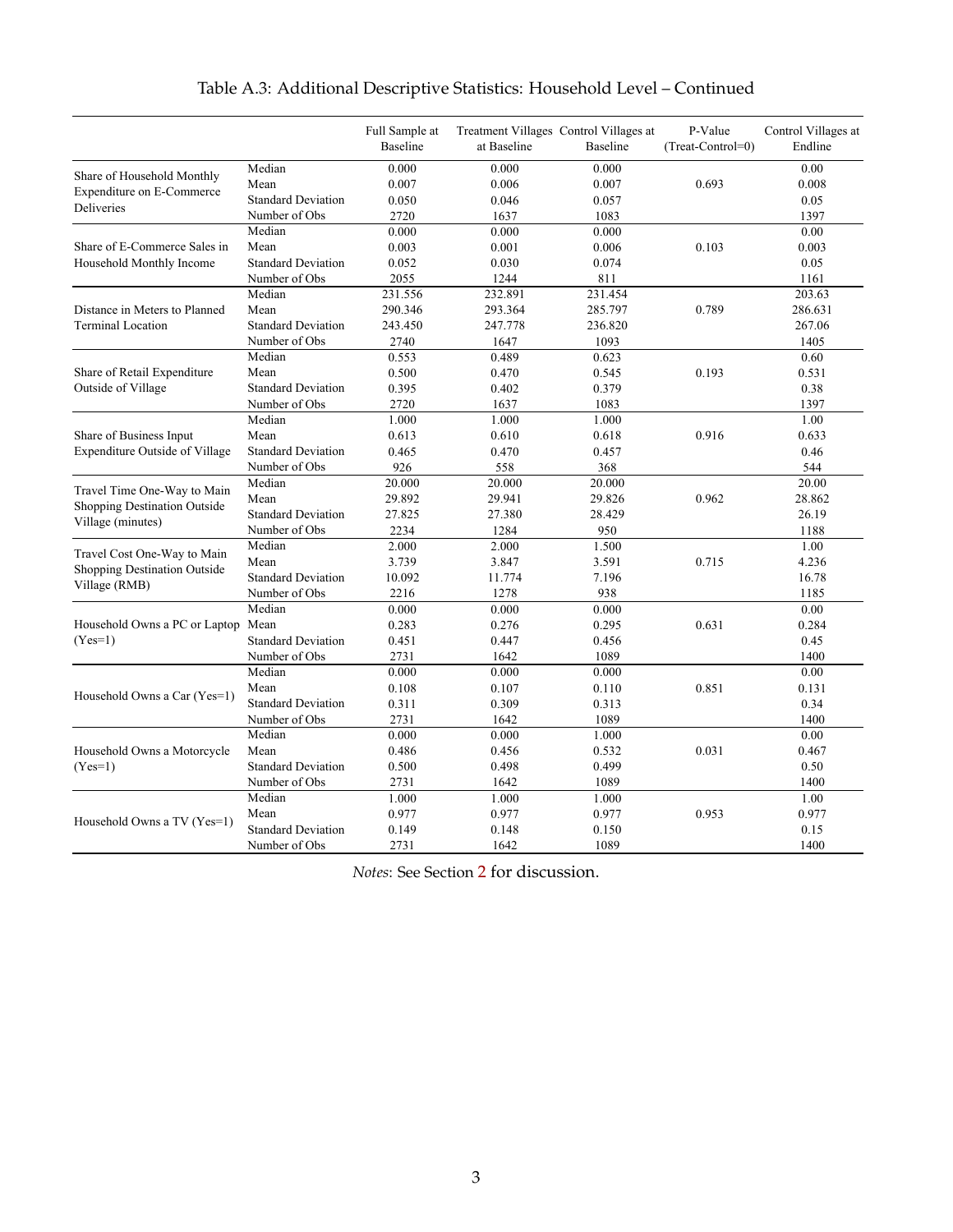|                                               |                           | Full Sample at<br><b>Baseline</b> | at Baseline | Treatment Villages Control Villages at<br>Baseline | P-Value<br>$(Treat-Control=0)$ | Control Villages at<br>Endline |
|-----------------------------------------------|---------------------------|-----------------------------------|-------------|----------------------------------------------------|--------------------------------|--------------------------------|
| Share of Household Monthly                    | Median                    | 0.000                             | 0.000       | 0.000                                              |                                | 0.00                           |
| Expenditure on E-Commerce                     | Mean                      | 0.007                             | 0.006       | 0.007                                              | 0.693                          | 0.008                          |
| Deliveries                                    | <b>Standard Deviation</b> | 0.050                             | 0.046       | 0.057                                              |                                | 0.05                           |
|                                               | Number of Obs             | 2720                              | 1637        | 1083                                               |                                | 1397                           |
|                                               | Median                    | 0.000                             | 0.000       | 0.000                                              |                                | 0.00                           |
| Share of E-Commerce Sales in                  | Mean                      | 0.003                             | 0.001       | 0.006                                              | 0.103                          | 0.003                          |
| Household Monthly Income                      | <b>Standard Deviation</b> | 0.052                             | 0.030       | 0.074                                              |                                | 0.05                           |
|                                               | Number of Obs             | 2055                              | 1244        | 811                                                |                                | 1161                           |
|                                               | Median                    | 231.556                           | 232.891     | 231.454                                            |                                | 203.63                         |
| Distance in Meters to Planned                 | Mean                      | 290.346                           | 293.364     | 285.797                                            | 0.789                          | 286.631                        |
| <b>Terminal Location</b>                      | <b>Standard Deviation</b> | 243.450                           | 247.778     | 236.820                                            |                                | 267.06                         |
|                                               | Number of Obs             | 2740                              | 1647        | 1093                                               |                                | 1405                           |
|                                               | Median                    | 0.553                             | 0.489       | 0.623                                              |                                | 0.60                           |
| Share of Retail Expenditure                   | Mean                      | 0.500                             | 0.470       | 0.545                                              | 0.193                          | 0.531                          |
| Outside of Village                            | <b>Standard Deviation</b> | 0.395                             | 0.402       | 0.379                                              |                                | 0.38                           |
|                                               | Number of Obs             | 2720                              | 1637        | 1083                                               |                                | 1397                           |
|                                               | Median                    | 1.000                             | 1.000       | 1.000                                              |                                | 1.00                           |
| Share of Business Input                       | Mean                      | 0.613                             | 0.610       | 0.618                                              | 0.916                          | 0.633                          |
| Expenditure Outside of Village                | <b>Standard Deviation</b> | 0.465                             | 0.470       | 0.457                                              |                                | 0.46                           |
|                                               | Number of Obs             | 926                               | 558         | 368                                                |                                | 544                            |
| Travel Time One-Way to Main                   | Median                    | 20.000                            | 20.000      | 20.000                                             |                                | 20.00                          |
|                                               | Mean                      | 29.892                            | 29.941      | 29.826                                             | 0.962                          | 28.862                         |
| Shopping Destination Outside                  | <b>Standard Deviation</b> | 27.825                            | 27.380      | 28.429                                             |                                | 26.19                          |
| Village (minutes)                             | Number of Obs             | 2234                              | 1284        | 950                                                |                                | 1188                           |
| Travel Cost One-Way to Main                   | Median                    | 2.000                             | 2.000       | 1.500                                              |                                | 1.00                           |
|                                               | Mean                      | 3.739                             | 3.847       | 3.591                                              | 0.715                          | 4.236                          |
| Shopping Destination Outside<br>Village (RMB) | <b>Standard Deviation</b> | 10.092                            | 11.774      | 7.196                                              |                                | 16.78                          |
|                                               | Number of Obs             | 2216                              | 1278        | 938                                                |                                | 1185                           |
|                                               | Median                    | 0.000                             | 0.000       | 0.000                                              |                                | 0.00                           |
| Household Owns a PC or Laptop                 | Mean                      | 0.283                             | 0.276       | 0.295                                              | 0.631                          | 0.284                          |
| $(Yes=1)$                                     | <b>Standard Deviation</b> | 0.451                             | 0.447       | 0.456                                              |                                | 0.45                           |
|                                               | Number of Obs             | 2731                              | 1642        | 1089                                               |                                | 1400                           |
|                                               | Median                    | 0.000                             | 0.000       | 0.000                                              |                                | 0.00                           |
| Household Owns a Car (Yes=1)                  | Mean                      | 0.108                             | 0.107       | 0.110                                              | 0.851                          | 0.131                          |
|                                               | <b>Standard Deviation</b> | 0.311                             | 0.309       | 0.313                                              |                                | 0.34                           |
|                                               | Number of Obs             | 2731                              | 1642        | 1089                                               |                                | 1400                           |
|                                               | Median                    | 0.000                             | 0.000       | 1.000                                              |                                | 0.00                           |
| Household Owns a Motorcycle                   | Mean                      | 0.486                             | 0.456       | 0.532                                              | 0.031                          | 0.467                          |
| $(Yes=1)$                                     | <b>Standard Deviation</b> | 0.500                             | 0.498       | 0.499                                              |                                | 0.50                           |
|                                               | Number of Obs             | 2731                              | 1642        | 1089                                               |                                | 1400                           |
|                                               | Median                    | 1.000                             | 1.000       | 1.000                                              |                                | 1.00                           |
| Household Owns a TV (Yes=1)                   | Mean                      | 0.977                             | 0.977       | 0.977                                              | 0.953                          | 0.977                          |
|                                               | <b>Standard Deviation</b> | 0.149                             | 0.148       | 0.150                                              |                                | 0.15                           |
|                                               | Number of Obs             | 2731                              | 1642        | 1089                                               |                                | 1400                           |

# Table A.3: Additional Descriptive Statistics: Household Level – Continued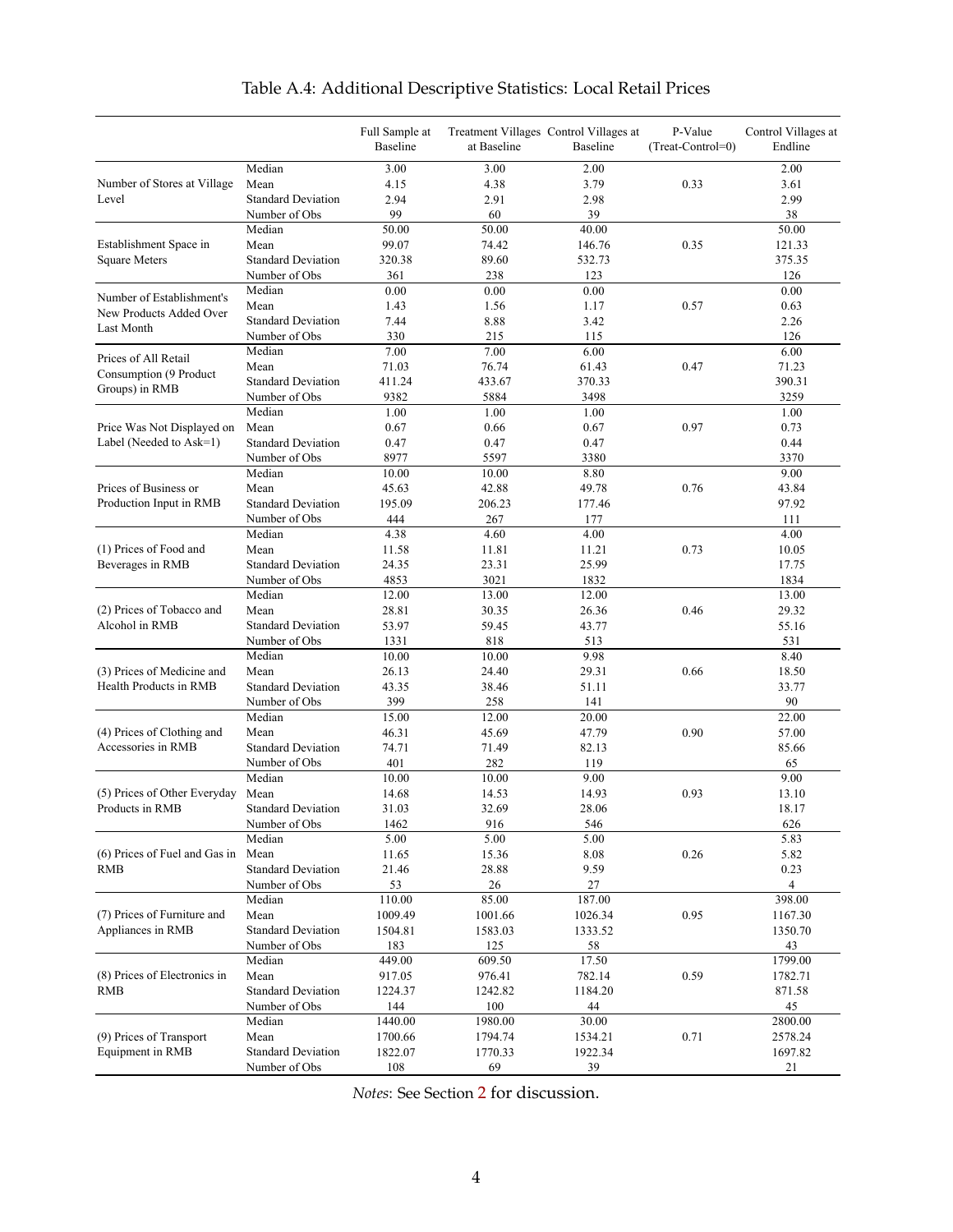<span id="page-52-0"></span>

|                               |                           | Full Sample at<br>Baseline | at Baseline | Treatment Villages Control Villages at<br>Baseline | P-Value<br>(Treat-Control=0) | Control Villages at<br>Endline |
|-------------------------------|---------------------------|----------------------------|-------------|----------------------------------------------------|------------------------------|--------------------------------|
|                               | Median                    | 3.00                       | 3.00        | 2.00                                               |                              | 2.00                           |
| Number of Stores at Village   | Mean                      | 4.15                       | 4.38        | 3.79                                               | 0.33                         | 3.61                           |
| Level                         | <b>Standard Deviation</b> | 2.94                       | 2.91        | 2.98                                               |                              | 2.99                           |
|                               | Number of Obs             | 99                         | 60          | 39                                                 |                              | 38                             |
|                               | Median                    | 50.00                      | 50.00       | 40.00                                              |                              | 50.00                          |
| Establishment Space in        | Mean                      | 99.07                      | 74.42       | 146.76                                             | 0.35                         | 121.33                         |
| <b>Square Meters</b>          | <b>Standard Deviation</b> | 320.38                     | 89.60       | 532.73                                             |                              | 375.35                         |
|                               | Number of Obs             | 361                        | 238         | 123                                                |                              | 126                            |
| Number of Establishment's     | Median                    | 0.00                       | 0.00        | 0.00                                               |                              | 0.00                           |
| New Products Added Over       | Mean                      | 1.43                       | 1.56        | 1.17                                               | 0.57                         | 0.63                           |
| Last Month                    | <b>Standard Deviation</b> | 7.44                       | 8.88        | 3.42                                               |                              | 2.26                           |
|                               | Number of Obs             | 330                        | 215         | 115                                                |                              | 126                            |
| Prices of All Retail          | Median                    | 7.00                       | 7.00        | 6.00                                               |                              | 6.00                           |
| Consumption (9 Product        | Mean                      | 71.03                      | 76.74       | 61.43                                              | 0.47                         | 71.23                          |
| Groups) in RMB                | <b>Standard Deviation</b> | 411.24                     | 433.67      | 370.33                                             |                              | 390.31                         |
|                               | Number of Obs             | 9382                       | 5884        | 3498                                               |                              | 3259                           |
|                               | Median                    | 1.00                       | 1.00        | 1.00                                               |                              | 1.00                           |
| Price Was Not Displayed on    | Mean                      | 0.67                       | 0.66        | 0.67                                               | 0.97                         | 0.73                           |
| Label (Needed to Ask=1)       | <b>Standard Deviation</b> | 0.47                       | 0.47        | 0.47                                               |                              | 0.44                           |
|                               | Number of Obs             | 8977                       | 5597        | 3380                                               |                              | 3370                           |
|                               | Median                    | 10.00                      | 10.00       | 8.80                                               |                              | 9.00                           |
| Prices of Business or         | Mean                      | 45.63                      | 42.88       | 49.78                                              | 0.76                         | 43.84                          |
| Production Input in RMB       | <b>Standard Deviation</b> | 195.09                     | 206.23      | 177.46                                             |                              | 97.92                          |
|                               | Number of Obs             | 444                        | 267         | 177                                                |                              | 111                            |
|                               | Median                    | 4.38                       | 4.60        | 4.00                                               |                              | 4.00                           |
| (1) Prices of Food and        | Mean                      | 11.58                      | 11.81       | 11.21                                              | 0.73                         | 10.05                          |
| Beverages in RMB              | <b>Standard Deviation</b> | 24.35                      | 23.31       | 25.99                                              |                              | 17.75                          |
|                               | Number of Obs             | 4853                       | 3021        | 1832                                               |                              | 1834                           |
|                               | Median                    | 12.00                      | 13.00       | 12.00                                              |                              | 13.00                          |
| (2) Prices of Tobacco and     | Mean                      | 28.81                      | 30.35       | 26.36                                              | 0.46                         | 29.32                          |
| Alcohol in RMB                | <b>Standard Deviation</b> | 53.97                      | 59.45       | 43.77                                              |                              | 55.16                          |
|                               | Number of Obs             | 1331                       | 818         | 513                                                |                              | 531                            |
|                               | Median                    | 10.00                      | 10.00       | 9.98                                               |                              | 8.40                           |
| (3) Prices of Medicine and    | Mean                      | 26.13                      | 24.40       | 29.31                                              | 0.66                         | 18.50                          |
| Health Products in RMB        | <b>Standard Deviation</b> | 43.35                      | 38.46       | 51.11                                              |                              | 33.77                          |
|                               | Number of Obs             | 399                        | 258         | 141                                                |                              | 90                             |
|                               | Median                    | 15.00                      | 12.00       | 20.00                                              |                              | 22.00                          |
| (4) Prices of Clothing and    | Mean                      | 46.31                      | 45.69       | 47.79                                              | 0.90                         | 57.00                          |
| Accessories in RMB            | <b>Standard Deviation</b> | 74.71                      | 71.49       | 82.13                                              |                              | 85.66                          |
|                               | Number of Obs             | 401                        | 282         | 119                                                |                              | 65                             |
|                               | Median                    | 10.00                      | 10.00       | 9.00                                               |                              | 9.00                           |
| (5) Prices of Other Everyday  | Mean                      | 14.68                      | 14.53       | 14.93                                              | 0.93                         | 13.10                          |
| Products in RMB               | <b>Standard Deviation</b> | 31.03                      | 32.69       | 28.06                                              |                              | 18.17                          |
|                               | Number of Obs<br>Median   | 1462<br>5.00               | 916<br>5.00 | 546<br>5.00                                        |                              | 626<br>5.83                    |
| (6) Prices of Fuel and Gas in | Mean                      |                            |             | 8.08                                               | 0.26                         | 5.82                           |
| <b>RMB</b>                    | <b>Standard Deviation</b> | 11.65                      | 15.36       |                                                    |                              |                                |
|                               | Number of Obs             | 21.46<br>53                | 28.88<br>26 | 9.59<br>27                                         |                              | 0.23<br>4                      |
|                               | Median                    | 110.00                     | 85.00       | 187.00                                             |                              | 398.00                         |
| (7) Prices of Furniture and   | Mean                      | 1009.49                    | 1001.66     | 1026.34                                            | 0.95                         | 1167.30                        |
| Appliances in RMB             | <b>Standard Deviation</b> | 1504.81                    | 1583.03     | 1333.52                                            |                              | 1350.70                        |
|                               | Number of Obs             | 183                        | 125         | 58                                                 |                              | 43                             |
|                               | Median                    | 449.00                     | 609.50      | 17.50                                              |                              | 1799.00                        |
| (8) Prices of Electronics in  | Mean                      | 917.05                     | 976.41      | 782.14                                             | 0.59                         | 1782.71                        |
| RMB                           | <b>Standard Deviation</b> | 1224.37                    | 1242.82     | 1184.20                                            |                              | 871.58                         |
|                               | Number of Obs             | 144                        | 100         | 44                                                 |                              | 45                             |
|                               | Median                    | 1440.00                    | 1980.00     | 30.00                                              |                              | 2800.00                        |
| (9) Prices of Transport       | Mean                      | 1700.66                    | 1794.74     | 1534.21                                            | 0.71                         | 2578.24                        |
| Equipment in RMB              | <b>Standard Deviation</b> | 1822.07                    | 1770.33     | 1922.34                                            |                              | 1697.82                        |
|                               | Number of Obs             | 108                        | 69          | 39                                                 |                              | 21                             |

# Table A.4: Additional Descriptive Statistics: Local Retail Prices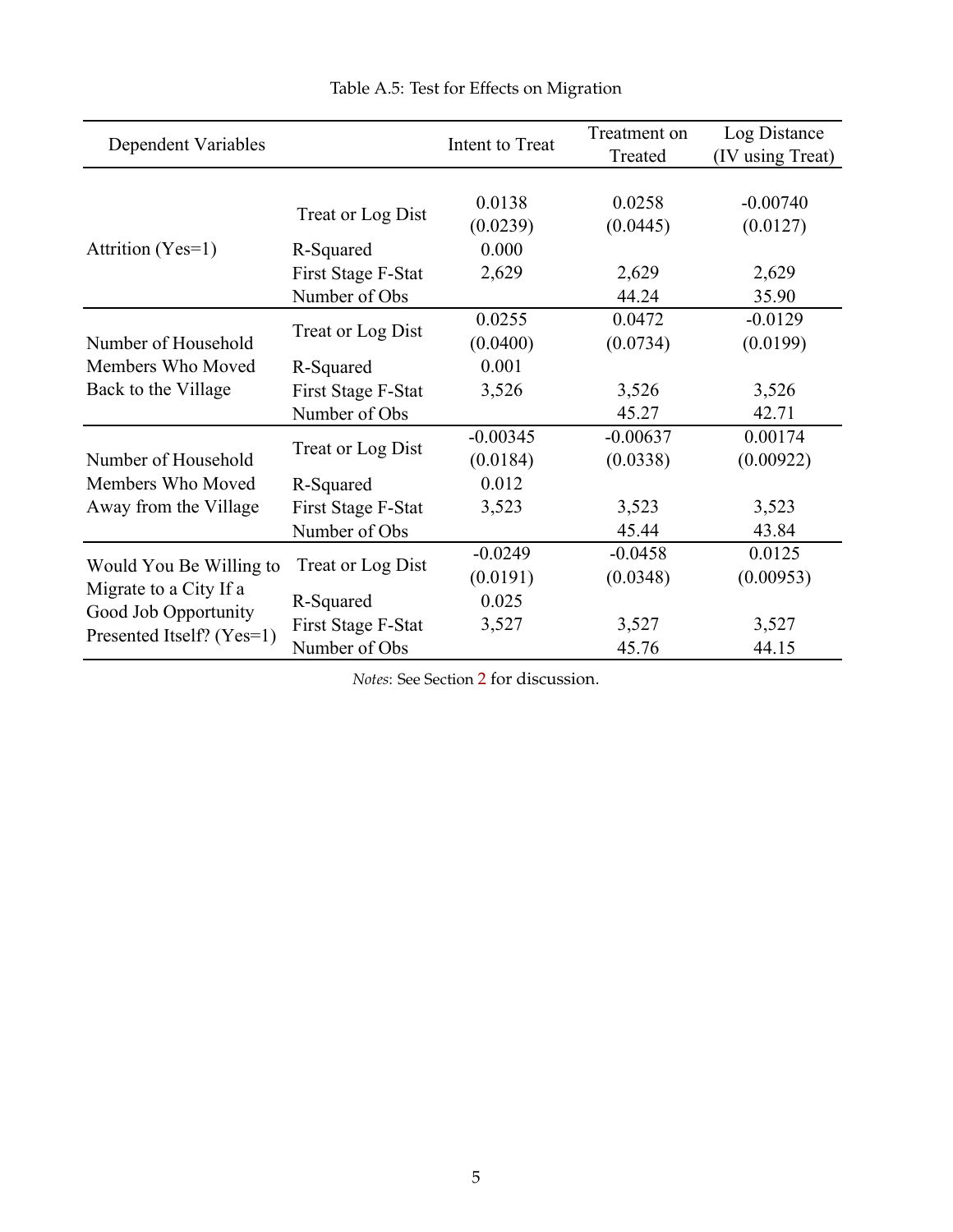<span id="page-53-0"></span>

| Dependent Variables       |                    | Intent to Treat    | Treatment on<br>Treated | Log Distance<br>(IV using Treat) |
|---------------------------|--------------------|--------------------|-------------------------|----------------------------------|
|                           | Treat or Log Dist  | 0.0138<br>(0.0239) | 0.0258<br>(0.0445)      | $-0.00740$<br>(0.0127)           |
| Attrition (Yes=1)         | R-Squared          | 0.000              |                         |                                  |
|                           | First Stage F-Stat | 2,629              | 2,629                   | 2,629                            |
|                           | Number of Obs      |                    | 44.24                   | 35.90                            |
|                           |                    | 0.0255             | 0.0472                  | $-0.0129$                        |
| Number of Household       | Treat or Log Dist  | (0.0400)           | (0.0734)                | (0.0199)                         |
| Members Who Moved         | R-Squared          | 0.001              |                         |                                  |
| Back to the Village       | First Stage F-Stat | 3,526              | 3,526                   | 3,526                            |
|                           | Number of Obs      |                    | 45.27                   | 42.71                            |
|                           | Treat or Log Dist  | $-0.00345$         | $-0.00637$              | 0.00174                          |
| Number of Household       |                    | (0.0184)           | (0.0338)                | (0.00922)                        |
| Members Who Moved         | R-Squared          | 0.012              |                         |                                  |
| Away from the Village     | First Stage F-Stat | 3,523              | 3,523                   | 3,523                            |
|                           | Number of Obs      |                    | 45.44                   | 43.84                            |
| Would You Be Willing to   | Treat or Log Dist  | $-0.0249$          | $-0.0458$               | 0.0125                           |
| Migrate to a City If a    |                    | (0.0191)           | (0.0348)                | (0.00953)                        |
| Good Job Opportunity      | R-Squared          | 0.025              |                         |                                  |
| Presented Itself? (Yes=1) | First Stage F-Stat | 3,527              | 3,527                   | 3,527                            |
|                           | Number of Obs      |                    | 45.76                   | 44.15                            |

Table A.5: Test for Effects on Migration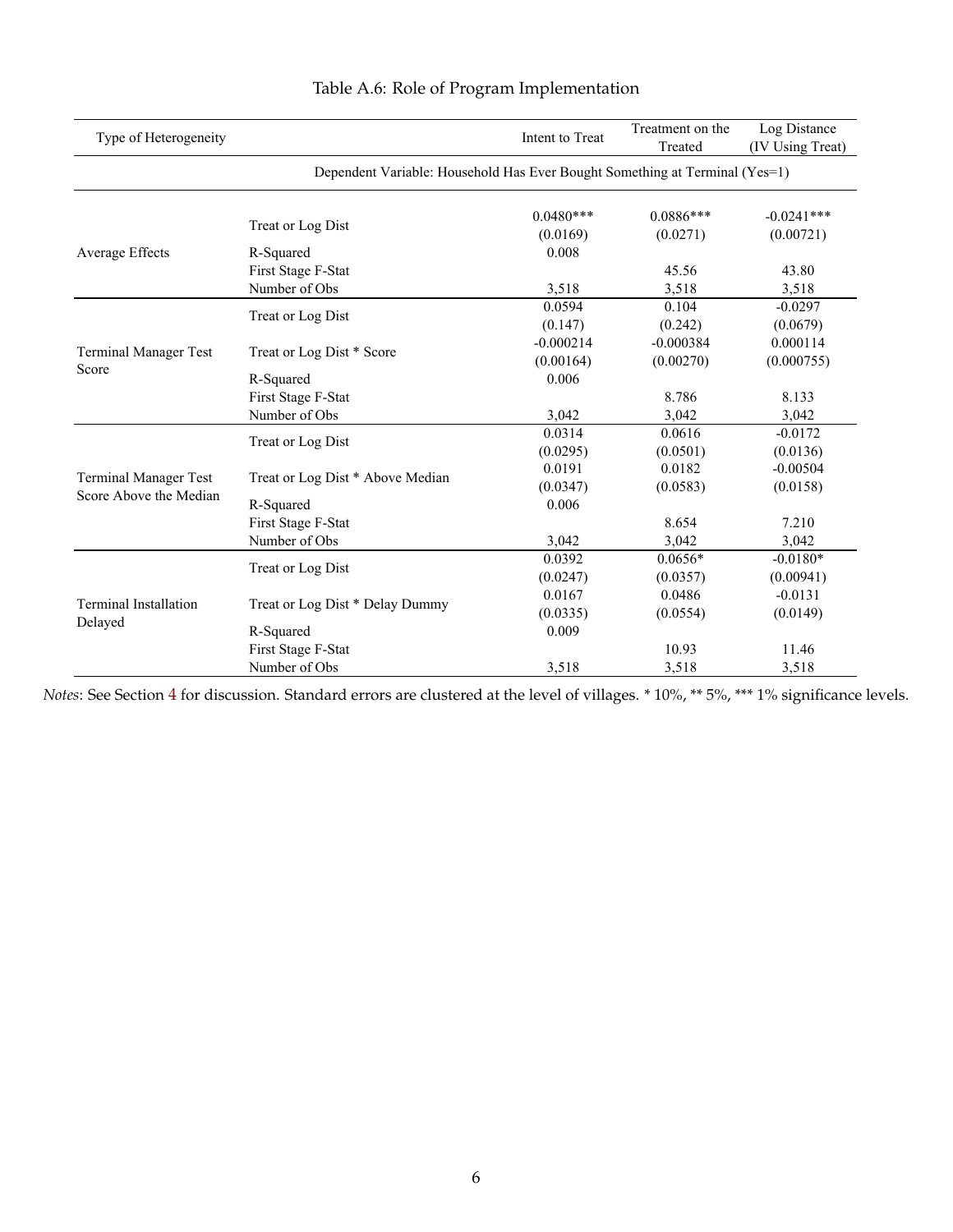<span id="page-54-0"></span>

| Type of Heterogeneity                 |                                                                             | Intent to Treat | Treatment on the<br>Treated | Log Distance<br>(IV Using Treat) |  |  |  |  |  |
|---------------------------------------|-----------------------------------------------------------------------------|-----------------|-----------------------------|----------------------------------|--|--|--|--|--|
|                                       | Dependent Variable: Household Has Ever Bought Something at Terminal (Yes=1) |                 |                             |                                  |  |  |  |  |  |
|                                       | Treat or Log Dist                                                           | $0.0480***$     | $0.0886***$                 | $-0.0241***$                     |  |  |  |  |  |
|                                       |                                                                             | (0.0169)        | (0.0271)                    | (0.00721)                        |  |  |  |  |  |
| Average Effects                       | R-Squared                                                                   | 0.008           |                             |                                  |  |  |  |  |  |
|                                       | First Stage F-Stat                                                          |                 | 45.56                       | 43.80                            |  |  |  |  |  |
|                                       | Number of Obs                                                               | 3,518           | 3,518                       | 3,518                            |  |  |  |  |  |
|                                       | Treat or Log Dist                                                           | 0.0594          | 0.104                       | $-0.0297$                        |  |  |  |  |  |
|                                       |                                                                             | (0.147)         | (0.242)                     | (0.0679)                         |  |  |  |  |  |
| <b>Terminal Manager Test</b><br>Score |                                                                             | $-0.000214$     | $-0.000384$                 | 0.000114                         |  |  |  |  |  |
|                                       | Treat or Log Dist * Score                                                   | (0.00164)       | (0.00270)                   | (0.000755)                       |  |  |  |  |  |
|                                       | R-Squared                                                                   | 0.006           |                             |                                  |  |  |  |  |  |
|                                       | First Stage F-Stat                                                          |                 | 8.786                       | 8.133                            |  |  |  |  |  |
|                                       | Number of Obs                                                               | 3,042           | 3,042                       | 3,042                            |  |  |  |  |  |
|                                       |                                                                             | 0.0314          | 0.0616                      | $-0.0172$                        |  |  |  |  |  |
|                                       | Treat or Log Dist                                                           | (0.0295)        | (0.0501)                    | (0.0136)                         |  |  |  |  |  |
|                                       |                                                                             | 0.0191          | 0.0182                      | $-0.00504$                       |  |  |  |  |  |
| <b>Terminal Manager Test</b>          | Treat or Log Dist * Above Median                                            | (0.0347)        | (0.0583)                    | (0.0158)                         |  |  |  |  |  |
| Score Above the Median                | R-Squared                                                                   | 0.006           |                             |                                  |  |  |  |  |  |
|                                       | First Stage F-Stat                                                          |                 | 8.654                       | 7.210                            |  |  |  |  |  |
|                                       | Number of Obs                                                               | 3,042           | 3,042                       | 3,042                            |  |  |  |  |  |
|                                       |                                                                             | 0.0392          | $0.0656*$                   | $-0.0180*$                       |  |  |  |  |  |
|                                       | Treat or Log Dist                                                           | (0.0247)        | (0.0357)                    | (0.00941)                        |  |  |  |  |  |
|                                       |                                                                             | 0.0167          | 0.0486                      | $-0.0131$                        |  |  |  |  |  |
| Terminal Installation                 | Treat or Log Dist * Delay Dummy                                             | (0.0335)        | (0.0554)                    | (0.0149)                         |  |  |  |  |  |
| Delayed                               | R-Squared                                                                   | 0.009           |                             |                                  |  |  |  |  |  |
|                                       | First Stage F-Stat                                                          |                 | 10.93                       | 11.46                            |  |  |  |  |  |
|                                       | Number of Obs                                                               | 3,518           | 3,518                       | 3,518                            |  |  |  |  |  |

# Table A.6: Role of Program Implementation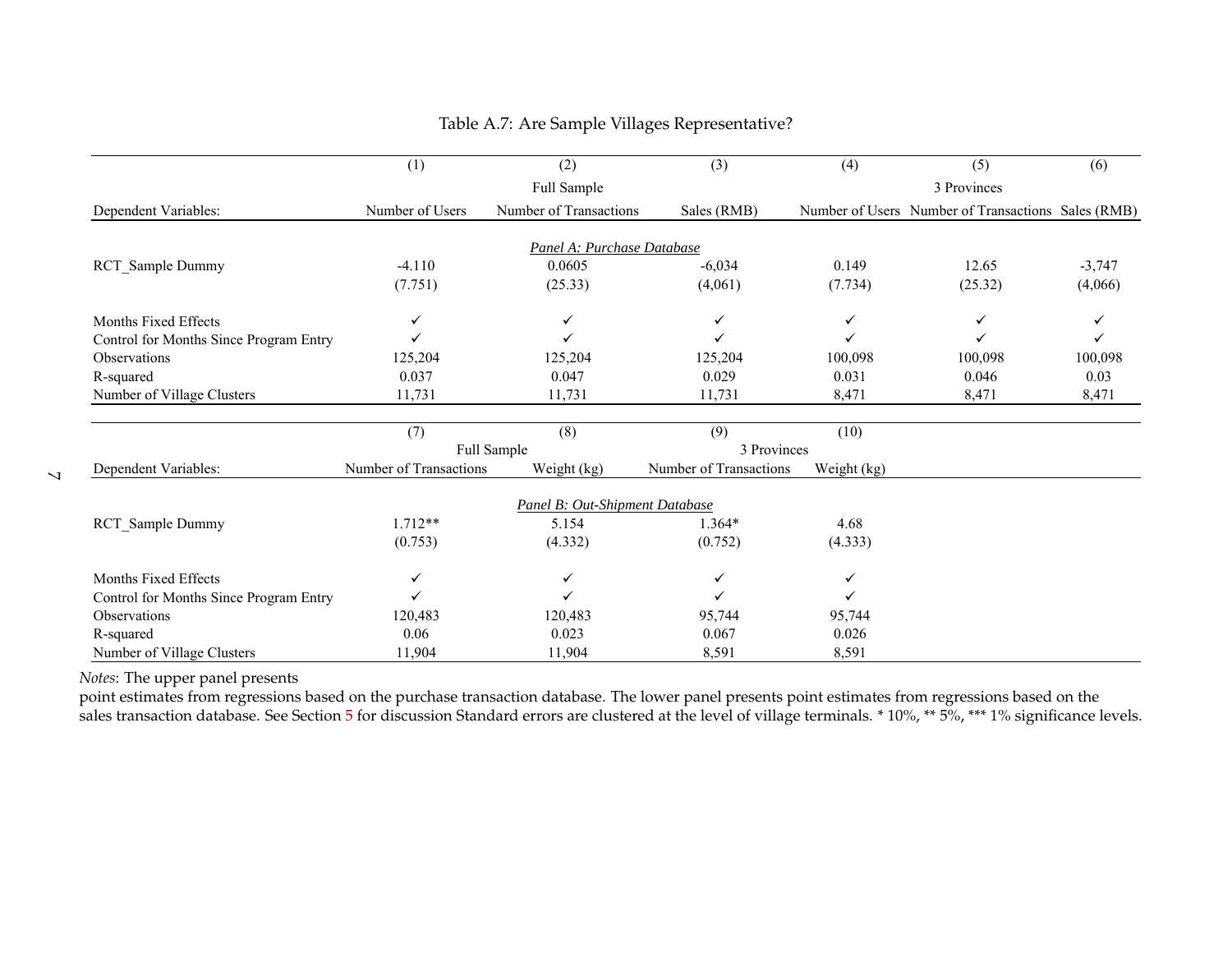|                                        | (1)                    | (2)                            | (3)                    | (4)         | (5)                                                | (6)      |
|----------------------------------------|------------------------|--------------------------------|------------------------|-------------|----------------------------------------------------|----------|
|                                        |                        | Full Sample                    |                        |             | 3 Provinces                                        |          |
| Dependent Variables:                   | Number of Users        | Number of Transactions         | Sales (RMB)            |             | Number of Users Number of Transactions Sales (RMB) |          |
|                                        |                        |                                |                        |             |                                                    |          |
|                                        |                        | Panel A: Purchase Database     |                        |             |                                                    |          |
| <b>RCT</b> Sample Dummy                | $-4.110$               | 0.0605                         | $-6,034$               | 0.149       | 12.65                                              | $-3,747$ |
|                                        | (7.751)                | (25.33)                        | (4,061)                | (7.734)     | (25.32)                                            | (4,066)  |
| Months Fixed Effects                   | ✓                      | ✓                              | ✓                      | ✓           | ✓                                                  |          |
| Control for Months Since Program Entry |                        | ✓                              |                        | ✓           |                                                    |          |
| Observations                           | 125,204                | 125,204                        | 125,204                | 100,098     | 100,098                                            | 100,098  |
| R-squared                              | 0.037                  | 0.047                          | 0.029                  | 0.031       | 0.046                                              | 0.03     |
| Number of Village Clusters             | 11,731                 | 11,731                         | 11,731                 | 8,471       | 8,471                                              | 8,471    |
|                                        |                        |                                |                        |             |                                                    |          |
|                                        | (7)                    | (8)                            | (9)                    | (10)        |                                                    |          |
|                                        |                        | Full Sample                    | 3 Provinces            |             |                                                    |          |
| Dependent Variables:                   | Number of Transactions | Weight (kg)                    | Number of Transactions | Weight (kg) |                                                    |          |
|                                        |                        | Panel B: Out-Shipment Database |                        |             |                                                    |          |
| RCT Sample Dummy                       | $1.712**$              | 5.154                          | $1.364*$               | 4.68        |                                                    |          |
|                                        | (0.753)                | (4.332)                        | (0.752)                | (4.333)     |                                                    |          |
|                                        |                        |                                |                        |             |                                                    |          |
| Months Fixed Effects                   | ✓                      | ✓                              | ✓                      | ✓           |                                                    |          |
| Control for Months Since Program Entry |                        | ✓                              |                        | ✓           |                                                    |          |
| Observations                           | 120,483                | 120,483                        | 95,744                 | 95,744      |                                                    |          |
| R-squared                              | 0.06                   | 0.023                          | 0.067                  | 0.026       |                                                    |          |
| Number of Village Clusters             | 11,904                 | 11,904                         | 8,591                  | 8,591       |                                                    |          |

### Table A.7: Are Sample Villages Representative?

<span id="page-55-0"></span>*Notes*: The upper panel presents

 point estimates from regressions based on the purchase transaction database. The lower panel presents point estimates from regressions based on thesales transaction database. See Section [5](#page-24-1) for discussion Standard errors are clustered at the level of village terminals. \* 10%, \*\* 5%, \*\*\* 1% significance levels.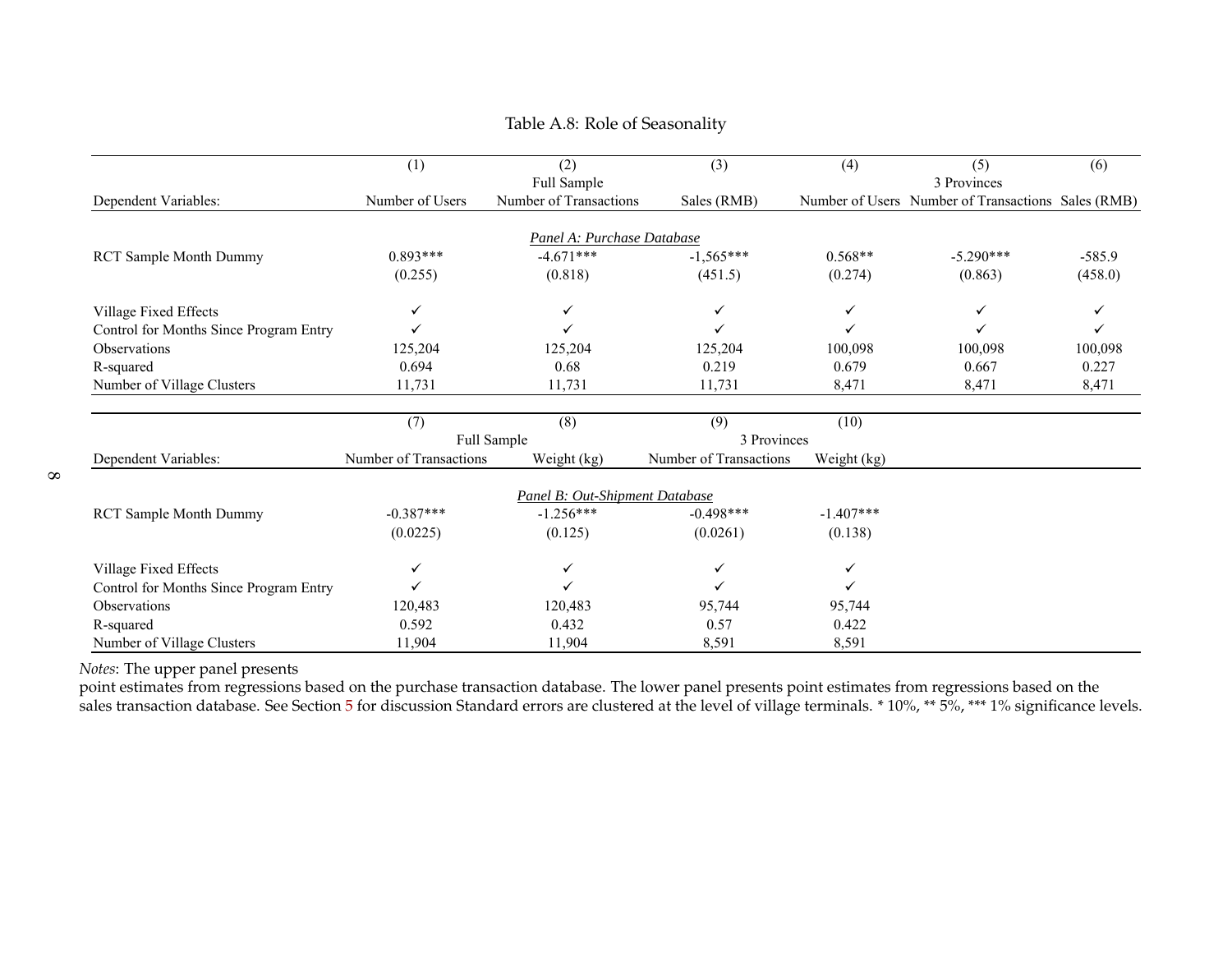|                                        | (1)                    | (2)                            | (3)                    | (4)         | (5)                                                | (6)      |
|----------------------------------------|------------------------|--------------------------------|------------------------|-------------|----------------------------------------------------|----------|
|                                        |                        | Full Sample                    |                        |             | 3 Provinces                                        |          |
| Dependent Variables:                   | Number of Users        | Number of Transactions         | Sales (RMB)            |             | Number of Users Number of Transactions Sales (RMB) |          |
|                                        |                        |                                |                        |             |                                                    |          |
|                                        |                        | Panel A: Purchase Database     |                        |             |                                                    |          |
| <b>RCT Sample Month Dummy</b>          | $0.893***$             | $-4.671***$                    | $-1,565***$            | $0.568**$   | $-5.290***$                                        | $-585.9$ |
|                                        | (0.255)                | (0.818)                        | (451.5)                | (0.274)     | (0.863)                                            | (458.0)  |
| Village Fixed Effects                  | ✓                      | ✓                              | $\checkmark$           | ✓           | ✓                                                  |          |
| Control for Months Since Program Entry |                        |                                | ✓                      | ✓           |                                                    | ✓        |
| Observations                           | 125,204                | 125,204                        | 125,204                | 100,098     | 100,098                                            | 100,098  |
| R-squared                              | 0.694                  | 0.68                           | 0.219                  | 0.679       | 0.667                                              | 0.227    |
| Number of Village Clusters             | 11,731                 | 11,731                         | 11,731                 | 8,471       | 8,471                                              | 8,471    |
|                                        |                        |                                |                        |             |                                                    |          |
|                                        | (7)                    | (8)                            | (9)                    | (10)        |                                                    |          |
|                                        |                        | Full Sample                    | 3 Provinces            |             |                                                    |          |
| Dependent Variables:                   | Number of Transactions | Weight (kg)                    | Number of Transactions | Weight (kg) |                                                    |          |
|                                        |                        | Panel B: Out-Shipment Database |                        |             |                                                    |          |
| <b>RCT Sample Month Dummy</b>          | $-0.387***$            | $-1.256***$                    | $-0.498***$            | $-1.407***$ |                                                    |          |
|                                        | (0.0225)               | (0.125)                        | (0.0261)               | (0.138)     |                                                    |          |
| Village Fixed Effects                  | ✓                      | ✓                              | $\checkmark$           | ✓           |                                                    |          |
| Control for Months Since Program Entry |                        |                                | ✓                      | ✓           |                                                    |          |
| Observations                           | 120,483                | 120,483                        | 95,744                 | 95,744      |                                                    |          |
| R-squared                              | 0.592                  | 0.432                          | 0.57                   | 0.422       |                                                    |          |
| Number of Village Clusters             | 11,904                 | 11,904                         | 8,591                  | 8,591       |                                                    |          |

### Table A.8: Role of Seasonality

*Notes*: The upper panel presents

<span id="page-56-0"></span> point estimates from regressions based on the purchase transaction database. The lower panel presents point estimates from regressions based on thesales transaction database. See Section [5](#page-24-1) for discussion Standard errors are clustered at the level of village terminals. \* 10%, \*\* 5%, \*\*\* 1% significance levels.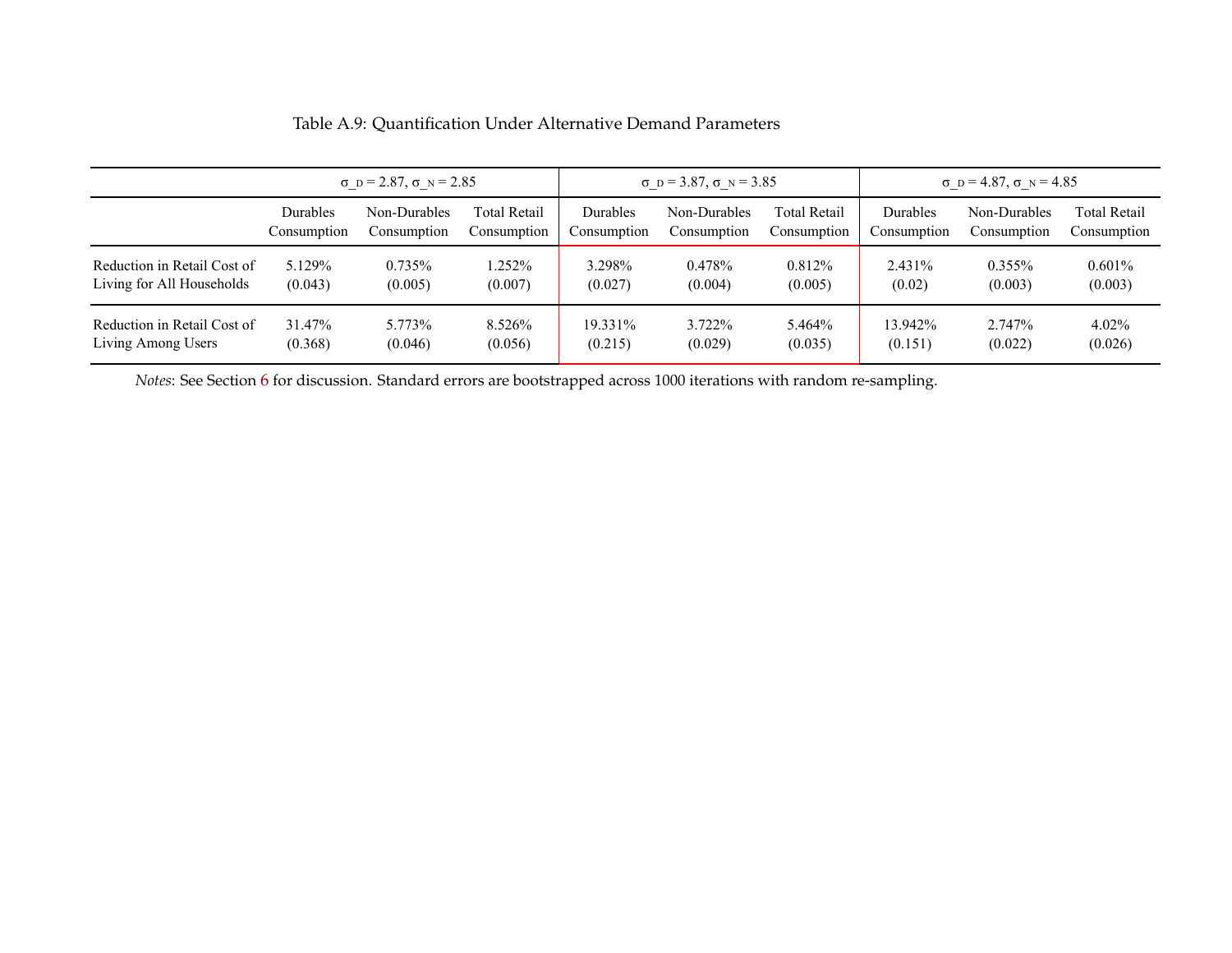|                             | $\sigma$ D = 2.87, $\sigma$ N = 2.85 |              |              | $\sigma$ D = 3.87, $\sigma$ N = 3.85 |              |                     | $\sigma$ D = 4.87, $\sigma$ N = 4.85 |              |                     |
|-----------------------------|--------------------------------------|--------------|--------------|--------------------------------------|--------------|---------------------|--------------------------------------|--------------|---------------------|
|                             | Durables                             | Non-Durables | Total Retail | Durables                             | Non-Durables | <b>Total Retail</b> | Durables                             | Non-Durables | <b>Total Retail</b> |
|                             | Consumption                          | Consumption  | Consumption  | Consumption                          | Consumption  | Consumption         | Consumption                          | Consumption  | Consumption         |
| Reduction in Retail Cost of | 5.129%                               | 0.735%       | 1.252%       | 3.298%                               | 0.478%       | 0.812%              | 2.431%                               | $0.355\%$    | $0.601\%$           |
| Living for All Households   | (0.043)                              | (0.005)      | (0.007)      | (0.027)                              | (0.004)      | (0.005)             | (0.02)                               | (0.003)      | (0.003)             |
| Reduction in Retail Cost of | 31.47%                               | 5.773%       | 8.526%       | 19.331%                              | 3.722%       | 5.464%              | 13.942%                              | 2.747%       | $4.02\%$            |
| Living Among Users          | (0.368)                              | (0.046)      | (0.056)      | (0.215)                              | (0.029)      | (0.035)             | (0.151)                              | (0.022)      | (0.026)             |

### Table A.9: Quantification Under Alternative Demand Parameters

<span id="page-57-0"></span>*Notes*: See Section [6](#page-27-1) for discussion. Standard errors are bootstrapped across 1000 iterations with random re-sampling.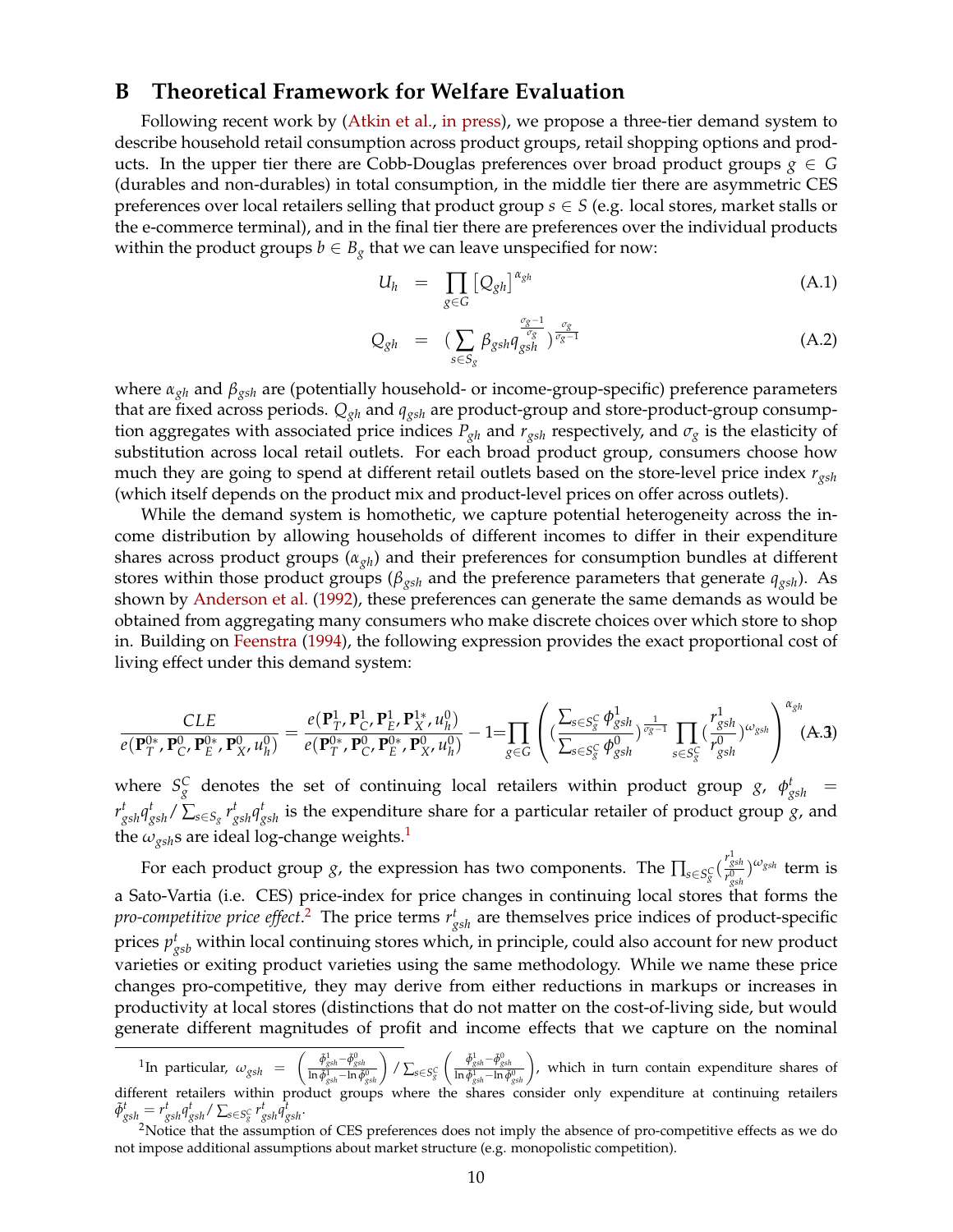### <span id="page-58-0"></span>**B Theoretical Framework for Welfare Evaluation**

Following recent work by [\(Atkin et al.,](#page-32-4) [in press\)](#page-32-4), we propose a three-tier demand system to describe household retail consumption across product groups, retail shopping options and products. In the upper tier there are Cobb-Douglas preferences over broad product groups  $g \in G$ (durables and non-durables) in total consumption, in the middle tier there are asymmetric CES preferences over local retailers selling that product group  $s \in S$  (e.g. local stores, market stalls or the e-commerce terminal), and in the final tier there are preferences over the individual products within the product groups  $b \in B_g$  that we can leave unspecified for now:

$$
U_h = \prod_{g \in G} \left[ Q_{gh} \right]^{\alpha_{gh}} \tag{A.1}
$$

$$
Q_{gh} = \left(\sum_{s \in S_g} \beta_{gsh} q_{gsh}^{\frac{\sigma_g - 1}{\sigma_g}}\right)^{\frac{\sigma_g}{\sigma_g - 1}} \tag{A.2}
$$

where *αgh* and *βgsh* are (potentially household- or income-group-specific) preference parameters that are fixed across periods. *Qgh* and *qgsh* are product-group and store-product-group consumption aggregates with associated price indices  $P_{gh}$  and  $r_{gsh}$  respectively, and  $\sigma_g$  is the elasticity of substitution across local retail outlets. For each broad product group, consumers choose how much they are going to spend at different retail outlets based on the store-level price index *rgsh* (which itself depends on the product mix and product-level prices on offer across outlets).

While the demand system is homothetic, we capture potential heterogeneity across the income distribution by allowing households of different incomes to differ in their expenditure shares across product groups (*αgh*) and their preferences for consumption bundles at different stores within those product groups (*βgsh* and the preference parameters that generate *qgsh*). As shown by [Anderson et al.](#page-32-15) [\(1992\)](#page-32-15), these preferences can generate the same demands as would be obtained from aggregating many consumers who make discrete choices over which store to shop in. Building on [Feenstra](#page-32-3) [\(1994\)](#page-32-3), the following expression provides the exact proportional cost of living effect under this demand system:

<span id="page-58-1"></span>
$$
\frac{CLE}{e(\mathbf{P}_{T}^{0*},\mathbf{P}_{C}^{0},\mathbf{P}_{E}^{0*},\mathbf{P}_{X}^{0},u_{h}^{0})}=\frac{e(\mathbf{P}_{T}^{1},\mathbf{P}_{C}^{1},\mathbf{P}_{E}^{1},\mathbf{P}_{X}^{1*},u_{h}^{0})}{e(\mathbf{P}_{T}^{0*},\mathbf{P}_{C}^{0},\mathbf{P}_{E}^{0*},\mathbf{P}_{X}^{0},u_{h}^{0})}-1=\prod_{g\in G}\left(\left(\frac{\sum_{s\in S_{g}^{C}}\phi_{gsh}^{1}}{\sum_{s\in S_{g}^{C}}\phi_{gsh}^{0}}\right)^{\frac{1}{\sigma_{g}-1}}\prod_{s\in S_{g}^{C}}\left(\frac{r_{gsh}^{1}}{r_{gsh}^{0}}\right)^{\omega_{gsh}}\right)^{\alpha_{gh}}(A.3)
$$

where  $S_g^C$  denotes the set of continuing local retailers within product group *g*,  $\phi_{gsh}^t$  =  $r^t_{gsh}q^t_{gsh}/\sum_{s\in S_g}r^t_{gsh}q^t_{gsh}$  is the expenditure share for a particular retailer of product group *g*, and the *ωgsh*s are ideal log-change weights.[1](#page-0-0)

For each product group *g*, the expression has two components. The  $\prod_{s \in S_g^C} (\frac{r_{gsh}^1}{r_{gsh}^2})$  $\binom{r_{gsh}^{0}}{r_{gsh}^{0}}$   $\stackrel{\omega_{gsh}}{t}$  term is a Sato-Vartia (i.e. CES) price-index for price changes in continuing local stores that forms the *pro-competitive price effect*. [2](#page-0-0) The price terms *r t gsh* are themselves price indices of product-specific prices  $p^t_{gsb}$  within local continuing stores which, in principle, could also account for new product varieties or exiting product varieties using the same methodology. While we name these price changes pro-competitive, they may derive from either reductions in markups or increases in productivity at local stores (distinctions that do not matter on the cost-of-living side, but would generate different magnitudes of profit and income effects that we capture on the nominal

 $^1$ In particular,  $\omega_{gsh}$  =  $\left(\frac{\tilde{\phi}_{gsh}^1-\tilde{\phi}_{gsh}^0}{\ln \tilde{\phi}_{gsh}^1-\ln \tilde{\phi}_{gsh}^0}\right)/\sum_{s\in S_g^C}$  $\left(\frac{\tilde{\phi}_{gsh}^{\theta} - \tilde{\phi}_{gsh}^{\theta}}{\ln \tilde{\phi}_{gsh}^{\theta} - \ln \tilde{\phi}_{gsh}^{\theta}}\right)$ , which in turn contain expenditure shares of different retailers within product groups where the shares consider only expenditure at continuing retailers  $\tilde{\phi}_{gsh}^t = r_{gsh}^t q_{gsh}^t / \sum_{s \in S_g^C} r_{gsh}^t q_{gsh}^t$ .

<sup>&</sup>lt;sup>2</sup>Notice that the assumption of CES preferences does not imply the absence of pro-competitive effects as we do not impose additional assumptions about market structure (e.g. monopolistic competition).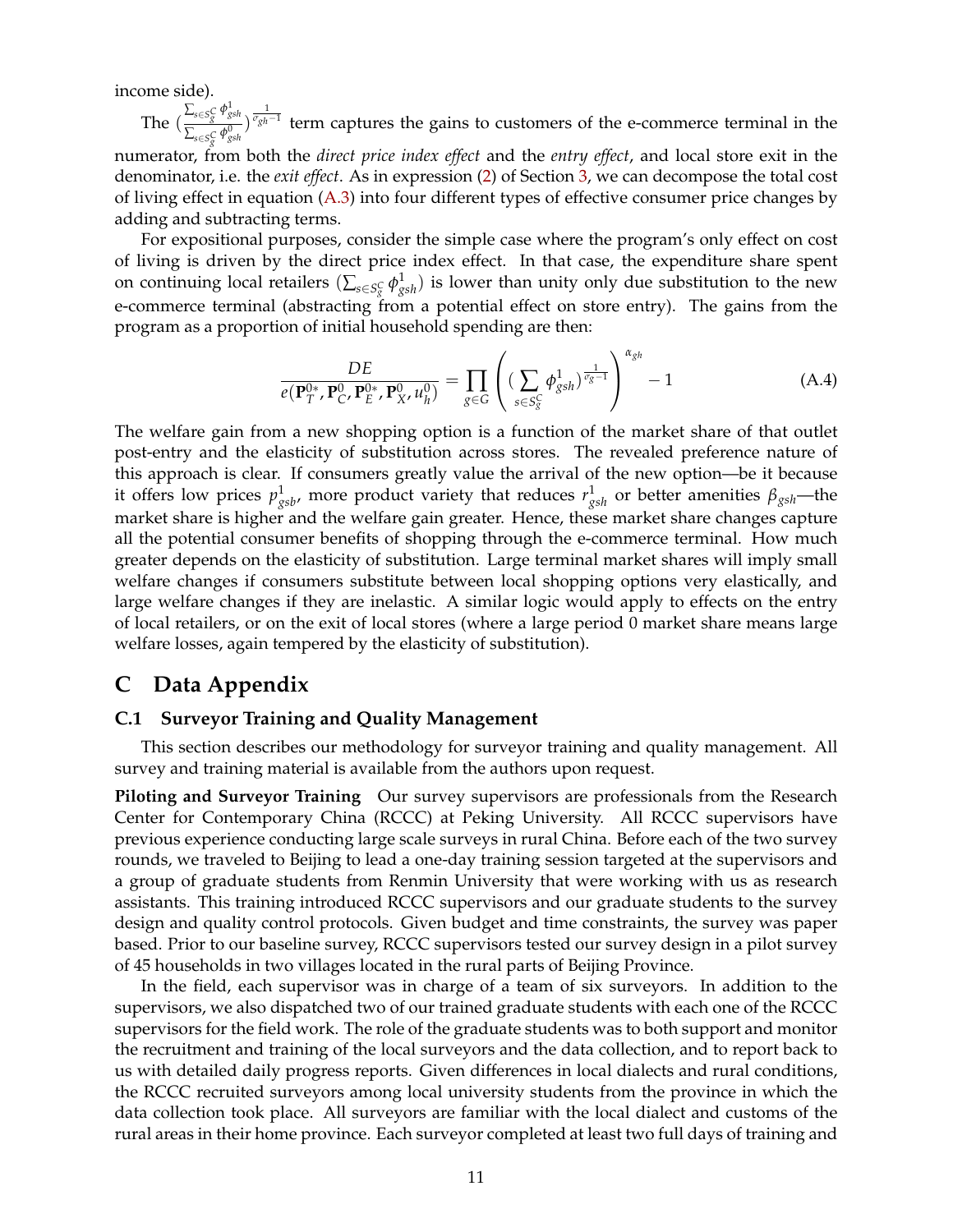income side).

The  $\left(\frac{\sum_{s \in S_{g}^C} \phi_{gsh}^1}{\sum_{s \in S_{g}^0} \phi_{gsh}^0}\right)$  $\frac{\sum_{s \in S_S^C} \phi_{gsh}^1}{\sum_{s \in S_S^C} \phi_{gsh}^0}$   $\frac{1}{\sigma_{gh} - 1}$  term captures the gains to customers of the e-commerce terminal in the

numerator, from both the *direct price index effect* and the *entry effect*, and local store exit in the denominator, i.e. the *exit effect*. As in expression [\(2\)](#page-14-1) of Section [3,](#page-12-0) we can decompose the total cost of living effect in equation [\(A.3\)](#page-58-1) into four different types of effective consumer price changes by adding and subtracting terms.

For expositional purposes, consider the simple case where the program's only effect on cost of living is driven by the direct price index effect. In that case, the expenditure share spent on continuing local retailers  $(\sum_{s\in S^C_S}\phi^1_{gsh})$  is lower than unity only due substitution to the new e-commerce terminal (abstracting from a potential effect on store entry). The gains from the program as a proportion of initial household spending are then:

$$
\frac{DE}{e(\mathbf{P}_T^{0*}, \mathbf{P}_C^0, \mathbf{P}_E^{0*}, \mathbf{P}_X^0, u_h^0)} = \prod_{g \in G} \left( \left( \sum_{s \in S_g^C} \phi_{gsh}^1 \right)^{\frac{1}{\sigma_g - 1}} \right)^{\alpha_{gh}} - 1 \tag{A.4}
$$

The welfare gain from a new shopping option is a function of the market share of that outlet post-entry and the elasticity of substitution across stores. The revealed preference nature of this approach is clear. If consumers greatly value the arrival of the new option—be it because it offers low prices  $p^1_{gsb}$ , more product variety that reduces  $r^1_{gsh}$  or better amenities  $\beta_{gsh}$ —the market share is higher and the welfare gain greater. Hence, these market share changes capture all the potential consumer benefits of shopping through the e-commerce terminal. How much greater depends on the elasticity of substitution. Large terminal market shares will imply small welfare changes if consumers substitute between local shopping options very elastically, and large welfare changes if they are inelastic. A similar logic would apply to effects on the entry of local retailers, or on the exit of local stores (where a large period 0 market share means large welfare losses, again tempered by the elasticity of substitution).

# <span id="page-59-0"></span>**C Data Appendix**

#### **C.1 Surveyor Training and Quality Management**

This section describes our methodology for surveyor training and quality management. All survey and training material is available from the authors upon request.

**Piloting and Surveyor Training** Our survey supervisors are professionals from the Research Center for Contemporary China (RCCC) at Peking University. All RCCC supervisors have previous experience conducting large scale surveys in rural China. Before each of the two survey rounds, we traveled to Beijing to lead a one-day training session targeted at the supervisors and a group of graduate students from Renmin University that were working with us as research assistants. This training introduced RCCC supervisors and our graduate students to the survey design and quality control protocols. Given budget and time constraints, the survey was paper based. Prior to our baseline survey, RCCC supervisors tested our survey design in a pilot survey of 45 households in two villages located in the rural parts of Beijing Province.

In the field, each supervisor was in charge of a team of six surveyors. In addition to the supervisors, we also dispatched two of our trained graduate students with each one of the RCCC supervisors for the field work. The role of the graduate students was to both support and monitor the recruitment and training of the local surveyors and the data collection, and to report back to us with detailed daily progress reports. Given differences in local dialects and rural conditions, the RCCC recruited surveyors among local university students from the province in which the data collection took place. All surveyors are familiar with the local dialect and customs of the rural areas in their home province. Each surveyor completed at least two full days of training and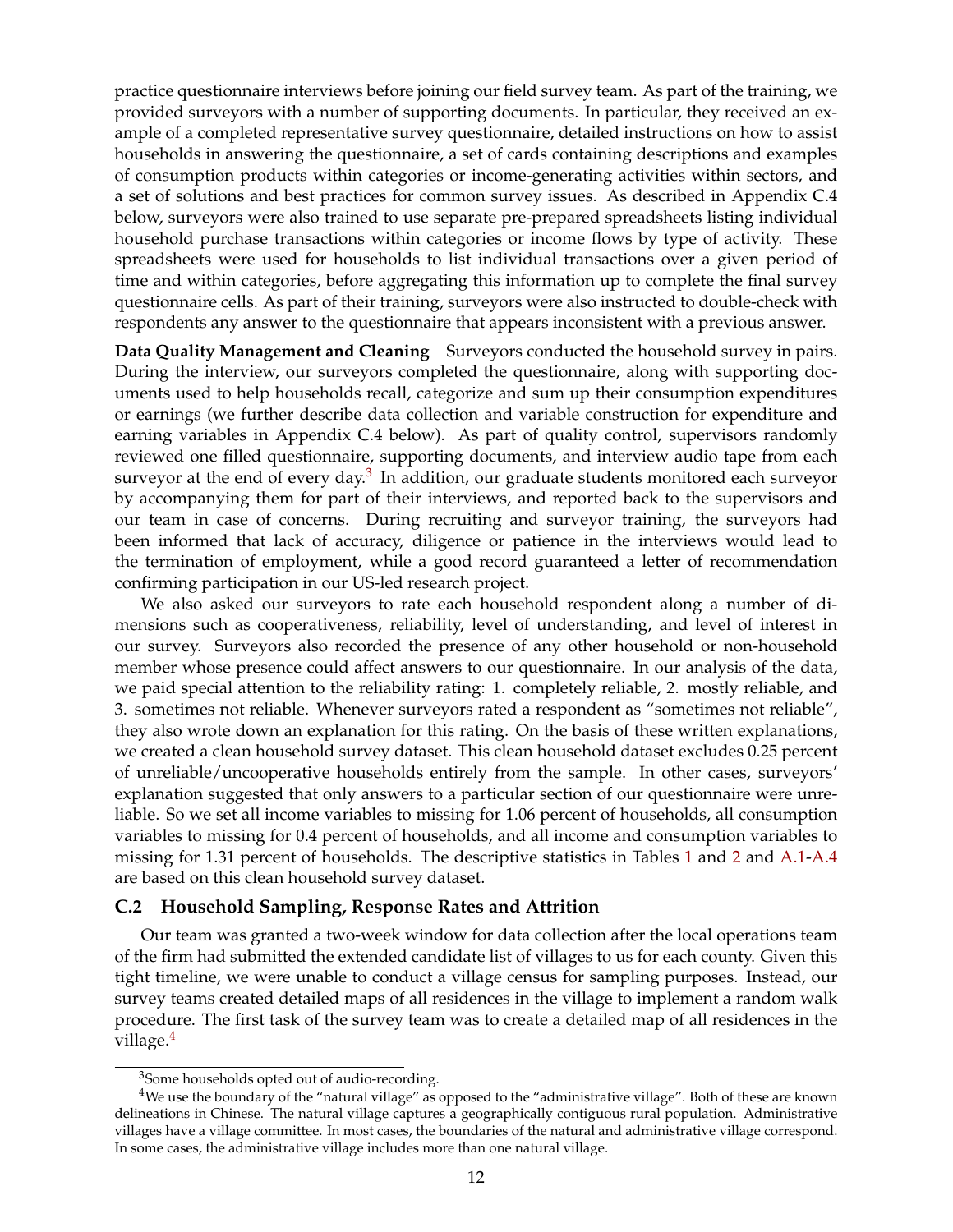practice questionnaire interviews before joining our field survey team. As part of the training, we provided surveyors with a number of supporting documents. In particular, they received an example of a completed representative survey questionnaire, detailed instructions on how to assist households in answering the questionnaire, a set of cards containing descriptions and examples of consumption products within categories or income-generating activities within sectors, and a set of solutions and best practices for common survey issues. As described in Appendix C.4 below, surveyors were also trained to use separate pre-prepared spreadsheets listing individual household purchase transactions within categories or income flows by type of activity. These spreadsheets were used for households to list individual transactions over a given period of time and within categories, before aggregating this information up to complete the final survey questionnaire cells. As part of their training, surveyors were also instructed to double-check with respondents any answer to the questionnaire that appears inconsistent with a previous answer.

**Data Quality Management and Cleaning** Surveyors conducted the household survey in pairs. During the interview, our surveyors completed the questionnaire, along with supporting documents used to help households recall, categorize and sum up their consumption expenditures or earnings (we further describe data collection and variable construction for expenditure and earning variables in Appendix C.4 below). As part of quality control, supervisors randomly reviewed one filled questionnaire, supporting documents, and interview audio tape from each surveyor at the end of every day.<sup>[3](#page-0-0)</sup> In addition, our graduate students monitored each surveyor by accompanying them for part of their interviews, and reported back to the supervisors and our team in case of concerns. During recruiting and surveyor training, the surveyors had been informed that lack of accuracy, diligence or patience in the interviews would lead to the termination of employment, while a good record guaranteed a letter of recommendation confirming participation in our US-led research project.

We also asked our surveyors to rate each household respondent along a number of dimensions such as cooperativeness, reliability, level of understanding, and level of interest in our survey. Surveyors also recorded the presence of any other household or non-household member whose presence could affect answers to our questionnaire. In our analysis of the data, we paid special attention to the reliability rating: 1. completely reliable, 2. mostly reliable, and 3. sometimes not reliable. Whenever surveyors rated a respondent as "sometimes not reliable", they also wrote down an explanation for this rating. On the basis of these written explanations, we created a clean household survey dataset. This clean household dataset excludes 0.25 percent of unreliable/uncooperative households entirely from the sample. In other cases, surveyors' explanation suggested that only answers to a particular section of our questionnaire were unreliable. So we set all income variables to missing for 1.06 percent of households, all consumption variables to missing for 0.4 percent of households, and all income and consumption variables to missing for 1.31 percent of households. The descriptive statistics in Tables [1](#page-38-0) and [2](#page-39-0) and [A.1-](#page-49-0)[A.4](#page-52-0) are based on this clean household survey dataset.

#### **C.2 Household Sampling, Response Rates and Attrition**

Our team was granted a two-week window for data collection after the local operations team of the firm had submitted the extended candidate list of villages to us for each county. Given this tight timeline, we were unable to conduct a village census for sampling purposes. Instead, our survey teams created detailed maps of all residences in the village to implement a random walk procedure. The first task of the survey team was to create a detailed map of all residences in the village.<sup>[4](#page-0-0)</sup>

<sup>&</sup>lt;sup>3</sup>Some households opted out of audio-recording.

<sup>4</sup>We use the boundary of the "natural village" as opposed to the "administrative village". Both of these are known delineations in Chinese. The natural village captures a geographically contiguous rural population. Administrative villages have a village committee. In most cases, the boundaries of the natural and administrative village correspond. In some cases, the administrative village includes more than one natural village.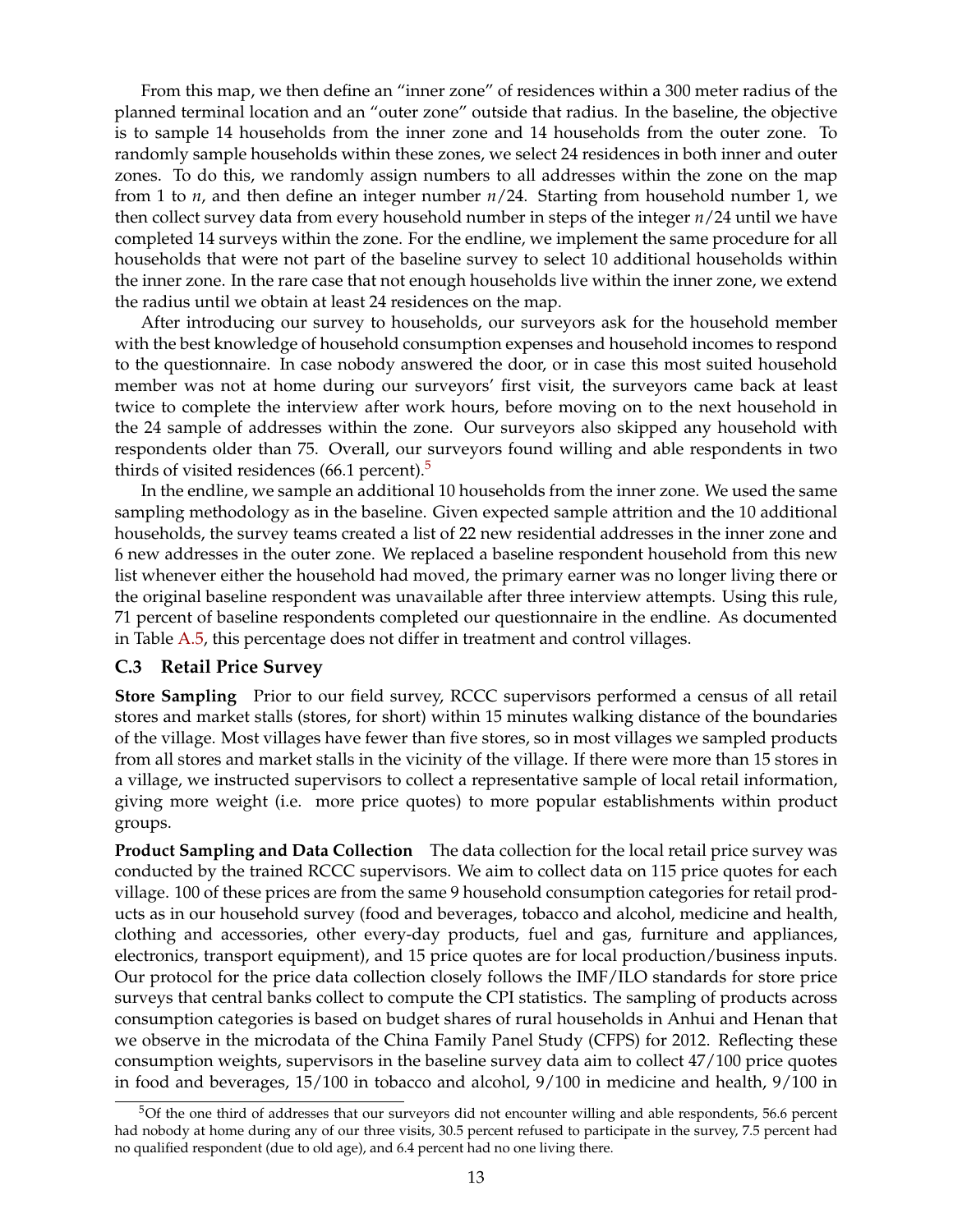From this map, we then define an "inner zone" of residences within a 300 meter radius of the planned terminal location and an "outer zone" outside that radius. In the baseline, the objective is to sample 14 households from the inner zone and 14 households from the outer zone. To randomly sample households within these zones, we select 24 residences in both inner and outer zones. To do this, we randomly assign numbers to all addresses within the zone on the map from 1 to *n*, and then define an integer number *n*/24. Starting from household number 1, we then collect survey data from every household number in steps of the integer *n*/24 until we have completed 14 surveys within the zone. For the endline, we implement the same procedure for all households that were not part of the baseline survey to select 10 additional households within the inner zone. In the rare case that not enough households live within the inner zone, we extend the radius until we obtain at least 24 residences on the map.

After introducing our survey to households, our surveyors ask for the household member with the best knowledge of household consumption expenses and household incomes to respond to the questionnaire. In case nobody answered the door, or in case this most suited household member was not at home during our surveyors' first visit, the surveyors came back at least twice to complete the interview after work hours, before moving on to the next household in the 24 sample of addresses within the zone. Our surveyors also skipped any household with respondents older than 75. Overall, our surveyors found willing and able respondents in two thirds of visited residences  $(66.1 \text{ percent})$ .<sup>[5](#page-0-0)</sup>

In the endline, we sample an additional 10 households from the inner zone. We used the same sampling methodology as in the baseline. Given expected sample attrition and the 10 additional households, the survey teams created a list of 22 new residential addresses in the inner zone and 6 new addresses in the outer zone. We replaced a baseline respondent household from this new list whenever either the household had moved, the primary earner was no longer living there or the original baseline respondent was unavailable after three interview attempts. Using this rule, 71 percent of baseline respondents completed our questionnaire in the endline. As documented in Table [A.5,](#page-53-0) this percentage does not differ in treatment and control villages.

#### **C.3 Retail Price Survey**

**Store Sampling** Prior to our field survey, RCCC supervisors performed a census of all retail stores and market stalls (stores, for short) within 15 minutes walking distance of the boundaries of the village. Most villages have fewer than five stores, so in most villages we sampled products from all stores and market stalls in the vicinity of the village. If there were more than 15 stores in a village, we instructed supervisors to collect a representative sample of local retail information, giving more weight (i.e. more price quotes) to more popular establishments within product groups.

**Product Sampling and Data Collection** The data collection for the local retail price survey was conducted by the trained RCCC supervisors. We aim to collect data on 115 price quotes for each village. 100 of these prices are from the same 9 household consumption categories for retail products as in our household survey (food and beverages, tobacco and alcohol, medicine and health, clothing and accessories, other every-day products, fuel and gas, furniture and appliances, electronics, transport equipment), and 15 price quotes are for local production/business inputs. Our protocol for the price data collection closely follows the IMF/ILO standards for store price surveys that central banks collect to compute the CPI statistics. The sampling of products across consumption categories is based on budget shares of rural households in Anhui and Henan that we observe in the microdata of the China Family Panel Study (CFPS) for 2012. Reflecting these consumption weights, supervisors in the baseline survey data aim to collect 47/100 price quotes in food and beverages, 15/100 in tobacco and alcohol, 9/100 in medicine and health, 9/100 in

<sup>5</sup>Of the one third of addresses that our surveyors did not encounter willing and able respondents, 56.6 percent had nobody at home during any of our three visits, 30.5 percent refused to participate in the survey, 7.5 percent had no qualified respondent (due to old age), and 6.4 percent had no one living there.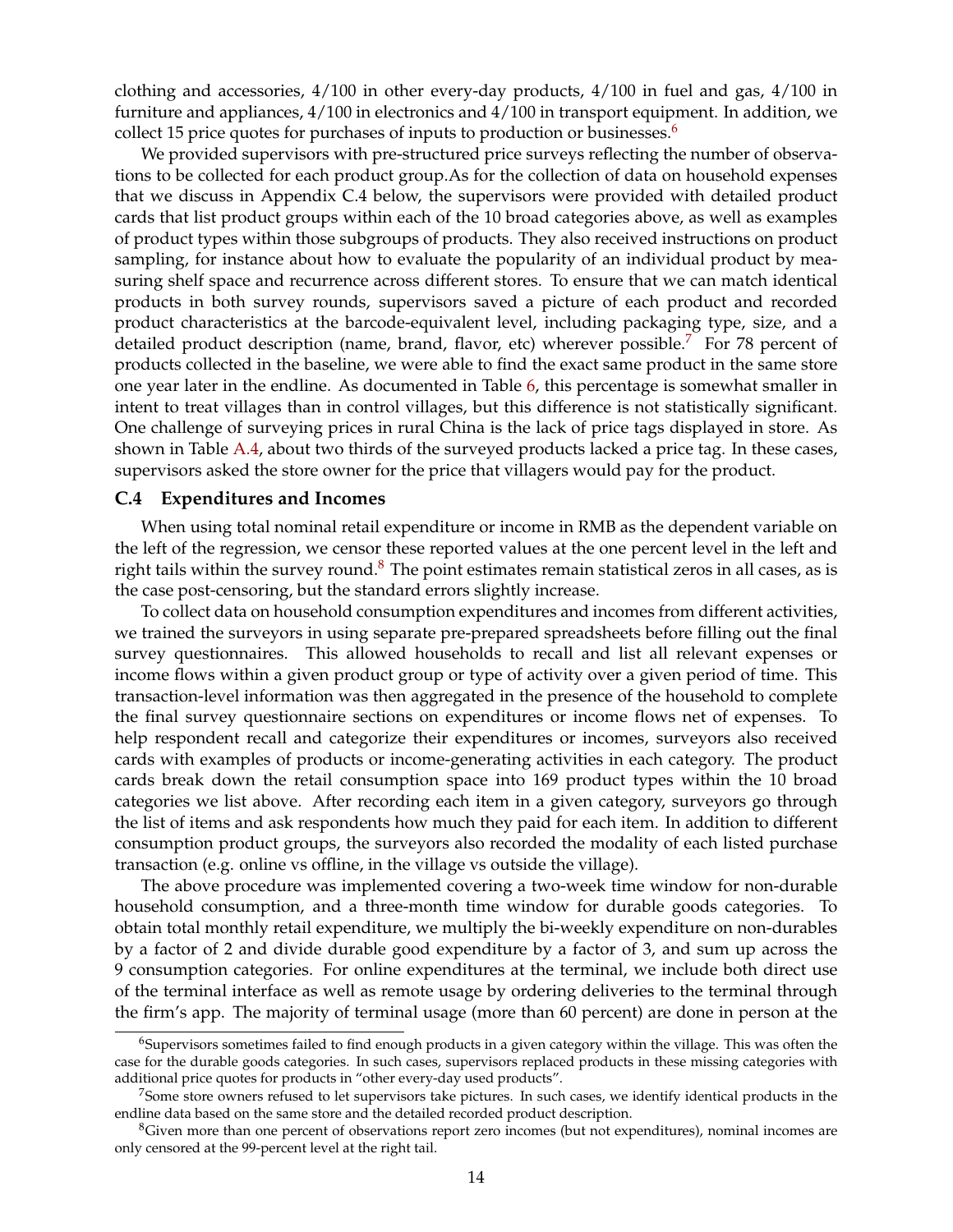clothing and accessories, 4/100 in other every-day products, 4/100 in fuel and gas, 4/100 in furniture and appliances, 4/100 in electronics and 4/100 in transport equipment. In addition, we collect 15 price quotes for purchases of inputs to production or businesses.<sup>[6](#page-0-0)</sup>

We provided supervisors with pre-structured price surveys reflecting the number of observations to be collected for each product group.As for the collection of data on household expenses that we discuss in Appendix C.4 below, the supervisors were provided with detailed product cards that list product groups within each of the 10 broad categories above, as well as examples of product types within those subgroups of products. They also received instructions on product sampling, for instance about how to evaluate the popularity of an individual product by measuring shelf space and recurrence across different stores. To ensure that we can match identical products in both survey rounds, supervisors saved a picture of each product and recorded product characteristics at the barcode-equivalent level, including packaging type, size, and a detailed product description (name, brand, flavor, etc) wherever possible.<sup>[7](#page-0-0)</sup> For 78 percent of products collected in the baseline, we were able to find the exact same product in the same store one year later in the endline. As documented in Table [6,](#page-43-0) this percentage is somewhat smaller in intent to treat villages than in control villages, but this difference is not statistically significant. One challenge of surveying prices in rural China is the lack of price tags displayed in store. As shown in Table [A.4,](#page-52-0) about two thirds of the surveyed products lacked a price tag. In these cases, supervisors asked the store owner for the price that villagers would pay for the product.

#### **C.4 Expenditures and Incomes**

When using total nominal retail expenditure or income in RMB as the dependent variable on the left of the regression, we censor these reported values at the one percent level in the left and right tails within the survey round.<sup>[8](#page-0-0)</sup> The point estimates remain statistical zeros in all cases, as is the case post-censoring, but the standard errors slightly increase.

To collect data on household consumption expenditures and incomes from different activities, we trained the surveyors in using separate pre-prepared spreadsheets before filling out the final survey questionnaires. This allowed households to recall and list all relevant expenses or income flows within a given product group or type of activity over a given period of time. This transaction-level information was then aggregated in the presence of the household to complete the final survey questionnaire sections on expenditures or income flows net of expenses. To help respondent recall and categorize their expenditures or incomes, surveyors also received cards with examples of products or income-generating activities in each category. The product cards break down the retail consumption space into 169 product types within the 10 broad categories we list above. After recording each item in a given category, surveyors go through the list of items and ask respondents how much they paid for each item. In addition to different consumption product groups, the surveyors also recorded the modality of each listed purchase transaction (e.g. online vs offline, in the village vs outside the village).

The above procedure was implemented covering a two-week time window for non-durable household consumption, and a three-month time window for durable goods categories. To obtain total monthly retail expenditure, we multiply the bi-weekly expenditure on non-durables by a factor of 2 and divide durable good expenditure by a factor of 3, and sum up across the 9 consumption categories. For online expenditures at the terminal, we include both direct use of the terminal interface as well as remote usage by ordering deliveries to the terminal through the firm's app. The majority of terminal usage (more than 60 percent) are done in person at the

<sup>&</sup>lt;sup>6</sup>Supervisors sometimes failed to find enough products in a given category within the village. This was often the case for the durable goods categories. In such cases, supervisors replaced products in these missing categories with additional price quotes for products in "other every-day used products".

 $^7$ Some store owners refused to let supervisors take pictures. In such cases, we identify identical products in the endline data based on the same store and the detailed recorded product description.

<sup>&</sup>lt;sup>8</sup>Given more than one percent of observations report zero incomes (but not expenditures), nominal incomes are only censored at the 99-percent level at the right tail.